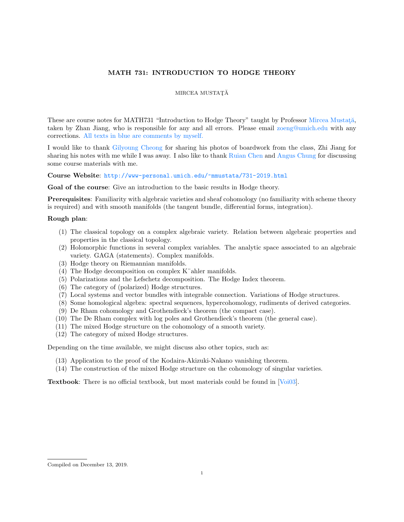# MATH 731: INTRODUCTION TO HODGE THEORY

## MIRCEA MUSTAȚĂ

These are course notes for MATH731 "Introduction to Hodge Theory" taught by Professor Mircea Mustată, taken by Zhan Jiang, who is responsible for any and all errors. Please email [zoeng@umich.edu](mailto:zoeng@umich.edu) with any corrections. All texts in blue are comments by myself.

I would like to thank [Gilyoung Cheong](http://www-personal.umich.edu/~gcheong/) for sharing his photos of boardwork from the class, Zhi Jiang for sharing his notes with me while I was away. I also like to thank [Ruian Chen](http://www-personal.umich.edu/~ruchen/) and [Angus Chung](http://www-personal.umich.edu/~angusck/) for discussing some course materials with me.

Course Website: <http://www-personal.umich.edu/~mmustata/731-2019.html>

Goal of the course: Give an introduction to the basic results in Hodge theory.

Prerequisites: Familiarity with algebraic varieties and sheaf cohomology (no familiarity with scheme theory is required) and with smooth manifolds (the tangent bundle, differential forms, integration).

### Rough plan:

- (1) The classical topology on a complex algebraic variety. Relation between algebraic properties and properties in the classical topology.
- (2) Holomorphic functions in several complex variables. The analytic space associated to an algebraic variety. GAGA (statements). Complex manifolds.
- (3) Hodge theory on Riemannian manifolds.
- (4) The Hodge decomposition on complex K¨ahler manifolds.
- (5) Polarizations and the Lefschetz decomposition. The Hodge Index theorem.
- (6) The category of (polarized) Hodge structures.
- (7) Local systems and vector bundles with integrable connection. Variations of Hodge structures.
- (8) Some homological algebra: spectral sequences, hypercohomology, rudiments of derived categories.
- (9) De Rham cohomology and Grothendieck's theorem (the compact case).
- (10) The De Rham complex with log poles and Grothendieck's theorem (the general case).
- (11) The mixed Hodge structure on the cohomology of a smooth variety.
- (12) The category of mixed Hodge structures.

Depending on the time available, we might discuss also other topics, such as:

- (13) Application to the proof of the Kodaira-Akizuki-Nakano vanishing theorem.
- (14) The construction of the mixed Hodge structure on the cohomology of singular varieties.

Textbook: There is no official textbook, but most materials could be found in [\[Voi03\]](#page-78-0).

Compiled on December 13, 2019.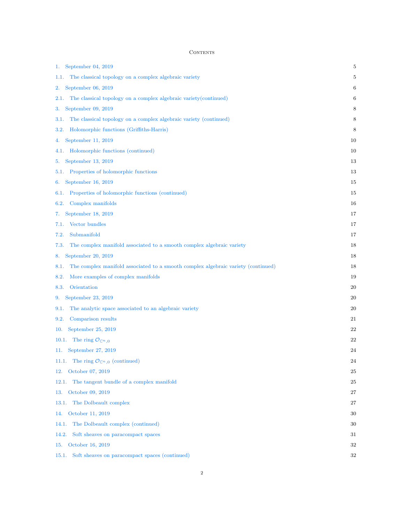### **CONTENTS**

| September 04, 2019<br>1.                                                                  | 5  |
|-------------------------------------------------------------------------------------------|----|
| The classical topology on a complex algebraic variety<br>1.1.                             | 5  |
| September $06, 2019$<br>2.                                                                | 6  |
| The classical topology on a complex algebraic variety (continued)<br>2.1.                 | 6  |
| September 09, 2019<br>3.                                                                  | 8  |
| The classical topology on a complex algebraic variety (continued)<br>3.1.                 | 8  |
| Holomorphic functions (Griffiths-Harris)<br>3.2.                                          | 8  |
| September 11, 2019<br>4.                                                                  | 10 |
| Holomorphic functions (continued)<br>4.1.                                                 | 10 |
| September 13, 2019<br>5.                                                                  | 13 |
| Properties of holomorphic functions<br>5.1.                                               | 13 |
| September 16, 2019<br>6.                                                                  | 15 |
| Properties of holomorphic functions (continued)<br>6.1.                                   | 15 |
| Complex manifolds<br>6.2.                                                                 | 16 |
| September 18, 2019<br>7.                                                                  | 17 |
| Vector bundles<br>7.1.                                                                    | 17 |
| Submanifold<br>7.2.                                                                       | 17 |
| The complex manifold associated to a smooth complex algebraic variety<br>7.3.             | 18 |
| September 20, 2019<br>8.                                                                  | 18 |
| The complex manifold associated to a smooth complex algebraic variety (continued)<br>8.1. | 18 |
| 8.2.<br>More examples of complex manifolds                                                | 19 |
| Orientation<br>8.3.                                                                       | 20 |
| September 23, 2019<br>9.                                                                  | 20 |
| The analytic space associated to an algebraic variety<br>9.1.                             | 20 |
| Comparison results<br>9.2.                                                                | 21 |
| September 25, 2019<br>10.                                                                 | 22 |
| The ring $\mathcal{O}_{\mathbb{C}^n,0}$<br>10.1.                                          | 22 |
| 11. September 27, 2019                                                                    | 24 |
| The ring $\mathcal{O}_{\mathbb{C}^n,0}$ (continued)<br>11.1.                              | 24 |
| October 07, 2019<br>12.                                                                   | 25 |
| The tangent bundle of a complex manifold<br>12.1.                                         | 25 |
| October 09, 2019<br>13.                                                                   | 27 |
| The Dolbeault complex<br>13.1.                                                            | 27 |
| October 11, 2019<br>14.                                                                   | 30 |
| 14.1.<br>The Dolbeault complex (continued)                                                | 30 |
| Soft sheaves on paracompact spaces<br>14.2.                                               | 31 |
| October 16, 2019<br>15.                                                                   | 32 |
| Soft sheaves on paracompact spaces (continued)<br>15.1.                                   | 32 |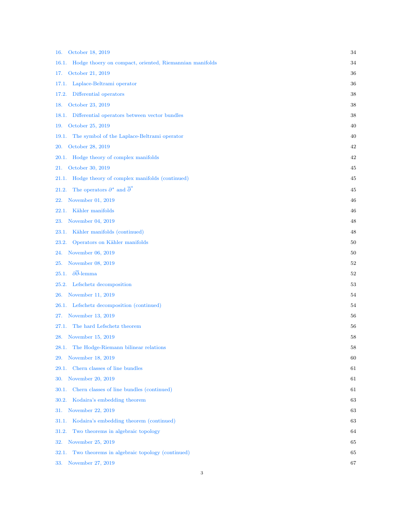| October 18, 2019<br>16.                                          | 34 |
|------------------------------------------------------------------|----|
| Hodge thoery on compact, oriented, Riemannian manifolds<br>16.1. | 34 |
| October 21, 2019<br>17.                                          | 36 |
| Laplace-Beltrami operator<br>17.1.                               | 36 |
| Differential operators<br>17.2.                                  | 38 |
| October 23, 2019<br>18.                                          | 38 |
| Differential operators between vector bundles<br>18.1.           | 38 |
| October 25, 2019<br>19.                                          | 40 |
| The symbol of the Laplace-Beltrami operator<br>19.1.             | 40 |
| October 28, 2019<br>20.                                          | 42 |
| Hodge theory of complex manifolds<br>20.1.                       | 42 |
| October 30, 2019<br>21.                                          | 45 |
| Hodge theory of complex manifolds (continued)<br>21.1.           | 45 |
| The operators $\partial^*$ and $\overline{\partial}^*$<br>21.2.  | 45 |
| November 01, 2019<br>22.                                         | 46 |
| Kähler manifolds<br>22.1.                                        | 46 |
| November 04, 2019<br>23.                                         | 48 |
| Kähler manifolds (continued)<br>23.1.                            | 48 |
| Operators on Kähler manifolds<br>23.2.                           | 50 |
| November 06, 2019<br>24.                                         | 50 |
| November 08, 2019<br>25.                                         | 52 |
| $\partial \overline{\partial}$ -lemma<br>25.1.                   | 52 |
| Lefschetz decomposition<br>25.2.                                 | 53 |
| November 11, 2019<br>26.                                         | 54 |
| Lefschetz decomposition (continued)<br>26.1.                     | 54 |
| November 13, 2019<br>27.                                         | 56 |
| The hard Lefschetz theorem<br>27.1.                              | 56 |
| November 15, 2019<br>28.                                         | 58 |
| 28.1.<br>The Hodge-Riemann bilinear relations                    | 58 |
| November 18, 2019<br>29.                                         | 60 |
| Chern classes of line bundles<br>29.1.                           | 61 |
| November 20, 2019<br>30.                                         | 61 |
| Chern classes of line bundles (continued)<br>30.1.               | 61 |
| Kodaira's embedding theorem<br>30.2.                             | 63 |
| November 22, 2019<br>31.                                         | 63 |
| Kodaira's embedding theorem (continued)<br>31.1.                 | 63 |
| Two theorems in algebraic topology<br>31.2.                      | 64 |
| November 25, 2019<br>32.                                         | 65 |
| Two theorems in algebraic topology (continued)<br>32.1.          | 65 |
| 33. November 27, 2019                                            | 67 |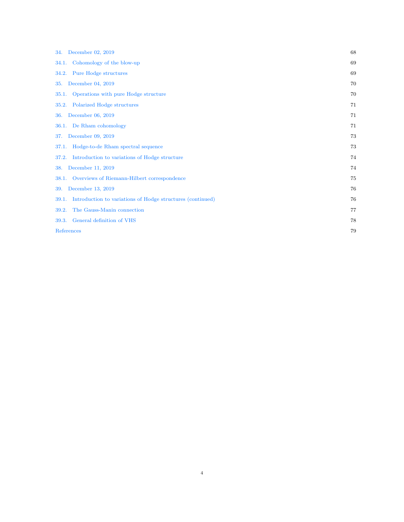| 34. December 02, 2019                                               | 68 |
|---------------------------------------------------------------------|----|
| Cohomology of the blow-up<br>34.1.                                  | 69 |
| Pure Hodge structures<br>34.2.                                      | 69 |
| December 04, 2019<br>35.                                            | 70 |
| Operations with pure Hodge structure<br>35.1.                       | 70 |
| Polarized Hodge structures<br>35.2.                                 | 71 |
| December 06, 2019<br>36.                                            | 71 |
| 36.1. De Rham cohomology                                            | 71 |
| December 09, 2019<br>37.                                            | 73 |
| Hodge-to-de Rham spectral sequence<br>37.1.                         | 73 |
| Introduction to variations of Hodge structure<br>37.2.              | 74 |
| December 11, 2019<br>38.                                            | 74 |
| Overviews of Riemann-Hilbert correspondence<br>38.1.                | 75 |
| December 13, 2019<br>39.                                            | 76 |
| Introduction to variations of Hodge structures (continued)<br>39.1. | 76 |
| The Gauss-Manin connection<br>39.2.                                 | 77 |
| 39.3. General definition of VHS                                     | 78 |
| References                                                          | 79 |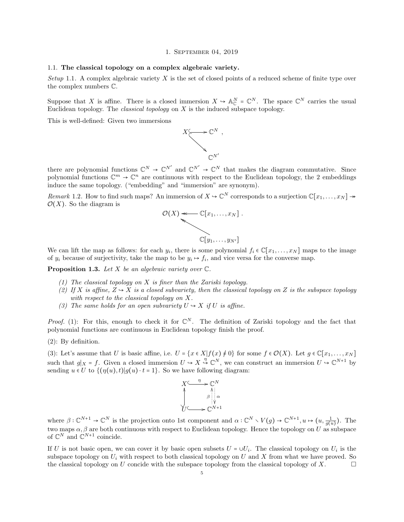#### 1. September 04, 2019

### <span id="page-4-1"></span><span id="page-4-0"></span>1.1. The classical topology on a complex algebraic variety.

Setup 1.1. A complex algebraic variety X is the set of closed points of a reduced scheme of finite type over the complex numbers C.

Suppose that X is affine. There is a closed immersion  $X \to \mathbb{A}_{\mathbb{C}}^N$  =  $\mathbb{C}^N$ . The space  $\mathbb{C}^N$  carries the usual Euclidean topology. The *classical topology* on  $X$  is the induced subspace topology.

This is well-defined: Given two immersions



there are polynomial functions  $\mathbb{C}^N \to \mathbb{C}^{N'}$  and  $\mathbb{C}^{N'} \to \mathbb{C}^N$  that makes the diagram commutative. Since polynomial functions  $\mathbb{C}^m \to \mathbb{C}^n$  are continuous with respect to the Euclidean topology, the 2 embeddings induce the same topology. ("embedding" and "immersion" are synonym).

Remark 1.2. How to find such maps? An immersion of  $X \to \mathbb{C}^N$  corresponds to a surjection  $\mathbb{C}[x_1,\ldots,x_N] \to$  $\mathcal{O}(X)$ . So the diagram is



We can lift the map as follows: for each  $y_i$ , there is some polynomial  $f_i \in \mathbb{C}[x_1,\ldots,x_N]$  maps to the image of  $y_i$  because of surjectivity, take the map to be  $y_i \mapsto f_i$ , and vice versa for the converse map.

<span id="page-4-2"></span>**Proposition 1.3.** Let X be an algebraic variety over  $\mathbb{C}$ .

- (1) The classical topology on  $X$  is finer than the Zariski topology.
- (2) If X is affine,  $Z \rightarrow X$  is a closed subvariety, then the classical topology on Z is the subspace topology with respect to the classical topology on X.
- (3) The same holds for an open subvariety  $U \rightarrow X$  if U is affine.

*Proof.* (1): For this, enough to check it for  $\mathbb{C}^N$ . The definition of Zariski topology and the fact that polynomial functions are continuous in Euclidean topology finish the proof.

(2): By definition.

(3): Let's assume that U is basic affine, i.e.  $U = \{x \in X | f(x) \neq 0\}$  for some  $f \in \mathcal{O}(X)$ . Let  $g \in \mathbb{C}[x_1, \ldots, x_N]$ such that  $g|_X = f$ . Given a closed immersion  $U \to X \stackrel{\eta}{\to} \mathbb{C}^N$ , we can construct an immersion  $U \to \mathbb{C}^{N+1}$  by sending  $u \in U$  to  $\{(\eta(u), t)| g(u) \cdot t = 1\}$ . So we have following diagram:



where  $\beta: \mathbb{C}^{N+1} \to \mathbb{C}^N$  is the projection onto 1st component and  $\alpha: \mathbb{C}^N \times V(g) \to \mathbb{C}^{N+1}, u \mapsto (u, \frac{1}{g(u)})$ . The two maps  $\alpha$ ,  $\beta$  are both continuous with respect to Euclidean topology. Hence the topology on U as subspace of  $\mathbb{C}^N$  and  $\mathbb{C}^{N+1}$  coincide.

If U is not basic open, we can cover it by basic open subsets  $U = \cup U_i$ . The classical topology on  $U_i$  is the subspace topology on  $U_i$  with respect to both classical topology on U and X from what we have proved. So the classical topology on U concide with the subspace topology from the classical topology of X.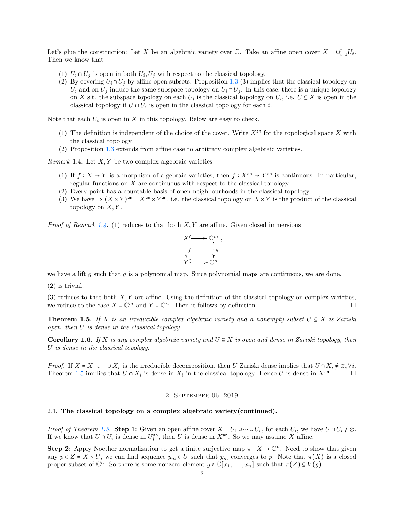Let's glue the construction: Let X be an algebraic variety over  $\mathbb{C}$ . Take an affine open cover  $X = \bigcup_{i=1}^{r} U_i$ . Then we know that

- (1)  $U_i \cap U_j$  is open in both  $U_i, U_j$  with respect to the classical topology.
- (2) By covering  $U_i \cap U_j$  by affine open subsets. Proposition [1.3](#page-4-2) (3) implies that the classical topology on  $U_i$  and on  $U_j$  induce the same subspace topology on  $U_i \cap U_j$ . In this case, there is a unique topology on X s.t. the subspace topology on each  $U_i$  is the classical topology on  $U_i$ , i.e.  $U \subseteq X$  is open in the classical topology if  $U \cap U_i$  is open in the classical topology for each *i*.

Note that each  $U_i$  is open in X in this topology. Below are easy to check.

- (1) The definition is independent of the choice of the cover. Write  $X<sup>an</sup>$  for the topological space X with the classical topology.
- (2) Proposition [1.3](#page-4-2) extends from affine case to arbitrary complex algebraic varieties..

<span id="page-5-2"></span>*Remark* 1.4. Let  $X, Y$  be two complex algebraic varieties.

- (1) If  $f: X \to Y$  is a morphism of algebraic varieties, then  $f: X^{\text{an}} \to Y^{\text{an}}$  is continuous. In particular, regular functions on X are continuous with respect to the classical topology.
- (2) Every point has a countable basis of open neighbourhoods in the classical topology.
- (3) We have  $\Rightarrow$   $(X \times Y)^{an} = X^{an} \times Y^{an}$ , i.e. the classical topology on  $X \times Y$  is the product of the classical topology on  $X, Y$ .

*Proof of Remark [1.4.](#page-5-2)* (1) reduces to that both  $X, Y$  are affine. Given closed immersions



we have a lift g such that g is a polynomial map. Since polynomial maps are continuous, we are done.

(2) is trivial.

(3) reduces to that both  $X, Y$  are affine. Using the definition of the classical topology on complex varieties, we reduce to the case  $X = \mathbb{C}^m$  and  $Y = \mathbb{C}^n$ . Then it follows by definition.

<span id="page-5-3"></span>**Theorem 1.5.** If X is an irreducible complex algebraic variety and a nonempty subset  $U \subseteq X$  is Zariski open, then U is dense in the classical topology.

<span id="page-5-4"></span>Corollary 1.6. If X is any complex algebraic variety and  $U \subseteq X$  is open and dense in Zariski topology, then U is dense in the classical topology.

*Proof.* If  $X = X_1 \cup \cdots \cup X_r$  is the irreducible decomposition, then U Zariski dense implies that  $U \cap X_i \neq \emptyset$ ,  $\forall i$ . Theorem [1.5](#page-5-3) implies that  $U \cap X_i$  is dense in  $X_i$  in the classical topology. Hence U is dense in  $X^{an}$  $\Box$ 

### 2. September 06, 2019

# <span id="page-5-1"></span><span id="page-5-0"></span>2.1. The classical topology on a complex algebraic variety(continued).

*Proof of Theorem [1.5.](#page-5-3)* Step 1: Given an open affine cover  $X = U_1 \cup \cdots \cup U_r$ , for each  $U_i$ , we have  $U \cap U_i \neq \emptyset$ . If we know that  $U \cap U_i$  is dense in  $U_i^{\text{an}}$ , then U is dense in  $X^{\text{an}}$ . So we may assume X affine.

**Step 2:** Apply Noether normalization to get a finite surjective map  $\pi : X \to \mathbb{C}^n$ . Need to show that given any  $p \in Z = X \setminus U$ , we can find sequence  $y_m \in U$  such that  $y_m$  converges to p. Note that  $\pi(X)$  is a closed proper subset of  $\mathbb{C}^n$ . So there is some nonzero element  $g \in \mathbb{C}[x_1,\ldots,x_n]$  such that  $\pi(Z) \subseteq V(g)$ .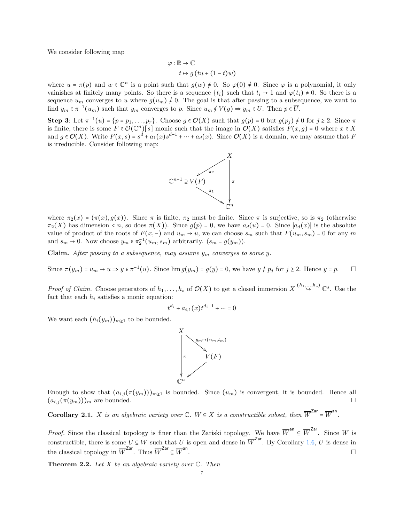We consider following map

$$
\varphi : \mathbb{R} \to \mathbb{C}
$$

$$
t \mapsto g(tu + (1-t)w)
$$

where  $u = \pi(p)$  and  $w \in \mathbb{C}^n$  is a point such that  $g(w) \neq 0$ . So  $\varphi(0) \neq 0$ . Since  $\varphi$  is a polynomial, it only vainishes at finitely many points. So there is a sequence  $\{t_i\}$  such that  $t_i \to 1$  and  $\varphi(t_i) \neq 0$ . So there is a sequence  $u_m$  converges to u where  $g(u_m) \neq 0$ . The goal is that after passing to a subsequence, we want to find  $y_m \in \pi^{-1}(u_m)$  such that  $y_m$  converges to p. Since  $u_m \notin V(g) \Rightarrow y_m \in U$ . Then  $p \in \overline{U}$ .

Step 3: Let  $\pi^{-1}(u) = \{p = p_1, \ldots, p_r\}$ . Choose  $g \in \mathcal{O}(X)$  such that  $g(p) = 0$  but  $g(p_j) \neq 0$  for  $j \geq 2$ . Since  $\pi$ is finite, there is some  $F \in \mathcal{O}(\mathbb{C}^n)[s]$  monic such that the image in  $\mathcal{O}(X)$  satisfies  $F(x,g) = 0$  where  $x \in X$ and  $g \in \mathcal{O}(X)$ . Write  $F(x,s) = s^d + a_1(x)s^{d-1} + \cdots + a_d(x)$ . Since  $\mathcal{O}(X)$  is a domain, we may assume that F is irreducible. Consider following map:



where  $\pi_2(x) = (\pi(x), g(x))$ . Since  $\pi$  is finite,  $\pi_2$  must be finite. Since  $\pi$  is surjective, so is  $\pi_2$  (otherwise  $\pi_2(X)$  has dimension < n, so does  $\pi(X)$ ). Since  $g(p) = 0$ , we have  $a_d(u) = 0$ . Since  $|a_d(x)|$  is the absolute value of product of the roots of  $F(x, -)$  and  $u_m \to u$ , we can choose  $s_m$  such that  $F(u_m, s_m) = 0$  for any m and  $s_m \to 0$ . Now choose  $y_m \in \pi_2^{-1}(u_m, s_m)$  arbitrarily.  $(s_m = g(y_m))$ .

**Claim.** After passing to a subsequence, may assume  $y_m$  converges to some y.

Since  $\pi(y_m) = u_m \to u \implies y \in \pi^{-1}(u)$ . Since  $\lim g(y_m) = g(y) = 0$ , we have  $y \neq p_j$  for  $j \geq 2$ . Hence  $y = p$ .

*Proof of Claim.* Choose generators of  $h_1, \ldots, h_s$  of  $\mathcal{O}(X)$  to get a closed immersion  $X \stackrel{(h_1, \ldots, h_s)}{\hookrightarrow} \mathbb{C}^s$ . Use the fact that each  $h_i$  satisfies a monic equation:

$$
t^{d_i} + a_{i,1}(x)t^{d_i - 1} + \dots = 0
$$

We want each  $(h_i(y_m))_{m\geq 1}$  to be bounded.



Enough to show that  $(a_{i,j}(\pi(y_m)))_{m\geq 1}$  is bounded. Since  $(u_m)$  is convergent, it is bounded. Hence all  $(a_{i,j}(\pi(y_m)))_m$  are bounded.

<span id="page-6-1"></span>**Corollary 2.1.** *X* is an algebraic variety over  $\mathbb{C}$ .  $W \subseteq X$  is a constructible subset, then  $\overline{W}^{Zar} = \overline{W}^{an}$ .

*Proof.* Since the classical topology is finer than the Zariski topology. We have  $\overline{W}^{an} \subseteq \overline{W}^{Zar}$ . Since W is constructible, there is some  $U \subseteq W$  such that U is open and dense in  $\overline{W}^{Zar}$ . By Corollary [1.6,](#page-5-4) U is dense in the classical topology in  $\overline{W}^{\text{Zar}}$ . Thus  $\overline{W}^{\text{Zar}} \subseteq \overline{W}^{\text{an}}$ .

<span id="page-6-0"></span>**Theorem 2.2.** Let X be an algebraic variety over  $\mathbb{C}$ . Then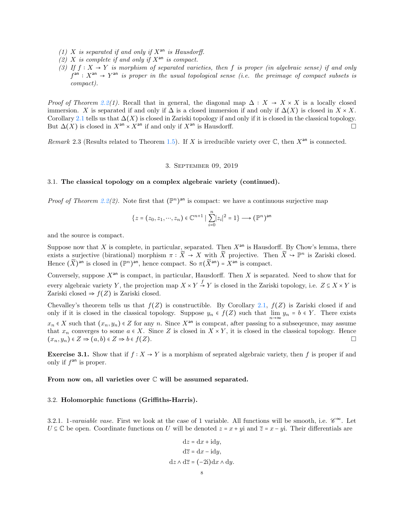- (1) X is separated if and only if  $X^{an}$  is Hausdorff.
- (2) X is complete if and only if  $X^{an}$  is compact.
- (3) If  $f: X \to Y$  is morphism of separated varieties, then f is proper (in algebraic sense) if and only  $f<sup>an</sup>$ :  $X<sup>an</sup>$   $\rightarrow$   $Y<sup>an</sup>$  is proper in the usual topological sense (i.e. the preimage of compact subsets is compact).

*Proof of Theorem [2.2\(](#page-6-0)1).* Recall that in general, the diagonal map  $\Delta : X \rightarrow X \times X$  is a locally closed immersion. X is separated if and only if  $\Delta$  is a closed immersion if and only if  $\Delta(X)$  is closed in  $X \times X$ . Corollary [2.1](#page-6-1) tells us that  $\Delta(X)$  is closed in Zariski topology if and only if it is closed in the classical topology. But  $\Delta(X)$  is closed in  $X^{an} \times X^{an}$  if and only if  $X^{an}$  is Hausdorff.

<span id="page-7-0"></span>Remark 2.3 (Results related to Theorem [1.5\)](#page-5-3). If X is irreducible variety over  $\mathbb C$ , then  $X^{\text{an}}$  is connected.

# 3. September 09, 2019

## <span id="page-7-1"></span>3.1. The classical topology on a complex algebraic variety (continued).

*Proof of Theorem [2.2\(](#page-6-0)2)*. Note first that  $(\mathbb{P}^n)^{\text{an}}$  is compact: we have a continuous surjective map

$$
\{z = (z_0, z_1, \cdots, z_n) \in \mathbb{C}^{n+1} \mid \sum_{i=0}^n |z_i|^2 = 1\} \longrightarrow (\mathbb{P}^n)^{\text{an}}
$$

and the source is compact.

Suppose now that X is complete, in particular, separated. Then  $X^{an}$  is Hausdorff. By Chow's lemma, there exists a surjective (birational) morphism  $\pi : \widetilde{X} \to X$  with  $\widetilde{X}$  projective. Then  $\widetilde{X} \to \mathbb{P}^n$  is Zariski closed. Hence  $(\widetilde{X})^{\text{an}}$  is closed in  $(\mathbb{P}^n)^{\text{an}}$ , hence compact. So  $\pi(\widetilde{X}^{\text{an}}) = X^{\text{an}}$  is compact.

Conversely, suppose  $X^{an}$  is compact, in particular, Hausdorff. Then X is separated. Need to show that for every algebraic variety Y, the projection map  $X \times Y \stackrel{f}{\to} Y$  is closed in the Zariski topology, i.e.  $Z \subseteq X \times Y$  is Zariski closed  $\Rightarrow$   $f(Z)$  is Zariski closed.

Chevalley's theorem tells us that  $f(Z)$  is constructible. By Corollary [2.1,](#page-6-1)  $f(Z)$  is Zariski closed if and only if it is closed in the classical topology. Suppose  $y_n \in f(Z)$  such that  $\lim_{n \to \infty} y_n = b \in Y$ . There exists  $x_n \in X$  such that  $(x_n, y_n) \in Z$  for any n. Since  $X^{\text{an}}$  is compcat, after passing to a subsequence, may assume that  $x_n$  converges to some  $a \in X$ . Since Z is closed in  $X \times Y$ , it is closed in the classical topology. Hence  $(x_n, y_n) \in Z \Rightarrow (a, b) \in Z \Rightarrow b \in f(Z).$ 

**Exercise 3.1.** Show that if  $f : X \to Y$  is a morphism of seprated algebraic variety, then f is proper if and only if  $f^{an}$  is proper.

From now on, all varieties over  $\mathbb C$  will be assumed separated.

### <span id="page-7-2"></span>3.2. Holomorphic functions (Griffiths-Harris).

3.2.1. 1-varaiable vase. First we look at the case of 1 variable. All functions will be smooth, i.e.  $\mathscr{C}^{\infty}$ . Let  $U \subseteq \mathbb{C}$  be open. Coordinate functions on U will be denoted  $z = x + yi$  and  $\overline{z} = x - yi$ . Their differentials are

$$
dz = dx + idy,
$$
  
\n
$$
d\overline{z} = dx - idy,
$$
  
\n
$$
dz \wedge d\overline{z} = (-2i)dx \wedge dy.
$$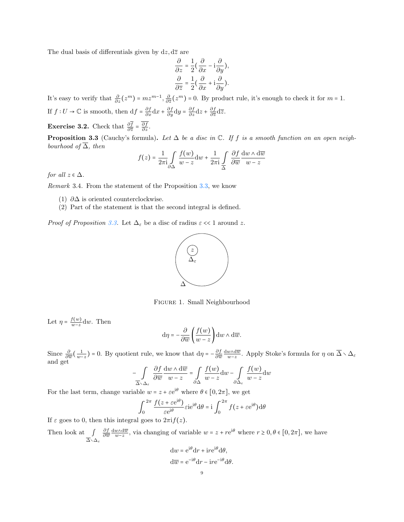The dual basis of differentials given by  $dz, d\overline{z}$  are

$$
\frac{\partial}{\partial z} = \frac{1}{2} \left( \frac{\partial}{\partial x} - i \frac{\partial}{\partial y} \right),\newline \frac{\partial}{\partial \overline{z}} = \frac{1}{2} \left( \frac{\partial}{\partial x} + i \frac{\partial}{\partial y} \right).
$$

It's easy to verify that  $\frac{\partial}{\partial z}(z^m) = mz^{m-1}, \frac{\partial}{\partial \overline{z}}(z^m) = 0$ . By product rule, it's enough to check it for  $m = 1$ . If  $f: U \to \mathbb{C}$  is smooth, then  $df = \frac{\partial f}{\partial x} dx + \frac{\partial f}{\partial y} dy = \frac{\partial f}{\partial z} dz + \frac{\partial f}{\partial \overline{z}}$  $\frac{\partial f}{\partial \overline{z}}\mathrm{d}\overline{z}.$ 

**Exercise 3.2.** Check that  $\frac{\partial f}{\partial \overline{z}} = \frac{\partial f}{\partial z}$ .

<span id="page-8-0"></span>**Proposition 3.3** (Cauchy's formula). Let  $\Delta$  be a disc in  $\mathbb{C}$ . If f is a smooth function on an open neighbourhood of  $\overline{\Delta}$ , then

$$
f(z) = \frac{1}{2\pi i} \int_{\partial \Delta} \frac{f(w)}{w - z} dw + \frac{1}{2\pi i} \int_{\overline{\Delta}} \frac{\partial f}{\partial \overline{w}} \frac{dw \wedge d\overline{w}}{w - z}
$$

for all  $z \in \Delta$ .

Remark 3.4. From the statement of the Proposition [3.3,](#page-8-0) we know

- (1)  $\partial \Delta$  is oriented counterclockwise.
- (2) Part of the statement is that the second integral is defined.

*Proof of Proposition [3.3.](#page-8-0)* Let  $\Delta_{\varepsilon}$  be a disc of radius  $\varepsilon \ll 1$  around z.



Figure 1. Small Neighbourhood

Let  $\eta = \frac{f(w)}{w-z}$  $\frac{f(w)}{w-z}$ dw. Then

$$
\mathrm{d}\eta = -\frac{\partial}{\partial \overline{w}} \left( \frac{f(w)}{w - z} \right) \mathrm{d}w \wedge \mathrm{d}\overline{w}.
$$

Since  $\frac{\partial}{\partial \overline{w}} \left( \frac{1}{w-z} \right) = 0$ . By quotient rule, we know that  $d\eta = -\frac{\partial f}{\partial \overline{u}}$  $\frac{\partial f}{\partial \overline{w}} \frac{dw \wedge d\overline{w}}{w-z}$ . Apply Stoke's formula for  $\eta$  on  $\overline{\Delta} \setminus \Delta_{\varepsilon}$ and get

$$
-\int_{\overline{\Delta}\setminus\Delta_{\varepsilon}}\frac{\partial f}{\partial \overline{w}}\frac{\mathrm{d} w \wedge \mathrm{d} \overline{w}}{w-z} = \int_{\partial \Delta} \frac{f(w)}{w-z} \mathrm{d} w - \int_{\partial \Delta_{\varepsilon}}\frac{f(w)}{w-z} \mathrm{d} w
$$

For the last term, change variable  $w = z + \varepsilon e^{i\theta}$  where  $\theta \in [0, 2\pi]$ , we get

$$
\int_0^{2\pi} \frac{f(z + \varepsilon e^{i\theta})}{\varepsilon e^{i\theta}} \varepsilon i e^{i\theta} d\theta = i \int_0^{2\pi} f(z + \varepsilon e^{i\theta}) d\theta
$$

If  $\varepsilon$  goes to 0, then this integral goes to  $2\pi i f(z)$ .

Then look at  $\int$ <sub> $\overline{\Delta} \setminus \Delta_{\varepsilon}$ </sub> ∂f  $\frac{\partial f}{\partial \overline{w}} \frac{dw \Delta d\overline{w}}{w-z}$ , via changing of variable  $w = z + re^{i\theta}$  where  $r \ge 0, \theta \in [0, 2\pi]$ , we have

$$
dw = e^{i\theta} dr + i r e^{i\theta} d\theta,
$$
  

$$
d\overline{w} = e^{-i\theta} dr - i r e^{-i\theta} d\theta.
$$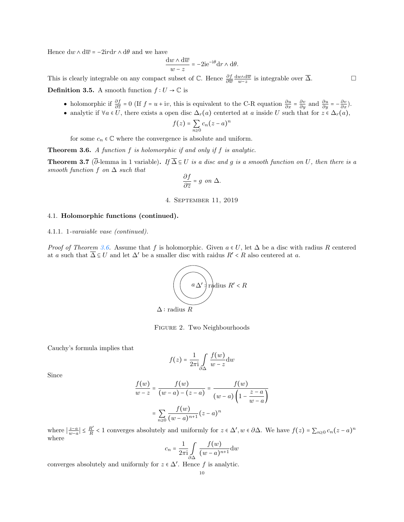Hence  $\mathrm{d} w \wedge \mathrm{d} \overline{w} = -2 \mathrm{i} r \mathrm{d} r \wedge \mathrm{d} \theta$  and we have

$$
\frac{\mathrm{d}w \wedge \mathrm{d}\overline{w}}{w-z} = -2\mathrm{i}e^{-\mathrm{i}\theta}\mathrm{d}r \wedge \mathrm{d}\theta.
$$

This is clearly integrable on any compact subset of  $\mathbb{C}$ . Hence  $\frac{\partial f}{\partial \overline{w}} \frac{dw \wedge d\overline{w}}{w-z}$  is integrable over  $\overline{\Delta}$ . **Definition 3.5.** A smooth function  $f: U \to \mathbb{C}$  is

- holomorphic if  $\frac{\partial f}{\partial \overline{z}} = 0$  (If  $f = u + iv$ , this is equivalent to the C-R equation  $\frac{\partial u}{\partial x} = \frac{\partial v}{\partial y}$  and  $\frac{\partial u}{\partial y} = -\frac{\partial v}{\partial x}$ ).
- analytic if  $\forall a \in U$ , there exists a open disc  $\Delta_r(a)$  centerted at a inside U such that for  $z \in \Delta_r(a)$ ,

$$
f(z) = \sum_{n\geq 0} c_n (z - a)^n
$$

for some  $c_n \in \mathbb{C}$  where the convergence is absolute and uniform.

<span id="page-9-2"></span>**Theorem 3.6.** A function  $f$  is holomorphic if and only if  $f$  is analytic.

<span id="page-9-3"></span>**Theorem 3.7** ( $\overline{\partial}$ -lemma in 1 variable). If  $\overline{\Delta} \subseteq U$  is a disc and g is a smooth function on U, then there is a smooth function f on  $\Delta$  such that

$$
\frac{\partial f}{\partial \overline{z}} = g \text{ on } \Delta.
$$

4. September 11, 2019

### <span id="page-9-1"></span><span id="page-9-0"></span>4.1. Holomorphic functions (continued).

### 4.1.1. 1-varaiable vase (continued).

*Proof of Theorem [3.6.](#page-9-2)* Assume that f is holomorphic. Given  $a \in U$ , let  $\Delta$  be a disc with radius R centered at a such that  $\overline{\Delta} \subseteq U$  and let  $\Delta'$  be a smaller disc with raidus  $R' < R$  also centered at a.



Figure 2. Two Neighbourhoods

Cauchy's formula implies that

$$
f(z) = \frac{1}{2\pi i} \int_{\partial \Delta} \frac{f(w)}{w - z} dw
$$

Since

$$
\frac{f(w)}{w-z} = \frac{f(w)}{(w-a) - (z-a)} = \frac{f(w)}{(w-a)\left(1 - \frac{z-a}{w-a}\right)}
$$

$$
= \sum_{n\geq 0} \frac{f(w)}{(w-a)^{n+1}} (z-a)^n
$$

where  $\left|\frac{z-a}{w-a}\right| \leq \frac{R'}{R}$  $\frac{R'}{R}$  < 1 converges absolutely and uniformly for  $z \in \Delta'$ ,  $w \in \partial \Delta$ . We have  $f(z) = \sum_{n \geq 0} c_n (z - a)^n$ where

$$
c_n = \frac{1}{2\pi i} \int\limits_{\partial \Delta} \frac{f(w)}{(w-a)^{n+1}} dw
$$

converges absolutely and uniformly for  $z \in \Delta'$ . Hence f is analytic.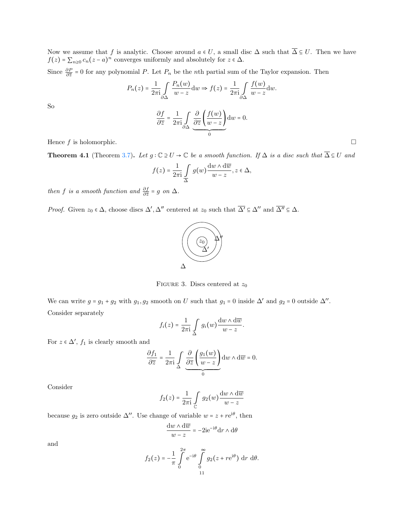Now we assume that f is analytic. Choose around  $a \in U$ , a small disc  $\Delta$  such that  $\overline{\Delta} \subseteq U$ . Then we have  $f(z) = \sum_{n\geq 0} c_n(z-a)^n$  converges uniformly and absolutely for  $z \in \Delta$ .

Since  $\frac{\partial P}{\partial \overline{z}} = 0$  for any polynomial P. Let  $P_n$  be the nth partial sum of the Taylor expansion. Then

$$
P_n(z) = \frac{1}{2\pi i} \int_{\partial \Delta} \frac{P_n(w)}{w - z} dw \Rightarrow f(z) = \frac{1}{2\pi i} \int_{\partial \Delta} \frac{f(w)}{w - z} dw.
$$

$$
\frac{\partial f}{\partial \overline{z}} = \frac{1}{2\pi i} \int_{\partial \Delta} \underbrace{\frac{\partial}{\partial \overline{z}} \left( \frac{f(w)}{w - z} \right)}_{0} dw = 0.
$$

So

Hence 
$$
f
$$
 is holomorphic.  $\Box$ 

**Theorem 4.1** (Theorem [3.7\)](#page-9-3). Let  $g: \mathbb{C} \supseteq U \to \mathbb{C}$  be a smooth function. If  $\Delta$  is a disc such that  $\overline{\Delta} \subseteq U$  and

$$
f(z) = \frac{1}{2\pi i} \int\limits_{\Delta} g(w) \frac{dw \wedge d\overline{w}}{w - z}, z \in \Delta,
$$

then f is a smooth function and  $\frac{\partial f}{\partial \overline{z}} = g$  on  $\Delta$ .

*Proof.* Given  $z_0 \in \Delta$ , choose discs  $\Delta'$ ,  $\Delta''$  centered at  $z_0$  such that  $\overline{\Delta'} \subseteq \Delta''$  and  $\overline{\Delta''} \subseteq \Delta$ .



FIGURE 3. Discs centered at  $z_0$ 

We can write  $g = g_1 + g_2$  with  $g_1, g_2$  smooth on U such that  $g_1 = 0$  inside  $\Delta'$  and  $g_2 = 0$  outside  $\Delta''$ . Consider separately

$$
f_i(z) = \frac{1}{2\pi i} \int\limits_{\Delta} g_i(w) \frac{dw \wedge d\overline{w}}{w - z}.
$$

For  $z \in \Delta'$ ,  $f_1$  is clearly smooth and

$$
\frac{\partial f_1}{\partial \overline{z}} = \frac{1}{2\pi i} \int_{\Delta} \underbrace{\frac{\partial}{\partial \overline{z}} \left( \frac{g_1(w)}{w - z} \right)}_{0} dw \wedge d\overline{w} = 0.
$$

Consider

$$
f_2(z) = \frac{1}{2\pi \mathrm{i}} \int\limits_{\mathbb{C}} g_2(w) \frac{\mathrm{d} w \wedge \mathrm{d} \overline{w}}{w-z}
$$

because  $g_2$  is zero outside  $\Delta''$ . Use change of variable  $w = z + re^{i\theta}$ , then

$$
\frac{\mathrm{d}w\wedge\mathrm{d}\overline{w}}{w-z} = -2\mathrm{i}e^{-\mathrm{i}\theta}\mathrm{d}r\wedge\mathrm{d}\theta
$$

and

$$
f_2(z) = -\frac{1}{\pi} \int_{0}^{2\pi} e^{-i\theta} \int_{0}^{\infty} g_2(z + re^{i\theta}) dr d\theta.
$$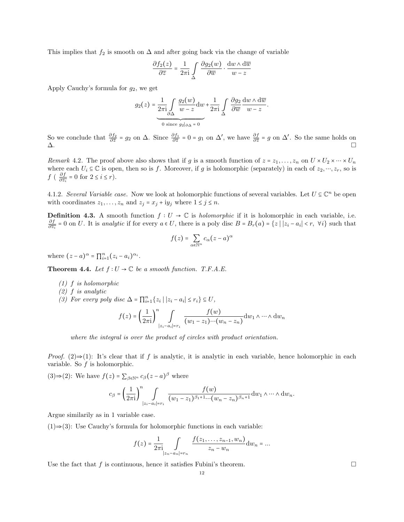This implies that  $f_2$  is smooth on  $\Delta$  and after going back via the change of variable

$$
\frac{\partial f_2(z)}{\partial \overline{z}} = \frac{1}{2\pi i} \int_{\Delta} \frac{\partial g_2(w)}{\partial \overline{w}} \cdot \frac{dw \wedge d\overline{w}}{w - z}
$$

Apply Cauchy's formula for  $g_2$ , we get

$$
g_2(z) = \underbrace{\frac{1}{2\pi i} \int\limits_{\partial\Delta} \frac{g_2(w)}{w - z} dw}_{0 \text{ since } g_2|_{\partial\Delta} = 0} + \frac{1}{2\pi i} \int\limits_{\Delta} \frac{\partial g_2}{\partial \overline{w}} \frac{dw \wedge d\overline{w}}{w - z}.
$$

So we conclude that  $\frac{\partial f_2}{\partial \overline{z}} = g_2$  on  $\Delta$ . Since  $\frac{\partial f_1}{\partial \overline{z}} = 0 = g_1$  on  $\Delta'$ , we have  $\frac{\partial f}{\partial \overline{z}} = g$  on  $\Delta'$ . So the same holds on  $\Delta$ .

Remark 4.2. The proof above also shows that if g is a smooth function of  $z = z_1, \ldots, z_n$  on  $U \times U_2 \times \cdots \times U_n$ where each  $U_i \subseteq \mathbb{C}$  is open, then so is f. Moreover, if g is holomorphic (separately) in each of  $z_2, \dots, z_r$ , so is  $f$  (  $\frac{\partial f}{\partial \overline{z}}$  $\frac{\partial f}{\partial \overline{z_i}} = 0$  for  $2 \leq i \leq r$ .

4.1.2. Several Variable case. Now we look at holomorphic functions of several variables. Let  $U \subseteq \mathbb{C}^n$  be open with coordinates  $z_1, \ldots, z_n$  and  $z_j = x_j + iy_j$  where  $1 \le j \le n$ .

**Definition 4.3.** A smooth function  $f: U \to \mathbb{C}$  is *holomorphic* if it is holomorphic in each variable, i.e. ∂f  $\frac{\partial f}{\partial \overline{z_i}} = 0$  on U. It is analytic if for every  $a \in U$ , there is a poly disc  $B = B_r(a) = \{z \mid |z_i - a_i| < r, \forall i\}$  such that

$$
f(z) = \sum_{\alpha \in \mathbb{N}^n} c_{\alpha} (z - a)^{\alpha}
$$

where  $(z-a)^\alpha = \prod_{i=1}^n (z_i - a_i)^{\alpha_i}$ .

Theorem 4.4. Let  $f: U \to \mathbb{C}$  be a smooth function. T.F.A.E.

- (1) f is holomorphic
- (2) f is analytic
- (3) For every poly disc  $\Delta = \prod_{i=1}^{n} \{z_i \mid |z_i a_i| \leq r_i\} \subseteq U$ ,

$$
f(z) = \left(\frac{1}{2\pi i}\right)^n \int_{|z_i - a_i| = r_i} \frac{f(w)}{(w_1 - z_1) \cdots (w_n - z_n)} dw_1 \wedge \cdots \wedge dw_n
$$

where the integral is over the product of circles with product orientation.

*Proof.* (2)⇒(1): It's clear that if f is analytic, it is analytic in each variable, hence holomorphic in each variable. So  $f$  is holomorphic.

(3)⇒(2): We have  $f(z) = \sum_{\beta \in \mathbb{N}^n} c_{\beta}(z - a)^{\beta}$  where

$$
c_{\beta} = \left(\frac{1}{2\pi i}\right)^n \int_{|z_i - a_i| = r_i} \frac{f(w)}{(w_1 - z_1)^{\beta_1 + 1} \cdots (w_n - z_n)^{\beta_n + 1}} \mathrm{d}w_1 \wedge \cdots \wedge \mathrm{d}w_n.
$$

Argue similarily as in 1 variable case.

(1)⇒(3): Use Cauchy's formula for holomorphic functions in each variable:

$$
f(z) = \frac{1}{2\pi i} \int_{|z_n - a_n| = r_n} \frac{f(z_1, \dots, z_{n-1}, w_n)}{z_n - w_n} dw_n = \dots
$$

Use the fact that f is continuous, hence it satisfies Fubini's theorem.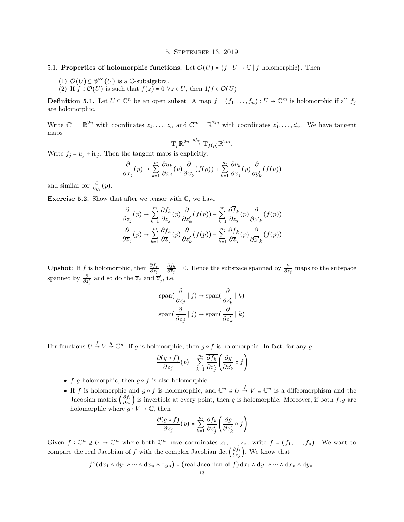5. September 13, 2019

- <span id="page-12-1"></span><span id="page-12-0"></span>5.1. Properties of holomorphic functions. Let  $\mathcal{O}(U) = \{f : U \to \mathbb{C} \mid f \text{ holomorphic}\}\)$ . Then
	- (1)  $\mathcal{O}(U) \subseteq \mathscr{C}^{\infty}(U)$  is a C-subalgebra.
	- (2) If  $f \in \mathcal{O}(U)$  is such that  $f(z) \neq 0 \ \forall z \in U$ , then  $1/f \in \mathcal{O}(U)$ .

**Definition 5.1.** Let  $U \subseteq \mathbb{C}^n$  be an open subset. A map  $f = (f_1, \ldots, f_n) : U \to \mathbb{C}^m$  is holomorphic if all  $f_j$ are holomorphic.

Write  $\mathbb{C}^n = \mathbb{R}^{2n}$  with coordinates  $z_1, \ldots, z_n$  and  $\mathbb{C}^m = \mathbb{R}^{2m}$  with coordinates  $z'_1, \ldots, z'_m$ . We have tangent maps

$$
T_p \mathbb{R}^{2n} \xrightarrow{df_p} T_{f(p)} \mathbb{R}^{2m}.
$$

Write  $f_j = u_j + iv_j$ . Then the tangent maps is explicitly,

$$
\frac{\partial}{\partial x_j}(p) \mapsto \sum_{k=1}^m \frac{\partial u_k}{\partial x_j}(p) \frac{\partial}{\partial x'_k}(f(p)) + \sum_{k=1}^m \frac{\partial v_k}{\partial x_j}(p) \frac{\partial}{\partial y'_k}(f(p))
$$

and similar for  $\frac{\partial}{\partial y_j}(p)$ .

**Exercise 5.2.** Show that after we tensor with  $\mathbb{C}$ , we have

$$
\frac{\partial}{\partial z_j}(p) \mapsto \sum_{k=1}^m \frac{\partial f_k}{\partial z_j}(p) \frac{\partial}{\partial z'_k}(f(p)) + \sum_{k=1}^m \frac{\partial \overline{f}_k}{\partial z_j}(p) \frac{\partial}{\partial \overline{z'}_k}(f(p))
$$

$$
\frac{\partial}{\partial \overline{z}_j}(p) \mapsto \sum_{k=1}^m \frac{\partial f_k}{\partial \overline{z}_j}(p) \frac{\partial}{\partial z'_k}(f(p)) + \sum_{k=1}^m \frac{\partial \overline{f}_k}{\partial \overline{z}_j}(p) \frac{\partial}{\partial \overline{z'}_k}(f(p))
$$

**Upshot**: If *f* is holomorphic, then  $\frac{\partial f_k}{\partial z_j} = \frac{\partial f_k}{\partial \overline{z}_j}$  $\frac{\partial f_k}{\partial \overline{z}_j}$  = 0. Hence the subspace spanned by  $\frac{\partial}{\partial z_j}$  maps to the subspace spanned by  $\frac{\partial}{\partial z'_j}$  and so do the  $\overline{z}_j$  and  $\overline{z}'_j$ , i.e.

$$
\text{span}\left(\frac{\partial}{\partial z_j} \mid j\right) \to \text{span}\left(\frac{\partial}{\partial z'_k} \mid k\right)
$$

$$
\text{span}\left(\frac{\partial}{\partial \overline{z}_j} \mid j\right) \to \text{span}\left(\frac{\partial}{\partial \overline{z}'_k} \mid k\right)
$$

For functions  $U \stackrel{f}{\rightarrow} V \stackrel{g}{\rightarrow} \mathbb{C}^p$ . If g is holomorphic, then  $g \circ f$  is holomorphic. In fact, for any g,

$$
\frac{\partial(g \circ f)}{\partial \overline{z}_j}(p) = \sum_{k=1}^m \frac{\overline{\partial f_k}}{\partial z'_j} \left( \frac{\partial g}{\partial \overline{z}'_k} \circ f \right)
$$

- $f, g$  holomorphic, then  $g \circ f$  is also holomorphic.
- If f is holomorphic and  $g \circ f$  is holomorphic, and  $\mathbb{C}^n \supseteq U \stackrel{f}{\to} V \subseteq \mathbb{C}^n$  is a diffeomorphism and the Jacobian matrix  $\left(\frac{\partial f_i}{\partial z_i}\right)$  $\frac{\partial f_i}{\partial z_j}$  is invertible at every point, then g is holomorphic. Moreover, if both  $f, g$  are holomorphic where  $g: V \to \mathbb{C}$ , then

$$
\frac{\partial (g \circ f)}{\partial z_j}(p) = \sum_{k=1}^m \frac{\partial f_k}{\partial z'_j} \left( \frac{\partial g}{\partial z'_k} \circ f \right)
$$

Given  $f: \mathbb{C}^n \ni U \to \mathbb{C}^n$  where both  $\mathbb{C}^n$  have coordinates  $z_1, \ldots, z_n$ , write  $f = (f_1, \ldots, f_n)$ . We want to compare the real Jacobian of f with the complex Jacobian det  $\left(\frac{\partial f_i}{\partial z_i}\right)$  $\frac{\partial f_i}{\partial z_j}$ . We know that

$$
f^*(dx_1 \wedge dy_1 \wedge \cdots \wedge dx_n \wedge dy_n) = (real \ Jacobian \ of \ f) dx_1 \wedge dy_1 \wedge \cdots \wedge dx_n \wedge dy_n.
$$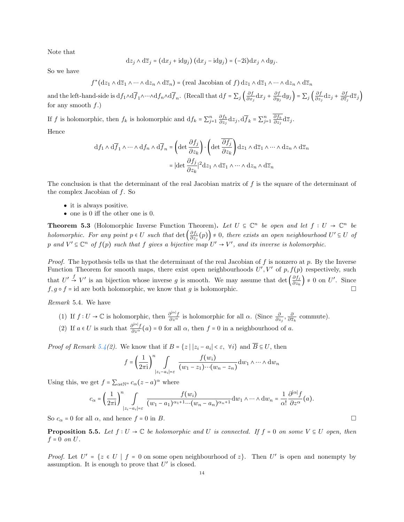Note that

$$
\mathrm{d}z_j \wedge \mathrm{d}\overline{z}_j = (\mathrm{d}x_j + \mathrm{i}\mathrm{d}y_j) (\mathrm{d}x_j - \mathrm{i}\mathrm{d}y_j) = (-2\mathrm{i}) \mathrm{d}x_j \wedge \mathrm{d}y_j.
$$

So we have

$$
f^*(dz_1 \wedge d\overline{z}_1 \wedge \cdots \wedge dz_n \wedge d\overline{z}_n) = (\text{real Jacobian of } f) dz_1 \wedge d\overline{z}_1 \wedge \cdots \wedge dz_n \wedge d\overline{z}_n
$$

and the left-hand-side is  $df_1 \wedge df_1 \wedge \cdots \wedge df_n \wedge d\overline{f}_n$ . (Recall that  $df = \sum_j \left(\frac{\partial f}{\partial x_j}\right)$  $\frac{\partial f}{\partial x_j}dx_j + \frac{\partial f}{\partial y_j}$  $\frac{\partial f}{\partial y_j} \mathrm{d} y_j$  =  $\sum_j \left( \frac{\partial f}{\partial z_j} \right)$  $\frac{\partial f}{\partial z_j} \mathrm{d}z_j + \frac{\partial f}{\partial \overline{z}_j}$  $\frac{\partial f}{\partial \overline{z}_j} d\overline{z}_j$ for any smooth  $f$ .)

If f is holomorphic, then  $f_k$  is holomorphic and  $df_k = \sum_{j=1}^n \frac{\partial f_k}{\partial z_j}$  $\frac{\partial f_k}{\partial z_j} \mathrm{d}z_j, \mathrm{d}\overline{f}_k = \sum_{j=1}^n \frac{\partial f_k}{\partial z_j}$  $\frac{\partial f_k}{\partial z_j}\mathrm{d}\overline{z}_j$ . Hence

$$
\begin{aligned} \mathrm{d} f_1 \wedge \mathrm{d} \overline{f}_1 \wedge \cdots \wedge \mathrm{d} f_n \wedge \mathrm{d} \overline{f}_n &= \left( \det \frac{\partial f_j}{\partial z_k} \right) \cdot \left( \det \overline{\frac{\partial f_j}{\partial z_k}} \right) \mathrm{d} z_1 \wedge \mathrm{d} \overline{z}_1 \wedge \cdots \wedge \mathrm{d} z_n \wedge \mathrm{d} \overline{z}_n \\ &= |\det \frac{\partial f_j}{\partial z_k}|^2 \mathrm{d} z_1 \wedge \mathrm{d} \overline{z}_1 \wedge \cdots \wedge \mathrm{d} z_n \wedge \mathrm{d} \overline{z}_n \end{aligned}
$$

The conclusion is that the determinant of the real Jacobian matrix of f is the square of the determinant of the complex Jacobian of  $f$ . So

- it is always positive.
- one is 0 iff the other one is 0.

**Theorem 5.3** (Holomorphic Inverse Function Theorem). Let  $U \subseteq \mathbb{C}^n$  be open and let  $f : U \to \mathbb{C}^n$  be holomorphic. For any point  $p \in U$  such that  $\det \left( \frac{\partial f_i}{\partial z_i} \right)$  $\left(\frac{\partial f_i}{\partial z_j}(p)\right) \neq 0$ , there exists an open neighbourhood  $U' \subseteq U$  of p and  $V' \subseteq \mathbb{C}^n$  of  $f(p)$  such that f gives a bijective map  $U' \to V'$ , and its inverse is holomorphic.

*Proof.* The hypothesis tells us that the determinant of the real Jacobian of f is nonzero at p. By the Inverse Function Theorem for smooth maps, there exist open neighbourhoods  $U', V'$  of  $p, f(p)$  respectively, such that  $U' \stackrel{f}{\rightarrow} V'$  is an bijection whose inverse g is smooth. We may assume that det  $\left(\frac{\partial f_j}{\partial z_i}\right)$  $\left(\frac{\partial f_j}{\partial z_k}\right) \neq 0$  on U'. Since  $f, g \circ f = id$  are both holomorphic, we know that g is holomorphic.

<span id="page-13-0"></span>Remark 5.4. We have

- (1) If  $f: U \to \mathbb{C}$  is holomorphic, then  $\frac{\partial^{|\alpha|} f}{\partial z^{\alpha}}$  is holomorphic for all  $\alpha$ . (Since  $\frac{\partial}{\partial z_j}, \frac{\partial}{\partial \overline{z_k}}$  commute).
- (2) If  $a \in U$  is such that  $\frac{\partial^{|\alpha|} f}{\partial z^{\alpha}}(a) = 0$  for all  $\alpha$ , then  $f = 0$  in a neighbourhood of a.

*Proof of Remark [5.4\(](#page-13-0)2)*. We know that if  $B = \{z \mid |z_i - a_i| < \varepsilon, \forall i\}$  and  $B \subseteq U$ , then

$$
f = \left(\frac{1}{2\pi i}\right)^n \int_{|z_i - a_i| = \varepsilon} \frac{f(w_i)}{(w_1 - z_1) \cdots (w_n - z_n)} dw_1 \wedge \cdots \wedge dw_n
$$

Using this, we get  $f = \sum_{\alpha \in \mathbb{N}^n} c_{\alpha}(z - a)^{\alpha}$  where

$$
c_{\alpha} = \left(\frac{1}{2\pi i}\right)^n \int_{|z_i - a_i| = \varepsilon} \frac{f(w_i)}{(w_1 - a_1)^{\alpha_1 + 1} \cdots (w_n - a_n)^{\alpha_n + 1}} dw_1 \wedge \cdots \wedge dw_n = \frac{1}{\alpha!} \frac{\partial^{|\alpha|} f}{\partial z^{\alpha}}(a).
$$

So  $c_{\alpha} = 0$  for all  $\alpha$ , and hence  $f = 0$  in B.

<span id="page-13-1"></span>**Proposition 5.5.** Let  $f: U \to \mathbb{C}$  be holomorphic and U is connected. If  $f = 0$  on some  $V \subseteq U$  open, then  $f = 0$  on  $U$ .

*Proof.* Let  $U' = \{z \in U \mid f = 0 \text{ on some open neighbourhood of } z\}$ . Then U' is open and nonempty by assumption. It is enough to prove that  $U'$  is closed.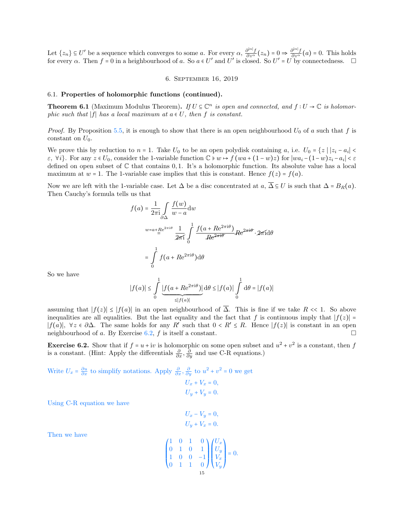Let  $\{z_n\} \subseteq U'$  be a sequence which converges to some a. For every  $\alpha$ ,  $\frac{\partial^{|\alpha|} f}{\partial z^{\alpha}}(z_n) = 0 \Rightarrow \frac{\partial^{|\alpha|} f}{\partial z^{\alpha}}(a) = 0$ . This holds for every  $\alpha$ . Then  $f = 0$  in a heighbourhood of a. So  $a \in U'$  and  $U'$  is closed. So  $U' = U \cup V'$  by connectedness.  $\Box$ 

# 6. September 16, 2019

### <span id="page-14-1"></span><span id="page-14-0"></span>6.1. Properties of holomorphic functions (continued).

**Theorem 6.1** (Maximum Modulus Theorem). If  $U \subseteq \mathbb{C}^n$  is open and connected, and  $f: U \to \mathbb{C}$  is holomorphic such that  $|f|$  has a local maximum at  $a \in U$ , then f is constant.

*Proof.* By Proposition [5.5,](#page-13-1) it is enough to show that there is an open neighbourhood  $U_0$  of a such that f is constant on  $U_0$ .

We prove this by reduction to  $n = 1$ . Take  $U_0$  to be an open polydisk containing  $a$ , i.e.  $U_0 = \{z \mid |z_i - a_i| <$  $\varepsilon$ ,  $\forall i$ . For any  $z \in U_0$ , consider the 1-variable function  $\mathbb{C} \ni w \mapsto f(wa + (1-w)z)$  for  $|wa_i - (1-w)z_i - a_i| < \varepsilon$ defined on open subset of  $\mathbb C$  that contains 0,1. It's a holomorphic function. Its absolute value has a local maximum at  $w = 1$ . The 1-variable case implies that this is constant. Hence  $f(z) = f(a)$ .

Now we are left with the 1-variable case. Let  $\Delta$  be a disc concentrated at  $a, \overline{\Delta} \subseteq U$  is such that  $\Delta = B_R(a)$ . Then Cauchy's formula tells us that

$$
f(a) = \frac{1}{2\pi i} \int_{\partial \Delta} \frac{f(w)}{w - a} dw
$$
  

$$
w = a + \underline{Re}^{2\pi i\theta} \frac{1}{2\pi i} \int_{0}^{1} \frac{f(a + Re^{2\pi i\theta})}{Re^{2\pi i\theta}} Re^{2\pi i\theta} \cdot 2\pi i d\theta
$$
  

$$
= \int_{0}^{1} f(a + Re^{2\pi i\theta}) d\theta
$$

So we have

$$
|f(a)| \le \int_0^1 \underbrace{|f(a+Re^{2\pi i\theta})|}_{\le |f(a)|} d\theta \le |f(a)| \int_0^1 d\theta = |f(a)|
$$

assuming that  $|f(z)| \leq |f(a)|$  in an open neighbourhood of  $\overline{\Delta}$ . This is fine if we take R << 1. So above inequalities are all equalities. But the last equality and the fact that f is continuous imply that  $|f(z)| =$  $|f(a)|$ ,  $\forall z \in \partial \Delta$ . The same holds for any R' such that  $0 < R' \leq R$ . Hence  $|f(z)|$  is constant in an open neighbourhood of a. By Exercise [6.2,](#page-14-2) f is itself a constant.

<span id="page-14-2"></span>**Exercise 6.2.** Show that if  $f = u + iv$  is holomorphic on some open subset and  $u^2 + v^2$  is a constant, then f is a constant. (Hint: Apply the differentials  $\frac{\partial}{\partial x}$ ,  $\frac{\partial}{\partial y}$  and use C-R equations.)

Write  $U_x = \frac{\partial u}{\partial x}$  to simplify notations. Apply  $\frac{\partial}{\partial x}$ ,  $\frac{\partial}{\partial y}$  to  $u^2 + v^2 = 0$  we get  $U_x + V_x = 0$ ,  $U_{\nu} + V_{\nu} = 0.$ 

Using C-R equation we have

$$
U_x - V_y = 0,
$$
  

$$
U_y + V_x = 0.
$$

Then we have

$$
\begin{pmatrix} 1 & 0 & 1 & 0 \\ 0 & 1 & 0 & 1 \\ 1 & 0 & 0 & -1 \\ 0 & 1 & 1 & 0 \end{pmatrix} \begin{pmatrix} U_x \\ U_y \\ V_x \\ V_y \end{pmatrix} = 0.
$$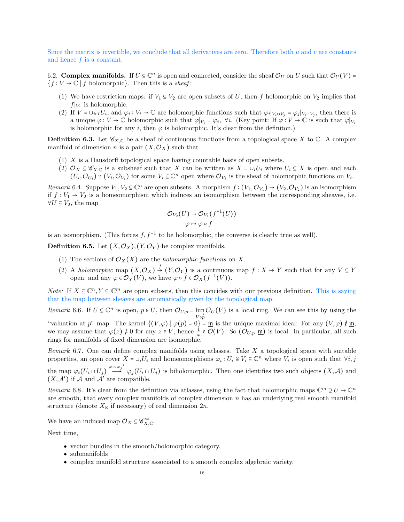Since the matrix is invertible, we conclude that all derivatives are zero. Therefore both  $u$  and  $v$  are constants and hence  $f$  is a constant.

<span id="page-15-0"></span>6.2. **Complex manifolds.** If  $U \subseteq \mathbb{C}^n$  is open and connected, consider the sheaf  $\mathcal{O}_U$  on U such that  $\mathcal{O}_U(V)$  =  ${f : V \to \mathbb{C} \mid f \text{ holomorphic}}$ . Then this is a *sheaf*:

- (1) We have restriction maps: if  $V_1 \subseteq V_2$  are open subsets of U, then f holomorphic on  $V_2$  implies that  $f|_{V_1}$  is holomorphic.
- (2) If  $\hat{V} = \cup_{i \in I} U_i$ , and  $\varphi_i : V_i \to \mathbb{C}$  are holomorphic functions such that  $\varphi_i|_{V_i \cap V_j} = \varphi_j|_{V_i \cap V_j}$ , then there is a unique  $\varphi: V \to \mathbb{C}$  holomorphic such that  $\varphi|_{V_i} = \varphi_i$ ,  $\forall i$ . (Key point: If  $\varphi: V \to \mathbb{C}$  is such that  $\varphi|_{V_i}$ is holomorphic for any i, then  $\varphi$  is holomorphic. It's clear from the definition.)

**Definition 6.3.** Let  $\mathscr{C}_{X,\mathbb{C}}$  be a sheaf of continuous functions from a topological space X to  $\mathbb{C}$ . A complex manifold of dimension *n* is a pair  $(X, \mathcal{O}_X)$  such that

- (1) X is a Hausdorff topological space having countable basis of open subsets.
- (2)  $\mathcal{O}_X \subseteq \mathscr{C}_{X,\mathbb{C}}$  is a subsheaf such that X can be written as  $X = \cup_i U_i$  where  $U_i \subseteq X$  is open and each  $(U_i, \mathcal{O}_{U_i}) \cong (V_i, \mathcal{O}_{V_i})$  for some  $V_i \subseteq \mathbb{C}^n$  open where  $\mathcal{O}_{V_i}$  is the sheaf of holomorphic functions on  $V_i$ .

Remark 6.4. Suppose  $V_1, V_2 \subseteq \mathbb{C}^n$  are open subsets. A morphism  $f : (V_1, \mathcal{O}_{V_1}) \to (V_2, \mathcal{O}_{V_2})$  is an isomorphism if  $f: V_1 \rightarrow V_2$  is a homeomorphism which induces an isomorphism between the corresponding sheaves, i.e.  $\forall U \subseteq V_2$ , the map

$$
\mathcal{O}_{V_2}(U) \to \mathcal{O}_{V_1}(f^{-1}(U))
$$

$$
\varphi \mapsto \varphi \circ f
$$

is an isomorphism. (This forces  $f, f^{-1}$  to be holomorphic, the converse is clearly true as well).

**Definition 6.5.** Let  $(X, \mathcal{O}_X)$ ,  $(Y, \mathcal{O}_Y)$  be complex manifolds.

- (1) The sections of  $\mathcal{O}_X(X)$  are the *holomorphic functions* on X.
- (2) A holomorphic map  $(X, \mathcal{O}_X) \stackrel{f}{\rightarrow} (Y, \mathcal{O}_Y)$  is a continuous map  $f : X \rightarrow Y$  such that for any  $V \subseteq Y$ open, and any  $\varphi \in \mathcal{O}_Y(V)$ , we have  $\varphi \circ f \in \mathcal{O}_X(f^{-1}(V))$ .

*Note:* If  $X \subseteq \mathbb{C}^n$ ,  $Y \subseteq \mathbb{C}^m$  are open subsets, then this concides with our previous definition. This is saying that the map between sheaves are automatically given by the topological map.

Remark 6.6. If  $U \subseteq \mathbb{C}^n$  is open,  $p \in U$ , then  $\mathcal{O}_{U,p} = \varinjlim_{V \ni p} \mathcal{O}_U(V)$  is a local ring. We can see this by using the "valuation at p" map. The kernel  $\{(V, \varphi) \mid \varphi(p) = 0\} = \underline{\mathfrak{m}}$  is the unique maximal ideal: For any  $(V, \varphi) \notin \underline{\mathfrak{m}}$ , we may assume that  $\varphi(z) \neq 0$  for any  $z \in V$ , hence  $\frac{1}{\varphi} \in \mathcal{O}(V)$ . So  $(\mathcal{O}_{U,p}, \underline{\mathfrak{m}})$  is local. In particular, all such rings for manifolds of fixed dimension are isomorphic.

Remark 6.7. One can define complex manifolds using atlasses. Take  $X$  a topological space with suitable properties, an open cover  $X = \bigcup_i U_i$  and homeomorphisms  $\varphi_i : U_i \subseteq V_i \subseteq \mathbb{C}^n$  where  $V_i$  is open such that  $\forall i, j$ the map  $\varphi_i(U_i \cap U_j) \stackrel{\varphi_i \circ \varphi_j^{-1}}{\longrightarrow} \varphi_j(U_i \cap U_j)$  is biholomorphic. Then one identifies two such objects  $(X, \mathcal{A})$  and  $(X, \mathcal{A}')$  if  $\mathcal A$  and  $\mathcal A'$  are compatible.

Remark 6.8. It's clear from the definition via atlasses, using the fact that holomorphic maps  $\mathbb{C}^m \ni U \to \mathbb{C}^n$ are smooth, that every complex manifolds of complex dimension  $n$  has an underlying real smooth manifold structure (denote  $X_{\mathbb{R}}$  if necessary) of real dimension  $2n$ .

We have an induced map  $\mathcal{O}_X \subseteq \mathscr{C}_{X,\mathbb{C}}^{\infty}$ .

Next time,

- vector bundles in the smooth/holomorphic category.
- submanifolds
- complex manifold structure associated to a smooth complex algebraic variety.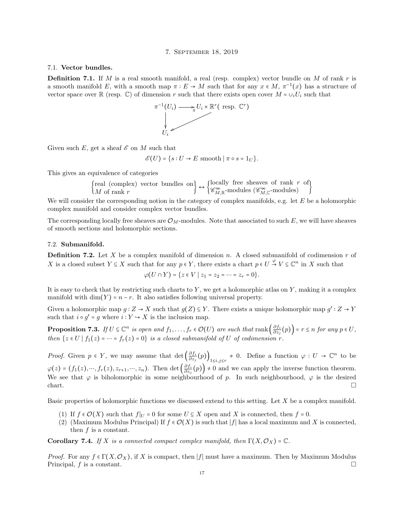### 7. September 18, 2019

### <span id="page-16-1"></span><span id="page-16-0"></span>7.1. Vector bundles.

**Definition 7.1.** If M is a real smooth manifold, a real (resp. complex) vector bundle on M of rank r is a smooth manifold E, with a smooth map  $\pi : E \to M$  such that for any  $x \in M$ ,  $\pi^{-1}(x)$  has a structure of vector space over R (resp. C) of dimension r such that there exists open cover  $M = \cup_i U_i$  such that



Given such E, get a sheaf  $\mathscr E$  on M such that

$$
\mathscr{E}(U) = \{ s : U \to E \text{ smooth } | \pi \circ s = 1_U \}.
$$

This gives an equivalence of categories

$$
\begin{Bmatrix} \text{real (complex) vector bundles on} \\ M \text{ of rank } r \end{Bmatrix} \leftrightarrow \begin{Bmatrix} \text{locally free sheaves of rank } r \text{ of} \\ \mathscr{C}_{M,\mathbb{R}}^{\infty} \text{-modules} \end{Bmatrix}
$$

We will consider the corresponding notion in the category of complex manifolds, e.g. let E be a holomorphic complex manifold and consider complex vector bundles.

The corresponding locally free sheaves are  $\mathcal{O}_M$ -modules. Note that associated to such E, we will have sheaves of smooth sections and holomorphic sections.

### <span id="page-16-2"></span>7.2. Submanifold.

**Definition 7.2.** Let X be a complex manifold of dimension n. A closed submanifold of codimension r of X is a closed subset  $Y \subseteq X$  such that for any  $p \in Y$ , there exists a chart  $p \in U \stackrel{\varphi}{\to} V \subseteq \mathbb{C}^n$  in X such that

$$
\varphi(U \cap Y) = \{ z \in V \mid z_1 = z_2 = \dots = z_r = 0 \}.
$$

It is easy to check that by restricting such charts to  $Y$ , we get a holomorphic atlas on  $Y$ , making it a complex manifold with dim(Y) =  $n - r$ . It also satisfies following universal property.

Given a holomorphic map  $g: Z \to X$  such that  $g(Z) \subseteq Y$ . There exists a unique holomorphic map  $g': Z \to Y$ such that  $i \circ g' = g$  where  $i : Y \hookrightarrow X$  is the inclusion map.

<span id="page-16-3"></span>**Proposition 7.3.** If  $U \subseteq \mathbb{C}^n$  is open and  $f_1, \ldots, f_r \in \mathcal{O}(U)$  are such that rank  $\left(\frac{\partial f_i}{\partial z_i}\right)$  $\left(\frac{\partial f_i}{\partial z_j}(p)\right)$  =  $r \leq n$  for any  $p \in U$ , then  $\{z \in U \mid f_1(z) = \cdots = f_r(z) = 0\}$  is a closed submanifold of U of codimension r.

*Proof.* Given  $p \in Y$ , we may assume that det  $\left(\frac{\partial f_i}{\partial z_i}\right)$  $\frac{\partial f_i}{\partial z_j}(p)\Big)_{1\leq i,j\leq r} \neq 0$ . Define a function  $\varphi: U \to \mathbb{C}^n$  to be  $\varphi(z) = (f_1(z), \dots, f_r(z), z_{r+1}, \dots, z_n).$  Then det  $\left(\frac{\partial f_i}{\partial z_i}\right)$  $\left(\frac{\partial f_i}{\partial z_j}(p)\right) \neq 0$  and we can apply the inverse function theorem. We see that  $\varphi$  is biholomorphic in some neighbourhood of p. In such neighbourhood,  $\varphi$  is the desired chart.

Basic properties of holomorphic functions we discussed extend to this setting. Let  $X$  be a complex manifold.

- (1) If  $f \in \mathcal{O}(X)$  such that  $f|_{U} = 0$  for some  $U \subseteq X$  open and X is connected, then  $f = 0$ .
- (2) (Maximum Modulus Principal) If  $f \in \mathcal{O}(X)$  is such that  $|f|$  has a local maximum and X is connected, then f is a constant.

Corollary 7.4. If X is a connected compact complex manifold, then  $\Gamma(X, \mathcal{O}_X) = \mathbb{C}$ .

*Proof.* For any  $f \in \Gamma(X, \mathcal{O}_X)$ , if X is compact, then |f| must have a maximum. Then by Maximum Modulus Principal,  $f$  is a constant.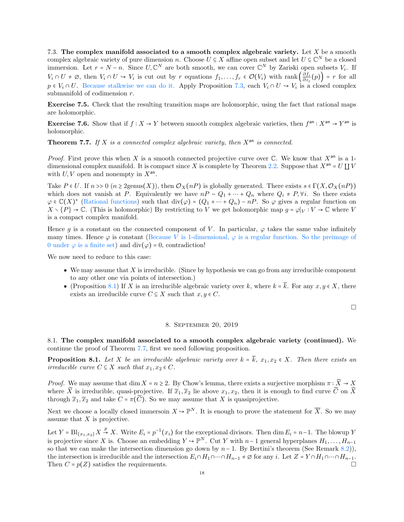<span id="page-17-0"></span>7.3. The complex manifold associated to a smooth complex algebraic variety. Let  $X$  be a smooth complex algebraic variety of pure dimension n. Choose  $U \subseteq X$  affine open subset and let  $U \subseteq \mathbb{C}^N$  be a closed immersion. Let  $r = N - n$ . Since  $U, \mathbb{C}^N$  are both smooth, we can cover  $\mathbb{C}^N$  by Zariski open subsets  $V_i$ . If  $V_i \cap U \neq \emptyset$ , then  $V_i \cap U \hookrightarrow V_i$  is cut out by r equations  $f_1, \ldots, f_r \in \mathcal{O}(V_i)$  with rank  $\left( \frac{\partial f_i}{\partial z_i} \right)$  $\left(\frac{\partial f_i}{\partial z_j}(p)\right)$  = r for all  $p \in V_i \cap U$ . Because stalkwise we can do it. Apply Proposition [7.3,](#page-16-3) each  $V_i \cap U \to V_i$  is a closed complex submanifold of codimension  $r$ .

Exercise 7.5. Check that the resulting transition maps are holomorphic, using the fact that rational maps are holomorphic.

**Exercise 7.6.** Show that if  $f : X \to Y$  between smooth complex algebraic varieties, then  $f^{an} : X^{an} \to Y^{an}$  is holomorphic.

<span id="page-17-4"></span>**Theorem 7.7.** If X is a connected complex algebraic variety, then  $X^{an}$  is connected.

*Proof.* First prove this when X is a smooth connected projective curve over  $\mathbb C$ . We know that  $X^{an}$  is a 1-dimensional complex manifold. It is compact since X is complete by Theorem [2.2.](#page-6-0) Suppose that  $X^{an} = U \coprod V$ with  $U, V$  open and nonempty in  $X<sup>an</sup>$ .

Take  $P \in U$ . If  $n \geq 0$  ( $n \geq 2$ genus(X)), then  $\mathcal{O}_X(nP)$  is globally generated. There exists  $s \in \Gamma(X, \mathcal{O}_X(nP))$ which does not vanish at P. Equivalently we have  $nP \sim Q_1 + \cdots + Q_n$  where  $Q_i \neq P, \forall i$ . So there exists  $\varphi \in \mathbb{C}(X)^*$  (Rational functions) such that  $\text{div}(\varphi) = (Q_1 + \cdots + Q_n) - nP$ . So  $\varphi$  gives a regular function on  $X \setminus \{P\} \to \mathbb{C}$ . (This is holomorphic) By restricting to V we get holomorphic map  $g = \varphi|_V : V \to \mathbb{C}$  where V is a compact complex manifold.

Hence q is a constant on the connected component of V. In particular,  $\varphi$  takes the same value infinitely many times. Hence  $\varphi$  is constant (Because V is 1-dimensional,  $\varphi$  is a regular function. So the preimage of 0 under  $\varphi$  is a finite set) and div( $\varphi$ ) = 0, contradiction!

We now need to reduce to this case:

- $\bullet$  We may assume that X is irreducible. (Since by hypothesis we can go from any irreducible component to any other one via points of intersection.)
- (Proposition [8.1\)](#page-17-3) If X is an irreducible algebraic variety over k, where  $k = \overline{k}$ . For any  $x, y \in X$ , there exists an irreducible curve  $C \subseteq X$  such that  $x, y \in C$ .

 $\Box$ 

#### 8. September 20, 2019

<span id="page-17-2"></span><span id="page-17-1"></span>8.1. The complex manifold associated to a smooth complex algebraic variety (continued). We continue the proof of Theorem [7.7,](#page-17-4) first we need following proposition.

<span id="page-17-3"></span>**Proposition 8.1.** Let X be an irreducible algebraic variety over  $k = \overline{k}$ ,  $x_1, x_2 \in X$ . Then there exists an irreducible curve  $C \subseteq X$  such that  $x_1, x_2 \in C$ .

*Proof.* We may assume that  $\dim X = n \geq 2$ . By Chow's lemma, there exists a surjective morphism  $\pi : \widetilde{X} \to X$ where  $\widetilde{X}$  is irreducible, quasi-projective. If  $\widetilde{x}_1, \widetilde{x}_2$  lie above  $x_1, x_2$ , then it is enough to find curve  $\widetilde{C}$  on  $\widetilde{X}$ through  $\widetilde{x}_1, \widetilde{x}_2$  and take  $C = \pi(\widetilde{C})$ . So we may assume that X is quasiprojective.

Next we choose a locally closed immersoin  $X \to \mathbb{P}^N$ . It is enough to prove the statement for  $\overline{X}$ . So we may assume that  $X$  is projective.

<span id="page-17-5"></span>Let  $Y = \text{Bl}_{\{x_1, x_2\}} X \stackrel{p}{\to} X$ . Write  $E_i = p^{-1}(x_i)$  for the exceptional divisors. Then dim  $E_i = n-1$ . The blowup Y is projective since X is. Choose an embedding  $Y \to \mathbb{P}^N$ . Cut Y with  $n-1$  general hyperplanes  $H_1, \ldots, H_{n-1}$ so that we can make the intersection dimension go down by  $n-1$ . By Bertini's theorem (See Remark [8.2\)](#page-17-5)), the intersection is irreducible and the intersection  $E_i \cap H_1 \cap \cdots \cap H_{n-1} \neq \emptyset$  for any i. Let  $Z = Y \cap H_1 \cap \cdots \cap H_{n-1}$ . Then  $C = p(Z)$  satisfies the requirements.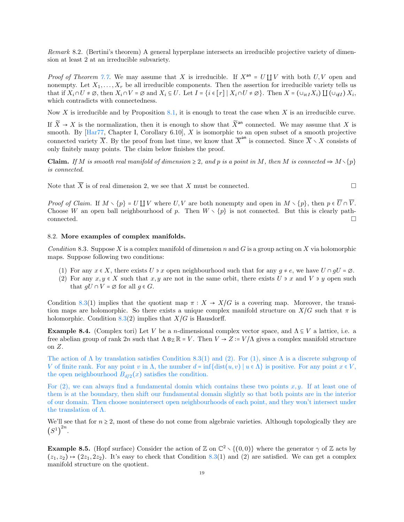Remark 8.2. (Bertini's theorem) A general hyperplane intersects an irreducible projective variety of dimension at least 2 at an irreducible subvariety.

*Proof of Theorem [7.7.](#page-17-4)* We may assume that X is irreducible. If  $X^{an} = U \coprod V$  with both  $U, V$  open and nonempty. Let  $X_1, \ldots, X_r$  be all irreducible components. Then the assertion for irreducible variety tells us that if  $X_i \cap U \neq \emptyset$ , then  $X_i \cap V = \emptyset$  and  $X_i \subseteq U$ . Let  $I = \{i \in [r] \mid X_i \cap U \neq \emptyset\}$ . Then  $X = (\cup_{i \in I} X_i) \coprod (\cup_{i \notin I} X_i, \cup_{i \in I} X_i)$ which contradicts with connectedness.

Now X is irreducible and by Proposition [8.1,](#page-17-3) it is enough to treat the case when X is an irreducible curve.

If  $\widetilde{X} \to X$  is the normalization, then it is enough to show that  $\widetilde{X}^{an}$  connected. We may assume that X is smooth. By  $[Har77, Chapter I, Corollary 6.10], X$  is isomorphic to an open subset of a smooth projective connected variety  $\overline{X}$ . By the proof from last time, we know that  $\overline{X}^{an}$  is connected. Since  $\overline{X} \setminus X$  consists of only finitely many points. The claim below finishes the proof.

**Claim.** If M is smooth real manifold of dimension  $\geq 2$ , and p is a point in M, then M is connected  $\Rightarrow M \setminus \{p\}$ is connected.

Note that  $\overline{X}$  is of real dimension 2, we see that X must be connected.

*Proof of Claim.* If  $M \setminus \{p\} = U \coprod V$  where  $U, V$  are both nonempty and open in  $M \setminus \{p\}$ , then  $p \in \overline{U} \cap \overline{V}$ . Choose W an open ball neighbourhood of p. Then  $W \setminus \{p\}$  is not connected. But this is clearly path- $\Box$ connected.  $\Box$ 

### <span id="page-18-1"></span><span id="page-18-0"></span>8.2. More examples of complex manifolds.

Condition 8.3. Suppose X is a complex manifold of dimension n and G is a group acting on X via holomorphic maps. Suppose following two conditions:

- (1) For any  $x \in X$ , there exists  $U \ni x$  open neighbourhood such that for any  $g \neq e$ , we have  $U \cap gU = \emptyset$ .
- (2) For any  $x, y \in X$  such that  $x, y$  are not in the same orbit, there exists U  $\rightarrow x$  and V  $\rightarrow y$  open such that  $gU \cap V = \emptyset$  for all  $g \in G$ .

Condition [8.3\(](#page-18-1)1) implies that the quotient map  $\pi : X \to X/G$  is a covering map. Moreover, the transition maps are holomorphic. So there exists a unique complex manifold structure on  $X/G$  such that  $\pi$  is holomorphic. Condition [8.3\(](#page-18-1)2) implies that  $X/G$  is Hausdorff.

**Example 8.4.** (Complex tori) Let V be a *n*-dimensional complex vector space, and  $\Lambda \subseteq V$  a lattice, i.e. a free abelian group of rank  $2n$  such that  $\Lambda \otimes_{\mathbb{Z}} \mathbb{R} = V$ . Then  $V \to Z := V/\Lambda$  gives a complex manifold structure on Z.

The action of  $\Lambda$  by translation satisfies Condition [8.3\(](#page-18-1)1) and (2). For (1), since  $\Lambda$  is a discrete subgroup of V of finite rank. For any point v in  $\Lambda$ , the number  $d = \inf \{ \text{dist}(u, v) \mid u \in \Lambda \}$  is positive. For any point  $x \in V$ , the open neighbourhood  $B_{d/2}(x)$  satisfies the condition.

For  $(2)$ , we can always find a fundamental domin which contains these two points x, y. If at least one of them is at the boundary, then shift our fundamental domain slightly so that both points are in the interior of our domain. Then choose nonintersect open neighbourhoods of each point, and they won't intersect under the translation of Λ.

We'll see that for  $n \geq 2$ , most of these do not come from algebraic varieties. Although topologically they are  $(S^1)^{2n}$ .

**Example 8.5.** (Hopf surface) Consider the action of  $\mathbb{Z}$  on  $\mathbb{C}^2 \setminus \{(0,0)\}\$  where the generator  $\gamma$  of  $\mathbb{Z}$  acts by  $(z_1, z_2) \rightarrow (2z_1, 2z_2)$ . It's easy to check that Condition [8.3\(](#page-18-1)1) and (2) are satisfied. We can get a complex manifold structure on the quotient.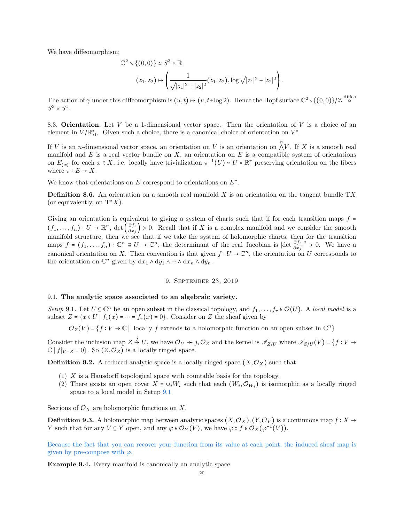We have diffeomorphism:

$$
\mathbb{C}^{2} \setminus \{(0,0)\} \simeq S^{3} \times \mathbb{R}
$$

$$
(z_{1}, z_{2}) \mapsto \left(\frac{1}{\sqrt{|z_{1}|^{2}+|z_{2}|^{2}}} (z_{1}, z_{2}), \log \sqrt{|z_{1}|^{2}+|z_{2}|^{2}}\right).
$$

The action of  $\gamma$  under this diffeomorphism is  $(u,t) \mapsto (u, t+\log 2)$ . Hence the Hopf surface  $\mathbb{C}^2 \setminus \{(0,0)\} / \mathbb{Z} \stackrel{\text{diffeo}}{\approx}$  $S^3 \times S^1$ .

<span id="page-19-0"></span>8.3. **Orientation.** Let V be a 1-dimensional vector space. Then the orientation of V is a choice of an element in  $V/\mathbb{R}_{>0}^*$ . Given such a choice, there is a canonical choice of orientation on  $V^*$ .

If V is an *n*-dimensional vector space, an orientation on V is an orientation on  $\bigwedge^n V$ . If X is a smooth real manifold and E is a real vector bundle on X, an orientation on E is a compatible system of orientations on  $E(x)$  for each  $x \in X$ , i.e. locally have trivialization  $\pi^{-1}(U) \simeq U \times \mathbb{R}^r$  preserving orientation on the fibers where  $\pi : E \to X$ .

We know that orientations on  $E$  correspond to orientations on  $E^*$ .

**Definition 8.6.** An orientation on a smooth real manifold X is an orientation on the tangent bundle  $TX$ (or equivalently, on  $T^*X$ ).

Giving an orientation is equivalent to giving a system of charts such that if for each transition maps  $f =$  $(f_1,\ldots,f_n):U\to\mathbb{R}^n, \ \det\left(\frac{\partial f_i}{\partial x_i}\right)$  $\frac{\partial f_i}{\partial x_j}$  > 0. Recall that if X is a complex manifold and we consider the smooth manifold structure, then we see that if we take the system of holomorphic charts, then for the transition maps  $f = (f_1, \ldots, f_n) : \mathbb{C}^n \supseteq U \to \mathbb{C}^n$ , the determinant of the real Jacobian is  $|\det \frac{\partial f_i}{\partial x_j}|^2 > 0$ . We have a canonical orientation on X. Then convention is that given  $f: U \to \mathbb{C}^n$ , the orientation on U corresponds to the orientation on  $\mathbb{C}^n$  given by  $dx_1 \wedge dy_1 \wedge \cdots \wedge dx_n \wedge dy_n$ .

### 9. September 23, 2019

### <span id="page-19-2"></span><span id="page-19-1"></span>9.1. The analytic space associated to an algebraic variety.

<span id="page-19-3"></span>Setup 9.1. Let  $U \subseteq \mathbb{C}^n$  be an open subset in the classical topology, and  $f_1, \ldots, f_r \in \mathcal{O}(U)$ . A local model is a subset  $Z = \{x \in U \mid f_1(x) = \cdots = f_r(x) = 0\}$ . Consider on Z the sheaf given by

 $\mathcal{O}_Z(V) = \{f : V \to \mathbb{C} \mid \text{ locally } f \text{ extends to a holomorphic function on an open subset in } \mathbb{C}^n\}$ 

Consider the inclusion map  $Z \stackrel{j}{\to} U$ , we have  $\mathcal{O}_U \twoheadrightarrow j_* \mathcal{O}_Z$  and the kernel is  $\mathscr{I}_{Z/U}$  where  $\mathscr{I}_{Z/U}(V) = \{f : V \to V\}$  $\mathbb{C} |f|_{V \cap Z} = 0$ . So  $(Z, \mathcal{O}_Z)$  is a locally ringed space.

**Definition 9.2.** A reduced analytic space is a locally ringed space  $(X, \mathcal{O}_X)$  such that

- (1) X is a Hausdorff topological space with countable basis for the topology.
- (2) There exists an open cover  $X = \cup_i W_i$  such that each  $(W_i, \mathcal{O}_{W_i})$  is isomorphic as a locally ringed space to a local model in Setup [9.1](#page-19-3)

Sections of  $\mathcal{O}_X$  are holomorphic functions on X.

**Definition 9.3.** A holomorphic map between analytic spaces  $(X, \mathcal{O}_X)$ ,  $(Y, \mathcal{O}_Y)$  is a continuous map  $f : X \to Y$ Y such that for any  $V \subseteq Y$  open, and any  $\varphi \in \mathcal{O}_Y(V)$ , we have  $\varphi \circ f \in \mathcal{O}_X(\varphi^{-1}(V))$ .

Because the fact that you can recover your function from its value at each point, the induced sheaf map is given by pre-compose with  $\varphi$ .

Example 9.4. Every manifold is canonically an analytic space.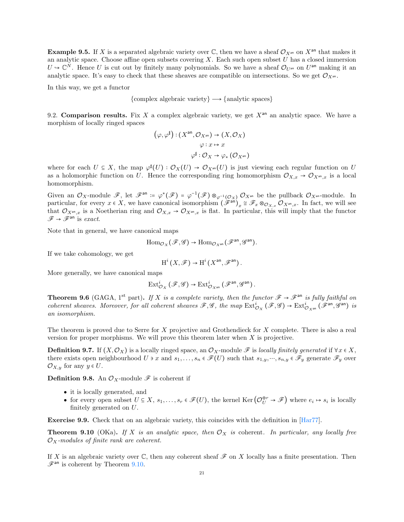**Example 9.5.** If X is a separated algebraic variety over C, then we have a sheaf  $\mathcal{O}_{X^{an}}$  on  $X^{an}$  that makes it an analytic space. Choose affine open subsets covering X. Each such open subset  $U$  has a closed immersion  $U \to \mathbb{C}^N$ . Hence U is cut out by finitely many polynomials. So we have a sheaf  $\mathcal{O}_{U^{an}}$  on  $U^{an}$  making it an analytic space. It's easy to check that these sheaves are compatible on intersections. So we get  $\mathcal{O}_{X^{an}}$ .

In this way, we get a functor

 ${complex algebraic variety} \longrightarrow {analytic spaces}$ 

<span id="page-20-0"></span>9.2. Comparison results. Fix X a complex algebraic variety, we get  $X<sup>an</sup>$  an analytic space. We have a morphism of locally ringed spaces

$$
(\varphi, \varphi^{\sharp}) : (X^{\text{an}}, \mathcal{O}_{X^{\text{an}}}) \to (X, \mathcal{O}_X)
$$

$$
\varphi : x \mapsto x
$$

$$
\varphi^{\sharp} : \mathcal{O}_X \to \varphi_* \left(\mathcal{O}_{X^{\text{an}}}\right)
$$

where for each  $U \subseteq X$ , the map  $\varphi^{\sharp}(U) : \mathcal{O}_X(U) \to \mathcal{O}_{X^{an}}(U)$  is just viewing each regular function on U as a holomorphic function on U. Hence the corresponding ring homomorphism  $\mathcal{O}_{X,x} \to \mathcal{O}_{X^{an},x}$  is a local homomorphism.

Given an  $\mathcal{O}_X$ -module  $\mathscr{F}$ , let  $\mathscr{F}^{\mathsf{an}} \coloneqq \varphi^*(\mathscr{F}) = \varphi^{-1}(\mathscr{F}) \otimes_{\varphi^{-1}(\mathcal{O}_X)} \mathcal{O}_{X^{\mathsf{an}}}$  be the pullback  $\mathcal{O}_{X^{\mathsf{an}}}$ -module. In particular, for every  $x \in X$ , we have canonical isomorphism  $(\hat{\mathscr{F}}^{\text{an}})_x \cong \mathscr{F}_x \otimes_{\mathcal{O}_{X,x}} \mathcal{O}_{X^{\text{an}},x}$ . In fact, we will see that  $\mathcal{O}_{X^{an},x}$  is a Noetherian ring and  $\mathcal{O}_{X,x} \to \mathcal{O}_{X^{an},x}$  is flat. In particular, this will imply that the functor  $\mathscr{F} \to \mathscr{F}^{\rm an}$  is exact.

Note that in general, we have canonical maps

$$
\mathrm{Hom}_{\mathcal{O}_X}(\mathscr{F},\mathscr{G}) \to \mathrm{Hom}_{\mathcal{O}_{X^{\mathrm{an}}}}(\mathscr{F}^{\mathrm{an}},\mathscr{G}^{\mathrm{an}}).
$$

If we take cohomology, we get

$$
\mathrm{H}^i\left(X,\mathscr{F}\right)\to \mathrm{H}^i\left(X^{\mathrm{an}},\mathscr{F}^{\mathrm{an}}\right).
$$

More generally, we have canonical maps

$$
\mathrm{Ext}^i_{\mathcal{O}_X}\left(\mathscr{F},\mathscr{G}\right) \rightarrow \mathrm{Ext}^i_{\mathcal{O}_{X^\mathrm{an}}}\left(\mathscr{F}^\mathrm{an},\mathscr{G}^\mathrm{an}\right).
$$

**Theorem 9.6** (GAGA, 1<sup>st</sup> part). If X is a complete variety, then the functor  $\mathscr{F} \to \mathscr{F}^{an}$  is fully faithful on coherent sheaves. Moreover, for all coherent sheaves  $\mathscr{F}, \mathscr{G}$ , the map  $\text{Ext}^i_{\mathcal{O}_X}(\mathscr{F}, \mathscr{G}) \to \text{Ext}^i_{\mathcal{O}_{X^{an}}}(\mathscr{F}^{an}, \mathscr{G}^{an})$  is an isomorphism.

The theorem is proved due to Serre for X projective and Grothendieck for X complete. There is also a real version for proper morphisms. We will prove this theorem later when  $X$  is projective.

**Definition 9.7.** If  $(X, \mathcal{O}_X)$  is a locally ringed space, an  $\mathcal{O}_X$ -module  $\mathcal F$  is locally finitely generated if  $\forall x \in X$ , there exists open neighbourhood  $U \ni x$  and  $s_1, \ldots, s_n \in \mathscr{F}(U)$  such that  $s_{1,y}, \ldots, s_{n,y} \in \mathscr{F}_y$  generate  $\mathscr{F}_y$  over  $\mathcal{O}_{X,y}$  for any  $y \in U$ .

**Definition 9.8.** An  $\mathcal{O}_X$ -module  $\mathcal F$  is coherent if

- it is locally generated, and
- for every open subset  $U \subseteq X$ ,  $s_1, \ldots, s_r \in \mathscr{F}(U)$ , the kernel Ker $\left(\mathcal{O}_U^{\oplus r} \to \mathscr{F}\right)$  where  $e_i \mapsto s_i$  is locally finitely generated on U.

Exercise 9.9. Check that on an algebraic variety, this coincides with the definition in [\[Har77\]](#page-78-2).

<span id="page-20-1"></span>**Theorem 9.10** (OKa). If X is an analytic space, then  $\mathcal{O}_X$  is coherent. In particular, any locally free  $\mathcal{O}_X$ -modules of finite rank are coherent.

<span id="page-20-2"></span>If X is an algebraic variety over  $\mathbb C$ , then any coherent sheaf  $\mathscr F$  on X locally has a finite presentation. Then  $\mathscr{F}^{\text{an}}$  is coherent by Theorem [9.10.](#page-20-1)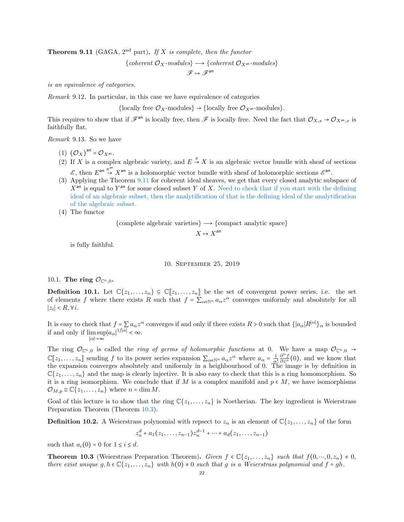**Theorem 9.11** (GAGA,  $2^{nd}$  part). If X is complete, then the functor

{coherent 
$$
\mathcal{O}_X
$$
-modules}  $\longrightarrow$  {coherent  $\mathcal{O}_{X^{an}}$ -modules}

 $\mathscr{F} \mapsto \mathscr{F}^\mathrm{an}$ 

is an equivalence of categories.

Remark 9.12. In particular, in this case we have equivalence of categories

{locally free  $\mathcal{O}_X$ -modules}  $\rightarrow$  {locally free  $\mathcal{O}_{X^{an}}$ -modules}.

This requires to show that if  $\mathscr{F}^{\text{an}}$  is locally free, then  $\mathscr{F}$  is locally free. Need the fact that  $\mathcal{O}_{X,x} \to \mathcal{O}_{X^{\text{an}},x}$  is faithfully flat.

Remark 9.13. So we have

- (1)  $(\mathcal{O}_X)^{an} = \mathcal{O}_{X^{an}}$ .
- (2) If X is a complex algebraic variety, and  $E \stackrel{\pi}{\rightarrow} X$  is an algebraic vector bundle with sheaf of sections  $\mathscr{E}$ , then  $E^{\text{an}} \stackrel{\pi^{\text{an}}}{\rightarrow} X^{\text{an}}$  is a holomorphic vector bundle with sheaf of holomorphic sections  $\mathscr{E}^{\text{an}}$ .
- (3) Applying the Theorem [9.11](#page-20-2) for coherent ideal sheaves, we get that every closed analytic subspace of  $X<sup>an</sup>$  is equal to  $Y<sup>an</sup>$  for some closed subset Y of X. Need to check that if you start with the defining ideal of an algebraic subset, then the analytification of that is the defining ideal of the analytification of the algebraic subset.
- (4) The functor

{complete algebraic varieties}  $\longrightarrow$  {compact analytic space}

$$
X\mapsto X^{\mathrm{an}}
$$

is fully faithful.

### 10. September 25, 2019

# <span id="page-21-1"></span><span id="page-21-0"></span>10.1. The ring  $\mathcal{O}_{\mathbb{C}^n,0}$ .

**Definition 10.1.** Let  $\mathbb{C}\{z_1,\ldots,z_n\} \subseteq \mathbb{C}[\![z_1,\ldots,z_n]\!]$  be the set of convergent power series, i.e. the set of elements f where there exists R such that  $f = \sum_{\alpha \in \mathbb{N}^n} a_{\alpha} z^{\alpha}$  converges uniformly and absolutely for all | $z_i$ | < R, ∀*i*.

It is easy to check that  $f = \sum a_{\alpha} z^{\alpha}$  converges if and only if there exists  $R > 0$  such that  $\{|a_{\alpha}|R^{|\alpha|}\}_{\alpha}$  is bounded if and only if  $\limsup |a_{\alpha}|^{1/|\alpha|} < \infty$ .

∣α∣→∞ The ring  $\mathcal{O}_{\mathbb{C}^n,0}$  is called the *ring of germs of holomorphic functions* at 0. We have a map  $\mathcal{O}_{\mathbb{C}^n,0} \to$  $\mathbb{C}[\![z_1,\ldots,z_n]\!]$  sending f to its power series expansion  $\sum_{\alpha\in\mathbb{N}^n}a_{\alpha}z^{\alpha}$  where  $a_{\alpha}=\frac{1}{\alpha!}$ <br>the expansion converges absolutely and uniformly in a beighbourhood of 0. The  $\frac{\partial^{\alpha} f}{\partial z^{\alpha}}(0)$ , and we know that the expansion converges absolutely and uniformly in a heighbourhood of 0. The image is by definition in  $\mathbb{C}\{z_1,\ldots,z_n\}$  and the map is clearly injective. It is also easy to check that this is a ring homomorphism. So it is a ring isomorphism. We conclude that if M is a complex manifold and  $p \in M$ , we have isomorphisms

Goal of this lecture is to show that the ring  $\mathbb{C}\{z_1,\ldots,z_n\}$  is Noetherian. The key ingredient is Weierstrass Preparation Theorem (Theorem [10.3\)](#page-21-2).

**Definition 10.2.** A Weierstrass polynomial with repsect to  $z_n$  is an element of  $\mathbb{C}\{z_1,\ldots,z_n\}$  of the form

$$
z_n^d + a_1(z_1,...,z_{n-1})z_n^{d-1} + \cdots + a_d(z_1,...,z_{n-1})
$$

such that  $a_i(0) = 0$  for  $1 \leq i \leq d$ .

 $\mathcal{O}_{M,p} \cong \mathbb{C}\{z_1,\ldots,z_n\}$  where  $n = \dim M$ .

<span id="page-21-2"></span>**Theorem 10.3** (Weierstrass Preparation Theorem). Given  $f \in \mathbb{C}\{z_1, \ldots, z_n\}$  such that  $f(0, \ldots, 0, z_n) \neq 0$ , there exist unique  $g, h \in \mathbb{C} \{z_1, \ldots, z_n\}$  with  $h(0) \neq 0$  such that g is a Weierstrass polynomial and  $f = gh$ .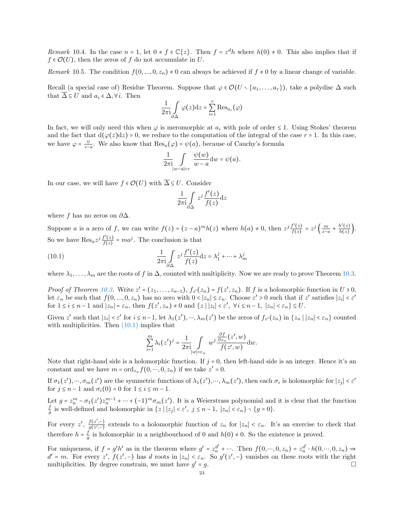Remark 10.4. In the case  $n = 1$ , let  $0 \neq f \in \mathbb{C}\{z\}$ . Then  $f = z^d h$  where  $h(0) \neq 0$ . This also implies that if  $f \in \mathcal{O}(U)$ , then the zeros of f do not accumulate in U.

Remark 10.5. The condition  $f(0, ..., 0, z_n) \neq 0$  can always be achieved if  $f \neq 0$  by a linear change of variable.

Recall (a special case of) Residue Theorem. Suppose that  $\varphi \in \mathcal{O}(U \setminus \{a_1, \ldots, a_r\})$ , take a polydisc  $\Delta$  such that  $\overline{\Delta} \subseteq U$  and  $a_i \in \Delta, \forall i$ . Then

$$
\frac{1}{2\pi \mathrm{i}}\int\limits_{\partial\Delta}\varphi(z)\mathrm{d} z=\sum\limits_{i=1}^r\mathrm{Res}_{a_i}\big(\varphi\big)
$$

In fact, we will only need this when  $\varphi$  is meromorphic at  $a_i$  with pole of order  $\leq 1$ . Using Stokes' theorem and the fact that  $d(\varphi(z)dz) = 0$ , we reduce to the computation of the integral of the case  $r = 1$ . In this case, we have  $\varphi = \frac{\psi}{z}$  $\frac{\psi}{z-a}$ . We also know that  $\text{Res}_a(\varphi) = \psi(a)$ , because of Cauchy's formula

$$
\frac{1}{2\pi\mathrm{i}}\int\limits_{|w-a|
$$

In our case, we will have  $f \in \mathcal{O}(U)$  with  $\overline{\Delta} \subseteq U$ . Consider

<span id="page-22-0"></span>
$$
\frac{1}{2\pi i} \int\limits_{\partial \Delta} z^j \frac{f'(z)}{f(z)} dz
$$

where f has no zeros on  $\partial \Delta$ .

Suppose a is a zero of f, we can write  $f(z) = (z - a)^m h(z)$  where  $h(a) \neq 0$ , then  $z^j \frac{f'(z)}{f(z)}$  $\frac{f'(z)}{f(z)} = z^j \left( \frac{m}{z-a} + \frac{h'(z)}{h(z)} \right)$  $\frac{n(z)}{h(z)}$ . So we have  $\text{Res}_a z^j \frac{f'(z)}{f(z)}$  $\frac{f'(z)}{f(z)} = ma^j$ . The conclusion is that

(10.1) 
$$
\frac{1}{2\pi i} \int\limits_{\partial \Delta} z^j \frac{f'(z)}{f(z)} dz = \lambda_1^j + \dots + \lambda_m^j
$$

where  $\lambda_1, \ldots, \lambda_m$  are the roots of f in  $\Delta$ , counted with multiplicity. Now we are ready to prove Theorem [10.3.](#page-21-2)

*Proof of Theorem [10.3.](#page-21-2)* Write  $z' = (z_1, \ldots, z_{n-1}), f_{z'}(z_n) = f(z', z_n)$ . If f is a holomorphic function in U  $\geq 0$ , Let  $\varepsilon_n$  be such that  $f(0, ..., 0, z_n)$  has no zero with  $0 < |z_n| \le \varepsilon_n$ . Choose  $\varepsilon' > 0$  such that if  $z'$  satisfies  $|z_i| < \varepsilon'$ for  $1 \leq i \leq n-1$  and  $|z_n| = \varepsilon_n$ , then  $f(z', z_n) \neq 0$  and  $\{z \mid |z_i| < \varepsilon'$ ,  $\forall i \leq n-1, |z_n| < \varepsilon_n\} \subseteq U$ .

Given z' such that  $|z_i| < \varepsilon'$  for  $i \leq n-1$ , let  $\lambda_1(z'), \dots, \lambda_m(z')$  be the zeros of  $f_{z'}(z_n)$  in  $\{z_n \mid |z_n| < \varepsilon_n\}$  counted with multiplicities. Then  $(10.1)$  implies that

$$
\sum_{i=1}^m \lambda_i (z')^j = \frac{1}{2\pi i} \int_{|w|=\varepsilon_n} w^j \frac{\frac{\partial f}{\partial z_n}(z',w)}{f(z',w)} dw.
$$

Note that right-hand side is a holomorphic function. If  $j = 0$ , then left-hand side is an integer. Hence it's an constant and we have  $m = \text{ord}_{z_n} f(0, \dots, 0, z_n)$  if we take  $z' = 0$ .

If  $\sigma_1(z'), \dots, \sigma_m(z')$  are the symmetric functions of  $\lambda_1(z'), \dots, \lambda_m(z')$ , then each  $\sigma_i$  is holomorphic for  $|z_j| < \varepsilon'$ for  $j \leq n-1$  and  $\sigma_i(0) = 0$  for  $1 \leq i \leq m-1$ .

Let  $g = z_n^m - \sigma_1(z')z_n^{m-1} + \cdots + (-1)^m \sigma_m(z')$ . It is a Weierstrass polynomial and it is clear that the function f  $\frac{f}{g}$  is well-defined and holomorphic in  $\{z \mid |z_j| < \varepsilon', j \leq n-1, |z_n| < \varepsilon_n\} \setminus \{g = 0\}.$ 

For every  $z'$ ,  $\frac{f(z',-)}{g(z'-)}$  $\frac{f(z,-)}{g(z',-)}$  extends to a holomorphic function of  $z_n$  for  $|z_n| < \varepsilon_n$ . It's an exercise to check that therefore  $h = \frac{f}{a}$  $\frac{d}{g}$  is holomorphic in a neighbourhood of 0 and  $h(0) \neq 0$ . So the existence is proved.

For uniqueness, if  $f = g'h'$  as in the theorem where  $g' = z_n^{d'} + \cdots$ . Then  $f(0, \dots, 0, z_n) = z_n^{d'} \cdot h(0, \dots, 0, z_n) \Rightarrow$  $d' = m$ . For every z',  $f(z', -)$  has d roots in  $|z_n| < \varepsilon_n$ . So  $g'(z', -)$  vanishes on these roots with the right multiplicities. By degree constrain, we must have  $g' = g$ .  $' = g$ .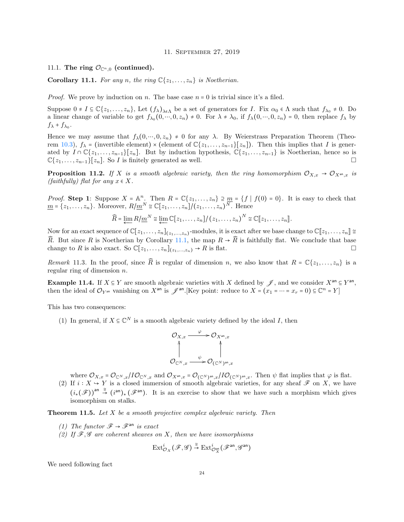11. September 27, 2019

### <span id="page-23-1"></span><span id="page-23-0"></span>11.1. The ring  $\mathcal{O}_{\mathbb{C}^n,0}$  (continued).

<span id="page-23-2"></span>**Corollary 11.1.** For any n, the ring  $\mathbb{C}\{z_1, \ldots, z_n\}$  is Noetherian.

*Proof.* We prove by induction on n. The base case  $n = 0$  is trivial since it's a filed.

Suppose  $0 \neq I \subseteq \mathbb{C}\{z_1,\ldots,z_n\}$ , Let  $(f_\lambda)_{\lambda \in \Lambda}$  be a set of generators for *I*. Fix  $\alpha_0 \in \Lambda$  such that  $f_{\lambda_0} \neq 0$ . Do a linear change of variable to get  $f_{\lambda_0}(0,...,0,z_n) \neq 0$ . For  $\lambda \neq \lambda_0$ , if  $f_{\lambda}(0,...,0,z_n) = 0$ , then replace  $f_{\lambda}$  by  $f_{\lambda} + f_{\lambda_0}$ .

Hence we may assume that  $f_{\lambda}(0, ..., 0, z_n) \neq 0$  for any  $\lambda$ . By Weierstrass Preparation Theorem (Theo-rem [10.3\)](#page-21-2),  $f_{\lambda}$  = (invertible element) × (element of  $\mathbb{C}\{z_1,\ldots,z_{n-1}\}[z_n]$ ). Then this implies that I is generated by  $I \cap \mathbb{C}\{z_1,\ldots,z_{n-1}\}\big[z_n\big]$ . But by induction hypothesis,  $\mathbb{C}\{z_1,\ldots,z_{n-1}\}\$  is Noetherian, hence so is  $\mathbb{C}\{z_1,\ldots,z_{n-1}\}\big[z_n\big]$ . So *I* is finitely generated as well.

**Proposition 11.2.** If X is a smooth algebraic variety, then the ring homomorphism  $\mathcal{O}_{X,x} \to \mathcal{O}_{X^{an},x}$  is  $(faithfully)$  flat for any  $x \in X$ .

*Proof.* Step 1: Suppose  $X = \mathbb{A}^n$ . Then  $R = \mathbb{C}\{z_1, \ldots, z_n\} \supseteq \underline{m} = \{f \mid f(0) = 0\}$ . It is easy to check that  $\underline{m} = \{z_1, \ldots, z_n\}$ . Moreover,  $R/\underline{m}^N \cong \mathbb{C}[z_1, \ldots, z_n]/(z_1, \ldots, z_n)^N$ . Hence

 $\widehat{R} = \varprojlim R/\underline{m}^N \cong \varprojlim \mathbb{C}[z_1,\ldots,z_n]/(z_1,\ldots,z_n)^N \cong \mathbb{C}[[z_1,\ldots,z_n]].$ 

Now for an exact sequence of  $\mathbb{C}[z_1, \ldots, z_n]_{(z_1, \ldots, z_n)}$ -modules, it is exact after we base change to  $\mathbb{C}[z_1, \ldots, z_n] \cong$  $\widehat{R}$ . But since R is Noetherian by Corollary [11.1,](#page-23-2) the map  $R \to \widehat{R}$  is faithfully flat. We conclude that base change to R is also exact. So  $\mathbb{C}[z_1,\ldots,z_n]_{(z_1,\ldots,z_n)} \to R$  is flat.

Remark 11.3. In the proof, since  $\widehat{R}$  is regular of dimension n, we also know that  $R = \mathbb{C}\{z_1, \ldots, z_n\}$  is a regular ring of dimension n.

**Example 11.4.** If  $X \subseteq Y$  are smooth algebraic varieties with X defined by  $\mathscr{J}$ , and we consider  $X^{\text{an}} \subseteq Y^{\text{an}}$ , then the ideal of  $\mathcal{O}_{Y^{an}}$  vanishing on  $X^{an}$  is  $\mathscr{J}^{an}$ . [Key point: reduce to  $X = (x_1 = \cdots = x_r = 0) \subseteq \mathbb{C}^n = Y$ ]

This has two consequences:

(1) In general, if  $X \subseteq \mathbb{C}^N$  is a smooth algebraic variety defined by the ideal I, then



where  $\mathcal{O}_{X,x} = \mathcal{O}_{\mathbb{C}^N,x}/I\mathcal{O}_{\mathbb{C}^N,x}$  and  $\mathcal{O}_{X^{an},x} = \mathcal{O}_{(\mathbb{C}^N)^{an},x}/I\mathcal{O}_{(\mathbb{C}^N)^{an},x}$ . Then  $\psi$  flat implies that  $\varphi$  is flat.

(2) If  $i: X \to Y$  is a closed immersion of smooth algebraic varieties, for any sheaf  $\mathscr F$  on X, we have  $(i_*(\mathscr{F}))^{\text{an}} \stackrel{\cong}{\rightarrow} (i^{\text{an}})_*(\mathscr{F}^{\text{an}})$ . It is an exercise to show that we have such a morphism which gives isomorphism on stalks.

<span id="page-23-3"></span>**Theorem 11.5.** Let  $X$  be a smooth projective complex algebraic variety. Then

- (1) The functor  $\mathscr{F} \to \mathscr{F}^{\text{an}}$  is exact
- (2) If  $\mathcal{F}, \mathcal{G}$  are coherent sheaves on X, then we have isomorphisms

$$
\mathrm{Ext}^i_{\mathcal{O}_X}(\mathscr{F},\mathscr{G}) \stackrel{\cong}{\rightarrow} \mathrm{Ext}^i_{\mathcal{O}_X^{\mathrm{an}}}(\mathscr{F}^{\mathrm{an}},\mathscr{G}^{\mathrm{an}})
$$

We need following fact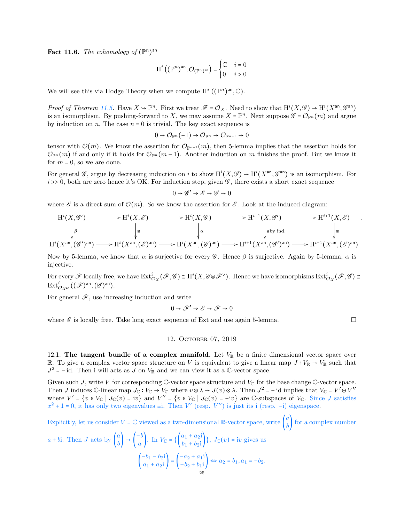**Fact 11.6.** The cohomology of  $(\mathbb{P}^n)^{\text{an}}$ 

$$
\mathrm{H}^i\left((\mathbb{P}^n)^{\mathrm{an}}, \mathcal{O}_{(\mathbb{P}^n)^{\mathrm{an}}}\right) = \begin{cases} \mathbb{C} & i = 0 \\ 0 & i > 0 \end{cases}
$$

We will see this via Hodge Theory when we compute  $H^*((\mathbb{P}^n)^{\text{an}}, \mathbb{C})$ .

Proof of Theorem [11.5.](#page-23-3) Have  $X \to \mathbb{P}^n$ . First we treat  $\mathscr{F} = \mathcal{O}_X$ . Need to show that  $\mathrm{H}^i(X, \mathscr{G}) \to \mathrm{H}^i(X^{\text{an}}, \mathscr{G}^{\text{an}})$ is an isomorphism. By pushing-forward to X, we may assume  $X = \mathbb{P}^n$ . Next suppose  $\mathscr{G} = \mathcal{O}_{\mathbb{P}^n}(m)$  and argue by induction on n, The case  $n = 0$  is trivial. The key exact sequence is

$$
0 \to \mathcal{O}_{\mathbb{P}^n}(-1) \to \mathcal{O}_{\mathbb{P}^n} \to \mathcal{O}_{\mathbb{P}^{n-1}} \to 0
$$

tensor with  $\mathcal{O}(m)$ . We know the assertion for  $\mathcal{O}_{\mathbb{P}^{n-1}}(m)$ , then 5-lemma implies that the assertion holds for  $\mathcal{O}_{\mathbb{P}^n}(m)$  if and only if it holds for  $\mathcal{O}_{\mathbb{P}^n}(m-1)$ . Another induction on m finishes the proof. But we know it for  $m = 0$ , so we are done.

For general  $\mathscr{G}$ , argue by decreasing induction on i to show  $\mathrm{H}^i(X,\mathscr{G}) \to \mathrm{H}^i(X^{\text{an}},\mathscr{G}^{\text{an}})$  is an isomorphism. For  $i \gg 0$ , both are zero hence it's OK. For induction step, given  $\mathscr{G}$ , there exists a short exact sequence

$$
0 \to \mathscr{G}' \to \mathscr{E} \to \mathscr{G} \to 0
$$

where  $\mathscr E$  is a direct sum of  $\mathcal O(m)$ . So we know the assertion for  $\mathscr E$ . Look at the induced diagram:

$$
H^{i}(X, \mathcal{G}') \longrightarrow H^{i}(X, \mathcal{E}) \longrightarrow H^{i}(X, \mathcal{G}) \longrightarrow H^{i+1}(X, \mathcal{G}') \longrightarrow H^{i+1}(X, \mathcal{E})
$$
\n
$$
\downarrow \mathcal{E}
$$
\n
$$
H^{i}(X^{\text{an}}, (\mathcal{G}')^{\text{an}}) \longrightarrow H^{i}(X^{\text{an}}, (\mathcal{E})^{\text{an}}) \longrightarrow H^{i}(X^{\text{an}}, (\mathcal{G})^{\text{an}}) \longrightarrow H^{i+1}(X^{\text{an}}, (\mathcal{G}')^{\text{an}}) \longrightarrow H^{i+1}(X^{\text{an}}, (\mathcal{E})^{\text{an}})
$$

.

Now by 5-lemma, we know that  $\alpha$  is surjective for every  $\mathscr G$ . Hence  $\beta$  is surjective. Again by 5-lemma,  $\alpha$  is injective.

For every  $\mathscr F$  locally free, we have  $\mathrm{Ext}^i_{\mathcal O_X}(\mathscr F,\mathscr G)\cong \mathrm H^i(X,\mathscr G\otimes\mathscr F^\vee).$  Hence we have isomorphisms  $\mathrm{Ext}^i_{\mathcal O_X}(\mathscr F,\mathscr G)\cong \mathscr G$  $\mathrm{Ext}^i_{\mathcal{O}_{X^{\mathrm{an}}}}((\mathscr{F})^{\mathrm{an}},(\mathscr{G})^{\mathrm{an}}).$ 

For general  $\mathscr{F}$ , use increasing induction and write

$$
0 \to \mathscr{F}' \to \mathscr{E} \to \mathscr{F} \to 0
$$

<span id="page-24-0"></span>where  $\mathscr E$  is locally free. Take long exact sequence of Ext and use again 5-lemma.

### 12. October 07, 2019

<span id="page-24-1"></span>12.1. The tangent bundle of a complex manifold. Let  $V_{\mathbb{R}}$  be a finite dimensional vector space over R. To give a complex vector space structure on V is equivalent to give a linear map  $J: V_{\mathbb{R}} \to V_{\mathbb{R}}$  such that  $J^2 = -id$ . Then i will acts as J on  $V_{\mathbb{R}}$  and we can view it as a  $\mathbb{C}$ -vector space.

Given such J, write V for corresponding  $\mathbb{C}\text{-vector}$  space structure and  $V_{\mathbb{C}}$  for the base change  $\mathbb{C}\text{-vector}$  space. Then J induces C-linear map  $J_{\mathbb{C}} : V_{\mathbb{C}} \to V_{\mathbb{C}}$  where  $v \otimes \lambda \mapsto J(v) \otimes \lambda$ . Then  $J^2 = -id$  implies that  $V_{\mathbb{C}} = V' \oplus V''$ where  $V' = \{v \in V_{\mathbb{C}} \mid J_{\mathbb{C}}(v) = iv\}$  and  $V'' = \{v \in V_{\mathbb{C}} \mid J_{\mathbb{C}}(v) = -iv\}$  are C-subspaces of  $V_{\mathbb{C}}$ . Since J satisfies  $x^2 + 1 = 0$ , it has only two eigenvalues  $\pm i$ . Then V' (resp. V'') is just its i (resp. -i) eigenspace.

Explicitly, let us consider 
$$
V = \mathbb{C}
$$
 viewed as a two-dimensional  $\mathbb{R}$ -vector space, write  $\begin{pmatrix} a \\ b \end{pmatrix}$  for a complex number

$$
a + bi. \text{ Then } J \text{ acts by } \begin{pmatrix} a \\ b \end{pmatrix} \mapsto \begin{pmatrix} -b \\ a \end{pmatrix}. \text{ In } V_{\mathbb{C}} = \left\{ \begin{pmatrix} a_1 + a_2 i \\ b_1 + b_2 i \end{pmatrix} \right\}, J_{\mathbb{C}}(v) = iv \text{ gives us}
$$
\n
$$
\begin{pmatrix} -b_1 - b_2 i \\ a_1 + a_2 i \end{pmatrix} = \begin{pmatrix} -a_2 + a_1 i \\ -b_2 + b_1 i \end{pmatrix} \Leftrightarrow a_2 = b_1, a_1 = -b_2.
$$
\n
$$
\begin{pmatrix} 25 \\ -b_2 + b_1 i \end{pmatrix} \Leftrightarrow a_2 = b_1, a_1 = -b_2.
$$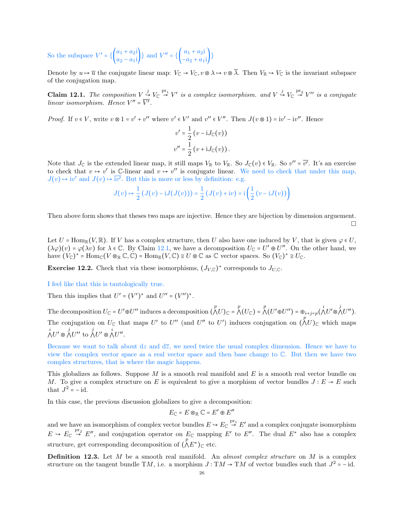So the subspace  $V' = \left\{ \begin{pmatrix} a_1 + a_2 i \\ a_2 - a_1 i \end{pmatrix} \right\}$  and  $V'' = \left\{ \begin{pmatrix} a_1 + a_2 i \\ -a_2 + a_1 i \end{pmatrix} \right\}$ 

Denote by  $u \mapsto \overline{u}$  the conjugate linear map:  $V_{\mathbb{C}} \to V_{\mathbb{C}}$ ,  $v \otimes \lambda \mapsto v \otimes \overline{\lambda}$ . Then  $V_{\mathbb{R}} \to V_{\mathbb{C}}$  is the invariant subspace of the conjugation map.

<span id="page-25-0"></span>**Claim 12.1.** The composition  $V \stackrel{j}{\rightarrow} V_{\mathbb{C}} \stackrel{\text{pr}_1}{\rightarrow} V'$  is a complex isomorphism. and  $V \stackrel{j}{\rightarrow} V_{\mathbb{C}} \stackrel{\text{pr}_2}{\rightarrow} V''$  is a conjugate linear isomorphism. Hence  $V'' = \overline{V'}$ .

*Proof.* If  $v \in V$ , write  $v \otimes 1 = v' + v''$  where  $v' \in V'$  and  $v'' \in V''$ . Then  $J(v \otimes 1) = iv' - iv''$ . Hence

$$
v' = \frac{1}{2} (v - iJ_{\mathbb{C}}(v))
$$
  

$$
v'' = \frac{1}{2} (v + iJ_{\mathbb{C}}(v)).
$$

Note that  $J_{\mathbb{C}}$  is the extended linear map, it still maps  $V_{\mathbb{R}}$  to  $V_{\mathbb{R}}$ . So  $J_{\mathbb{C}}(v) \in V_{\mathbb{R}}$ . So  $v'' = \overline{v'}$ . It's an exercise to check that  $v \mapsto v'$  is C-linear and  $v \mapsto v''$  is conjugate linear. We need to check that under this map,  $J(v) \mapsto iv'$  and  $J(v) \mapsto \overline{iv'}$ . But this is more or less by definition: e.g.

$$
J(v) \mapsto \frac{1}{2} \left( J(v) - iJ(J(v)) \right) = \frac{1}{2} \left( J(v) + iv \right) = i \left( \frac{1}{2} \left( v - iJ(v) \right) \right)
$$

Then above form shows that theses two maps are injective. Hence they are bijection by dimension arguement.  $\Box$ 

Let  $U = \text{Hom}_{\mathbb{R}}(V, \mathbb{R})$ . If V has a complex structure, then U also have one induced by V, that is given  $\varphi \in U$ .  $(\lambda \varphi)(v) = \varphi(\lambda v)$  for  $\lambda \in \mathbb{C}$ . By Claim [12.1,](#page-25-0) we have a decomposition  $U_{\mathbb{C}} = U' \oplus U''$ . On the other hand, we  $\text{have } (V_{\mathbb{C}})^* = \text{Hom}_{\mathbb{C}}(V \otimes_{\mathbb{R}} \mathbb{C}, \mathbb{C}) = \text{Hom}_{\mathbb{R}}(V, \mathbb{C}) \cong U \otimes \mathbb{C} \text{ as } \mathbb{C} \text{ vector spaces. So } (V_{\mathbb{C}})^* \cong U_{\mathbb{C}}.$ 

**Exercise 12.2.** Check that via these isomorphisms,  $(J_{V,C})^*$  corresponds to  $J_{U,C}$ .

### I feel like that this is tautologically true.

Then this implies that  $U' = (V')^*$  and  $U'' = (V'')^*$ .

The decomposition  $U_{\mathbb{C}} = U' \oplus U''$  induces a decomposition  $(\bigwedge^p U)_{\mathbb{C}} = \bigwedge^p (U_{\mathbb{C}}) = \bigwedge^p (U' \oplus U'') = \bigoplus_{i+j=p} (\bigwedge^i U' \otimes \bigwedge^j U'')$ . The conjugation on  $U_{\mathbb{C}}$  that maps U' to U'' (and U'' to U') induces conjugation on  $\bigwedge^p U$ <sub>C</sub> which maps  $\bigwedge^i U' \otimes \bigwedge^j U''$  to  $\bigwedge^j U' \otimes \bigwedge^i U''$ .

Because we want to talk about dz and  $d\overline{z}$ , we need twice the usual complex dimension. Hence we have to view the complex vector space as a real vector space and then base change to C. But then we have two complex structures, that is where the magic happens.

This globalizes as follows. Suppose  $M$  is a smooth real manifold and  $E$  is a smooth real vector bundle on M. To give a complex structure on E is equivalent to give a morphism of vector bundles  $J : E \to E$  such that  $J^2 = -id$ .

In this case, the previous discussion globalizes to give a decomposition:

$$
E_{\mathbb{C}} = E \otimes_{\mathbb{R}} \mathbb{C} = E' \oplus E''
$$

and we have an isomorphism of complex vector bundles  $E \to E_{\mathbb{C}} \stackrel{\text{pr}_1}{\to} E'$  and a complex conjugate isomorphism  $E \to E_{\mathbb{C}} \stackrel{\text{pr}_2}{\to} E''$ , and conjugation operator on  $E_{\mathbb{C}}$  mapping  $E'$  to  $E''$ . The dual  $E^*$  also has a complex structure, get corresponding decomposition of  $(\Lambda E^*)_{\mathbb{C}}$  etc.

**Definition 12.3.** Let  $M$  be a smooth real manifold. An *almost complex structure* on  $M$  is a complex structure on the tangent bundle TM, i.e. a morphism  $J : TM \to TM$  of vector bundles such that  $J^2 = -id$ .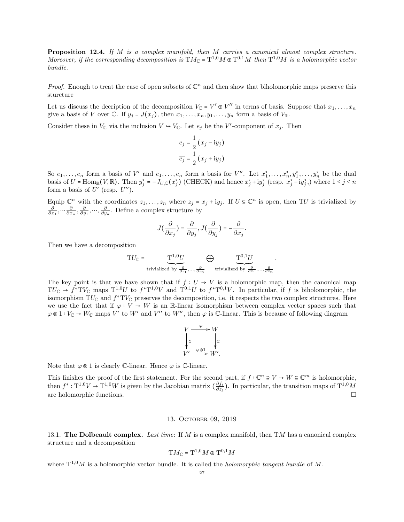Proposition 12.4. If M is a complex manifold, then M carries a canonical almost complex structure. Moreover, if the corresponding decomposition is  $TM_{\mathbb{C}} = T^{1,0}M \oplus T^{0,1}M$  then  $T^{1,0}M$  is a holomorphic vector bundle.

*Proof.* Enough to treat the case of open subsets of  $\mathbb{C}^n$  and then show that biholomorphic maps preserve this sturcture

Let us discuss the decription of the decomposition  $V_{\mathbb{C}} = V' \oplus V''$  in terms of basis. Suppose that  $x_1, \ldots, x_n$ give a basis of V over C. If  $y_j = J(x_j)$ , then  $x_1, \ldots, x_n, y_1, \ldots, y_n$  form a basis of  $V_{\mathbb{R}}$ .

Consider these in  $V_{\mathbb{C}}$  via the inclusion  $V \hookrightarrow V_{\mathbb{C}}$ . Let  $e_j$  be the V'-component of  $x_j$ . Then

$$
e_j = \frac{1}{2} (x_j - iy_j)
$$

$$
\overline{e_j} = \frac{1}{2} (x_j + iy_j)
$$

So  $e_1, \ldots, e_n$  form a basis of V' and  $\overline{e}_1, \ldots, \overline{e}_n$  form a basis for V''. Let  $x_1^*, \ldots, x_n^*, y_1^*, \ldots, y_n^*$  be the dual basis of  $U = \text{Hom}_{\mathbb{R}}(V, \mathbb{R})$ . Then  $y_j^* = -J_{U, \mathbb{C}}(x_j^*)$  (CHECK) and hence  $x_j^* + iy_j^*$  (resp.  $x_j^* - iy_j^*$ ), where  $1 \le j \le n$ form a basis of  $U'$  (resp.  $U'$ ).

Equip  $\mathbb{C}^n$  with the coordinates  $z_1, \ldots, z_n$  where  $z_j = x_j + iy_j$ . If  $U \subseteq \mathbb{C}^n$  is open, then TU is trivialized by  $\frac{\partial}{\partial x_1}, \dots, \frac{\partial}{\partial y_1}, \dots, \frac{\partial}{\partial y_n}$ . Define a complex structure by

$$
J(\frac{\partial}{\partial x_j}) = \frac{\partial}{\partial y_j}, J(\frac{\partial}{\partial y_j}) = -\frac{\partial}{\partial x_j}.
$$

Then we have a decomposition

$$
\mathrm{T} U_\mathbb{C} = \underbrace{\mathrm{T}^{1,0} U}_{\text{trivialized by }\frac{\partial}{\partial z_1},\ldots,\frac{\partial}{\partial z_n}} \bigoplus_{\text{trivialized by }\frac{\partial}{\partial \bar{z}_1},\ldots,\frac{\partial}{\partial \bar{z}_n}}.
$$

The key point is that we have shown that if  $f: U \to V$  is a holomorphic map, then the canonical map  $TU_{\mathbb{C}} \to f^*TV_{\mathbb{C}}$  maps  $T^{1,0}U$  to  $f^*T^{1,0}V$  and  $T^{0,1}U$  to  $f^*T^{0,1}V$ . In particular, if f is biholomorphic, the isomorphism  $TU_{\mathbb{C}}$  and  $f^*TU_{\mathbb{C}}$  preserves the decomposition, i.e. it respects the two complex structures. Here we use the fact that if  $\varphi: V \to W$  is an R-linear isomorphism between complex vector spaces such that  $\varphi \otimes 1: V_{\mathbb{C}} \to W_{\mathbb{C}}$  maps  $V'$  to  $W'$  and  $V''$  to  $W''$ , then  $\varphi$  is  $\mathbb{C}\text{-linear}$ . This is because of following diagram

$$
V \xrightarrow{\varphi} W
$$
  

$$
\downarrow^{\cong} \qquad \qquad \downarrow^{\cong}
$$
  

$$
V' \xrightarrow{\varphi \otimes 1} W'.
$$

Note that  $\varphi \otimes 1$  is clearly C-linear. Hence  $\varphi$  is C-linear.

This finishes the proof of the first statement. For the second part, if  $f: \mathbb{C}^n \ni V \to W \subseteq \mathbb{C}^m$  is holomorphic, then  $f^*: \mathrm{T}^{1,0}V \to \mathrm{T}^{1,0}W$  is given by the Jacobian matrix  $\left(\frac{\partial f_i}{\partial z_i}\right)$  $\frac{\partial f_i}{\partial z_j}$ ). In particular, the transition maps of  $T^{1,0}M$ are holomorphic functions.

#### 13. October 09, 2019

<span id="page-26-1"></span><span id="page-26-0"></span>13.1. The Dolbeault complex. Last time: If M is a complex manifold, then  $TM$  has a canonical complex structure and a decomposition

$$
\mathrm{T} M_{\mathbb{C}} = \mathrm{T}^{1,0} M \oplus \mathrm{T}^{0,1} M
$$

where  $T^{1,0}M$  is a holomorphic vector bundle. It is called the *holomorphic tangent bundle* of M.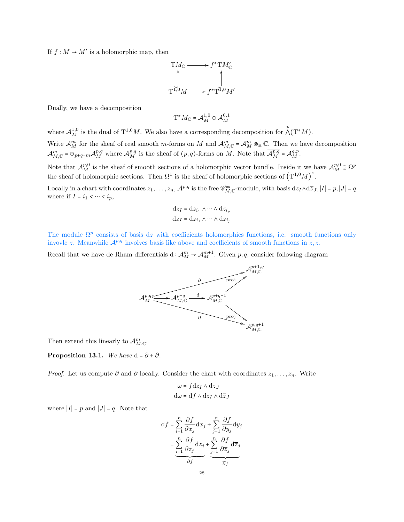If  $f: M \to M'$  is a holomorphic map, then

$$
T M_{\mathbb{C}} \longrightarrow f^* T M'_{\mathbb{C}}
$$
  

$$
\downarrow \qquad \qquad \downarrow
$$
  

$$
T^{1,0} M \longrightarrow f^* T^{1,0} M'
$$

Dually, we have a decomposition

$$
\mathrm{T}^* M_{\mathbb{C}} = \mathcal{A}_M^{1,0} \oplus \mathcal{A}_M^{0,1}
$$

where  $\mathcal{A}_{M}^{1,0}$  is the dual of  $T^{1,0}M$ . We also have a corresponding decomposition for  $\bigwedge^{p}(T^{*}M)$ . Write  $\mathcal{A}_{M}^{m}$  for the sheaf of real smooth m-forms on M and  $\mathcal{A}_{M,\mathbb{C}}^{m} = \mathcal{A}_{M}^{m} \otimes_{\mathbb{R}} \mathbb{C}$ . Then we have decomposition  $\mathcal{A}_{M,\mathbb{C}}^m = \bigoplus_{p+q=m} \mathcal{A}_{M}^{p,q}$  where  $\mathcal{A}_{M}^{p,q}$  is the sheaf of  $(p,q)$ -forms on M. Note that  $\overline{\mathcal{A}_{M}^{p,q}} = \mathcal{A}_{M}^{q,p}$ . Note that  $\mathcal{A}_{M}^{p,0}$  is the sheaf of smooth sections of a holomorphic vector bundle. Inside it we have  $\mathcal{A}_{M}^{p,0} \supseteq \Omega^p$ the sheaf of holomorphic sections. Then  $\Omega^1$  is the sheaf of holomorphic sections of  $(T^{1,0}M)^*$ .

Locally in a chart with coordinates  $z_1, \ldots, z_n$ ,  $\mathcal{A}^{p,q}$  is the free  $\mathscr{C}_{M,\mathbb{C}}^{\infty}$ -module, with basis  $dz_I \wedge d\overline{z}_J$ ,  $|I| = p$ ,  $|J| = q$ where if  $I = i_1 < \cdots < i_p$ ,

$$
dz_I = dz_{i_1} \wedge \dots \wedge dz_{i_p}
$$

$$
d\overline{z}_I = d\overline{z}_{i_1} \wedge \dots \wedge d\overline{z}_{i_p}
$$

The module  $\Omega^p$  consists of basis dz with coefficients holomorphics functions, i.e. smooth functions only invovle z. Meanwhile  $\mathcal{A}^{p,q}$  involves basis like above and coefficients of smooth functions in  $z, \overline{z}$ .

Recall that we have de Rham differentials d:  $\mathcal{A}_{M}^{m} \to \mathcal{A}_{M}^{m+1}$ . Given p, q, consider following diagram



Then extend this linearly to  $\mathcal{A}_{M,\mathbb{C}}^m$ .

**Proposition 13.1.** We have  $d = \partial + \overline{\partial}$ .

*Proof.* Let us compute  $\partial$  and  $\overline{\partial}$  locally. Consider the chart with coordinates  $z_1, \ldots, z_n$ . Write

$$
\omega = f \, dz_I \wedge d\overline{z}_J
$$

$$
d\omega = df \wedge dz_I \wedge d\overline{z}_J
$$

where  $|I| = p$  and  $|J| = q$ . Note that

$$
\begin{aligned} \mathrm{d}f&=\sum_{i=1}^{n}\frac{\partial f}{\partial x_{j}}\mathrm{d}x_{j}+\sum_{j=1}^{n}\frac{\partial f}{\partial y_{j}}\mathrm{d}y_{j}\\ &=\underbrace{\sum_{i=1}^{n}\frac{\partial f}{\partial z_{j}}\mathrm{d}z_{j}}_{\partial f}+\underbrace{\sum_{j=1}^{n}\frac{\partial f}{\partial \overline{z}_{j}}\mathrm{d}\overline{z}_{j}}_{\overline{\partial}f} \end{aligned}
$$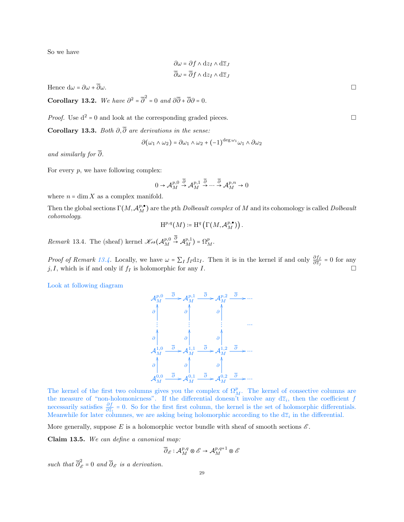So we have

 $\partial \omega = \partial f \wedge dz_I \wedge d\overline{z}_I$  $\overline{\partial}\omega = \overline{\partial}f \wedge dz_I \wedge d\overline{z}_I$ 

Hence  $d\omega = \partial \omega + \overline{\partial} \omega$ .

Corollary 13.2. We have  $\partial^2 = \overline{\partial}^2 = 0$  and  $\partial \overline{\partial} + \overline{\partial} \partial = 0$ .

*Proof.* Use  $d^2 = 0$  and look at the corresponding graded pieces.

Corollary 13.3. Both  $\partial, \overline{\partial}$  are derivations in the sense:

$$
\partial(\omega_1 \wedge \omega_2) = \partial \omega_1 \wedge \omega_2 + (-1)^{\deg \omega_1} \omega_1 \wedge \partial \omega_2
$$

and similarly for  $\overline{\partial}$ .

For every  $p$ , we have following complex:

$$
0 \rightarrow {\mathcal A}^{p,0}_M \stackrel{\overline{\partial}}{\rightarrow} {\mathcal A}^{p,1}_M \stackrel{\overline{\partial}}{\rightarrow} \cdots \stackrel{\overline{\partial}}{\rightarrow} {\mathcal A}^{p,n}_M \rightarrow 0
$$

where  $n = \dim X$  as a complex manifold.

Then the global sections  $\Gamma(M, \mathcal{A}_M^{p, \bullet})$  are the pth Dolbeault complex of M and its cohomology is called Dolbeault cohomology.

$$
\mathrm{H}^{p,q}(M)\coloneqq \mathrm{H}^q\left(\Gamma\big(M,\mathcal{A}^{p,\bullet}_M\big)\right).
$$

<span id="page-28-0"></span>Remark 13.4. The (sheaf) kernel  $\mathcal{K}e\iota(\mathcal{A}_{M}^{p,0})$  $\stackrel{\partial}{\rightarrow} \mathcal{A}_{M}^{p,1}$ ) =  $\Omega_{M}^{p}.$ 

*Proof of Remark [13.4.](#page-28-0)* Locally, we have  $\omega = \sum_I f_I dz_I$ . Then it is in the kernel if and only  $\frac{\partial f_I}{\partial \overline{z}_j} = 0$  for any  $j, I$ , which is if and only if  $f_I$  is holomorphic for any I.

Look at following diagram



The kernel of the first two columns gives you the complex of  $\Omega_M^p$ . The kernel of consective columns are the measure of "non-holomonicness". If the differential donesn't involve any  $d\overline{z}_i$ , then the coefficient f necessarily satisfies  $\frac{\partial f}{\partial \overline{z}_i} = 0$ . So for the first first column, the kernel is the set of holomorphic differentials. Meanwhile for later columnes, we are asking being holomorphic according to the  $d\overline{z}_i$  in the differential.

More generally, suppose E is a holomorphic vector bundle with sheaf of smooth sections  $\mathscr{E}$ .

Claim 13.5. We can define a canonical map:

$$
\overline{\partial}_{\mathscr{E}}:\mathcal{A}_{M}^{p,q}\otimes \mathscr{E}\to \mathcal{A}_{M}^{p,q+1}\otimes \mathscr{E}
$$

such that  $\overline{\partial}_{\mathscr{E}}^2 = 0$  and  $\overline{\partial}_{\mathscr{E}}$  is a derivation.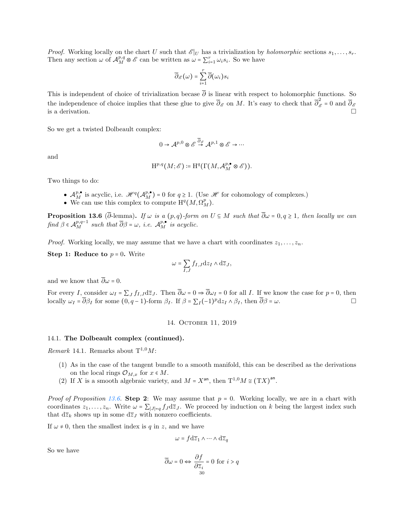*Proof.* Working locally on the chart U such that  $\mathscr{E}|_U$  has a trivialization by *holomorphic* sections  $s_1, \ldots, s_r$ . Then any section  $\omega$  of  $\mathcal{A}_{M}^{p,q} \otimes \mathcal{E}$  can be written as  $\omega = \sum_{i=1}^{r} \omega_i s_i$ . So we have

$$
\overline{\partial}_{\mathcal{E}}\bigl(\omega\bigr)=\sum_{i=1}^r\overline{\partial}\bigl(\omega_i\bigr)s_i
$$

This is independent of choice of trivialization becase  $\overline{\partial}$  is linear with respect to holomorphic functions. So the independence of choice implies that these glue to give  $\overline{\partial}_{\mathscr{E}}$  on M. It's easy to check that  $\overline{\partial}_{\mathscr{E}}^2 = 0$  and  $\overline{\partial}_{\mathscr{E}}$ is a derivation.  $\Box$ 

So we get a twisted Dolbeault complex:

$$
0 \to {\mathcal A}^{p,0} \otimes {\mathcal E} \stackrel{\overline{\partial}_{\mathcal E}}{\to} {\mathcal A}^{p,1} \otimes {\mathcal E} \to \cdots
$$

and

$$
\mathrm{H}^{p,q}(M;\mathscr{E})\coloneqq \mathrm{H}^q(\Gamma(M,\mathcal{A}^{p,\bullet}_M\otimes \mathscr{E})).
$$

Two things to do:

- $\mathcal{A}_{M}^{p,\bullet}$  is acyclic, i.e.  $\mathcal{H}^{q}(\mathcal{A}_{M}^{p,\bullet}) = 0$  for  $q \geq 1$ . (Use  $\mathcal{H}$  for cohomology of complexes.)
- We can use this complex to compute  $\mathrm{H}^q(M, \Omega^p_M)$ .

<span id="page-29-2"></span>**Proposition 13.6** ( $\overline{\partial}$ -lemma). If  $\omega$  is a (p,q)-form on  $U \subseteq M$  such that  $\overline{\partial}\omega = 0, q \ge 1$ , then locally we can find  $\beta \in \mathcal{A}_{M}^{p,q-1}$  such that  $\overline{\partial} \beta = \omega$ , i.e.  $\mathcal{A}_{M}^{p,\bullet}$  is acyclic.

*Proof.* Working locally, we may assume that we have a chart with coordinates  $z_1, \ldots, z_n$ .

**Step 1: Reduce to**  $p = 0$ . Write

$$
\omega=\sum_{I,J}f_{I,J}{\rm d} z_I\wedge {\rm d} \overline{z}_J,
$$

and we know that  $\overline{\partial}\omega = 0$ .

For every I, consider  $\omega_I = \sum_I f_{I,J} d\overline{z}_J$ . Then  $\overline{\partial}\omega = 0 \Rightarrow \overline{\partial}\omega_I = 0$  for all I. If we know the case for  $p = 0$ , then locally  $\omega_I = \overline{\partial} \beta_I$  for some  $(0, q-1)$ -form  $\beta_I$ . If  $\beta = \sum_I (-1)^I dz_I \wedge \beta_I$ , then  $\overline{\partial} \beta = \omega$ .

# 14. October 11, 2019

### <span id="page-29-1"></span><span id="page-29-0"></span>14.1. The Dolbeault complex (continued).

Remark 14.1. Remarks about  $T^{1,0}M$ :

- (1) As in the case of the tangent bundle to a smooth manifold, this can be described as the derivations on the local rings  $\mathcal{O}_{M,x}$  for  $x \in M$ .
- (2) If X is a smooth algebraic variety, and  $M = X^{\text{an}}$ , then  $T^{1,0}M \cong (TX)^{\text{an}}$ .

*Proof of Proposition [13.6.](#page-29-2)* Step 2: We may assume that  $p = 0$ . Working locally, we are in a chart with coordinates  $z_1, \ldots, z_n$ . Write  $\omega = \sum_{|J|=q} f_J d\overline{z}_J$ . We proceed by induction on k being the largest index such that  $d\overline{z}_k$  shows up in some  $d\overline{z}_j$  with nonzero coefficients.

If  $\omega \neq 0$ , then the smallest index is q in z, and we have

$$
\omega = f \, \mathrm{d}\overline{z}_1 \wedge \dots \wedge \mathrm{d}\overline{z}_q
$$

So we have

$$
\overline{\partial}\omega = 0 \Leftrightarrow \frac{\partial f}{\partial \overline{z}_i} = 0 \text{ for } i > q
$$
  
<sub>30</sub>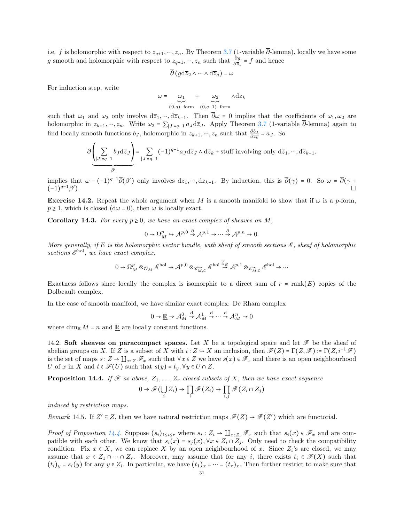i.e. f is holomorphic with respect to  $z_{q+1},..., z_n$ . By Theorem [3.7](#page-9-3) (1-variable  $\overline{\partial}$ -lemma), locally we have some g smooth and holomorphic with respect to  $z_{q+1},..., z_n$  such that  $\frac{\partial g}{\partial \overline{z}_1} = f$  and hence

$$
\overline{\partial}\left(g\mathrm{d}\overline{z}_2\wedge\cdots\wedge\mathrm{d}\overline{z}_q\right)=\omega
$$

For induction step, write

$$
\omega = \bigcup_{(0,q)-\text{form}}^{\omega_1} + \bigcup_{(0,q-1)-\text{form}}^{\omega_2} \wedge d\overline{z}_k
$$

such that  $\omega_1$  and  $\omega_2$  only involve  $d\overline{z}_1, ..., d\overline{z}_{k-1}$ . Then  $\overline{\partial}\omega = 0$  implies that the coefficients of  $\omega_1, \omega_2$  are holomorphic in  $z_{k+1},..., z_n$ . Write  $\omega_2 = \sum_{|J|=q-1} a_J d\overline{z}_J$ . Apply Theorem [3.7](#page-9-3) (1-variable  $\overline{\partial}$ -lemma) again to find locally smooth functions  $b_J$ , holomorphic in  $z_{k+1}, \dots, z_n$  such that  $\frac{\partial b_J}{\partial \overline{z_k}} = a_J$ . So

$$
\overline{\partial}\underbrace{\left(\sum_{|J|=q-1}b_J {{\rm d}}\overline{z}_J\right)}_{\beta'}=\sum_{|J|=q-1}(-1)^{q-1}a_J{{\rm d}}\overline{z}_J\wedge {{\rm d}}\overline{z}_k+{\rm stuff}\text{ involving only }{{\rm d}}\overline{z}_1,\cdots,{{\rm d}}\overline{z}_{k-1}.
$$

implies that  $\omega - (-1)^{q-1} \overline{\partial}(\beta')$  only involves  $d\overline{z}_1, ..., d\overline{z}_{k-1}$ . By induction, this is  $\overline{\partial}(\gamma) = 0$ . So  $\omega = \overline{\partial}(\gamma + \beta')$  $(-1)^{q-1}\beta'$ ).

**Exercise 14.2.** Repeat the whole argument when M is a smooth manifold to show that if  $\omega$  is a p-form,  $p \geq 1$ , which is closed  $(d\omega = 0)$ , then  $\omega$  is locally exact.

**Corollary 14.3.** For every  $p \ge 0$ , we have an exact complex of sheaves on M,

$$
0 \to \Omega^p_M \to \mathcal{A}^{p,0} \overset{\partial}{\to} \mathcal{A}^{p,1} \to \cdots \overset{\partial}{\to} \mathcal{A}^{p,n} \to 0.
$$

More generally, if E is the holomorphic vector bundle, with sheaf of smooth sections  $\mathscr E$ , sheaf of holomorphic sections  $\mathscr{E}^{\text{hol}}$ , we have exact complex,

$$
0\to \Omega^p_M\otimes_{\mathcal O_M} \mathscr E^{\operatorname{hol}} \to \mathcal A^{p,0}\otimes_{\mathscr C^\infty_{M,{\mathbb C}}}\mathscr E^{\operatorname{hol}} \stackrel{\partial_E}{\to} \mathcal A^{p,1}\otimes_{\mathscr C^\infty_{M,{\mathbb C}}}\mathscr E^{\operatorname{hol}} \to \cdots
$$

Exactness follows since locally the complex is isomorphic to a direct sum of  $r = \text{rank}(E)$  copies of the Dolbeault complex.

In the case of smooth manifold, we have similar exact complex: De Rham complex

$$
0 \to \underline{\mathbb{R}} \to \mathcal{A}_M^0 \stackrel{d}{\to} \mathcal{A}_M^1 \stackrel{d}{\to} \cdots \stackrel{d}{\to} \mathcal{A}_M^n \to 0
$$

where dim<sub>R</sub>  $M = n$  and R are locally constant functions.

<span id="page-30-0"></span>14.2. Soft sheaves on paracompact spaces. Let X be a topological space and let  $\mathscr F$  be the sheaf of abelian groups on X. If Z is a subset of X with  $i: Z \to X$  an inclusion, then  $\mathscr{F}(Z) = \Gamma(Z, \mathscr{F}) = \Gamma(Z, i^{-1}\mathscr{F})$ is the set of maps  $s: Z \to \coprod_{x \in Z} \mathscr{F}_x$  such that  $\forall x \in Z$  we have  $s(x) \in \mathscr{F}_x$  and there is an open neighbourhood U of x in X and  $t \in \mathscr{F}(U)$  such that  $s(y) = t_y, \forall y \in U \cap Z$ .

<span id="page-30-1"></span>**Proposition 14.4.** If  $\mathcal{F}$  as above,  $Z_1, \ldots, Z_r$  closed subsets of X, then we have exact sequence

$$
0 \to \mathscr{F}(\bigcup_i Z_i) \to \prod_i \mathscr{F}(Z_i) \to \prod_{i,j} \mathscr{F}(Z_i \cap Z_j)
$$

induced by restriction maps.

Remark 14.5. If  $Z' \subseteq Z$ , then we have natural restriction maps  $\mathscr{F}(Z) \to \mathscr{F}(Z')$  which are functorial.

*Proof of Proposition [14.4.](#page-30-1)* Suppose  $(s_i)_{1 \leq i \leq r}$  where  $s_i : Z_i \to \coprod_{x \in Z_i} \mathscr{F}_x$  such that  $s_i(x) \in \mathscr{F}_x$  and are compatible with each other. We know that  $s_i(x) = s_j(x)$ ,  $\forall x \in Z_i \cap Z_j$ . Only need to check the compatibility condition. Fix  $x \in X$ , we can replace X by an open neighbourhood of x. Since  $Z_i$ 's are closed, we may assume that  $x \in Z_1 \cap \cdots \cap Z_r$ . Moreover, may assume that for any i, there exists  $t_i \in \mathscr{F}(X)$  such that  $(t_i)_y = s_i(y)$  for any  $y \in Z_i$ . In particular, we have  $(t_1)_x = \cdots = (t_r)_x$ . Then further restrict to make sure that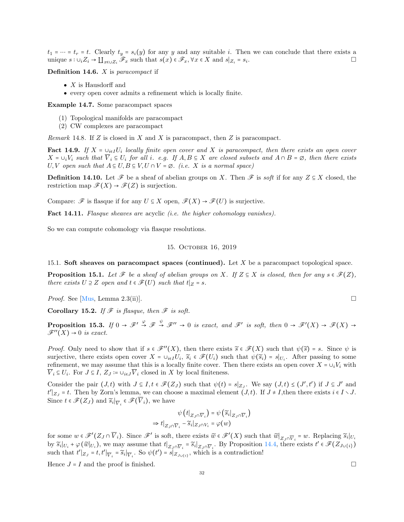$t_1 = \cdots = t_r = t$ . Clearly  $t_y = s_i(y)$  for any y and any suitable i. Then we can conclude that there exists a unique  $s: \bigcup_i Z_i \to \coprod_{x \in \bigcup Z_i} \mathscr{F}_x$  such that  $s(x) \in \mathscr{F}_x, \forall x \in X$  and  $s|_{Z_i} = s_i$ . . В последните поставите на примерение в поставите на примерение в поставите на примерение в собита на примере<br>В поставите на примерение в поставите на примерение в поставите на примерение в поставите на примерение в пост

**Definition 14.6.**  $X$  is paracompact if

- $X$  is Hausdorff and
- every open cover admits a refinement which is locally finite.

Example 14.7. Some paracompact spaces

- (1) Topological manifolds are paracompact
- (2) CW complexes are paracompact

*Remark* 14.8. If  $Z$  is closed in  $X$  and  $X$  is paracompact, then  $Z$  is paracompact.

**Fact 14.9.** If  $X = \bigcup_{i \in I} U_i$  locally finite open cover and X is paracompact, then there exists an open cover  $X = \bigcup_i V_i$  such that  $V_i \subseteq U_i$  for all i. e.g. If  $A, B \subseteq X$  are closed subsets and  $A \cap B = \emptyset$ , then there exists U, V open such that  $A \subseteq U, B \subseteq V, U \cap V = \emptyset$ . (i.e. X is a normal space)

**Definition 14.10.** Let  $\mathscr F$  be a sheaf of abelian groups on X. Then  $\mathscr F$  is soft if for any  $Z \subseteq X$  closed, the restriction map  $\mathscr{F}(X) \to \mathscr{F}(Z)$  is surjection.

Compare:  $\mathscr F$  is flasque if for any  $U \subseteq X$  open,  $\mathscr F(X) \to \mathscr F(U)$  is surjective.

Fact 14.11. Flasque sheaves are acyclic *(i.e. the higher cohomology vanishes)*.

<span id="page-31-0"></span>So we can compute cohomology via flasque resolutions.

### 15. October 16, 2019

<span id="page-31-1"></span>15.1. Soft sheaves on paracompact spaces (continued). Let X be a paracompact topological space.

<span id="page-31-4"></span>**Proposition 15.1.** Let  $\mathcal F$  be a sheaf of abelian groups on X. If  $Z \subseteq X$  is closed, then for any  $s \in \mathcal F(Z)$ , there exists  $U \supseteq Z$  open and  $t \in \mathscr{F}(U)$  such that  $t|_Z = s$ .

*Proof.* See [\[Mus,](#page-78-3) Lemma 2.3(ii)].

Corollary 15.2. If  $\mathscr F$  is flasque, then  $\mathscr F$  is soft.

<span id="page-31-2"></span>**Proposition 15.3.** If  $0 \to \mathcal{F}' \stackrel{\varphi}{\to} \mathcal{F} \stackrel{\psi}{\to} \mathcal{F}'' \to 0$  is exact, and  $\mathcal{F}'$  is soft, then  $0 \to \mathcal{F}'(X) \to \mathcal{F}(X) \to$  $\mathscr{F}''(X) \to 0$  is exact.

*Proof.* Only need to show that if  $s \in \mathcal{F}''(X)$ , then there exists  $\widetilde{s} \in \mathcal{F}(X)$  such that  $\psi(\widetilde{s}) = s$ . Since  $\psi$  is surjective, there exists open cover  $X = \cup_{i \in I} U_i$ ,  $\widetilde{s}_i \in \mathscr{F}(U_i)$  such that  $\psi(\widetilde{s}_i) = s|_{U_i}$ . After passing to some refinement, we may assume that this is a locally finite cover. Then there exists an open cover  $X = \bigcup_i V_i$  with  $V_i \subseteq U_i$ . For  $J \subseteq I$ ,  $Z_J := \bigcup_{i \in J} V_i$  closed in X by local finiteness.

Consider the pair  $(J,t)$  with  $J \subseteq I$ ,  $t \in \mathcal{F}(Z_J)$  such that  $\psi(t) = s|_{Z_J}$ . We say  $(J,t) \leq (J',t')$  if  $J \subseteq J'$  and  $t'|_{Z_J} = t$ . Then by Zorn's lemma, we can choose a maximal element  $(J,t)$ . If  $J \neq I$ , then there exists  $i \in I \setminus J$ . Since  $t \in \mathscr{F}(Z_J)$  and  $\widetilde{s}_i|_{\overline{V}_i} \in \mathscr{F}(V_i)$ , we have

$$
\psi(t|_{Z_J \cap \overline{V}_i}) = \psi(\widetilde{s}_i|_{Z_J \cap \overline{V}_i})
$$
  
\n
$$
\Rightarrow t|_{Z_J \cap \overline{V}_i} - \widetilde{s}_i|_{Z_J \cap V_i} = \varphi(w)
$$

for some  $w \in \mathscr{F}'(Z_J \cap \overline{V}_i)$ . Since  $\mathscr{F}'$  is soft, there exists  $\widetilde{w} \in \mathscr{F}'(X)$  such that  $\widetilde{w}|_{Z_J \cap \overline{V}_i} = w$ . Replacing  $\widetilde{s}_i|_{U_i}$ by  $\widetilde{s}_i|_{U_i} + \varphi(\widetilde{w}|_{U_i})$ , we may assume that  $t|_{Z_J \cap \overline{V}_i} = \widetilde{s}_i|_{Z_J \cap \overline{V}_i}$ . By Proposition [14.4,](#page-30-1) there exists  $t' \in \mathscr{F}(Z_{J \cup \{i\}})$ such that  $t'|_{Z_J} = t, t'|_{\overline{V}_i} = \widetilde{s}_i|_{\overline{V}_i}$ . So  $\psi(t') = s|_{Z_{J \cup \{i\}}},$  which is a contradiction!

<span id="page-31-3"></span>Hence  $J = I$  and the proof is finished.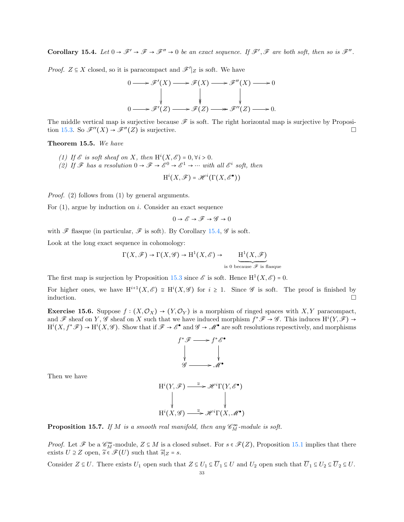**Corollary 15.4.** Let  $0 \to \mathcal{F}' \to \mathcal{F} \to \mathcal{F}'' \to 0$  be an exact sequence. If  $\mathcal{F}', \mathcal{F}$  are both soft, then so is  $\mathcal{F}''$ .

*Proof.*  $Z \subseteq X$  closed, so it is paracompact and  $\mathscr{F}'|_Z$  is soft. We have

$$
0 \longrightarrow \mathcal{F}'(X) \longrightarrow \mathcal{F}(X) \longrightarrow \mathcal{F}''(X) \longrightarrow 0
$$
  
\n
$$
\downarrow \qquad \qquad \downarrow \qquad \qquad \downarrow
$$
  
\n
$$
0 \longrightarrow \mathcal{F}'(Z) \longrightarrow \mathcal{F}(Z) \longrightarrow \mathcal{F}''(Z) \longrightarrow 0.
$$

The middle vertical map is surjective because  $\mathscr F$  is soft. The right horizontal map is surjective by Proposi-tion [15.3.](#page-31-2) So  $\mathscr{F}''(X) \to \mathscr{F}''(Z)$  is surjective.

Theorem 15.5. We have

- (1) If  $\mathscr E$  is soft sheaf on X, then  $\mathrm{H}^i(X,\mathscr E)=0, \forall i>0$ .
- (2) If  $\mathscr F$  has a resolution  $0 \to \mathscr F \to \mathscr E^0 \to \mathscr E^1 \to \cdots$  with all  $\mathscr E^i$  soft, then

$$
\mathrm{H}^i(X,\mathscr{F})=\mathscr{H}^i(\Gamma(X,\mathscr{E}^{\bullet}))
$$

Proof. (2) follows from (1) by general arguments.

For  $(1)$ , argue by induction on i. Consider an exact sequence

$$
0 \to \mathscr{E} \to \mathscr{F} \to \mathscr{G} \to 0
$$

with  $\mathscr F$  flasque (in particular,  $\mathscr F$  is soft). By Corollary [15.4,](#page-31-3)  $\mathscr G$  is soft.

Look at the long exact sequence in cohomology:

$$
\Gamma(X,\mathscr{F}) \to \Gamma(X,\mathscr{G}) \to H^1(X,\mathscr{E}) \to \underbrace{\Pi^1(X,\mathscr{F})}_{\text{is 0 because } \mathscr{F} \text{ is flasque}}
$$

The first map is surjection by Proposition [15.3](#page-31-2) since  $\mathscr E$  is soft. Hence  $H^1(X,\mathscr E) = 0$ .

For higher ones, we have  $H^{i+1}(X,\mathscr{E}) \cong H^{i}(X,\mathscr{G})$  for  $i \geq 1$ . Since  $\mathscr{G}$  is soft. The proof is finished by induction.  $\Box$ 

**Exercise 15.6.** Suppose  $f : (X, \mathcal{O}_X) \to (Y, \mathcal{O}_Y)$  is a morphism of ringed spaces with X, Y paracompact, and  $\mathscr F$  sheaf on Y,  $\mathscr G$  sheaf on X such that we have induced morphism  $f^*\mathscr F \to \mathscr G$ . This induces  $\mathrm{H}^i(Y,\mathscr F) \to$  $H^{i}(X, f^{*}\mathscr{F}) \to H^{i}(X, \mathscr{G})$ . Show that if  $\mathscr{F} \to \mathscr{E}^{\bullet}$  and  $\mathscr{G} \to \mathscr{M}^{\bullet}$  are soft resolutions repesctively, and morphisms



Then we have

$$
H^{i}(Y, \mathscr{F}) \xrightarrow{\simeq} \mathscr{H}^{i}\Gamma(Y, \mathscr{E}^{\bullet})
$$
  
\n
$$
\downarrow \qquad \qquad \downarrow
$$
  
\n
$$
H^{i}(X, \mathscr{G}) \xrightarrow{\simeq} \mathscr{H}^{i}\Gamma(X, \mathscr{M}^{\bullet})
$$

**Proposition 15.7.** If M is a smooth real manifold, then any  $\mathscr{C}_M^{\infty}$ -module is soft.

*Proof.* Let  $\mathscr F$  be a  $\mathscr C_m^{\infty}$ -module,  $Z \subseteq M$  is a closed subset. For  $s \in \mathscr F(Z)$ , Proposition [15.1](#page-31-4) implies that there exists  $U \supseteq Z$  open,  $\widetilde{s} \in \mathscr{F}(U)$  such that  $\widetilde{s}|_Z = s$ .

Consider  $Z \subseteq U$ . There exists  $U_1$  open such that  $Z \subseteq U_1 \subseteq \overline{U}_1 \subseteq U$  and  $U_2$  open such that  $\overline{U}_1 \subseteq U_2 \subseteq \overline{U}_2 \subseteq U$ .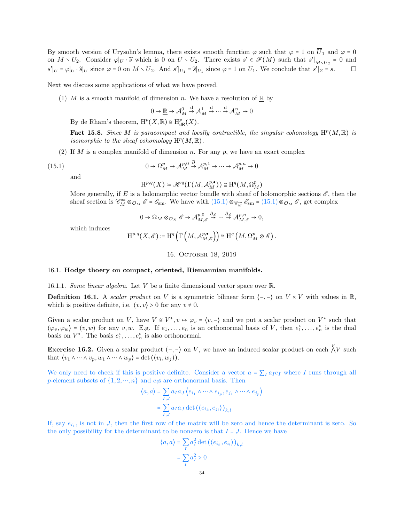By smooth version of Urysohn's lemma, there exists smooth function  $\varphi$  such that  $\varphi = 1$  on  $\overline{U}_1$  and  $\varphi = 0$ on  $M \setminus U_2$ . Consider  $\varphi|_U \cdot \widetilde{s}$  which is 0 on  $U \setminus U_2$ . There exists  $s' \in \mathscr{F}(M)$  such that  $s'|_{M \setminus \overline{U}_2} = 0$  and  $s'|_U = \varphi|_U \cdot \widetilde{s}|_U$  since  $\varphi = 0$  on  $M \setminus \overline{U}_2$ . And  $s'|_{U_1} = \widetilde{s}|_{U_1}$  since  $\varphi = 1$  on  $U_1$ . We conclude that  $s'|_Z = s$ .

Next we discuss some applications of what we have proved.

(1) M is a smooth manifold of dimension n. We have a resolution of  $\mathbb{R}$  by

$$
0 \to \underline{\mathbb{R}} \to \mathcal{A}_M^0 \stackrel{d}{\to} \mathcal{A}_M^1 \stackrel{d}{\to} \cdots \stackrel{d}{\to} \mathcal{A}_M^n \to 0
$$

By de Rham's theorem,  $\mathrm{H}^p(X,\underline{\mathbb{R}}) \cong \mathrm{H}_{\mathsf{dR}}^p(X)$ .

Fact 15.8. Since M is paracompact and locally contractible, the singular cohomology  $H^p(M,\mathbb{R})$  is isomorphic to the sheaf cohomology  $\mathrm{H}^p(M,\underline{\mathbb{R}})$ .

 $\overline{0}$ 

(2) If M is a complex manifold of dimension n. For any  $p$ , we have an exact complex

(15.1) 
$$
0 \to \Omega_M^p \to \mathcal{A}_M^{p,0} \stackrel{\partial}{\to} \mathcal{A}_M^{p,1} \to \cdots \to \mathcal{A}_M^{p,n} \to
$$

and

<span id="page-33-2"></span>
$$
\mathrm{H}^{p,q}(X)\coloneqq \mathscr{H}^q(\Gamma(M,\mathcal{A}_M^{p,\bullet}))\cong \mathrm{H}^q(M,\Omega_M^p)
$$

More generally, if E is a holomorphic vector bundle with sheaf of holomorphic sections  $\mathscr{E}$ , then the sheaf section is  $\mathcal{C}_M^{\infty} \otimes_{\mathcal{O}_M} \mathcal{E} = \mathcal{E}_{\text{sm}}$ . We have with  $(15.1) \otimes_{\mathcal{C}_M^{\infty}} \mathcal{E}_{\text{sm}} = (15.1) \otimes_{\mathcal{O}_M} \mathcal{E}$  $(15.1) \otimes_{\mathcal{C}_M^{\infty}} \mathcal{E}_{\text{sm}} = (15.1) \otimes_{\mathcal{O}_M} \mathcal{E}$ , get complex

$$
0\to \Omega_M\otimes_{\mathcal{O}_X}\mathcal{E}\to \mathcal{A}_{M,\mathcal{E}}^{p,0}\overset{\overline{\partial}_\mathcal{E}}{\to}\cdots\overset{\overline{\partial}_\mathcal{E}}{\to}\mathcal{A}_{M,\mathcal{E}}^{p,n}\to 0,
$$

which induces

$$
\mathrm{H}^{p,q}\big(X,\mathscr{E}\big)\coloneqq\mathrm{H}^q\left(\Gamma\left(M,\mathcal{A}_{M,\mathscr{E}}^{p,\bullet}\right)\right)\cong\mathrm{H}^q\left(M,\Omega_{M}^p\otimes\mathscr{E}\right).
$$

16. October 18, 2019

#### <span id="page-33-1"></span><span id="page-33-0"></span>16.1. Hodge thoery on compact, oriented, Riemannian manifolds.

16.1.1. Some linear algebra. Let V be a finite dimensional vector space over  $\mathbb{R}$ .

**Definition 16.1.** A scalar product on V is a symmetric bilinear form  $\langle -, - \rangle$  on  $V \times V$  with values in R, which is positive definite, i.e.  $\langle v, v \rangle > 0$  for any  $v \neq 0$ .

Given a scalar product on V, have  $V \cong V^*$ ,  $v \mapsto \varphi_v = \langle v, - \rangle$  and we put a scalar product on  $V^*$  such that  $\langle \varphi_v, \varphi_w \rangle = \langle v, w \rangle$  for any v, w. E.g. If  $e_1, \ldots, e_n$  is an orthonormal basis of V, then  $e_1^*, \ldots, e_n^*$  is the dual basis on  $V^*$ . The basis  $e_1^*, \ldots, e_n^*$  is also orthonormal.

**Exercise 16.2.** Given a scalar product  $\langle -, - \rangle$  on V, we have an induced scalar product on each  $\bigwedge^p V$  such that  $\langle v_1 \wedge \cdots \wedge v_p, w_1 \wedge \cdots \wedge w_p \rangle = \det(\langle v_i, w_j \rangle).$ 

We only need to check if this is positive definite. Consider a vector  $a = \sum_I a_I e_I$  where I runs through all p-element subsets of  $\{1, 2, \dots, n\}$  and  $e_i$ s are orthonormal basis. Then

$$
\langle a, a \rangle = \sum_{I, J} a_I a_J \langle e_{i_1} \wedge \cdots \wedge e_{i_p}, e_{j_1} \wedge \cdots \wedge e_{j_p} \rangle
$$

$$
= \sum_{I, J} a_I a_J \det (\langle e_{i_k}, e_{j_l} \rangle)_{k, l}
$$

If, say  $e_{i_1}$ , is not in J, then the first row of the matrix will be zero and hence the determinant is zero. So the only possibility for the determinant to be nonzero is that  $I = J$ . Hence we have

$$
\langle a, a \rangle = \sum_{I} a_I^2 \det \left( \langle e_{i_k}, e_{i_l} \rangle \right)_{k, l}
$$

$$
= \sum_{I} a_I^2 > 0
$$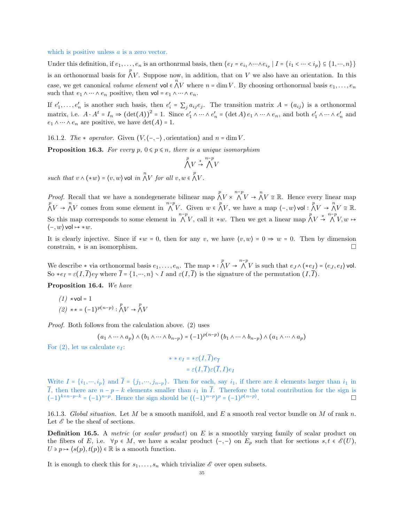#### which is positive unless a is a zero vector.

Under this definition, if  $e_1, \ldots, e_n$  is an orthonrmal basis, then  $\{e_I = e_{i_1} \wedge \cdots \wedge e_{i_p} \mid I = \{i_1 < \cdots < i_p\} \subseteq \{1, \cdots, n\}\}\$ is an orthonormal basis for  $\bigwedge^p V$ . Suppose now, in addition, that on V we also have an orientation. In this case, we get canonical *volume element* vol  $\epsilon \wedge V$  where  $n = \dim V$ . By choosing orthonormal basis  $e_1, \ldots, e_n$ such that  $e_1 \wedge \cdots \wedge e_n$  positive, then vol =  $e_1 \wedge \cdots \wedge e_n$ .

If  $e'_1, \ldots, e'_n$  is another such basis, then  $e'_i = \sum_j a_{ij} e_j$ . The transition matrix  $A = (a_{ij})$  is a orthonormal matrix, i.e.  $A \cdot A^t = I_n \Rightarrow (\det(A))^2 = 1$ . Since  $e'_1 \wedge \cdots \wedge e'_n = (\det A) e_1 \wedge \cdots \wedge e_n$ , and both  $e'_1 \wedge \cdots \wedge e'_n$  and  $e_1 \wedge \cdots \wedge e_n$  are positive, we have  $\det(A) = 1$ .

16.1.2. The  $\star$  operator. Given  $(V, \langle -, - \rangle)$ , orientation) and  $n = \dim V$ .

**Proposition 16.3.** For every p,  $0 \leq p \leq n$ , there is a unique isomorphism

$$
\bigwedge^p V \overset{*}{\rightarrow} \bigwedge^{n-p} V
$$

such that  $v \wedge (*w) = \langle v, w \rangle$  vol in  $\bigwedge^n V$  for all  $v, w \in \bigwedge^p V$ .

*Proof.* Recall that we have a nondegenerate bilinear map  $\bigwedge^p V \times \bigwedge^{n-p} V \to \bigwedge^n V \cong \mathbb{R}$ . Hence every linear map  $\bigwedge^p V \to \bigwedge^n V$  comes from some element in  $\bigwedge^{n-p} V$ . Given  $w \in \bigwedge^p V$ , we have a map  $\langle -, w \rangle$  vol:  $\bigwedge^p V \to \bigwedge^n V \cong \mathbb{R}$ . So this map corresponds to some element in  $\bigwedge^{n-p}V$ , call it \*w. Then we get a linear map  $\bigwedge^pV \stackrel{*}{\rightarrow} \bigwedge^nV, w \mapsto$  $\langle -, w \rangle$  vol  $\mapsto *w$ .

It is clearly injective. Since if  $*w = 0$ , then for any v, we have  $(v, w) = 0 \Rightarrow w = 0$ . Then by dimension constrain, ∗ is an isomorphism.

We describe  $*$  via orthonormal basis  $e_1, \ldots, e_n$ . The map  $* : \bigwedge^p V \to \bigwedge^{n-p} V$  is such that  $e_J \wedge (*e_I) = \langle e_J, e_I \rangle$  vol. So  $*e_I = \varepsilon(I,\overline{I})e_{\overline{I}}$  where  $\overline{I} = \{1,\dots,n\} \setminus I$  and  $\varepsilon(I,\overline{I})$  is the signature of the permutation  $(I,\overline{I})$ .

Proposition 16.4. We have

 $(1)$  ∗vol = 1 (2) \*\* = (-1)<sup>p(n-p)</sup> :  $\bigwedge^p V \to \bigwedge^p V$ 

Proof. Both follows from the calculation above. (2) uses

$$
(a_1 \wedge \cdots \wedge a_p) \wedge (b_1 \wedge \cdots \wedge b_{n-p}) = (-1)^{p(n-p)} (b_1 \wedge \cdots \wedge b_{n-p}) \wedge (a_1 \wedge \cdots \wedge a_p)
$$

For  $(2)$ , let us calculate  $e_I$ :

$$
\ast \ast e_I = \ast \varepsilon(I, \overline{I})e_{\overline{I}}
$$

$$
= \varepsilon(I, \overline{I})\varepsilon(\overline{I}, I)e_I
$$

Write  $I = \{i_1, \dots, i_p\}$  and  $\overline{I} = \{j_1, \dots, j_{n-p}\}$ . Then for each, say  $i_1$ , if there are k elements larger than  $i_1$  in  $\overline{I}$ , then there are  $n - p - k$  elements smaller than  $i_1$  in  $\overline{I}$ . Therefore the total contribution for the sign is  $(-1)^{k+n-p-k}$  =  $(-1)^{n-p}$ . Hence the sign should be  $((-1)^{n-p})^p = (-1)^{p(n-p)}$ .

16.1.3. Global situation. Let M be a smooth manifold, and E a smooth real vector bundle on M of rank n. Let  $\mathscr E$  be the sheaf of sections.

**Definition 16.5.** A metric (or scalar product) on  $E$  is a smoothly varying family of scalar product on the fibers of E, i.e.  $\forall p \in M$ , we have a scalar product  $\langle -, - \rangle$  on  $E_p$  such that for sections  $s, t \in \mathscr{E}(U)$ ,  $U \ni p \mapsto \langle s(p), t(p) \rangle \in \mathbb{R}$  is a smooth function.

It is enough to check this for  $s_1, \ldots, s_n$  which trivialize  $\mathscr E$  over open subsets.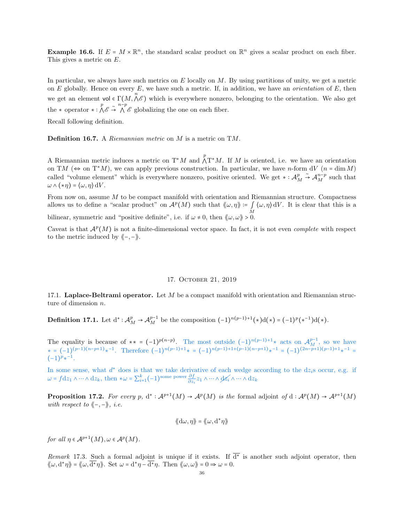**Example 16.6.** If  $E = M \times \mathbb{R}^n$ , the standard scalar product on  $\mathbb{R}^n$  gives a scalar product on each fiber. This gives a metric on E.

In particular, we always have such metrics on  $E$  locally on  $M$ . By using partitions of unity, we get a metric on  $E$  globally. Hence on every  $E$ , we have such a metric. If, in addition, we have an *orientation* of  $E$ , then we get an element vol  $\in \Gamma(M, \Lambda^e)$  which is everywhere nonzero, belonging to the orientation. We also get the  $*$  operator  $* : \bigwedge^p \mathcal{E} \stackrel{\sim}{\rightarrow} \bigwedge^n \mathcal{E}$  globalizing the one on each fiber.

Recall following definition.

Definition 16.7. A Riemannian metric on M is a metric on TM.

A Riemannian metric induces a metric on  $T^*M$  and  $\bigwedge^n T^*M$ . If M is oriented, i.e. we have an orientation on TM ( $\Leftrightarrow$  on T<sup>\*</sup>M), we can apply previous construction. In particular, we have n-form dV (n = dimM) called "volume element" which is everywhere nonzero, positive oriented. We get  $\ast : \mathcal{A}_{M}^{p}$  $\stackrel{\sim}{\rightarrow}$  A<sup>n-p</sup> such that  $\omega \wedge (*\eta) = \langle \omega, \eta \rangle \, dV.$ 

From now on, assume M to be compact manifold with orientation and Riemannian structure. Compactness allows us to define a "scalar product" on  $\mathcal{A}^p(M)$  such that  $\langle \omega, \eta \rangle := \int_M \langle \omega, \eta \rangle dV$ . It is clear that this is a bilinear, symmetric and "positive definite", i.e. if  $\omega \neq 0$ , then  $\langle \omega, \omega \rangle > 0$ .

Caveat is that  $\mathcal{A}^p(M)$  is not a finite-dimensional vector space. In fact, it is not even *complete* with respect to the metric induced by  $\langle -,-\rangle$ .

### 17. October 21, 2019

<span id="page-35-1"></span><span id="page-35-0"></span>17.1. Laplace-Beltrami operator. Let  $M$  be a compact manifold with orientation and Riemannian structure of dimension n.

**Definition 17.1.** Let  $d^* : \mathcal{A}_{M}^p \to \mathcal{A}_{M}^{p-1}$  be the composition  $(-1)^{n(p-1)+1}(*)d(*) = (-1)^p (*^{-1})d(*)$ .

The equality is because of \*\* =  $(-1)^{p(n-p)}$ . The most outside  $(-1)^{n(p-1)+1}$ \* acts on  $\mathcal{A}_{M}^{p-1}$ , so we have  $* = (-1)^{(p-1)(n-p+1)} *^{-1}$ . Therefore  $(-1)^{n(p-1)+1} * = (-1)^{n(p-1)+1+(p-1)(n-p+1)} *^{-1} = (-1)^{(2n-p+1)(p-1)+1} *^{-1} =$  $(-1)^{p_*-1}.$ 

In some sense, what  $d^*$  does is that we take derivative of each wedge according to the dz<sub>i</sub>s occur, e.g. if  $\omega = f dz_1 \wedge \cdots \wedge dz_k$ , then \* $\omega = \sum_{i=1}^k (-1)^{\text{some power}} \frac{\partial f}{\partial z_i} z_1 \wedge \cdots \wedge \phi z_i \wedge \cdots \wedge dz_k$ 

**Proposition 17.2.** For every p,  $d^*: \mathcal{A}^{p+1}(M) \to \mathcal{A}^p(M)$  is the formal adjoint of  $d: \mathcal{A}^p(M) \to \mathcal{A}^{p+1}(M)$ with respect to  $\langle -,-\rangle$ , i.e.

$$
\langle \! \langle \mathrm{d}\omega, \eta \rangle \! \rangle = \langle \! \langle \omega, \mathrm{d}^* \eta \rangle \! \rangle
$$

for all  $\eta \in A^{p+1}(M), \omega \in A^p(M)$ .

Remark 17.3. Such a formal adjoint is unique if it exists. If  $d^*$  is another such adjoint operator, then  $\langle \! \langle \omega, d^* \eta \rangle \! \rangle = \langle \! \langle \omega, \overline{d^*} \eta \rangle \! \rangle$ . Set  $\omega = d^* \eta - \overline{d^*} \eta$ . Then  $\langle \! \langle \omega, \omega \rangle \! \rangle = 0 \Rightarrow \omega = 0$ .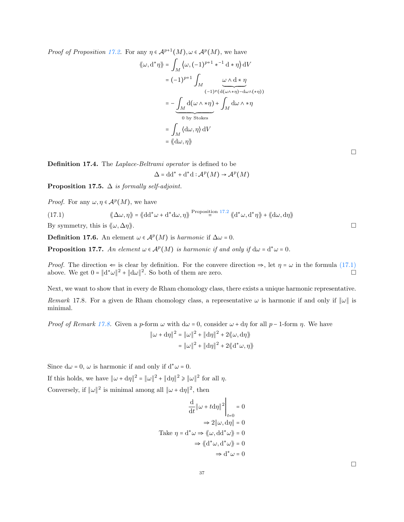*Proof of Proposition [17.2.](#page-35-0)* For any  $\eta \in \mathcal{A}^{p+1}(M), \omega \in \mathcal{A}^p(M)$ , we have

$$
\langle \langle \omega, d^* \eta \rangle \rangle = \int_M \langle \omega, (-1)^{p+1} \star^{-1} d \star \eta \rangle dV
$$
  
\n
$$
= (-1)^{p+1} \int_M \frac{\omega \wedge d * \eta}{(-1)^p (d(\omega \wedge * \eta) - d\omega \wedge (* \eta))}
$$
  
\n
$$
= - \underbrace{\int_M d(\omega \wedge * \eta)}_{0 \text{ by Stokes}} + \int_M d\omega \wedge * \eta
$$
  
\n
$$
= \int_M \langle d\omega, \eta \rangle dV
$$
  
\n
$$
= \langle d\omega, \eta \rangle
$$

 $\Box$ 

Definition 17.4. The Laplace-Beltrami operator is defined to be

<span id="page-36-0"></span>
$$
\Delta = dd^* + d^*d : \mathcal{A}^p(M) \to \mathcal{A}^p(M)
$$

**Proposition 17.5.**  $\Delta$  *is formally self-adjoint.* 

*Proof.* For any  $\omega, \eta \in \mathcal{A}^p(M)$ , we have

(17.1) 
$$
\langle \! \langle \Delta \omega, \eta \rangle \! \rangle = \langle \! \langle \mathrm{dd}^* \omega + \mathrm{d}^* \mathrm{d} \omega, \eta \rangle \! \rangle^{\text{Proposition 17.2}} \langle \! \langle \mathrm{d}^* \omega, \mathrm{d}^* \eta \rangle \! \rangle + \langle \! \langle \mathrm{d} \omega, \mathrm{d} \eta \rangle \! \rangle
$$
By symmetry, this is  $\langle \! \langle \omega, \Delta \eta \rangle \! \rangle$ .

**Definition 17.6.** An element  $\omega \in \mathcal{A}^p(M)$  is harmonic if  $\Delta \omega = 0$ .

**Proposition 17.7.** An element  $\omega \in A^p(M)$  is harmonic if and only if  $d\omega = d^*\omega = 0$ .

*Proof.* The direction  $\Leftarrow$  is clear by definition. For the convere direction  $\Rightarrow$ , let  $\eta = \omega$  in the formula [\(17.1\)](#page-36-0) above. We get  $0 = ||d^* \omega||^2 + ||d\omega||^2$ . So both of them are zero.

<span id="page-36-1"></span>Next, we want to show that in every de Rham chomology class, there exists a unique harmonic representative. Remark 17.8. For a given de Rham chomology class, a representative  $\omega$  is harmonic if and only if  $\|\omega\|$  is minimal.

*Proof of Remark [17.8.](#page-36-1)* Given a p-form  $\omega$  with  $d\omega = 0$ , consider  $\omega + d\eta$  for all p – 1-form  $\eta$ . We have  $\|\omega + \mathrm{d}\eta\|^2 = \|\omega\|^2 + \|\mathrm{d}\eta\|^2 + 2\langle\!\langle \omega, \mathrm{d}\eta \rangle\!\rangle$ 

$$
= \|\omega\|^2 + \|\mathrm{d}\eta\|^2 + 2\langle\!\langle \mathrm{d}^*\omega,\eta\rangle\!\rangle
$$

Since  $d\omega = 0$ ,  $\omega$  is harmonic if and only if  $d^*\omega = 0$ .

If this holds, we have  $\|\omega + d\eta\|^2 = \|\omega\|^2 + \|d\eta\|^2 \ge \|\omega\|^2$  for all  $\eta$ .

Conversely, if  $\|\omega\|^2$  is minimal among all  $\|\omega + d\eta\|^2$ , then

$$
\frac{d}{dt} ||\omega + t d\eta||^2 \Big|_{t=0} = 0
$$
  

$$
\Rightarrow 2 ||\omega, d\eta|| = 0
$$
  
Take  $\eta = d^* \omega \Rightarrow \langle \omega, dd^* \omega \rangle = 0$   

$$
\Rightarrow \langle d^* \omega, d^* \omega \rangle = 0
$$
  

$$
\Rightarrow d^* \omega = 0
$$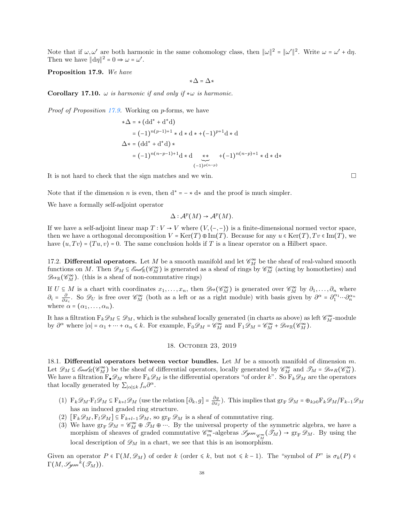Note that if  $\omega, \omega'$  are both harmonic in the same cohomology class, then  $\|\omega\|^2 = \|\omega'\|^2$ . Write  $\omega = \omega' + d\eta$ . Then we have  $\|\mathrm{d}\eta\|^2 = 0 \Rightarrow \omega = \omega'$ .

<span id="page-37-0"></span>Proposition 17.9. We have

∗∆ = ∆∗

Corollary 17.10.  $\omega$  is harmonic if and only if  $*\omega$  is harmonic.

Proof of Proposition [17.9.](#page-37-0) Working on p-forms, we have

$$
\begin{aligned} \ast \Delta &= \ast \left( \mathrm{dd}^* + \mathrm{d}^* \mathrm{d} \right) \\ &= (-1)^{n(p-1)+1} \ast \mathrm{d} \ast \mathrm{d} \ast + (-1)^{p+1} \mathrm{d} \ast \mathrm{d} \\ \Delta \ast &= \left( \mathrm{dd}^* + \mathrm{d}^* \mathrm{d} \right) \ast \\ &= (-1)^{n(n-p-1)+1} \mathrm{d} \ast \mathrm{d} \underbrace{\ast \ast}_{(-1)^{p(n-p)}} + (-1)^{n(n-p)+1} \ast \mathrm{d} \ast \mathrm{d} \ast \end{aligned}
$$

It is not hard to check that the sign matches and we win.

Note that if the dimension n is even, then  $d^* = - \star d \star$  and the proof is much simpler.

We have a formally self-adjoint operator

$$
\Delta: \mathcal{A}^p(M) \to \mathcal{A}^p(M).
$$

If we have a self-adjoint linear map  $T: V \to V$  where  $(V, \langle -, - \rangle)$  is a finite-dimensional normed vector space, then we have a orthogonal decomposition  $V = \text{Ker}(T) \oplus \text{Im}(T)$ . Because for any  $u \in \text{Ker}(T)$ ,  $Tv \in \text{Im}(T)$ , we have  $\langle u, Tv \rangle = \langle Tu, v \rangle = 0$ . The same conclusion holds if T is a linear operator on a Hilbert space.

17.2. Differential operators. Let M be a smooth manifold and let  $\mathscr{C}_M^{\infty}$  be the sheaf of real-valued smooth functions on M. Then  $\mathscr{D}_M \subseteq \mathscr{E}_{\mathscr{M}}(\mathscr{C}_{M}^{\infty})$  is generated as a sheaf of rings by  $\mathscr{C}_{M}^{\infty}$  (acting by homotheties) and  $\mathscr{D}_{{}^e\ell} \mathbb{R}(\mathscr{C}_M^{\infty})$ . (this is a sheaf of non-commutative rings)

If  $U \subseteq M$  is a chart with coordinates  $x_1, \ldots, x_n$ , then  $\mathscr{D}_{\ell}(\mathscr{C}_{M}^{\infty})$  is generated over  $\mathscr{C}_{M}^{\infty}$  by  $\partial_1, \ldots, \partial_n$  where  $\partial_i = \frac{\partial}{\partial x_i}$ . So  $\mathscr{D}_U$  is free over  $\mathscr{C}_M^{\infty}$  (both as a left or as a right module) with basis given by  $\partial^{\alpha} = \partial_1^{\alpha_1} \cdots \partial_n^{\alpha_n}$ where  $\alpha = (\alpha_1, \ldots, \alpha_n)$ .

It has a filtration  $F_k \mathscr{D}_M \subseteq \mathscr{D}_M$ , which is the subsheaf locally generated (in charts as above) as left  $\mathscr{C}_M^{\infty}$ -module by  $\partial^{\alpha}$  where  $|\alpha| = \alpha_1 + \cdots + \alpha_n \leq k$ . For example,  $F_0 \mathscr{D}_M = \mathscr{C}_M^{\infty}$  and  $F_1 \mathscr{D}_M = \mathscr{C}_M^{\infty} + \mathscr{D}_{e^k}(\mathscr{C}_M^{\infty})$ .

## 18. October 23, 2019

18.1. Differential operators between vector bundles. Let  $M$  be a smooth manifold of dimension  $m$ . Let  $\mathscr{D}_M \subseteq \mathscr{E}_{m,dR}(\mathscr{C}_M^{\infty})$  be the sheaf of differential operators, locally generated by  $\mathscr{C}_M^{\infty}$  and  $\mathscr{T}_M = \mathscr{D}_{e^*R}(\mathscr{C}_M^{\infty})$ . We have a filtration  $F_{\bullet}\mathscr{D}_{M}$  where  $F_{k}\mathscr{D}_{M}$  is the differential operators "of order k". So  $F_{k}\mathscr{D}_{M}$  are the operators that locally generated by  $\sum_{|\alpha| \leq k} f_{\alpha} \partial^{\alpha}$ .

- (1)  $\mathbf{F}_k \mathscr{D}_M \cdot \mathbf{F}_l \mathscr{D}_M \subseteq \mathbf{F}_{k+l} \mathscr{D}_M$  (use the relation  $[\partial_k, g] = \frac{\partial g}{\partial x}$  $\frac{\partial g}{\partial x_j}$ ). This implies that  $\operatorname{gr}_F \mathscr{D}_M = \bigoplus_{k \geq 0} \operatorname{F}_k \mathscr{D}_M / \operatorname{F}_{k-1} \mathscr{D}_M$ has an induced graded ring structure.
- (2)  $[F_k \mathscr{D}_M, F_l \mathscr{D}_M] \subseteq F_{k+l-1} \mathscr{D}_M$ , so  $gr_F \mathscr{D}_M$  is a sheaf of commutative ring.
- (3) We have  $gr_F \mathscr{D}_M = \mathscr{C}_M^{\infty} \oplus \mathscr{T}_M \oplus \cdots$ . By the universal property of the symmetric algebra, we have a morphism of sheaves of graded commutative  $\mathscr{C}_m^{\infty}$ -algebras  $\mathscr{S}_{\mathscr{Y}m}{}_{\mathscr{C}_M^{\infty}}(\mathscr{T}_M) \to \text{gr}_{\mathbf{F}} \mathscr{D}_M$ . By using the local description of  $\mathscr{D}_M$  in a chart, we see that this is an isomorphism.

Given an operator  $P \in \Gamma(M, \mathscr{D}_M)$  of order k (order  $\leq k$ , but not  $\leq k-1$ ). The "symbol of  $P$ " is  $\sigma_k(P) \in$  $\Gamma(M,\mathscr{S}\hspace{-1pt}\mathscr{G}_m{}^{\tilde{k}}(\mathscr{T}_M)).$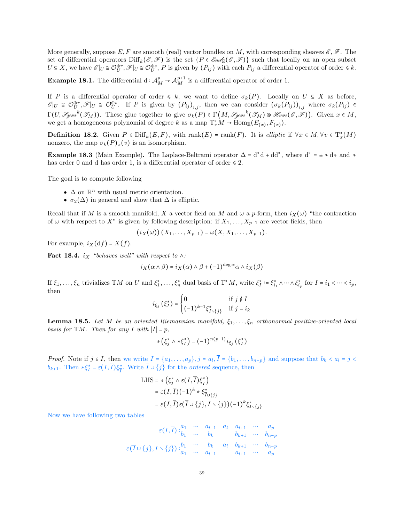More generally, suppose E, F are smooth (real) vector bundles on M, with corresponding sheaves  $\mathscr{E}, \mathscr{F}$ . The set of differential operators  $\text{Diff}_k(\mathscr{E},\mathscr{F})$  is the set  $\{P \in \mathscr{E}(\mathscr{E},\mathscr{F})\}$  such that locally on an open subset  $U \subseteq X$ , we have  $\mathscr{E}|_U \cong \mathcal{O}_U^{\oplus r}, \mathscr{F}|_U \cong \mathcal{O}_U^{\oplus s}, P$  is given by  $(P_{ij})$  with each  $P_{ij}$  a differential operator of order  $\leq k$ .

**Example 18.1.** The differential d:  $\mathcal{A}_{M}^{p} \to \mathcal{A}_{M}^{p+1}$  is a differential operator of order 1.

If P is a differential operator of order  $\leq k$ , we want to define  $\sigma_k(P)$ . Locally on  $U \subseteq X$  as before,  $\mathscr{E}|_U \cong \mathcal{O}_U^{\oplus r}, \mathscr{F}|_U \cong \mathcal{O}_U^{\oplus s}$ . If P is given by  $(P_{ij})_{i,j}$ , then we can consider  $(\sigma_k(P_{ij}))_{i,j}$  where  $\sigma_k(P_{ij}) \in$  $\Gamma(U, \mathcal{G}_{\mathcal{Y}^m}^k(\mathcal{T}_M))$ . These glue together to give  $\sigma_k(P) \in \Gamma\big(M, \mathcal{G}_{\mathcal{Y}^m}^k(\mathcal{T}_M) \otimes \mathcal{H}_{\mathcal{O}^m}(\mathcal{E}, \tilde{\mathcal{F}})\big)$ . Given  $x \in M$ , we get a homogeneous polynomial of degree k as a map  $T_x^*M \to \text{Hom}_{\mathbb{R}}(E_{(x)}, F_{(x)})$ .

**Definition 18.2.** Given  $P \in \text{Diff}_k(E, F)$ , with  $\text{rank}(E) = \text{rank}(F)$ . It is *elliptic* if  $\forall x \in M, \forall v \in T_x^*(M)$ nonzero, the map  $\sigma_k(P)_x(v)$  is an isomorphism.

**Example 18.3** (Main Example). The Laplace-Beltrami operator  $\Delta = d^*d + dd^*$ , where  $d^* = \pm *d*$  and  $*$ has order 0 and d has order 1, is a differential operator of order  $\leq 2$ .

The goal is to compute following

- $\bullet~\Delta$  on  $\mathbb{R}^n$  with usual metric orientation.
- $\sigma_2(\Delta)$  in general and show that  $\Delta$  is elliptic.

Recall that if M is a smooth manifold, X a vector field on M and  $\omega$  a p-form, then  $i_X(\omega)$  "the contraction of  $\omega$  with respect to X" is given by following description: if  $X_1, \ldots, X_{p-1}$  are vector fields, then

$$
(i_X(\omega))(X_1,...,X_{p-1}) = \omega(X, X_1,...,X_{p-1}).
$$

For example,  $i_X(\mathrm{d}f) = X(f)$ .

Fact 18.4. i<sub>X</sub> "behaves well" with respect to  $\wedge$ :

$$
i_X(\alpha \wedge \beta) = i_X(\alpha) \wedge \beta + (-1)^{\deg \alpha} \alpha \wedge i_X(\beta)
$$

If  $\xi_1, \ldots, \xi_n$  trivializes TM on U and  $\xi_1^*, \ldots, \xi_n^*$  dual basis of  $T^*M$ , write  $\xi_i^* := \xi_{i_1}^* \wedge \cdots \wedge \xi_{i_p}^*$  for  $I = i_1 < \cdots < i_p$ , then

$$
i_{\xi_j}(\xi_I^*) = \begin{cases} 0 & \text{if } j \notin I \\ (-1)^{k-1} \xi_{I \setminus \{j\}}^* & \text{if } j = i_k \end{cases}
$$

**Lemma 18.5.** Let M be an oriented Riemannian manifold,  $\xi_1, \ldots, \xi_n$  orthonormal positive-oriented local basis for TM. Then for any I with  $|I| = p$ ,

$$
\ast \left( \xi_j^* \wedge \ast \xi_l^* \right) = (-1)^{n(p-1)} i_{\xi_j} \left( \xi_l^* \right)
$$

*Proof.* Note if  $j \in I$ , then we write  $I = \{a_1, \ldots, a_p\}$ ,  $j = a_l, I = \{b_1, \ldots, b_{n-p}\}$  and suppose that  $b_k < a_l = j$  $b_{k+1}$ . Then \* $\xi_I^* = \varepsilon(I,\overline{I})\xi_{\overline{I}}^*$ . Write  $\overline{I} \cup \{j\}$  for the *ordered* sequence, then

LHS = 
$$
\ast
$$
  $(\xi_j^* \wedge \varepsilon(I, \overline{I}) \xi_{\overline{I}}^*)$   
\n=  $\varepsilon(I, \overline{I})(-1)^k \ast \xi_{\overline{I} \cup \{j\}}^*$   
\n=  $\varepsilon(I, \overline{I}) \varepsilon(\overline{I} \cup \{j\}, I \setminus \{j\})(-1)^k \xi_{I \setminus \{j\}}^*$ 

Now we have following two tables

$$
\varepsilon(I,\overline{I})\begin{matrix} a_1 & \cdots & a_{l-1} & a_l & a_{l+1} & \cdots & a_p \\ b_1 & \cdots & b_k & & b_{k+1} & \cdots & b_{n-p} \\ b_k & & b_{k+1} & \cdots & b_{n-p} & b_{n-p} \\ \vdots & \vdots & \ddots & \vdots & \vdots & \vdots & \vdots \\ a_1 & \cdots & a_{l-1} & & a_{l+1} & \cdots & a_p \end{matrix}
$$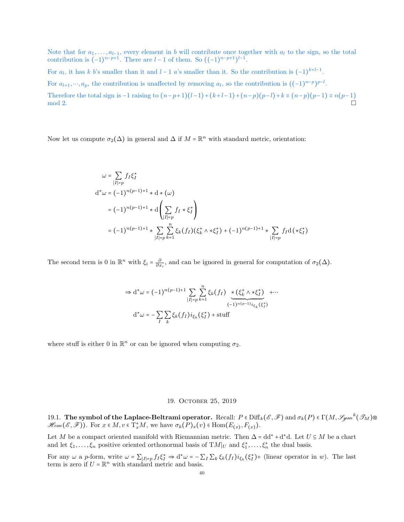Note that for  $a_1, \ldots, a_{l-1}$ , every element in b will contribute once together with  $a_l$  to the sign, so the total contribution is  $(-1)^{n-p+1}$ . There are  $l-1$  of them. So  $((-1)^{n-p+1})^{l-1}$ .

For  $a_l$ , it has k b's smaller than it and  $l-1$  a's smaller than it. So the contribution is  $(-1)^{k+l-1}$ .

For  $a_{l+1},...,a_p$ , the contribution is unaffected by removing  $a_l$ , so the contribution is  $((-1)^{n-p})^{p-l}$ .

Therefore the total sign is  $-1$  raising to  $(n-p+1)(l-1)+(k+l-1)+(n-p)(p-l)+k \equiv (n-p)(p-1) \equiv n(p-1)$  $\mod 2$ .

Now let us compute  $\sigma_2(\Delta)$  in general and  $\Delta$  if  $M = \mathbb{R}^n$  with standard metric, orientation:

$$
\omega = \sum_{|I|=p} f_I \xi_I^*
$$
  
\n
$$
d^* \omega = (-1)^{n(p-1)+1} * d * (\omega)
$$
  
\n
$$
= (-1)^{n(p-1)+1} * d \left( \sum_{|I|=p} f_I * \xi_I^* \right)
$$
  
\n
$$
= (-1)^{n(p-1)+1} * \sum_{|I|=p} \sum_{k=1}^n \xi_k(f_I) (\xi_k^* \wedge * \xi_I^*) + (-1)^{n(p-1)+1} * \sum_{|I|=p} f_I d (* \xi_I^*)
$$

The second term is 0 in  $\mathbb{R}^n$  with  $\xi_i = \frac{\partial}{\partial x_i}$ , and can be ignored in general for computation of  $\sigma_2(\Delta)$ .

$$
\Rightarrow d^*\omega = (-1)^{n(p-1)+1} \sum_{|I|=p} \sum_{k=1}^n \xi_k(f_I) \underbrace{\ast (\xi_k^* \wedge \ast \xi_I^*)}_{(-1)^{n(p-1)} i_{\xi_k}(\xi_I^*)} + \cdots
$$
  

$$
d^*\omega = -\sum_{I} \sum_{k} \xi_k(f_I) i_{\xi_k}(\xi_I^*) + \text{stuff}
$$

where stuff is either 0 in  $\mathbb{R}^n$  or can be ignored when computing  $\sigma_2$ .

## 19. October 25, 2019

19.1. The symbol of the Laplace-Beltrami operator. Recall:  $P \in \mathrm{Diff}_k(\mathscr{E},\mathscr{F})$  and  $\sigma_k(P) \in \Gamma(M,\mathscr{G}_\mathscr{Y}\hspace{-1pt}m^k(\mathscr{T}_M) \otimes$  $\mathcal{H}_{om}(\mathcal{E}, \mathcal{F})$ . For  $x \in M$ ,  $v \in T_x^*M$ , we have  $\sigma_k(P)_x(v) \in \text{Hom}(E_{(x)}, F_{(x)})$ .

Let M be a compact oriented manifold with Riemannian metric. Then  $\Delta = dd^* + d^*d$ . Let  $U \subseteq M$  be a chart and let  $\xi_1, \ldots, \xi_n$  positive oriented orthonormal basis of  $TM|_U$  and  $\xi_1^*, \ldots, \xi_n^*$  the dual basis.

For any  $\omega$  a *p*-form, write  $\omega = \sum_{|I|=p} f_I \xi_I^* \Rightarrow d^* \omega = -\sum_I \sum_k \xi_k(f_I) i_{\xi_k} (\xi_I^*) +$  (linear operator in w). The last term is zero if  $U = \mathbb{R}^n$  with standard metric and basis.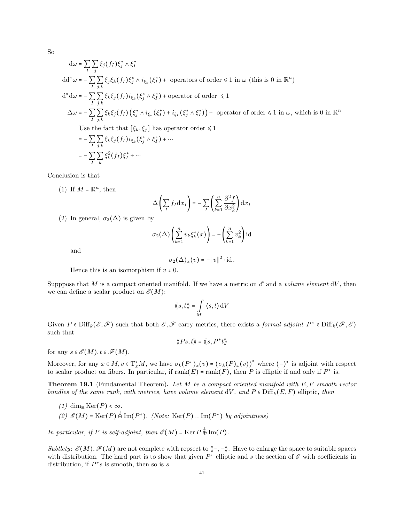So

$$
d\omega = \sum_{I} \sum_{j} \xi_{j}(f_{I})\xi_{j}^{*} \wedge \xi_{I}^{*}
$$
  
\n
$$
dd^{*}\omega = -\sum_{I} \sum_{j,k} \xi_{j}\xi_{k}(f_{I})\xi_{j}^{*} \wedge i_{\xi_{k}}(\xi_{I}^{*}) + \text{ operators of order } \le 1 \text{ in } \omega \text{ (this is 0 in } \mathbb{R}^{n})
$$
  
\n
$$
d^{*}d\omega = -\sum_{I} \sum_{j,k} \xi_{k}\xi_{j}(f_{I})i_{\xi_{k}}(\xi_{j}^{*} \wedge \xi_{I}^{*}) + \text{operator of order } \le 1
$$
  
\n
$$
\Delta \omega = -\sum_{I} \sum_{j,k} \xi_{k}\xi_{j}(f_{I})(\xi_{j}^{*} \wedge i_{\xi_{k}}(\xi_{I}^{*}) + i_{\xi_{k}}(\xi_{j}^{*} \wedge \xi_{I}^{*})) + \text{ operator of order } \le 1 \text{ in } \omega, \text{ which is 0 in } \mathbb{R}^{n}
$$
  
\nUse the fact that  $[\xi_{k}, \xi_{j}]$  has operator order  $\le 1$   
\n
$$
= -\sum_{I} \sum_{j,k} \xi_{k}\xi_{j}(f_{I})i_{\xi_{k}}(\xi_{j}^{*} \wedge \xi_{I}^{*}) + \cdots
$$
  
\n
$$
= -\sum_{I} \sum_{k} \xi_{k}^{2}(f_{I})\xi_{I}^{*} + \cdots
$$

Conclusion is that

(1) If  $M = \mathbb{R}^n$ , then

$$
\Delta\left(\sum_If_{I}\mathrm{d} x_{I}\right)=-\sum_{I}\left(\sum_{k=1}^n\frac{\partial^2 f}{\partial x_{k}^2}\right)\mathrm{d} x_{I}
$$

(2) In general,  $\sigma_2(\Delta)$  is given by

$$
\sigma_2(\Delta) \left( \sum_{k=1}^n v_k \xi_k^*(x) \right) = - \left( \sum_{k=1}^n v_k^2 \right) \mathrm{id}
$$

and

$$
\sigma_2(\Delta)_x(v) = -\|v\|^2 \cdot \mathrm{id}.
$$

Hence this is an isomorphism if  $v \neq 0$ .

Supppose that M is a compact oriented manifold. If we have a metric on  $\mathscr E$  and a volume element dV, then we can define a scalar product on  $\mathscr{E}(M)$ :

$$
\langle\!\langle s,t\rangle\!\rangle = \int\limits_M \langle s,t\rangle \, \mathrm{d}V
$$

Given  $P \in \text{Diff}_k(\mathscr{E}, \mathscr{F})$  such that both  $\mathscr{E}, \mathscr{F}$  carry metrics, there exists a formal adjoint  $P^* \in \text{Diff}_k(\mathscr{F}, \mathscr{E})$ such that

$$
\langle\!\langle Ps,t\rangle\!\rangle = \langle\!\langle s, P^*t\rangle\!\rangle
$$

for any  $s \in \mathcal{E}(M)$ ,  $t \in \mathcal{F}(M)$ .

Moreover, for any  $x \in M$ ,  $v \in T_x^*M$ , we have  $\sigma_k(P^*)_x(v) = (\sigma_k(P)_x(v))^*$  where  $(-)^*$  is adjoint with respect to scalar product on fibers. In particular, if  $rank(E) = rank(F)$ , then P is elliptic if and only if  $P^*$  is.

**Theorem 19.1** (Fundamental Theorem). Let  $M$  be a compact oriented manifold with  $E, F$  smooth vector bundles of the same rank, with metrics, have volume element dV, and  $P \in \text{Diff}_k(E, F)$  elliptic, then

(1) dim<sub>R</sub> Ker(P) < $\infty$ . (2)  $\mathscr{E}(M) = \text{Ker}(P) \oplus \text{Im}(P^*)$ . (Note:  $\text{Ker}(P) \perp \text{Im}(P^*)$  by adjointness)

In particular, if P is self-adjoint, then  $\mathscr{E}(M) = \text{Ker } P \overset{\perp}{\oplus} \text{Im}(P)$ .

Subtlety:  $\mathscr{E}(M), \mathscr{F}(M)$  are not complete with repsect to  $\langle -,-\rangle$ . Have to enlarge the space to suitable spaces with distribution. The hard part is to show that given  $P^*$  elliptic and s the section of  $\mathscr E$  with coefficients in distribution, if  $P^*s$  is smooth, then so is s.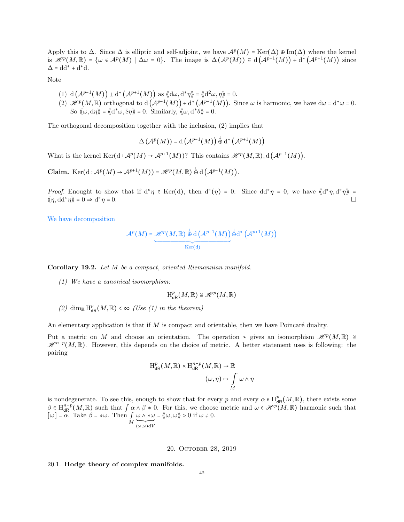Apply this to  $\Delta$ . Since  $\Delta$  is elliptic and self-adjoint, we have  $\mathcal{A}^p(M) = \text{Ker}(\Delta) \oplus \text{Im}(\Delta)$  where the kernel is  $\mathscr{H}^p(M,\mathbb{R}) = \{ \omega \in \mathcal{A}^p(M) \mid \Delta \omega = 0 \}.$  The image is  $\Delta(\mathcal{A}^p(M)) \subseteq d(\mathcal{A}^{p-1}(M)) + d^*(\mathcal{A}^{p+1}(M))$  since  $\Delta = dd^* + d^*d.$ 

Note

- (1)  $d(A^{p-1}(M)) \perp d^* (A^{p+1}(M))$  as  $\langle d\omega, d^*\eta \rangle = \langle d^2\omega, \eta \rangle = 0$ .
- (2)  $\mathcal{H}^p(M,\mathbb{R})$  orthogonal to  $d(\mathcal{A}^{p-1}(M))+d^*\left(\mathcal{A}^{p+1}(M)\right)$ . Since  $\omega$  is harmonic, we have  $d\omega = d^*\omega = 0$ . So  $\langle \langle \omega, d\eta \rangle \rangle = \langle \langle d^* \omega, \Re \eta \rangle \rangle = 0$ . Similarly,  $\langle \langle \omega, d^* \theta \rangle \rangle = 0$ .

The orthogonal decomposition together with the inclusion, (2) implies that

$$
\Delta\left(\mathcal{A}^p(M)\right)=\mathrm{d}\left(\mathcal{A}^{p-1}(M)\right)\overset{\perp}{\oplus}\mathrm{d}^*\left(\mathcal{A}^{p+1}(M)\right)
$$

What is the kernel  $\text{Ker}(\text{d} : \mathcal{A}^p(M) \to \mathcal{A}^{p+1}(M))$ ? This contains  $\mathcal{H}^p(M, \mathbb{R})$ ,  $d(\mathcal{A}^{p-1}(M))$ .

Claim.  $\text{Ker}(\text{d} : \mathcal{A}^p(M) \to \mathcal{A}^{p+1}(M)) = \mathcal{H}^p(M, \mathbb{R}) \overset{\downarrow}{\oplus} \text{d}(\mathcal{A}^{p-1}(M)).$ 

*Proof.* Enought to show that if  $d^*\eta \in \text{Ker}(d)$ , then  $d^*(\eta) = 0$ . Since  $dd^*\eta = 0$ , we have  $\langle d^*\eta, d^*\eta \rangle =$  $\langle \langle \eta, dd^* \eta \rangle \rangle = 0 \Rightarrow d^*$  $\eta = 0.$ 

We have decomposition

$$
\mathcal{A}^p(M) = \underbrace{\mathcal{H}^p(M,\mathbb{R}) \overset{\perp}{\oplus} \mathrm{d}\left(\mathcal{A}^{p-1}(M)\right)}_{\mathrm{Ker}(\mathrm{d})} \overset{\perp}{\oplus} \mathrm{d}^*\left(\mathcal{A}^{p+1}(M)\right)
$$

Corollary 19.2. Let M be a compact, oriented Riemannian manifold.

(1) We have a canonical isomorphism:

$$
\mathrm{H}^p_{\mathsf{dR}}(M,\mathbb{R})\cong \mathscr{H}^p(M,\mathbb{R})
$$

(2) dim<sub>R</sub>  $H_{dR}^p(M, R) < \infty$  (Use (1) in the theorem)

An elementary application is that if  $M$  is compact and orientable, then we have Poincaré duality.

Put a metric on M and choose an orientation. The operation  $*$  gives an isomorphism  $\mathscr{H}^p(M,\mathbb{R}) \cong$  $\mathscr{H}^{n-p}(M,\mathbb{R})$ . However, this depends on the choice of metric. A better statement uses is following: the pairing

$$
H_{\mathrm{dR}}^p(M,\mathbb{R}) \times H_{\mathrm{dR}}^{n-p}(M,\mathbb{R}) \to \mathbb{R}
$$

$$
(\omega,\eta) \mapsto \int\limits_M \omega \wedge \eta
$$

is nondegenerate. To see this, enough to show that for every p and every  $\alpha \in H^p_{\text{dR}}(M,\mathbb{R})$ , there exists some  $\beta \in H^{n-p}_{dR}(M,\mathbb{R})$  such that  $\int \alpha \wedge \beta \neq 0$ . For this, we choose metric and  $\omega \in \mathcal{H}^p(M,\mathbb{R})$  harmonic such that  $[\omega] = \alpha$ . Take  $\beta = \ast \omega$ . Then  $\int_{M} \underbrace{\omega \wedge \ast \omega}_{(\omega, \omega) dV}$  $=\langle\!\langle \omega,\omega\rangle\!\rangle>0$  if  $\omega\neq 0$ .

20. October 28, 2019

# 20.1. Hodge theory of complex manifolds.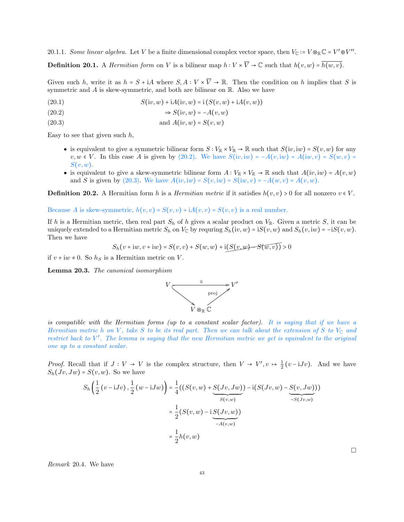20.1.1. Some linear algebra. Let V be a finite dimensional complex vector space, then  $V_{\mathbb{C}} \coloneqq V \otimes_{\mathbb{R}} \mathbb{C} = V' \oplus V''$ .

**Definition 20.1.** A *Hermitian form* on V is a bilinear map  $h: V \times \overline{V} \to \mathbb{C}$  such that  $h(v, w) = \overline{h(w, v)}$ .

Given such h, write it as  $h = S + iA$  where  $S, A : V \times \overline{V} \to \mathbb{R}$ . Then the condition on h implies that S is symmetric and  $A$  is skew-symmetric, and both are bilinear on  $\mathbb R$ . Also we have

<span id="page-42-0"></span>(20.1) 
$$
S(iv, w) + iA(iv, w) = i(S(v, w) + iA(v, w))
$$

$$
(20.2) \qquad \qquad \Rightarrow S(iv, w) = -A(v, w)
$$

<span id="page-42-1"></span>
$$
(20.3) \t\t and A(iv, w) = S(v, w)
$$

Easy to see that given such  $h$ ,

- is equivalent to give a symmetric bilinear form  $S: V_{\mathbb{R}} \times V_{\mathbb{R}} \to \mathbb{R}$  such that  $S(iv, iw) = S(v, w)$  for any  $v, w \in V$ . In this case A is given by [\(20.2\).](#page-42-0) We have  $S(iv, iw) = -A(v, iw) = A(iw, v) = S(w, v) =$  $S(v, w)$ .
- is equivalent to give a skew-symmetric bilinear form  $A: V_{\mathbb{R}} \times V_{\mathbb{R}} \to \mathbb{R}$  such that  $A(iv, iw) = A(v, w)$ and S is given by [\(20.3\).](#page-42-1) We have  $A(iv, iw) = S(v, iw) = S(iw, v) = -A(w, v) = A(v, w)$ .

**Definition 20.2.** A Hermitian form h is a *Hermitian metric* if it satisfies  $h(v, v) > 0$  for all nonzero  $v \in V$ .

Because A is skew-symmetric,  $h(v, v) = S(v, v) + iA(v, v) = S(v, v)$  is a real number.

If h is a Hermitian metric, then real part  $S_h$  of h gives a scalar product on  $V_{\mathbb{R}}$ . Given a metric S, it can be uniquely extended to a Hermitian metric  $S_h$  on  $V_c$  by requring  $S_h(iv, w) = iS(v, w)$  and  $S_h(v, iw) = -iS(v, w)$ . Then we have

$$
S_h(v + iw, v + iw) = S(v, v) + S(w, w) + i(S(v, w) - S(w, v)) > 0
$$

if  $v + iw \neq 0$ . So  $h<sub>S</sub>$  is a Hermitian metric on V.

Lemma 20.3. The canonical isomorphism



is compatible with the Hermitian forms (up to a constant scalar factor). It is saying that if we have a Hermitian metric h on V, take S to be its real part. Then we can talk about the extension of S to  $V_{\mathbb{C}}$  and restrict back to V ′ . The lemma is saying that the new Hermitian metric we get is equivalent to the original one up to a constant scalar.

*Proof.* Recall that if  $J: V \to V$  is the complex structure, then  $V \to V', v \mapsto \frac{1}{2}(v-iJv)$ . And we have  $S_h(Jv, Jw) = S(v, w)$ . So we have

$$
S_h\left(\frac{1}{2}(v-iJv),\frac{1}{2}(w-iJw)\right) = \frac{1}{4}\left(\left(S(v,w) + \frac{S(Jv,Jw)}{S(v,w)}\right) - i\left(S(Jv,w) - \frac{S(v,Jw)}{S(v,w)}\right)\right)
$$

$$
= \frac{1}{2}\left(S(v,w) - i\frac{S(Jv,w)}{A(v,w)}\right)
$$

$$
= \frac{1}{2}h(v,w)
$$

Remark 20.4. We have

 $\Box$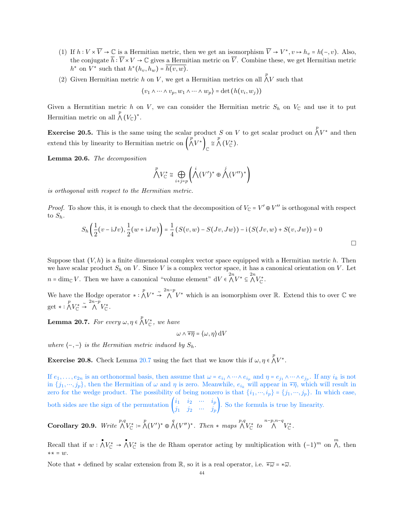- (1) If  $h: V \times \overline{V} \to \mathbb{C}$  is a Hermitian metric, then we get an isomorphism  $\overline{V} \to V^*$ ,  $v \mapsto h_v = h(-, v)$ . Also, the conjugate  $\overline{h}: \overline{V} \times V \to \mathbb{C}$  gives a Hermitian metric on  $\overline{V}$ . Combine these, we get Hermitian metric  $h^*$  on  $V^*$  such that  $h^*(h_v, h_w) = h(v, w)$ .
- (2) Given Hermitian metric h on V, we get a Hermitian metrics on all  $\bigwedge^p V$  such that

$$
\langle v_1 \wedge \cdots \wedge v_p, w_1 \wedge \cdots \wedge w_p \rangle = \det(h(v_i, w_j))
$$

Given a Hermtitian metric h on V, we can consider the Hermitian metric  $S_h$  on  $V_c$  and use it to put Hermitian metric on all  $\bigwedge^p (V_{\mathbb{C}})^*$ .

**Exercise 20.5.** This is the same using the scalar product S on V to get scalar product on  $\bigwedge^p V^*$  and then extend this by linearity to Hermitian metric on  $\left(\bigwedge^p V^*\right)_{\mathbb{C}} \cong \bigwedge^p (V^*_{\mathbb{C}})$ .

Lemma 20.6. The decomposition

$$
\bigwedge^p V_{\mathbb{C}}^* \cong \bigoplus_{i+j=p} \left( \bigwedge^i (V')^* \oplus \bigwedge^j (V'')^* \right)
$$

is orthogonal with respect to the Hermitian metric.

*Proof.* To show this, it is enough to check that the decomposition of  $V_{\mathbb{C}} = V' \oplus V''$  is orthogonal with respect to  $S_h$ .

$$
S_h\left(\frac{1}{2}(v-iJv),\frac{1}{2}(w+iJw)\right) = \frac{1}{4}\left(S(v,w) - S(Jv,Jw)\right) - i\left(S(Jv,w) + S(v,Jw)\right) = 0
$$

Suppose that  $(V, h)$  is a finite dimensional complex vector space equipped with a Hermitian metric h. Then we have scalar product  $S_h$  on V. Since V is a complex vector space, it has a canonical orientation on V. Let  $n = \dim_{\mathbb{C}} V$ . Then we have a canonical "volume element"  $dV \in \bigwedge^{2n} V^* \subseteq \bigwedge^{2n} V^*_{\mathbb{C}}$ .

We have the Hodge operator  $* : \bigwedge^p V^* \stackrel{\sim}{\to} \bigwedge^{2n-p} V^*$  which is an isomorphism over R. Extend this to over C we get ∗ :  $\bigwedge^p V_{\mathbb{C}}^* \stackrel{\sim}{\rightarrow} \bigwedge^{2n-p} V_{\mathbb{C}}^*$ .

<span id="page-43-0"></span>**Lemma 20.7.** For every  $\omega, \eta \in \bigwedge^p V_{\mathbb{C}}^*$ , we have

 $\omega \wedge \overline{*\eta} = (\omega, \eta) dV$ 

where  $\langle -, - \rangle$  is the Hermitian metric induced by  $S_h$ .

**Exercise 20.8.** Check Lemma [20.7](#page-43-0) using the fact that we know this if  $\omega, \eta \in \bigwedge^p V^*$ .

If  $e_1, \ldots, e_{2n}$  is an orthonormal basis, then assume that  $\omega = e_{i_1} \wedge \cdots \wedge e_{i_p}$  and  $\eta = e_{j_1} \wedge \cdots \wedge e_{j_p}$ . If any  $i_k$  is not in  $\{j_1,\dots, j_p\}$ , then the Hermitian of  $\omega$  and  $\eta$  is zero. Meanwhile,  $e_{i_k}$  will appear in  $\overline{\ast\eta}$ , which will result in zero for the wedge product. The possibility of being nonzero is that  $\{i_1, ..., i_p\} = \{j_1, ..., j_p\}$ . In which case, both sides are the sign of the permutation  $\begin{pmatrix} i_1 & i_2 & \cdots & i_p \ i_i & i_1 & \cdots & i_p \end{pmatrix}$  $j_1$   $j_2$   $\ldots$   $j_p$ . So the formula is true by linearity.

Corollary 20.9. Write  $\bigwedge^{p,q} V_{\mathbb{C}}^* := \bigwedge^p (V')^* \oplus \bigwedge^q (V'')^*$ . Then  $*$  maps  $\bigwedge^{p,q} V_{\mathbb{C}}^*$  to  $\bigwedge^{n-p,n-q} V_{\mathbb{C}}^*$ .

Recall that if  $w : \bigwedge^* V^*_{\mathbb{C}} \to \bigwedge^* V^*_{\mathbb{C}}$  is the de Rham operator acting by multiplication with  $(-1)^m$  on  $\bigwedge^m$ , then ∗∗ = w.

Note that  $*$  defined by scalar extension from R, so it is a real operator, i.e.  $\overline{* \omega} = * \overline{\omega}$ .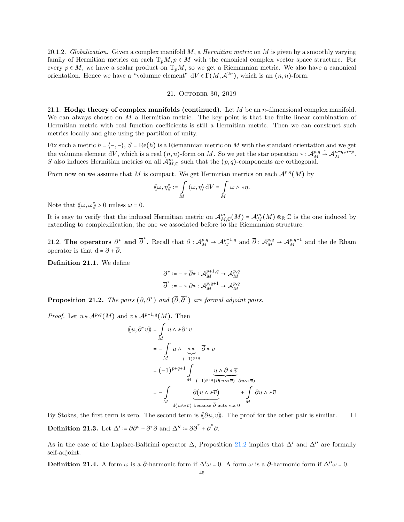20.1.2. Globalization. Given a complex manifold M, a *Hermitian metric* on M is given by a smoothly varying family of Hermitian metrics on each  $T_pM, p \in M$  with the canonical complex vector space structure. For every  $p \in M$ , we have a scalar product on  $T_pM$ , so we get a Riemannian metric. We also have a canonical orientation. Hence we have a "volumne element"  $dV \in \Gamma(M, \mathcal{A}^{2n})$ , which is an  $(n, n)$ -form.

#### 21. October 30, 2019

21.1. **Hodge theory of complex manifolds (continued).** Let  $M$  be an *n*-dimensional complex manifold. We can always choose on  $M$  a Hermitian metric. The key point is that the finite linear combination of Hermitian metric with real function coefficients is still a Hermitian metric. Then we can construct such metrics locally and glue using the partition of unity.

Fix such a metric  $h = \langle -, - \rangle$ ,  $S = \text{Re}(h)$  is a Riemannian metric on M with the standard orientation and we get the volumne element dV, which is a real  $(n, n)$ -form on M. So we get the star operation ∗ :  $\mathcal{A}_{M}^{p,q}$  $\stackrel{\sim}{\rightarrow} \mathcal{A}_{M}^{n-q,n-p}.$ S also induces Hermitian metrics on all  $\mathcal{A}_{M,\mathbb{C}}^m$  such that the  $(p,q)$ -components are orthogonal.

From now on we assume that M is compact. We get Hermitian metrics on each  $\mathcal{A}^{p,q}(M)$  by

$$
\langle\!\langle \omega, \eta \rangle\!\rangle := \int\limits_M \langle \omega, \eta \rangle \, \mathrm{d}V = \int\limits_M \omega \wedge \overline{\ast \eta}.
$$

Note that  $\langle \omega, \omega \rangle > 0$  unless  $\omega = 0$ .

It is easy to verify that the induced Hermitian metric on  $\mathcal{A}_{M,\mathbb{C}}^m(M) = \mathcal{A}_{M}^m(M) \otimes_{\mathbb{R}} \mathbb{C}$  is the one induced by extending to complexification, the one we associated before to the Riemannian structure.

21.2. The operators  $\partial^*$  and  $\overline{\partial}^*$ . Recall that  $\partial: \mathcal{A}_M^{p,q} \to \mathcal{A}_M^{p+1,q}$  and  $\overline{\partial}: \mathcal{A}_M^{p,q} \to \mathcal{A}_M^{p,q+1}$  and the de Rham operator is that  $d = \partial + \overline{\partial}$ .

Definition 21.1. We define

$$
\begin{aligned} \partial^* &:= - *\, \overline{\partial} * : \mathcal{A}_M^{p+1,q} \to \mathcal{A}_M^{p,q} \\ \overline{\partial}^* &:= - *\, \partial * : \mathcal{A}_M^{p,q+1} \to \mathcal{A}_M^{p,q} \end{aligned}
$$

<span id="page-44-0"></span>**Proposition 21.2.** The pairs  $(\partial, \partial^*)$  and  $(\overline{\partial}, \overline{\partial}^*)$  are formal adjoint pairs.

*Proof.* Let  $u \in \mathcal{A}^{p,q}(M)$  and  $v \in \mathcal{A}^{p+1,q}(M)$ . Then

⟪u, ∂<sup>∗</sup>

$$
u, \partial^* v \rangle = \int_{M} u \wedge \overline{\star} \overline{\partial^* v}
$$
  
=  $-\int_{M} u \wedge \overline{\star} \overline{\overline{\partial} \star v}$   
=  $(-1)^{p+q+1} \int_{M} u \wedge \overline{\partial^* v}$   
=  $(-1)^{p+q+1} \int_{M} u \wedge \overline{\partial^* v}$   
=  $-\int_{M} \partial (u \wedge \overline{v}) + \int_{M} \partial u \wedge \overline{v}$ 

By Stokes, the first term is zero. The second term is  $\langle \partial u, v \rangle$ . The proof for the other pair is similar.  $\Box$ **Definition 21.3.** Let  $\Delta' \coloneqq \partial \partial^* + \partial^* \partial$  and  $\Delta'' \coloneqq \overline{\partial \partial}^* + \overline{\partial}^* \overline{\partial}$ .

As in the case of the Laplace-Baltrimi operator  $\Delta$ , Proposition [21.2](#page-44-0) implies that  $\Delta'$  and  $\Delta''$  are formally self-adjoint.

**Definition 21.4.** A form  $\omega$  is a  $\partial$ -harmonic form if  $\Delta' \omega = 0$ . A form  $\omega$  is a  $\overline{\partial}$ -harmonic form if  $\Delta'' \omega = 0$ .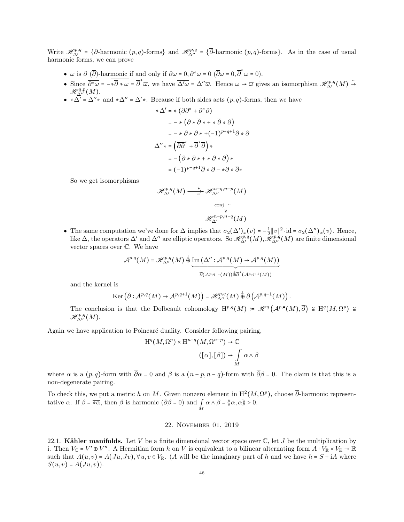Write  $\mathcal{H}_{\Delta'}^{p,q} = \{\partial$ -harmonic  $(p,q)$ -forms} and  $\mathcal{H}_{\Delta''}^{p,q} = \{\overline{\partial}$ -harmonic  $(p,q)$ -forms}. As in the case of usual harmonic forms, we can prove

- $\omega$  is  $\partial (\overline{\partial})$ -harmonic if and only if  $\partial \omega = 0$ ,  $\partial^* \omega = 0$  ( $\overline{\partial} \omega = 0$ ,  $\overline{\partial}^* \omega = 0$ ).
- Since  $\overline{\partial^* \omega} = -\overline{\ast \partial} \cdot \overline{\omega} = \overline{\partial} \cdot \overline{\omega}$ , we have  $\overline{\Delta' \omega} = \Delta'' \overline{\omega}$ . Hence  $\omega \mapsto \overline{\omega}$  gives an isomorphism  $\mathcal{H}_{\Delta'}^{p,q}(M) \stackrel{\sim}{\rightarrow}$  $\mathscr{H}_{\Delta''}^{q,p}(M).$
- $\star \Delta' = \Delta'' \star$  and  $\star \Delta'' = \Delta' \star$ . Because if both sides acts  $(p, q)$ -forms, then we have

$$
\begin{aligned}\n \ast \Delta' &= \ast \left( \partial \partial^* + \partial^* \partial \right) \\
 &= - \ast \left( \partial \ast \overline{\partial} \ast + \ast \overline{\partial} \ast \partial \right) \\
 &= - \ast \partial \ast \overline{\partial} \ast + \left( -1 \right)^{p+q+1} \overline{\partial} \ast \partial \\
 \Delta'' \ast &= \left( \overline{\partial \partial}^* + \overline{\partial}^* \overline{\partial} \right) \ast \\
 &= - \left( \overline{\partial} \ast \partial \ast + \ast \partial \ast \overline{\partial} \right) \ast \\
 &= \left( -1 \right)^{p+q+1} \overline{\partial} \ast \partial - \ast \partial \ast \overline{\partial} \ast\n \end{aligned}
$$

So we get isomorphisms

$$
\mathcal{H}^{p,q}_{\Delta'}(M) \xrightarrow{\ast} \mathcal{H}^{n-q,n-p}_{\Delta''}(M)
$$

$$
\operatorname{conj}_{\sim} \Big|_{\sim}
$$

$$
\mathcal{H}^{n-p,n-q}_{\Delta'}(M)
$$

• The same computation we've done for  $\Delta$  implies that  $\sigma_2(\Delta')_x(v) = -\frac{1}{2} ||v||^2 \cdot id = \sigma_2(\Delta'')_x(v)$ . Hence, like  $\Delta$ , the operators  $\Delta'$  and  $\Delta''$  are elliptic operators. So  $\mathscr{H}_{\Delta'}^{p,q}(M)$ ,  $\mathscr{H}_{\Delta''}^{p,q}(M)$  are finite dimensional vector spaces over C. We have

$$
\mathcal{A}^{p,q}(M) = \mathscr{H}_{\Delta''}^{p,q}(M) \stackrel{\perp}{\oplus} \underbrace{\text{Im}\left(\Delta'' : \mathcal{A}^{p,q}(M) \to \mathcal{A}^{p,q}(M)\right)}_{\overline{\partial}(\mathcal{A}^{p,q-1}(M)) \stackrel{\perp}{\oplus} \overline{\partial}^*(\mathcal{A}^{p,q+1}(M))}
$$

and the kernel is

$$
\operatorname{Ker}\left(\overline{\partial}: {\mathcal A}^{p,q}(M) \to {\mathcal A}^{p,q+1}(M)\right) = {\mathscr H}_{\Delta''}^{p,q}(M) \stackrel{\perp}{\oplus} \overline{\partial}\left({\mathcal A}^{p,q-1}(M)\right).
$$

The conclusion is that the Dolbeault cohomology  $H^{p,q}(M) = \mathcal{H}^q(\mathcal{A}^{p,\bullet}(M), \overline{\partial}) \cong H^q(M, \Omega^p) \cong$  $\mathscr{H}^{p,q}_{\Delta''}(M).$ 

Again we have application to Poincaré duality. Consider following pairing,

$$
H^{q}(M,\Omega^{p}) \times H^{n-q}(M,\Omega^{n-p}) \to \mathbb{C}
$$

$$
([\alpha],[\beta]) \mapsto \int_{M} \alpha \wedge \beta
$$

where  $\alpha$  is a  $(p, q)$ -form with  $\overline{\partial}\alpha = 0$  and  $\beta$  is a  $(n - p, n - q)$ -form with  $\overline{\partial}\beta = 0$ . The claim is that this is a non-degenerate pairing.

To check this, we put a metric h on M. Given nonzero element in  $H^2(M, \Omega^p)$ , choose  $\overline{\partial}$ -harmonic representative  $\alpha$ . If  $\beta = \overline{\star \alpha}$ , then  $\beta$  is harmonic  $(\partial \beta = 0)$  and  $\int_M \alpha \wedge \beta = \langle \langle \alpha, \alpha \rangle \rangle > 0$ .

# 22. November 01, 2019

22.1. Kähler manifolds. Let V be a finite dimensional vector space over  $\mathbb C$ , let J be the multiplication by i. Then  $V_{\mathbb{C}} = V' \oplus V''$ . A Hermitian form h on V is equivalent to a bilinear alternating form  $A: V_{\mathbb{R}} \times V_{\mathbb{R}} \to \mathbb{R}$ such that  $A(u, v) = A(Ju, Jv), \forall u, v \in V_{\mathbb{R}}$ . (A will be the imaginary part of h and we have  $h = S + iA$  where  $S(u, v) = A(Ju, v)$ .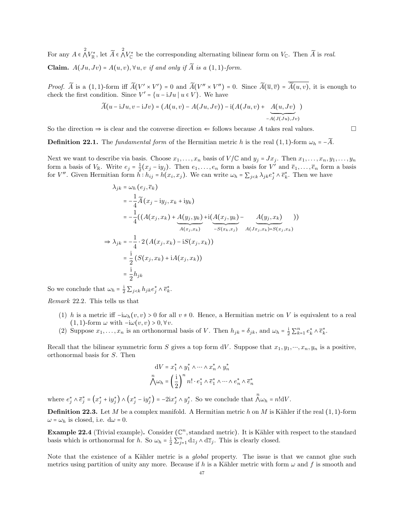For any  $A \in \bigwedge^2 V_{\mathbb{R}}^*$ , let  $\widetilde{A} \in \bigwedge^2 V_{\mathbb{C}}^*$  be the corresponding alternating bilinear form on  $V_{\mathbb{C}}$ . Then  $\widetilde{A}$  is real. Claim.  $A(Ju, Jv) = A(u, v), \forall u, v$  if and only if  $\widetilde{A}$  is a (1,1)-form.

*Proof.*  $\widetilde{A}$  is a  $(1,1)$ -form iff  $\widetilde{A}(V' \times V') = 0$  and  $\widetilde{A}(V'' \times V'') = 0$ . Since  $\widetilde{A}(\overline{u}, \overline{v}) = \widetilde{A}(u, v)$ , it is enough to check the first condition. Since  $V' = \{u - iJu \mid u \in V\}$ . We have

$$
\widetilde{A}(u - iJu, v - iJv) = (A(u, v) - A(Ju, Jv)) - i(A(Ju, v) + \underbrace{A(u, Jv)}_{-A(J(Ju), Jv)})
$$

So the direction  $\Rightarrow$  is clear and the converse direction  $\Leftarrow$  follows because A takes real values.

**Definition 22.1.** The fundamental form of the Hermitian metric h is the real (1, 1)-form  $\omega_h = -\widetilde{A}$ .

Next we want to describe via basis. Choose  $x_1, \ldots, x_n$  basis of  $V/\mathbb{C}$  and  $y_j = Jx_j$ . Then  $x_1, \ldots, x_n, y_1, \ldots, y_n$ form a basis of  $V_{\mathbb{R}}$ . Write  $e_j = \frac{1}{2}(x_j - iy_j)$ . Then  $e_1, \ldots, e_n$  form a basis for  $V'$  and  $\overline{e}_1, \ldots, \overline{e}_n$  form a basis for V''. Given Hermitian form  $\bar{h}: h_{ij} = h(x_i, x_j)$ . We can write  $\omega_h = \sum_{j < k} \lambda_{jk} e_j^* \wedge \bar{e}_k^*$ . Then we have

$$
\lambda_{jk} = \omega_h (e_j, \overline{e}_k)
$$
\n
$$
= -\frac{1}{4} \widetilde{A} (x_j - iy_j, x_k + iy_k)
$$
\n
$$
= -\frac{1}{4} ((A(x_j, x_k) + A(y_j, y_k) + i(A(x_j, y_k) - A(y_j, x_k)))
$$
\n
$$
\Rightarrow \lambda_{jk} = -\frac{1}{4} \cdot 2 (A(x_j, x_k) - iS(x_j, x_k))
$$
\n
$$
= \frac{i}{2} (S(x_j, x_k) + iA(x_j, x_k))
$$
\n
$$
= \frac{i}{2} h_{jk}
$$

So we conclude that  $\omega_h = \frac{1}{2} \sum_{j < k} h_{jk} e_j^* \wedge \overline{e}_k^*$ .

Remark 22.2. This tells us that

- (1) h is a metric iff  $-i\omega_h(v, v) > 0$  for all  $v \neq 0$ . Hence, a Hermitian metric on V is equivalent to a real  $(1, 1)$ -form  $\omega$  with  $-i\omega(v, v) > 0, \forall v$ .
- (2) Suppose  $x_1, \ldots, x_n$  is an orthonormal basis of V. Then  $h_{jk} = \delta_{jk}$ , and  $\omega_h = \frac{1}{2} \sum_{k=1}^n e_k^* \wedge \overline{e}_k^*$ .

Recall that the bilinear symmetric form S gives a top form dV. Suppose that  $x_1, y_1, \dots, x_n, y_n$  is a positive, orthonormal basis for S. Then

$$
dV = x_1^* \wedge y_1^* \wedge \dots \wedge x_n^* \wedge y_n^*
$$

$$
\bigwedge^n \omega_h = \left(\frac{i}{2}\right)^n n! \cdot e_1^* \wedge \overline{e}_1^* \wedge \dots \wedge e_n^* \wedge \overline{e}_n^*
$$

where  $e_j^* \wedge \overline{e}_j^* = (x_j^* + iy_j^*) \wedge (x_j^* - iy_j^*) = -2ix_j^* \wedge y_j^*$ . So we conclude that  $\bigwedge^n \omega_h = n! dV$ .

**Definition 22.3.** Let M be a complex manifold. A Hermitian metric h on M is Kähler if the real  $(1, 1)$ -form  $\omega = \omega_h$  is closed, i.e.  $d\omega = 0$ .

**Example 22.4** (Trivial example). Consider  $(\mathbb{C}^n, \text{standard metric})$ . It is Kähler with respect to the standard basis which is orthonormal for h. So  $\omega_h = \frac{1}{2} \sum_{j=1}^n dz_j \wedge d\overline{z}_j$ . This is clearly closed.

Note that the existence of a Kähler metric is a *global* property. The issue is that we cannot glue such metrics using partition of unity any more. Because if h is a Kähler metric with form  $\omega$  and f is smooth and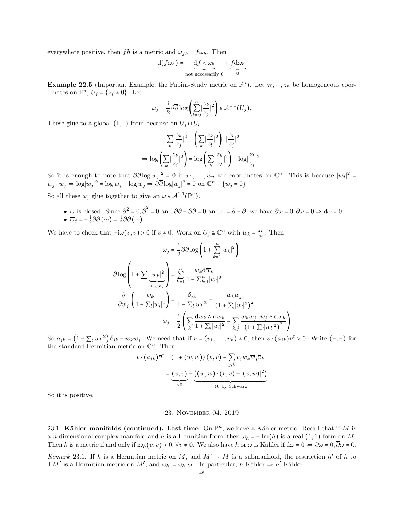everywhere positive, then fh is a metric and  $\omega_{fh} = f\omega_h$ . Then

$$
d(f\omega_h) = \underbrace{df \wedge \omega_h}_{\text{not necessarily } 0} + \underbrace{fd\omega_h}_{0}
$$

**Example 22.5** (Important Example, the Fubini-Study metric on  $\mathbb{P}^n$ ). Let  $z_0, \dots, z_n$  be homogeneous coordinates on  $\mathbb{P}^n$ ,  $U_j = \{z_j \neq 0\}$ . Let

$$
\omega_j = \frac{\mathrm{i}}{2} \partial \overline{\partial} \log \left( \sum_{k=0}^n \left| \frac{z_k}{z_j} \right|^2 \right) \in \mathcal{A}^{1,1}(U_j).
$$

These glue to a global  $(1,1)$ -form because on  $U_j \cap U_l$ ,

$$
\sum_{k} \left| \frac{z_k}{z_j} \right|^2 = \left( \sum_{k} \left| \frac{z_k}{z_l} \right|^2 \right) \cdot \left| \frac{z_l}{z_j} \right|^2
$$

$$
\Rightarrow \log \left( \sum_{k} \left| \frac{z_k}{z_j} \right|^2 \right) = \log \left( \sum_{k} \left| \frac{z_k}{z_l} \right|^2 \right) + \log \left| \frac{z_l}{z_j} \right|^2.
$$

So it is enough to note that  $\partial \overline{\partial} \log |w_j|^2 = 0$  if  $w_1, \ldots, w_n$  are coordinates on  $\mathbb{C}^n$ . This is because  $|w_j|^2 =$  $w_j \cdot \overline{w}_j \Rightarrow \log|w_j|^2 = \log w_j + \log \overline{w}_j \Rightarrow \partial \overline{\partial} \log|w_j|^2 = 0$  on  $\mathbb{C}^n \setminus \{w_j = 0\}.$ 

So all these  $\omega_j$  glue together to give an  $\omega \in \mathcal{A}^{1,1}(\mathbb{P}^n)$ .

•  $\omega$  is closed. Since  $\partial^2 = 0$ ,  $\overline{\partial}^2 = 0$  and  $\partial \overline{\partial} + \overline{\partial} \partial = 0$  and  $d = \partial + \overline{\partial}$ , we have  $\partial \omega = 0$ ,  $\overline{\partial} \omega = 0 \Rightarrow d\omega = 0$ . •  $\overline{\omega}_j = -\frac{1}{2}\overline{\partial}\partial\left(\cdots\right) = \frac{1}{2}\partial\overline{\partial}\left(\cdots\right)$ 

We have to check that  $-i\omega(v, v) > 0$  if  $v \neq 0$ . Work on  $U_j \cong \mathbb{C}^n$  with  $w_k = \frac{z_k}{z_j}$ . Then

$$
\omega_j = \frac{1}{2} \partial \overline{\partial} \log \left( 1 + \sum_{k=1}^n |w_k|^2 \right)
$$

$$
\overline{\partial} \log \left( 1 + \sum_{w_k} \frac{|w_k|^2}{w_k w_k} \right) = \sum_{k=1}^n \frac{w_k d \overline{w}_k}{1 + \sum_{l=1}^n |w_l|^2}
$$

$$
\frac{\partial}{\partial w_j} \left( \frac{w_k}{1 + \sum_l |w_l|^2} \right) = \frac{\delta_{jk}}{1 + \sum_l |w_l|^2} - \frac{w_k \overline{w}_j}{\left( 1 + \sum_l |w_l|^2 \right)^2}
$$

$$
\omega_j = \frac{1}{2} \left( \sum_k \frac{dw_k \wedge d \overline{w}_k}{1 + \sum_l |w_l|^2} - \sum_{k,j} \frac{w_k \overline{w}_j dw_j \wedge d \overline{w}_k}{\left( 1 + \sum_l |w_l|^2 \right)^2} \right)
$$

So  $a_{jk} = (1 + \sum_l |w_l|^2) \delta_{jk} - w_k \overline{w}_j$ . We need that if  $v = (v_1, \ldots, v_n) \neq 0$ , then  $v \cdot (a_{jk}) \overline{v}^t > 0$ . Write  $(-,-)$  for the standard Hermitian metric on  $\mathbb{C}^n$ . Then

 $\lambda$ ⎠

$$
v \cdot (a_{jk}) \overline{v}^t = (1 + (w, w)) (v, v) - \sum_{j,k} v_j w_k \overline{w}_j \overline{v}_k
$$

$$
= \underbrace{(v, v)}_{>0} + \underbrace{((w, w) \cdot (v, v) - |(v, w)|^2)}_{\ge 0 \text{ by Schwarz}}
$$

So it is positive.

## 23. November 04, 2019

23.1. Kähler manifolds (continued). Last time: On  $\mathbb{P}^n$ , we have a Kähler metric. Recall that if M is a n-dimensional complex manifold and h is a Hermitian form, then  $\omega_h = -\text{Im}(h)$  is a real (1, 1)-form on M. Then h is a metric if and only if  $i\omega_h(v, v) > 0$ ,  $\forall v \neq 0$ . We also have h or  $\omega$  is Kähler if  $d\omega = 0 \Leftrightarrow \partial \omega = 0$ ,  $\overline{\partial \omega} = 0$ .

Remark 23.1. If h is a Hermitian metric on M, and  $M' \rightarrow M$  is a submanifold, the restriction h' of h to TM' is a Hermitian metric on M', and  $\omega_{h'} = \omega_h|_{M'}$ . In particular, h Kähler  $\Rightarrow h'$  Kähler.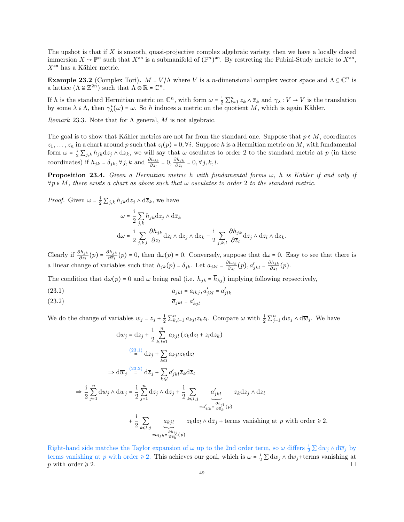The upshot is that if  $X$  is smooth, quasi-projective complex algebraic variety, then we have a locally closed immersion  $X \to \mathbb{P}^n$  such that  $X^{\text{an}}$  is a submanifold of  $(\mathbb{P}^n)^{\text{an}}$ . By restrcting the Fubini-Study metric to  $X^{\text{an}}$ ,  $X<sup>an</sup>$  has a Kähler metric.

**Example 23.2** (Complex Tori).  $M = V/\Lambda$  where V is a *n*-dimensional complex vector space and  $\Lambda \subseteq \mathbb{C}^n$  is a lattice  $(\Lambda \cong \mathbb{Z}^{2n})$  such that  $\Lambda \otimes \mathbb{R} = \mathbb{C}^n$ .

If h is the standard Hermitian metric on  $\mathbb{C}^n$ , with form  $\omega = \frac{1}{2} \sum_{k=1}^n z_k \wedge \overline{z}_k$  and  $\gamma_\lambda : V \to V$  is the translation by some  $\lambda \in \Lambda$ , then  $\gamma_{\lambda}^{*}(\omega) = \omega$ . So h induces a metric on the quotient M, which is again Kähler.

Remark 23.3. Note that for  $\Lambda$  general, M is not algebraic.

The goal is to show that Kähler metrics are not far from the standard one. Suppose that  $p \in M$ , coordinates  $z_1, \ldots, z_n$  in a chart around p such that  $z_i(p) = 0, \forall i$ . Suppose h is a Hermitian metric on M, with fundamental form  $\omega = \frac{1}{2} \sum_{j,k} h_{jk} dz_j \wedge d\overline{z}_k$ , we will say that  $\omega$  osculates to order 2 to the standard metric at p (in these coordinates) if  $h_{jk} = \delta_{jk}$ ,  $\forall j, k$  and  $\frac{\partial h_{jk}}{\partial z_l} = 0$ ,  $\frac{\partial h_{jk}}{\partial \overline{z}_l}$  $rac{m_{jk}}{\partial \overline{z}_l} = 0, \forall j, k, l.$ 

**Proposition 23.4.** Given a Hermitian metric h with fundamental forms  $\omega$ , h is Kähler if and only if  $\forall p \in M$ , there exists a chart as above such that  $\omega$  osculates to order 2 to the standard metric.

*Proof.* Given  $\omega = \frac{1}{2} \sum_{j,k} h_{jk} dz_j \wedge d\overline{z}_k$ , we have

$$
\omega = \frac{i}{2} \sum_{j,k} h_{jk} \mathrm{d}z_j \wedge \mathrm{d}\overline{z}_k
$$
  

$$
\mathrm{d}\omega = \frac{i}{2} \sum_{j,k,l} \frac{\partial h_{jk}}{\partial z_l} \mathrm{d}z_l \wedge \mathrm{d}z_j \wedge \mathrm{d}\overline{z}_k - \frac{i}{2} \sum_{j,k,l} \frac{\partial h_{jk}}{\partial \overline{z}_l} \mathrm{d}z_j \wedge \mathrm{d}\overline{z}_l \wedge \mathrm{d}\overline{z}_k.
$$

Clearly if  $\frac{\partial h_{jk}}{\partial z_l}(p) = \frac{\partial h_{jk}}{\partial \overline{z}_l}$  $\frac{m_{jk}}{\partial \overline{z}_l}(p) = 0$ , then  $d\omega(p) = 0$ . Conversely, suppose that  $d\omega = 0$ . Easy to see that there is a linear change of variables such that  $h_{jk}(p) = \delta_{jk}$ . Let  $a_{jkl} = \frac{\partial h_{jk}}{\partial z_l}$  $\frac{\partial h_{jk}}{\partial z_l}(p), a'_{jkl} = \frac{\partial h_{jk}}{\partial \overline{z}_l}$  $\frac{m_{jk}}{\partial \overline{z}_l}(p).$ 

The condition that  $d\omega(p) = 0$  and  $\omega$  being real (i.e.  $h_{jk} = \overline{h}_{kj}$ ) implying following repsectively,

- <span id="page-48-0"></span>(23.1)  $a_{jkl} = a_{lkj}, a'_{jkl} = a'_{jlk}$
- <span id="page-48-1"></span>(23.2)  $\overline{a}_{jkl} = a'_{kjl}$

We do the change of variables  $w_j = z_j + \frac{1}{2} \sum_{k,l=1}^n a_{kjl} z_k z_l$ . Compare  $\omega$  with  $\frac{1}{2} \sum_{j=1}^n dw_j \wedge d\overline{w}_j$ . We have

$$
dw_j = dz_j + \frac{1}{2} \sum_{k,l=1}^n a_{kjl} (z_k dz_l + z_l dz_k)
$$
  

$$
\stackrel{(23.1)}{=} dz_j + \sum_{k \le l} a_{kjl} z_k dz_l
$$
  

$$
\Rightarrow d\overline{w}_j \stackrel{(23.2)}{=} d\overline{z}_j + \sum_{k \le l} a'_{jkl} \overline{z}_k d\overline{z}_l
$$
  

$$
\Rightarrow \frac{i}{2} \sum_{j=1}^n dw_j \wedge d\overline{w}_j = \frac{i}{2} \sum_{j=1}^n dz_j \wedge d\overline{z}_j + \frac{i}{2} \sum_{k \le l,j} a'_{jkl} \overline{z}_k dz_j \wedge d\overline{z}_l
$$
  

$$
= a'_{jlk} = \frac{\partial h_{jl}}{\partial \overline{z}_k}(p)
$$
  

$$
+ \frac{i}{2} \sum_{k \le l,j} a_{kjl} z_k dz_l \wedge d\overline{z}_j + \text{terms vanishing at } p \text{ with order } \ge 2.
$$

Right-hand side matches the Taylor expansion of  $\omega$  up to the 2nd order term, so  $\omega$  differs  $\frac{1}{2} \sum dw_j \wedge d\overline{w}_j$  by terms vanishing at p with order  $\geq 2$ . This achieves our goal, which is  $\omega = \frac{1}{2} \sum \mathrm{d}w_j \wedge \mathrm{d}\overline{w}_j$ +terms vanishing at p with order  $\geq 2$ .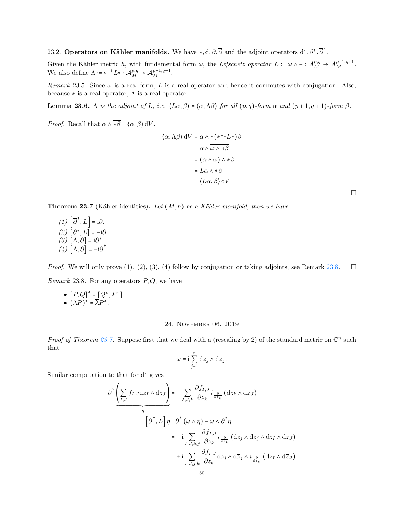23.2. Operators on Kähler manifolds. We have  $*, d, \partial, \overline{\partial}$  and the adjoint operators  $d^*, \partial^*, \overline{\partial}^*$ .

Given the Kähler metric h, with fundamental form  $\omega$ , the Lefschetz operator  $L := \omega \wedge - :{\cal A}_M^{p,q} \to {\cal A}_M^{p+1,q+1}$ . We also define  $\Lambda = *^{-1}L * : \mathcal{A}_{M}^{p,q} \to \mathcal{A}_{M}^{p-1,q-1}.$ 

Remark 23.5. Since  $\omega$  is a real form, L is a real operator and hence it commutes with conjugation. Also, because  $\ast$  is a real operator,  $\Lambda$  is a real operator.

**Lemma 23.6.** Λ is the adjoint of L, i.e.  $\langle L\alpha, \beta \rangle = \langle \alpha, \Lambda \beta \rangle$  for all  $(p,q)$ -form  $\alpha$  and  $(p+1,q+1)$ -form  $\beta$ .

*Proof.* Recall that  $\alpha \wedge \overline{\ast \beta} = \langle \alpha, \beta \rangle dV$ .

$$
\langle \alpha, \Lambda \beta \rangle dV = \alpha \wedge \overline{\star (\star^{-1} L \star) \beta}
$$
  
=  $\alpha \wedge \overline{\omega \wedge \star \beta}$   
=  $(\alpha \wedge \omega) \wedge \overline{\star \beta}$   
=  $L\alpha \wedge \overline{\star \beta}$   
=  $\langle L\alpha, \beta \rangle dV$ 

<span id="page-49-1"></span>**Theorem 23.7** (Kähler identities). Let  $(M, h)$  be a Kähler manifold, then we have

 $(1) \left[ \overline{\partial}^*, L \right] = i \partial.$  $(2) \left[ \partial^*, L \right] = -i \overline{\partial}.$ (3)  $[Λ, ∂] = i∂^*$ .  $(4)$   $[\Lambda, \overline{\partial}] = -i \overline{\partial}^*$ .

<span id="page-49-0"></span>*Proof.* We will only prove (1). (2), (3), (4) follow by conjugation or taking adjoints, see Remark [23.8.](#page-49-0)  $\Box$ Remark 23.8. For any operators  $P, Q$ , we have

•  $[P,Q]^* = [Q^*, P^*].$ •  $(\lambda P)^* = \overline{\lambda} P^*$ .

## 24. November 06, 2019

Proof of Theorem [23.7.](#page-49-1) Suppose first that we deal with a (rescaling by 2) of the standard metric on  $\mathbb{C}^n$  such that

$$
\omega = \mathrm{i} \sum_{j=1}^n \mathrm{d} z_j \wedge \mathrm{d} \overline{z}_j.
$$

Similar computation to that for d<sup>∗</sup> gives

$$
\overline{\partial}^{*}\underbrace{\left(\sum_{I,J}f_{I,J}\mathrm{d}z_{I}\wedge\mathrm{d}z_{J}\right)}_{\eta} = -\sum_{I,J,k}\frac{\partial f_{I,J}}{\partial z_{k}}i\frac{\partial}{\partial \overline{z}_{k}}\left(\mathrm{d}z_{k}\wedge\mathrm{d}\overline{z}_{J}\right)
$$
\n
$$
\left[\overline{\partial}^{*},L\right]\eta = \overline{\partial}^{*}\left(\omega\wedge\eta\right) - \omega\wedge\overline{\partial}^{*}\eta
$$
\n
$$
= -i\sum_{I,J,k,j}\frac{\partial f_{I,J}}{\partial z_{k}}i\frac{\partial}{\partial \overline{z}_{k}}\left(\mathrm{d}z_{j}\wedge\mathrm{d}\overline{z}_{j}\wedge\mathrm{d}z_{I}\wedge\mathrm{d}\overline{z}_{J}\right)
$$
\n
$$
+i\sum_{I,J,j,k}\frac{\partial f_{I,J}}{\partial z_{k}}\mathrm{d}z_{j}\wedge\mathrm{d}\overline{z}_{j}\wedge i\frac{\partial}{\partial \overline{z}_{k}}\left(\mathrm{d}z_{I}\wedge\mathrm{d}\overline{z}_{J}\right)
$$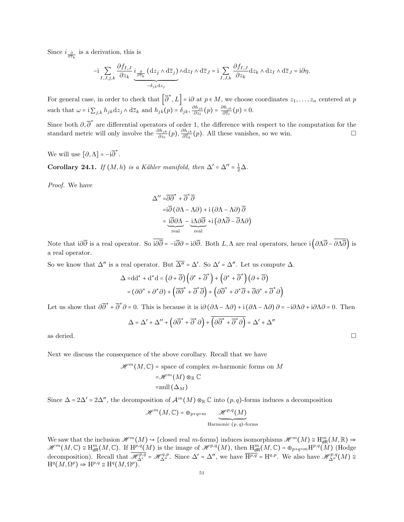Since  $i_{\frac{\partial}{\partial \overline{z}_k}}$  is a derivation, this is

$$
-{\rm i}\sum_{I,J,j,k}\frac{\partial f_{I,J}}{\partial z_k}\underbrace{i_{\frac{\partial}{\partial \overline{z}_k}}\left({\rm d} z_j\wedge {\rm d} \overline{z}_j\right)}_{-\delta_{jk}{\rm d} z_j}\wedge {\rm d} z_I\wedge {\rm d} \overline{z}_J={\rm i}\sum_{I,J,k}\frac{\partial f_{I,J}}{\partial z_k}{\rm d} z_k\wedge {\rm d} z_I\wedge {\rm d} \overline{z}_J={\rm i}\partial\eta.
$$

For general case, in order to check that  $\left[\overline{\partial}^*, L\right] = i\partial$  at  $p \in M$ , we choose coordinates  $z_1, \ldots, z_n$  centered at  $p$ such that  $\omega = i \sum_{j,k} h_{jk} dz_j \wedge d\overline{z}_k$  and  $h_{jk}(p) = \delta_{jk}, \frac{\partial h_{jk}}{\partial z_k}$  $\frac{\partial h_{jk}}{\partial z_l}(p) = \frac{\partial h_{jk}}{\partial \overline{z}_l}$  $rac{m_{jk}}{\partial \overline{z}_l}(p) = 0.$ 

Since both  $\partial$ ,  $\overline{\partial}^*$  are differential operators of order 1, the difference with respect to the computation for the standard metric will only involve the  $\frac{\partial h_{jk}}{\partial z_l}(p)$ ,  $\frac{\partial h_{jk}}{\partial \bar{z}_k}(p)$  $\frac{\partial h_{jk}}{\partial \overline{z}_k}(p)$ . All these vanishes, so we win.  $\Box$ 

We will use  $[\partial, \Lambda] = -i\overline{\partial}^*$ .

<span id="page-50-0"></span>**Corollary 24.1.** If  $(M, h)$  is a Kähler manifold, then  $\Delta' = \Delta'' = \frac{1}{2}\Delta$ .

Proof. We have

$$
\Delta'' = \overline{\partial} \overline{\partial}^* + \overline{\partial}^* \overline{\partial}
$$
  
= $i\overline{\partial} (\partial \Lambda - \Lambda \partial) + i (\partial \Lambda - \Lambda \partial) \overline{\partial}$   
= $i\overline{\partial} \partial \Lambda - i\Lambda \partial \overline{\partial} + i (\partial \Lambda \overline{\partial} - \overline{\partial} \Lambda \partial)$   
real

Note that  $i\partial\overline{\partial}$  is a real operator. So  $i\partial\overline{\partial} = -i\overline{\partial}\partial = i\partial\overline{\partial}$ . Both  $L, \Lambda$  are real operators, hence  $i\left(\partial\Lambda\overline{\partial} - \overline{\partial\Lambda\overline{\partial}}\right)$  is a real operator.

So we know that  $\Delta''$  is a real operator. But  $\overline{\Delta''} = \Delta'$ . So  $\Delta' = \Delta''$ . Let us compute  $\Delta$ .

$$
\Delta = dd^* + d^*d = (\partial + \overline{\partial}) (\partial^* + \overline{\partial}^*) + (\partial^* + \overline{\partial}^*) (\partial + \overline{\partial})
$$
  
= (\partial \partial^\* + \partial^\* \partial) + (\overline{\partial \partial}^\* + \overline{\partial}^\* \overline{\partial}) + (\partial \overline{\partial}^\* + \partial^\* \overline{\partial} + \overline{\partial} \partial^\* + \overline{\partial}^\* \partial)

Let us show that  $\partial \overline{\partial}^* + \overline{\partial}^* \partial = 0$ . This is because it is  $i\partial (\partial \Lambda - \Lambda \partial) + i (\partial \Lambda - \Lambda \partial) \partial = -i\partial \Lambda \partial + i\partial \Lambda \partial = 0$ . Then

$$
\Delta = \Delta' + \Delta'' + \left(\partial \overline{\partial}^* + \overline{\partial}^* \partial\right) + \overline{\left(\partial \overline{\partial}^* + \overline{\partial}^* \partial\right)} = \Delta' + \Delta''
$$
as deried.

Next we discuss the consequence of the above corollary. Recall that we have

$$
\mathcal{H}^m(M, \mathbb{C}) = \text{space of complex } m\text{-harmonic forms on } M
$$

$$
= \mathcal{H}^m(M) \otimes_{\mathbb{R}} \mathbb{C}
$$

$$
= \text{null}(\Delta_M)
$$

Since  $\Delta = 2\Delta' = 2\Delta''$ , the decomposition of  $\mathcal{A}^m(M) \otimes_{\mathbb{R}} \mathbb{C}$  into  $(p,q)$ -forms induces a decomposition

$$
\mathcal{H}^m(M,\mathbb{C}) = \oplus_{p+q=m} \underbrace{\mathcal{H}^{p,q}(M)}_{\text{Harmonic } (p,q)\text{-forms}}
$$

We saw that the inclusion  $\mathscr{H}^m(M) \hookrightarrow \{\text{closed real }m\text{-forms}\}$  induces isomorphisms  $\mathscr{H}^m(M) \cong \text{H}^m_{\text{dR}}(M,\mathbb{R}) \Rightarrow$  $\mathscr{H}^m(M,\mathbb{C})\cong H^m_{\mathrm{dR}}(M,\mathbb{C})$ . If  $\mathrm{H}^{p,q}(M)$  is the image of  $\mathscr{H}^{p,q}(M)$ , then  $H^m_{\mathrm{dR}}(M,\mathbb{C})=\oplus_{p+q=m}\mathrm{H}^{p,q}(M)$  (Hodge decomposition). Recall that  $\overline{\mathcal{H}_{\Delta'}^{p,q}} = \mathcal{H}_{\Delta''}^{q,p}$ . Since  $\Delta' = \Delta''$ , we have  $\overline{H^{p,q}} = H^{q,p}$ . We also have  $\mathcal{H}_{\Delta''}^{p,q}(M) \cong$  $\mathrm{H}^q(M, \Omega^p) \Rightarrow \mathrm{H}^{p,q} \cong \mathrm{H}^q(M, \Omega^p).$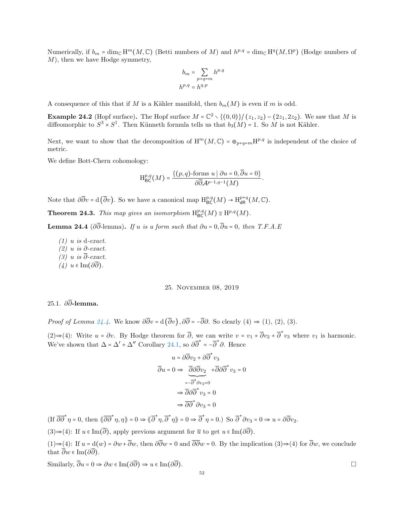Numerically, if  $b_m = \dim_{\mathbb{C}} H^m(M, \mathbb{C})$  (Betti numbers of M) and  $h^{p,q} = \dim_{\mathbb{C}} H^q(M, \Omega^p)$  (Hodge numbers of M), then we have Hodge symmetry,

$$
b_m = \sum_{p+q=m} h^{p,q}
$$
  

$$
h^{p,q} = h^{q,p}
$$

A consequence of this that if M is a Kähler manifold, then  $b_m(M)$  is even if m is odd.

**Example 24.2** (Hopf surface). The Hopf surface  $M = \mathbb{C}^2 \setminus \{(0,0)\}/(z_1, z_2) \sim (2z_1, 2z_2)$ . We saw that M is diffeomorphic to  $S^3 \times S^1$ . Then Künneth formula tells us that  $b_3(M) = 1$ . So M is not Kähler.

Next, we want to show that the decomposition of  $H^m(M, \mathbb{C}) = \oplus_{p+q=m} H^{p,q}$  is independent of the choice of metric.

We define Bott-Chern cohomology:

$$
H^{p,q}_{\text{BC}}(M) = \frac{\{(p,q)\text{-forms }u \mid \partial u = 0, \overline{\partial}u = 0\}}{\partial \overline{\partial} \mathcal{A}^{p-1,q-1}(M)}.
$$

Note that  $\partial \overline{\partial} v = d(\overline{\partial} v)$ . So we have a canonical map  $H^{p,q}_{BC}(M) \to H^{p+q}_{dR}(M,\mathbb{C})$ .

<span id="page-51-1"></span>**Theorem 24.3.** This map gives an isomorphism  $H^{p,q}_{BC}(M) \cong H^{p,q}(M)$ .

<span id="page-51-0"></span>**Lemma 24.4** (∂ $\overline{\partial}$ -lemma). If u is a form such that  $\partial u = 0$ ,  $\overline{\partial}u = 0$ , then T.F.A.E

 $(1)$  u is d-exact.

- $(2)$  u is  $\partial$ -exact.
- $(3)$  u is  $\overline{\partial}$ -exact.
- $(4)$  u ∈ Im( $\partial \overline{\partial}$ ).

### 25. November 08, 2019

# 25.1. ∂∂-lemma.

*Proof of Lemma [24.4.](#page-51-0)* We know  $\partial \overline{\partial} v = d(\overline{\partial} v)$ ,  $\partial \overline{\partial} = -\overline{\partial} \partial$ . So clearly (4)  $\Rightarrow$  (1), (2), (3).

(2)⇒(4): Write  $u = \partial v$ . By Hodge theorem for  $\overline{\partial}$ , we can write  $v = v_1 + \overline{\partial}v_2 + \overline{\partial}^* v_3$  where  $v_1$  is harmonic. We've shown that  $\Delta = \Delta' + \Delta''$  Corollary [24.1,](#page-50-0) so  $\partial \overline{\partial}^* = -\overline{\partial}^* \partial$ . Hence

$$
u = \partial \overline{\partial} v_2 + \partial \overline{\partial}^* v_3
$$
  

$$
\overline{\partial} u = 0 \Rightarrow \overline{\partial} \partial \overline{\partial} v_2 + \overline{\partial} \partial \overline{\partial}^* v_3 = 0
$$
  

$$
= -\overline{\partial}^2 \partial v_2 = 0
$$
  

$$
\Rightarrow \overline{\partial} \partial \overline{\partial}^* v_3 = 0
$$
  

$$
\Rightarrow \overline{\partial} \partial \overline{\partial}^* \partial v_3 = 0
$$

 $(\text{If } \overline{\partial \partial}^* \eta = 0, \text{ then } \langle \overline{\partial} \overline{\partial}^* \eta, \eta \rangle = 0 \Rightarrow \langle \overline{\partial}^* \eta, \overline{\partial}^* \eta \rangle = 0 \Rightarrow \overline{\partial}^* \eta = 0.) \text{ So } \overline{\partial}^* \partial v_3 = 0 \Rightarrow u = \partial \overline{\partial} v_2.$ 

 $(3) \Rightarrow (4)$ : If  $u \in \text{Im}(\overline{\partial})$ , apply previous argument for  $\overline{u}$  to get  $u \in \text{Im}(\partial \overline{\partial})$ .

 $(1) \Rightarrow (4)$ : If  $u = d(w) = \partial w + \overline{\partial}w$ , then  $\partial \overline{\partial}w = 0$  and  $\overline{\partial} \overline{\partial}w = 0$ . By the implication  $(3) \Rightarrow (4)$  for  $\overline{\partial}w$ , we conclude that  $\overline{\partial} w \in \text{Im}(\partial \overline{\partial}).$ 

Similarly,  $\overline{\partial}u = 0 \Rightarrow \partial w \in \text{Im}(\partial \overline{\partial}) \Rightarrow u \in \text{Im}(\partial \overline{\partial}).$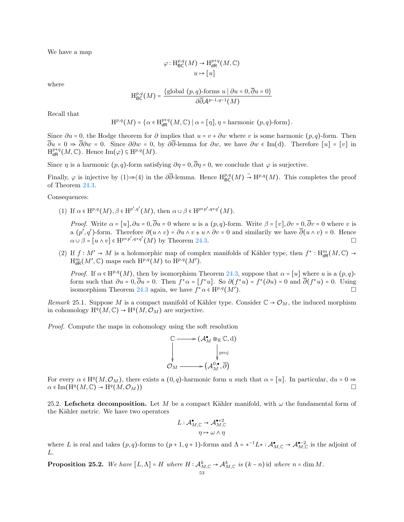We have a map

$$
\varphi: \mathrm{H}^{p,q}_{\mathrm{BC}}(M) \to \mathrm{H}^{p+q}_{\mathrm{dR}}(M, \mathbb{C})
$$

$$
u \mapsto [u]
$$

where

$$
H^{p,q}_{BC}(M) = \frac{\{\text{global } (p,q)\text{-forms } u \mid \partial u = 0, \overline{\partial} u = 0\}}{\partial \overline{\partial} \mathcal{A}^{p-1,q-1}(M)}
$$

Recall that

$$
\mathrm{H}^{p,q}(M)=\big\{\alpha\in \mathrm{H}^{p+q}_{\mathrm{dR}}\big(M,\mathbb{C}\big)\;\big|\;\alpha=[\eta\big],\eta=\text{harmonic }(p,q)\text{-form}\big\}.
$$

Since  $\partial u = 0$ , the Hodge theorem for  $\partial$  implies that  $u = v + \partial w$  where v is some harmonic  $(p, q)$ -form. Then  $\overline{\partial}u = 0 \Rightarrow \overline{\partial}\partial w = 0$ . Since  $\partial\partial w = 0$ , by  $\partial\overline{\partial}$ -lemma for  $\partial w$ , we have  $\partial w \in \text{Im}(d)$ . Therefore  $[u] = [v]$  in  $\mathrm{H}^{p+q}_{\mathsf{dR}}(M,\mathbb{C})$ . Hence  $\mathrm{Im}(\varphi) \subseteq \mathrm{H}^{p,q}(M)$ .

Since  $\eta$  is a harmonic  $(p, q)$ -form satisfying  $\partial \eta = 0$ ,  $\overline{\partial} \eta = 0$ , we conclude that  $\varphi$  is surjective.

Finally,  $\varphi$  is injective by (1)⇒(4) in the  $\partial\overline{\partial}$ -lemma. Hence  $H^{p,q}_{BC}(M) \stackrel{\sim}{\rightarrow} H^{p,q}(M)$ . This completes the proof of Theorem [24.3.](#page-51-1)

Consequences:

(1) If  $\alpha \in \mathrm{H}^{p,q}(M)$ ,  $\beta \in \mathrm{H}^{p',q'}(M)$ , then  $\alpha \cup \beta \in \mathrm{H}^{p+p',q+q'}(M)$ .

*Proof.* Write  $\alpha = [u], \partial u = 0, \overline{\partial} u = 0$  where u is a  $(p, q)$ -form. Write  $\beta = [v], \partial v = 0, \overline{\partial} v = 0$  where v is a  $(p', q')$ -form. Therefore  $\partial(u \wedge v) = \partial u \wedge v \pm u \wedge \partial v = 0$  and similarily we have  $\overline{\partial}(u \wedge v) = 0$ . Hence  $\alpha \cup \beta = [u \wedge v] \in \mathrm{H}^{p+p', q+q'}(M)$  by Theorem [24.3.](#page-51-1)

(2) If  $f: M' \to M$  is a holomorphic map of complex manifolds of Kähler type, then  $f^*: H_{\text{dR}}^m(M, \mathbb{C}) \to$  $\mathrm{H}^m_{\mathsf{dR}}(M',\mathbb{C})$  maps each  $\mathrm{H}^{p,q}(M)$  to  $\mathrm{H}^{p,q}(M').$ 

*Proof.* If  $\alpha \in H^{p,q}(M)$ , then by isomorphism Theorem [24.3,](#page-51-1) suppose that  $\alpha = [u]$  where u is a  $(p,q)$ form such that  $\partial u = 0$ ,  $\overline{\partial} u = 0$ . Then  $f^* \alpha = [f^* u]$ . So  $\partial (f^* u) = f^* (\partial u) = 0$  and  $\overline{\partial} (f^* u) = 0$ . Using isomorphism Theorem [24.3](#page-51-1) again, we have  $f^*\alpha \in H^{p,q}(M')$ ).

Remark 25.1. Suppose M is a compact manifold of Kähler type. Consider  $\mathbb{C} \to \mathcal{O}_M$ , the induced morphism in cohomology  $\mathrm{H}^q(M,\mathbb{C}) \to \mathrm{H}^q(M,\mathcal{O}_M)$  are surjective.

Proof. Compute the maps in cohomology using the soft resolution

$$
\begin{array}{ccc}\n\mathbb{C} & \longrightarrow (\mathcal{A}_{M}^{*} \otimes_{\mathbb{R}} \mathbb{C}, \mathrm{d}) \\
& \downarrow_{\mathrm{proj}} \\
\mathcal{O}_{M} & \longrightarrow (\mathcal{A}_{M}^{0,\bullet}, \overline{\partial})\n\end{array}
$$

For every  $\alpha \in H^q(M, \mathcal{O}_M)$ , there exists a  $(0, q)$ -harmonic form u such that  $\alpha = [u]$ . In particular,  $du = 0 \Rightarrow$  $\alpha \in \text{Im}(\dot{\text{H}}^q(M,\mathbb{C}) \to \text{H}^q(M,\mathcal{O}_M))$ 

25.2. Lefschetz decomposition. Let M be a compact Kähler manifold, with  $\omega$  the fundamental form of the Kähler metric. We have two operators

$$
L: \mathcal{A}_{M, \mathbb{C}}^{\bullet} \to \mathcal{A}_{M, \mathbb{C}}^{\bullet + 2}
$$

$$
\eta \mapsto \omega \wedge \eta
$$

where L is real and takes  $(p, q)$ -forms to  $(p + 1, q + 1)$ -forms and  $\Lambda = *^{-1}L * : \mathcal{A}_{M, \mathbb{C}}^{\bullet} \to \mathcal{A}_{M, \mathbb{C}}^{\bullet -2}$  is the adjoint of L.

**Proposition 25.2.** We have  $[L, \Lambda] = H$  where  $H : \mathcal{A}_{M, \mathbb{C}}^k \to \mathcal{A}_{M, \mathbb{C}}^k$  is  $(k - n)$  id where  $n = \dim M$ .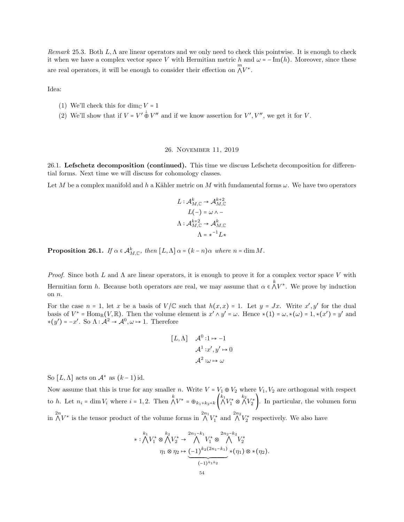Remark 25.3. Both L,Λ are linear operators and we only need to check this pointwise. It is enough to check it when we have a complex vector space V with Hermitian metric h and  $\omega = -\text{Im}(h)$ . Moreover, since these are real operators, it will be enough to consider their effection on  $\bigwedge^m V^*$ .

Idea:

- (1) We'll check this for dim<sub>C</sub>  $V = 1$
- (2) We'll show that if  $V = V' \stackrel{\perp}{\oplus} V''$  and if we know assertion for  $V', V'',$  we get it for V.

### 26. November 11, 2019

26.1. Lefschetz decomposition (continued). This time we discuss Lefschetz decomposition for differential forms. Next time we will discuss for cohomology classes.

Let M be a complex manifold and h a Kähler metric on M with fundamental forms  $\omega$ . We have two operators

$$
L: \mathcal{A}_{M, \mathbb{C}}^k \to \mathcal{A}_{M, \mathbb{C}}^{k+2}
$$

$$
L(-) = \omega \wedge -
$$

$$
\Lambda: \mathcal{A}_{M, \mathbb{C}}^{k+2} \to \mathcal{A}_{M, \mathbb{C}}^k
$$

$$
\Lambda = \star^{-1} L \star
$$

<span id="page-53-0"></span>**Proposition 26.1.** If  $\alpha \in A_{M,\mathbb{C}}^k$ , then  $[L,\Lambda] \alpha = (k-n)\alpha$  where  $n = \dim M$ .

Proof. Since both L and  $\Lambda$  are linear operators, it is enough to prove it for a complex vector space V with Hermitian form h. Because both operators are real, we may assume that  $\alpha \in \bigwedge^k V^*$ . We prove by induction on n.

For the case  $n = 1$ , let x be a basis of  $V/C$  such that  $h(x, x) = 1$ . Let  $y = Jx$ . Write  $x', y'$  for the dual basis of  $V^* = \text{Hom}_{\mathbb{R}}(V, \mathbb{R})$ . Then the volume element is  $x' \wedge y' = \omega$ . Hence  $*(1) = \omega, *(\omega) = 1, *(\omega') = y'$  and  $*(y') = -x'$ . So  $\Lambda : \mathcal{A}^2 \to \mathcal{A}^0, \omega \mapsto 1$ . Therefore

$$
[L, \Lambda] \quad \mathcal{A}^{0} : 1 \mapsto -1
$$

$$
\mathcal{A}^{1} : x', y' \mapsto 0
$$

$$
\mathcal{A}^{2} : \omega \mapsto \omega
$$

So  $[L, \Lambda]$  acts on  $\mathcal{A}^*$  as  $(k-1)$  id.

Now assume that this is true for any smaller n. Write  $V = V_1 \oplus V_2$  where  $V_1, V_2$  are orthogonal with respect to h. Let  $n_i = \dim V_i$  where  $i = 1, 2$ . Then  $\bigwedge^k V^* = \bigoplus_{k_1 + k_2 = k} \left( \bigwedge^{k_1} V_1^* \otimes \bigwedge^{k_2} V_2^* \right)$ . In particular, the volumen form in  $\bigwedge^{2n} V^*$  is the tensor product of the volume forms in  $\bigwedge^{2n_1} V_1^*$  and  $\bigwedge^{2n_2} V_2^*$  respectively. We also have

$$
\ast: \bigwedge^{k_1} V_1^* \otimes \bigwedge^{k_2} V_2^* \to \bigwedge^{2n_1-k_1} V_1^* \otimes \bigwedge^{2n_2-k_2} V_2^*
$$

$$
\eta_1 \otimes \eta_2 \mapsto \underbrace{(-1)^{k_2(2n_1-k_1)}}_{(-1)^{k_1k_2}} \ast (\eta_1) \otimes \ast (\eta_2).
$$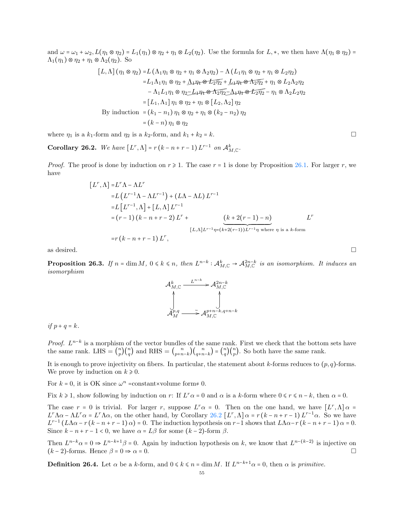and  $\omega = \omega_1 + \omega_2$ ,  $L(\eta_1 \otimes \eta_2) = L_1(\eta_1) \otimes \eta_2 + \eta_1 \otimes L_2(\eta_2)$ . Use the formula for  $L, *$ , we then have  $\Lambda(\eta_1 \otimes \eta_2)$  =  $\Lambda_1(\eta_1) \otimes \eta_2 + \eta_1 \otimes \Lambda_2(\eta_2)$ . So

$$
[L, \Lambda] (\eta_1 \otimes \eta_2) = L (\Lambda_1 \eta_1 \otimes \eta_2 + \eta_1 \otimes \Lambda_2 \eta_2) - \Lambda (L_1 \eta_1 \otimes \eta_2 + \eta_1 \otimes L_2 \eta_2)
$$
  
\n
$$
= L_1 \Lambda_1 \eta_1 \otimes \eta_2 + \underline{\Lambda}_1 \eta_1 \otimes \underline{L}_2 \eta_2 + \underline{L}_1 \eta_1 \otimes \Lambda_2 \eta_2 + \eta_1 \otimes L_2 \Lambda_2 \eta_2
$$
  
\n
$$
- \Lambda_1 L_1 \eta_1 \otimes \eta_2 - \underline{L}_1 \eta_1 \otimes \Lambda_2 \eta_2 - \underline{\Lambda}_1 \eta_1 \otimes \underline{L}_2 \eta_2 - \eta_1 \otimes \Lambda_2 L_2 \eta_2
$$
  
\n
$$
= [L_1, \Lambda_1] \eta_1 \otimes \eta_2 + \eta_1 \otimes [L_2, \Lambda_2] \eta_2
$$
  
\nBy induction 
$$
= (k_1 - n_1) \eta_1 \otimes \eta_2 + \eta_1 \otimes (k_2 - n_2) \eta_2
$$
  
\n
$$
= (k - n) \eta_1 \otimes \eta_2
$$

where  $\eta_1$  is a  $k_1$ -form and  $\eta_2$  is a  $k_2$ -form, and  $k_1 + k_2 = k$ .

<span id="page-54-0"></span>**Corollary 26.2.** We have  $[L^r, \Lambda] = r(k - n + r - 1)L^{r-1}$  on  $\mathcal{A}_{M,\mathbb{C}}^k$ .

*Proof.* The proof is done by induction on  $r \ge 1$ . The case  $r = 1$  is done by Proposition [26.1.](#page-53-0) For larger r, we have

$$
[L^r, \Lambda] = L^r \Lambda - \Lambda L^r
$$
  
= L (L<sup>r-1</sup> \Lambda - \Lambda L<sup>r-1</sup>) + (L\Lambda - \Lambda L) L<sup>r-1</sup>  
= L [L<sup>r-1</sup>, \Lambda] + [L, \Lambda] L<sup>r-1</sup>  
= (r - 1) (k - n + r - 2) L<sup>r</sup> + (L, \Lambda] L<sup>r-1</sup>  $\pi$   
= r (k - n + r - 1) L<sup>r</sup>,  

$$
[L, \Lambda] L^{r-1} \eta = (k + 2(r - 1)) L^{r-1} \eta \text{ where } \eta \text{ is a } k \text{-form}
$$

as desired.  $\square$ 

<span id="page-54-1"></span>**Proposition 26.3.** If  $n = \dim M$ ,  $0 \le k \le n$ , then  $L^{n-k} : A_{M,\mathbb{C}}^k \to A_{M,\mathbb{C}}^{2n-k}$  is an isomorphism. It induces an isomorphism

$$
\mathcal{A}_{M,\mathbb{C}}^k \xrightarrow{L^{n-k}} \mathcal{A}_{M,\mathbb{C}}^{2n-k}
$$
\n
$$
\downarrow \qquad \qquad \downarrow
$$
\n
$$
\mathcal{A}_{M}^{p,q} \xrightarrow{\sim} \mathcal{A}_{M,\mathbb{C}}^{p+n-k,q+n-k}
$$

if  $p + q = k$ .

*Proof.*  $L^{n-k}$  is a morphism of the vector bundles of the same rank. First we check that the bottom sets have the same rank. LHS =  $\binom{n}{n}$  $\binom{n}{p} \binom{n}{q}$  and RHS =  $\binom{n}{p+n}$  $\binom{n}{p+n-k}\binom{n}{q+n-k} = \binom{n}{q}$  $\binom{n}{q}\binom{n}{p}$ . So both have the same rank.

It is enough to prove injectivity on fibers. In particular, the statement about k-forms reduces to  $(p, q)$ -forms. We prove by induction on  $k \geq 0$ .

For  $k = 0$ , it is OK since  $\omega^n$  =constant×volume form≠ 0.

Fix  $k \ge 1$ , show following by induction on r: If  $L^r \alpha = 0$  and  $\alpha$  is a k-form where  $0 \le r \le n - k$ , then  $\alpha = 0$ .

The case  $r = 0$  is trivial. For larger r, suppose  $L^r \alpha = 0$ . Then on the one hand, we have  $[L^r, \Lambda] \alpha =$  $L^r \Lambda \alpha - \Lambda L^r \alpha = L^r \Lambda \alpha$ , on the other hand, by Corollary [26.2](#page-54-0)  $[L^r, \Lambda] \alpha = r(k - n + r - 1) L^{r-1} \alpha$ . So we have  $L^{r-1}(L\Lambda\alpha-r(k-n+r-1)\alpha) = 0$ . The induction hypothesis on r-1 shows that  $L\Lambda\alpha-r(k-n+r-1)\alpha = 0$ . Since  $k - n + r - 1 < 0$ , we have  $\alpha = L\beta$  for some  $(k - 2)$ -form  $\beta$ .

Then  $L^{n-k}\alpha = 0 \Rightarrow L^{n-k+1}\beta = 0$ . Again by induction hypothesis on k, we know that  $L^{n-(k-2)}$  is injective on  $(k-2)$ -forms. Hence  $\beta = 0 \Rightarrow \alpha = 0$ .

**Definition 26.4.** Let  $\alpha$  be a k-form, and  $0 \le k \le n = \dim M$ . If  $L^{n-k+1}\alpha = 0$ , then  $\alpha$  is primitive.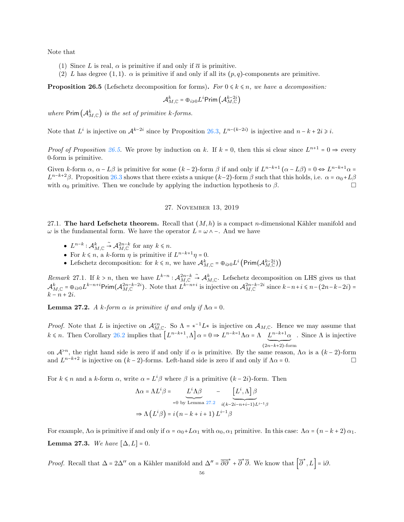Note that

- (1) Since L is real,  $\alpha$  is primitive if and only if  $\overline{\alpha}$  is primitive.
- (2) L has degree (1, 1).  $\alpha$  is primitive if and only if all its  $(p, q)$ -components are primitive.

<span id="page-55-0"></span>**Proposition 26.5** (Lefschetz decomposition for forms). For  $0 \le k \le n$ , we have a decomposition:

$$
\mathcal{A}_{M, \mathbb{C}}^k = \oplus_{i \geqslant 0} L^i \mathsf{Prim} \left( \mathcal{A}_{M, \mathbb{C}}^{k - 2i} \right)
$$

where  $\textsf{Prim}\left(\mathcal{A}_{M,\mathbb{C}}^k\right)$  is the set of primitive k-forms.

Note that  $L^i$  is injective on  $\mathcal{A}^{k-2i}$  since by Proposition [26.3,](#page-54-1)  $L^{n-(k-2i)}$  is injective and  $n-k+2i \geq i$ .

*Proof of Proposition [26.5.](#page-55-0)* We prove by induction on k. If  $k = 0$ , then this si clear since  $L^{n+1} = 0 \Rightarrow$  every 0-form is primitive.

Given k-form  $\alpha$ ,  $\alpha - L\beta$  is primitive for some  $(k-2)$ -form  $\beta$  if and only if  $L^{n-k+1}(\alpha - L\beta) = 0 \Leftrightarrow L^{n-k+1}\alpha =$  $L^{n-k+2}\beta$ . Proposition [26.3](#page-54-1) shows that there exists a unique  $(k-2)$ -form  $\beta$  such that this holds, i.e.  $\alpha = \alpha_0 + L\beta$ with  $\alpha_0$  primitive. Then we conclude by applying the induction hypothesis to  $\beta$ .

## 27. November 13, 2019

27.1. The hard Lefschetz theorem. Recall that  $(M, h)$  is a compact n-dimensional Kähler manifold and  $\omega$  is the fundamental form. We have the operator  $L = \omega \wedge -$ . And we have

- $L^{n-k}: \mathcal{A}_{M, \mathbb{C}}^k \overset{\sim}{\rightarrow} \mathcal{A}_{M, \mathbb{C}}^{2n-k}$  for any  $k \leq n$ .
- For  $k \le n$ , a k-form  $\eta$  is primitive if  $L^{n-k+1}\eta = 0$ .
- Lefschetz decomposition: for  $k \le n$ , we have  $\mathcal{A}_{M,\mathbb{C}}^k = \bigoplus_{i\ge0} L^i \left( \text{Prim}(\mathcal{A}_{M,\mathbb{C}}^{k-2i}) \right)$

Remark 27.1. If  $k > n$ , then we have  $L^{k-n}$ :  $\mathcal{A}_{M,\mathbb{C}}^{2n-k}$   $\stackrel{\sim}{\to} \mathcal{A}_{M,\mathbb{C}}^k$ . Lefschetz decomposition on LHS gives us that  $\mathcal{A}_{M,\mathbb{C}}^k = \oplus_{i\geqslant 0} L^{k-n+i}$ Prim $(\mathcal{A}_{M,\mathbb{C}}^{2n-k-2i})$ . Note that  $L^{k-n+i}$  is injective on  $\mathcal{A}_{M,\mathbb{C}}^{2n-k-2i}$  since  $k-n+i\leqslant n-(2n-k-2i)$  $k - n + 2i$ .

<span id="page-55-1"></span>**Lemma 27.2.** A k-form  $\alpha$  is primitive if and only if  $\Lambda \alpha = 0$ .

*Proof.* Note that L is injective on  $\mathcal{A}_{M,\mathbb{C}}^{. So  $\Lambda = *^{-1}L*$  is injective on  $\mathcal{A}_{M,\mathbb{C}}$ . Hence we may assume that$  $k \le n$ . Then Corollary [26.2](#page-54-0) implies that  $\left[L^{n-k+1}, \Lambda\right] \alpha = 0 \Rightarrow L^{n-k-1} \Lambda \alpha = \Lambda \quad L^{n-k+1} \alpha$ . Since  $\Lambda$  is injective  $\overline{\big(2n-k+2\big)}$ -form

on  $\mathcal{A}^{>n}$ , the right hand side is zero if and only if  $\alpha$  is primitive. By the same reason,  $\Lambda \alpha$  is a  $(k-2)$ -form and  $L^{n-k+2}$  is injective on  $(k-2)$ -forms. Left-hand side is zero if and only if  $\Lambda \alpha = 0$ .

For  $k \leq n$  and a k-form  $\alpha$ , write  $\alpha = L^i \beta$  where  $\beta$  is a primitive  $(k - 2i)$ -form. Then

$$
\Lambda \alpha = \Lambda L^{i} \beta = \underbrace{L^{i} \Lambda \beta}_{=0 \text{ by Lemma 27.2}} - \underbrace{L^{i}, \Lambda}_{i(k-2i-n+i-1)L^{i-1} \beta}
$$

$$
\Rightarrow \Lambda (L^{i} \beta) = i (n - k + i + 1) L^{i-1} \beta
$$

For example,  $\Lambda \alpha$  is primitive if and only if  $\alpha = \alpha_0 + L\alpha_1$  with  $\alpha_0, \alpha_1$  primitive. In this case:  $\Lambda \alpha = (n - k + 2) \alpha_1$ . Lemma 27.3. We have  $[\Delta, L] = 0$ .

*Proof.* Recall that  $\Delta = 2\Delta''$  on a Kähler manifold and  $\Delta'' = \overline{\partial} \overline{\partial}^* + \overline{\partial}^* \overline{\partial}$ . We know that  $\left[ \overline{\partial}^*, L \right] = i \partial$ .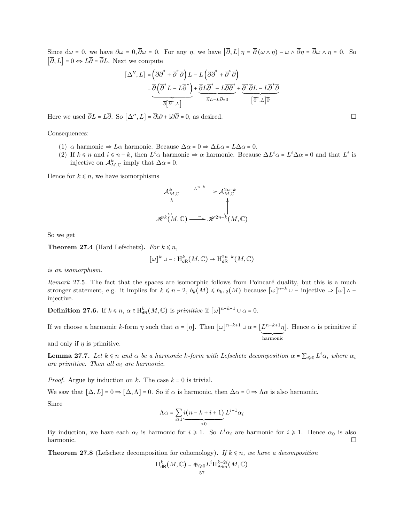Since  $d\omega = 0$ , we have  $\partial \omega = 0$ ,  $\overline{\partial} \omega = 0$ . For any  $\eta$ , we have  $[\overline{\partial}, L] \eta = \overline{\partial} (\omega \wedge \eta) - \omega \wedge \overline{\partial} \eta = \overline{\partial} \omega \wedge \eta = 0$ . So  $[\overline{\partial}, L] = 0 \Leftrightarrow L\overline{\partial} = \overline{\partial}L$ . Next we compute

$$
[\Delta'', L] = (\overline{\partial} \overline{\partial}^* + \overline{\partial}^* \overline{\partial}) L - L (\overline{\partial} \overline{\partial}^* + \overline{\partial}^* \overline{\partial})
$$
  

$$
= \overline{\partial} (\overline{\partial}^* L - L \overline{\partial}^*) + \overline{\partial} L \overline{\partial}^* - L \overline{\partial} \overline{\partial}^* + \overline{\partial}^* \overline{\partial} L - L \overline{\partial}^* \overline{\partial}
$$
  

$$
\overline{\partial} L - L \overline{\partial} = 0
$$
  

$$
[\overline{\partial}^*, L] = \overline{\partial} L \overline{\partial} L - L \overline{\partial} = 0
$$

Here we used  $\overline{\partial}L = L\overline{\partial}$ . So  $[\Delta'', L] = \overline{\partial}i\partial + i\partial\overline{\partial} = 0$ , as desired.

## Consequences:

- (1)  $\alpha$  harmonic  $\Rightarrow L\alpha$  harmonic. Because  $\Delta \alpha = 0 \Rightarrow \Delta L\alpha = L\Delta \alpha = 0$ .
- (2) If  $k \le n$  and  $i \le n k$ , then  $L^i \alpha$  harmonic  $\Rightarrow \alpha$  harmonic. Because  $\Delta L^i \alpha = L^i \Delta \alpha = 0$  and that  $L^i$  is injective on  $\mathcal{A}_{M,\mathbb{C}}^k$  imply that  $\Delta \alpha = 0$ .

Hence for  $k \leq n$ , we have isomorphisms

$$
\mathcal{A}_{M,\mathbb{C}}^k \xrightarrow{L^{n-k}} \mathcal{A}_{M,\mathbb{C}}^{2n-k}
$$
\n
$$
\downarrow \qquad \qquad \downarrow
$$
\n
$$
\mathscr{H}^k(M,\mathbb{C}) \xrightarrow{\sim} \mathscr{H}^{2n-k}(M,\mathbb{C})
$$

So we get

**Theorem 27.4** (Hard Lefschetz). For  $k \leq n$ ,

$$
[\omega]^k \cup -: \mathrm{H}^k_{\mathrm{dR}}(M, \mathbb{C}) \to \mathrm{H}^{2n-k}_{\mathrm{dR}}(M, \mathbb{C})
$$

is an isomorphism.

Remark 27.5. The fact that the spaces are isomorphic follows from Poincaré duality, but this is a much stronger statement, e.g. it implies for  $k \leq n-2$ ,  $b_k(M) \leq b_{k+2}(M)$  because  $[\omega]^{n-k} \cup -$  injective  $\Rightarrow [\omega] \wedge$ injective.

**Definition 27.6.** If  $k \le n$ ,  $\alpha \in H_{dR}^k(M, \mathbb{C})$  is primitive if  $[\omega]^{n-k+1} \cup \alpha = 0$ .

If we choose a harmonic k-form  $\eta$  such that  $\alpha = [\eta]$ . Then  $[\omega]^{n-k+1} \cup \alpha = [L^{n-k+1}\eta$ ´¹¹¹¹¹¹¹¸¹¹¹¹¹¹¹¶ harmonic ]. Hence  $\alpha$  is primitive if

and only if  $\eta$  is primitive.

**Lemma 27.7.** Let  $k \le n$  and  $\alpha$  be a harmonic k-form with Lefschetz decomposition  $\alpha = \sum_{i\geqslant 0} L^i \alpha_i$  where  $\alpha_i$ are primitive. Then all  $\alpha_i$  are harmonic.

*Proof.* Argue by induction on k. The case  $k = 0$  is trivial.

We saw that  $[\Delta, L] = 0 \Rightarrow [\Delta, \Lambda] = 0$ . So if  $\alpha$  is harmonic, then  $\Delta \alpha = 0 \Rightarrow \Lambda \alpha$  is also harmonic. Since

$$
\Lambda \alpha = \sum_{i \geq 1} \underbrace{i(n-k+i+1)}_{>0} L^{i-1} \alpha_i
$$

By induction, we have each  $\alpha_i$  is harmonic for  $i \geq 1$ . So  $L^i \alpha_i$  are harmonic for  $i \geq 1$ . Hence  $\alpha_0$  is also harmonic.

**Theorem 27.8** (Lefschetz decomposition for cohomology). If  $k \le n$ , we have a decomposition

$$
\mathrm{H}^{k}_{\mathrm{dR}}(M,\mathbb{C})=\oplus_{i\geqslant 0}L^{i}\mathrm{H}^{k-2i}_{\mathrm{Prim}}(M,\mathbb{C})
$$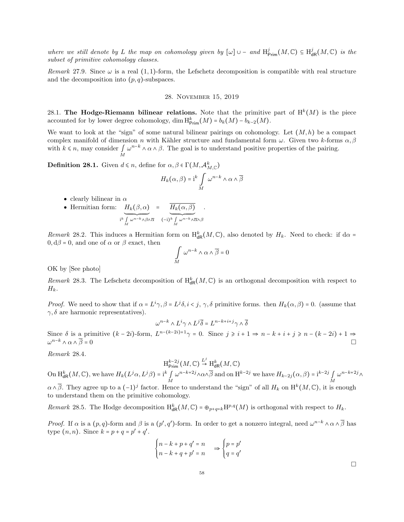where we still denote by L the map on cohomology given by  $[\omega] \cup -$  and  $H^j_{\text{Prim}}(M, \mathbb{C}) \subseteq H^j_{\text{dR}}(M, \mathbb{C})$  is the subset of primitive cohomology classes.

Remark 27.9. Since  $\omega$  is a real (1,1)-form, the Lefschetz decomposition is compatible with real structure and the decomposition into  $(p, q)$ -subspaces.

## 28. November 15, 2019

28.1. The Hodge-Riemann bilinear relations. Note that the primitive part of  $H^k(M)$  is the piece accounted for by lower degree cohomology, dim  $H_{\text{Prim}}^k(M) = b_k(M) - b_{k-2}(M)$ .

We want to look at the "sign" of some natural bilinear pairings on cohomology. Let  $(M, h)$  be a compact complex manifold of dimension n with Kähler structure and fundamental form  $\omega$ . Given two k-forms  $\alpha$ ,  $\beta$ with  $k \leq n$ , may consider  $\iint_{M}$  $\omega^{n-k} \wedge \alpha \wedge \beta$ . The goal is to understand positive properties of the pairing.

**Definition 28.1.** Given  $d \le n$ , define for  $\alpha, \beta \in \Gamma(M, \mathcal{A}_{M, \mathbb{C}}^k)$ 

$$
H_k(\alpha, \beta) = \mathrm{i}^k \int\limits_M \omega^{n-k} \wedge \alpha \wedge \overline{\beta}
$$

- clearly bilinear in  $\alpha$
- Hermitian form:  $H_k(\beta, \alpha)$  $i^k$   $\overline{\int\limits_M \omega^{n-k} \wedge \beta \wedge \overline{\alpha}}$  $= H_k(\alpha, \beta)$  $\overline{(-i)^k \int_M \omega^{n-k} \wedge \overline{\alpha} \wedge \beta}$ .

Remark 28.2. This induces a Hermitian form on  $H_{dR}^k(M, \mathbb{C})$ , also denoted by  $H_k$ . Need to check: if d $\alpha$  =  $0, d\beta = 0$ , and one of  $\alpha$  or  $\beta$  exact, then

$$
\int\limits_M \omega^{n-k}\wedge\alpha\wedge\overline{\beta}=0
$$

OK by [See photo]

Remark 28.3. The Lefschetz decomposition of  $H^k_{dR}(M, \mathbb{C})$  is an orthogonal decomposition with respect to  $H_k$ .

*Proof.* We need to show that if  $\alpha = L^i \gamma$ ,  $\beta = L^j \delta$ ,  $i < j$ ,  $\gamma$ ,  $\delta$  primitive forms. then  $H_k(\alpha, \beta) = 0$ . (assume that  $\gamma$ ,  $\delta$  are harmonic representatives).

$$
\omega^{n-k}\wedge L^i\gamma\wedge L^j\overline{\delta}=L^{n-k+i+j}\gamma\wedge\overline{\delta}
$$

Since  $\delta$  is a primitive  $(k-2i)$ -form,  $L^{n-(k-2i)+1}\gamma = 0$ . Since  $j \geq i+1 \Rightarrow n-k+i+j \geq n-(k-2i)+1 \Rightarrow$  $\omega^{n-k} \wedge \alpha \wedge \overline{\beta} = 0$  $n-k \wedge \alpha \wedge \overline{\beta} = 0$ 

Remark 28.4.

$$
\textup{H}^{k-2j}_{\textup{Prim}}(M,\mathbb{C})\stackrel{L^j}{\rightarrow}\textup{H}^k_{\textup{dR}}(M,\mathbb{C})
$$

On  $\mathrm{H}^k_{\mathrm{dR}}(M,\mathbb{C})$ , we have  $H_k(L^j\alpha,L^j\beta) = \mathrm{i}^k \int_M$  $\omega^{n-k+2j} \wedge \alpha \wedge \overline{\beta}$  and on  $\mathrm{H}^{k-2j}$  we have  $H_{k-2j}(\alpha, \beta) = \mathrm{i}^{k-2j} \int_M$  $ω^{n-k+2j}$  Λ

 $\alpha \wedge \overline{\beta}$ . They agree up to a  $(-1)^j$  factor. Hence to understand the "sign" of all  $H_k$  on  $\mathrm{H}^k(M,\mathbb{C})$ , it is enough to understand them on the primitive cohomology.

Remark 28.5. The Hodge decomposition  $H^k_{dR}(M,\mathbb{C}) = \oplus_{p+q=k} H^{p,q}(M)$  is orthogonal with respect to  $H_k$ .

<span id="page-57-0"></span>*Proof.* If  $\alpha$  is a  $(p, q)$ -form and  $\beta$  is a  $(p', q')$ -form. In order to get a nonzero integral, need  $\omega^{n-k} \wedge \alpha \wedge \overline{\beta}$  has type  $(n, n)$ . Since  $k = p + q = p' + q'$ .

$$
\begin{cases} n - k + p + q' = n \\ n - k + q + p' = n \end{cases} \Rightarrow \begin{cases} p = p' \\ q = q' \end{cases}
$$

 $\Box$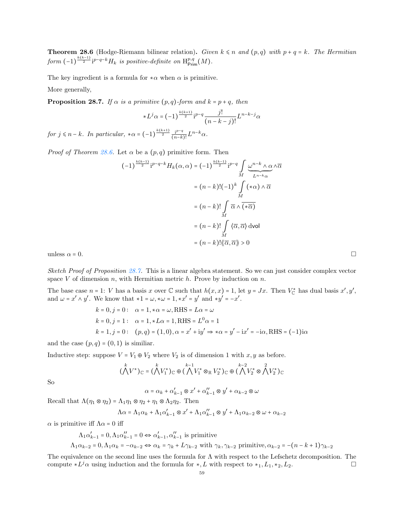**Theorem 28.6** (Hodge-Riemann bilinear relation). Given  $k \leq n$  and  $(p,q)$  with  $p + q = k$ . The Hermitian form  $(-1)^{\frac{k(k-1)}{2}}i^{p-q-k}H_k$  is positive-definite on  $\text{H}_{\text{Prim}}^{p,q}(M)$ .

The key ingredient is a formula for  $*\alpha$  when  $\alpha$  is primitive.

<span id="page-58-0"></span>More generally,

**Proposition 28.7.** If  $\alpha$  is a primitive  $(p, q)$ -form and  $k = p + q$ , then

$$
*L^{j} \alpha = (-1)^{\frac{k(k+1)}{2}} i^{p-q} \frac{j!}{(n-k-j)!} L^{n-k-j} \alpha
$$

for  $j \leq n-k$ . In particular,  $*\alpha = (-1)^{\frac{k(k+1)}{2}} \frac{i^{p-q}}{(n-k)!}$  $\frac{1^{p-q}}{(n-k)!}L^{n-k}\alpha.$ 

*Proof of Theorem [28.6.](#page-57-0)* Let  $\alpha$  be a  $(p, q)$  primitive form. Then

$$
(-1)^{\frac{k(k-1)}{2}} i^{p-q-k} H_k(\alpha, \alpha) = (-1)^{\frac{k(k-1)}{2}} i^{p-q} \int_M \underbrace{\omega^{n-k} \wedge \alpha}_{L^{n-k} \alpha} \wedge \overline{\alpha}
$$
  

$$
= (n-k)! (-1)^k \int_M (\ast \alpha) \wedge \overline{\alpha}
$$
  

$$
= (n-k)! \int_M \overline{\alpha} \wedge \overline{(\ast \overline{\alpha})}
$$
  

$$
= (n-k)! \int_M \langle \overline{\alpha}, \overline{\alpha} \rangle d\text{vol}
$$
  

$$
= (n-k)! \langle \langle \overline{\alpha}, \overline{\alpha} \rangle \rangle > 0
$$

Sketch Proof of Proposition [28.7.](#page-58-0) This is a linear algebra statement. So we can just consider complex vector space  $V$  of dimension  $n$ , with Hermitian metric  $h$ . Prove by induction on  $n$ .

The base case  $n = 1$ : V has a basis x over  $\mathbb C$  such that  $h(x, x) = 1$ , let  $y = Jx$ . Then  $V_{\mathbb C}^*$  has dual basis  $x', y',$ and  $\omega = x' \wedge y'$ . We know that  $*1 = \omega, * \omega = 1, *x' = y'$  and  $*y' = -x'$ .

$$
k = 0, j = 0: \alpha = 1, * \alpha = \omega, \text{RHS} = L\alpha = \omega
$$
  
\n
$$
k = 0, j = 1: \alpha = 1, *L\alpha = 1, \text{RHS} = L^{0}\alpha = 1
$$
  
\n
$$
k = 1, j = 0: (\rho, q) = (1, 0), \alpha = x' + iy' \Rightarrow * \alpha = y' - ix' = -i\alpha, \text{RHS} = (-1)i\alpha
$$

and the case  $(p, q) = (0, 1)$  is similiar.

Inductive step: suppose  $V = V_1 \oplus V_2$  where  $V_2$  is of dimension 1 with  $x, y$  as before.

$$
(\bigwedge^k V^*)_{\mathbb{C}} = (\bigwedge^k V_1^*)_{\mathbb{C}} \oplus (\bigwedge^{k-1} V_1^* \otimes_{\mathbb{R}} V_2^*)_{\mathbb{C}} \oplus (\bigwedge^{k-2} V_2^* \otimes \bigwedge^2 V_2^*)_{\mathbb{C}}
$$

So

$$
\alpha = \alpha_k + \alpha'_{k-1} \otimes x' + \alpha''_{k-1} \otimes y' + \alpha_{k-2} \otimes \omega
$$

Recall that  $\Lambda(\eta_1 \otimes \eta_2) = \Lambda_1 \eta_1 \otimes \eta_2 + \eta_1 \otimes \Lambda_2 \eta_2$ . Then

$$
\Lambda \alpha = \Lambda_1 \alpha_k + \Lambda_1 \alpha'_{k-1} \otimes x' + \Lambda_1 \alpha''_{k-1} \otimes y' + \Lambda_1 \alpha_{k-2} \otimes \omega + \alpha_{k-2}
$$

 $\alpha$  is primitive iff  $\Lambda \alpha = 0$  iff

$$
\Lambda_1 \alpha'_{k-1} = 0, \Lambda_1 \alpha''_{k-1} = 0 \Leftrightarrow \alpha'_{k-1}, \alpha''_{k-1} \text{ is primitive}
$$
  

$$
\Lambda_1 \alpha_{k-2} = 0, \Lambda_1 \alpha_k = -\alpha_{k-2} \Leftrightarrow \alpha_k = \gamma_k + L\gamma_{k-2} \text{ with } \gamma_k, \gamma_{k-2} \text{ primitive}, \alpha_{k-2} = -(n-k+1)\gamma_{k-2}
$$

The equivalence on the second line uses the formula for  $\Lambda$  with respect to the Lefschetz decomposition. The compute  $*L^j\alpha$  using induction and the formula for  $*, L$  with respect to  $*_1, L_1, *_2, L_2$ .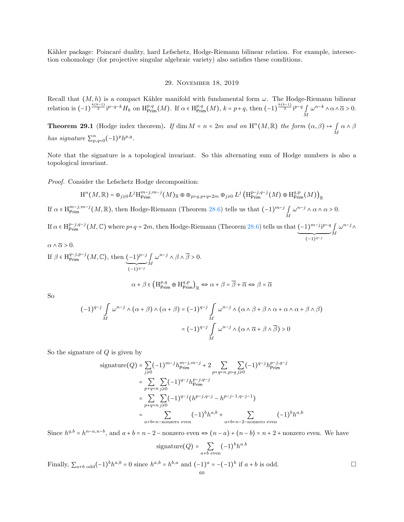Kähler package: Poincaré duality, hard Lefschetz, Hodge-Riemann bilinear relation. For example, intersection cohomology (for projective singular algebraic variety) also satisfies these conditions.

## 29. November 18, 2019

Recall that  $(M, h)$  is a compact Kähler manifold with fundamental form  $\omega$ . The Hodge-Riemann bilinear relation is  $(-1)^{\frac{k(k-1)}{2}}i^{p-q-k}H_k$  on  $H^{p,q}_{\text{Prim}}(M)$ . If  $\alpha \in H^{p,q}_{\text{Prim}}(M)$ ,  $k = p+q$ , then  $(-1)^{\frac{k(k-1)}{2}}i^{p-q} \int_M$  $\omega^{n-k} \wedge \alpha \wedge \overline{\alpha} > 0.$ 

**Theorem 29.1** (Hodge index theorem). If dim  $M = n = 2m$  and on  $H^{n}(M, \mathbb{R})$  the form  $(\alpha, \beta) \mapsto \int_{M} \alpha \wedge \beta$ has signature  $\sum_{p,q=0}^{n} (-1)^p h^{p,q}$ .

Note that the signature is a topological invariant. So this alternating sum of Hodge numbers is also a topological invariant.

Proof. Consider the Lefschetz Hodge decomposition:

$$
H^{n}(M, \mathbb{R}) = \bigoplus_{j \geq 0} L^{j} H^{m-j, m-j}_{\text{Prim}}(M)_{\mathbb{R}} \oplus \bigoplus_{p > q, p+q=2m} \bigoplus_{j \geq 0} L^{j} \left( H^{p-j, q-j}_{\text{Prim}}(M) \oplus H^{q, p}_{\text{Prim}}(M) \right)_{\mathbb{R}}
$$

If  $\alpha \in H^{m-j,m-j}_{\text{Prim}}(M,\mathbb{R})$ , then Hodge-Riemann (Theorem [28.6\)](#page-57-0) tells us that  $(-1)^{m-j} \int_M$  $\omega^{n-j} \wedge \alpha \wedge \alpha > 0.$ 

If  $\alpha \in H^{p-j,q-j}_{\text{Prim}}(M,\mathbb{C})$  where  $p+q=2m$ , then Hodge-Riemann (Theorem [28.6\)](#page-57-0) tells us that  $(-1)^{m-j}i^{p-q}$  $\overline{(-1)^{q-j}}$ ∫ M  $\omega^{n-j}$ ∧

$$
\alpha \wedge \overline{\alpha} > 0.
$$
  
If  $\beta \in H^{q-j,p-j}_{\text{Prim}}(M, \mathbb{C})$ , then  $\underbrace{(-1)^{p-j} \int_{M} \omega^{n-j} \wedge \beta \wedge \overline{\beta} > 0.$   
 $\overline{(-1)^{q-j}} \wedge \overline{\beta} \wedge \overline{\beta} > 0.$   
 $\alpha + \beta \in \left(H^{p,q}_{\text{Prim}} \oplus H^{q,p}_{\text{Prim}}\right)_{\mathbb{R}} \Leftrightarrow \alpha + \beta = \overline{\beta} + \overline{\alpha} \Leftrightarrow \beta = \overline{\alpha}$ 

So

$$
(-1)^{q-j} \int_M \omega^{n-j} \wedge (\alpha + \beta) \wedge (\alpha + \beta) = (-1)^{q-j} \int_M \omega^{n-j} \wedge (\alpha \wedge \beta + \beta \wedge \alpha + \alpha \wedge \alpha + \beta \wedge \beta)
$$

$$
= (-1)^{q-j} \int_M \omega^{n-j} \wedge (\alpha \wedge \overline{\alpha} + \beta \wedge \overline{\beta}) > 0
$$

So the signature of  $Q$  is given by

$$
\text{signature}(Q) = \sum_{j\geq 0} (-1)^{m-j} h_{\text{Prim}}^{m-j, m-j} + 2 \sum_{p+q=n, p>q} \sum_{j\geq 0} (-1)^{q-j} h_{\text{Prim}}^{p-j, q-j}
$$
\n
$$
= \sum_{p+q=n} \sum_{j\geq 0} (-1)^{q-j} h_{\text{Prim}}^{p-j, q-j}
$$
\n
$$
= \sum_{p+q=n} \sum_{j\geq 0} (-1)^{q-j} (h^{p-j,q-j} - h^{p-j-1,q-j-1})
$$
\n
$$
= \sum_{a+b=n-\text{nonzero even}} (-1)^b h^{a,b} + \sum_{a+b=n-2-\text{nonzero even}} (-1)^b h^{a,b}
$$

Since  $h^{q,b} = h^{n-a,n-b}$ , and  $a + b = n - 2$  – nonzero even  $\Leftrightarrow (n-a) + (n-b) = n + 2$  + nonzero even. We have

$$
signature(Q) = \sum_{a+b \text{ even}} (-1)^b h^{a.b}
$$

Finally,  $\sum_{a+b \text{ odd}} (-1)^b h^{a,b} = 0$  since  $h^{a,b} = h^{b,a}$  and  $(-1)^a = -(-1)^b$  if  $a+b$  is odd. □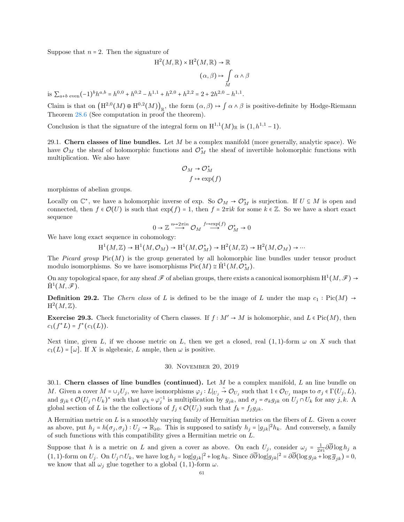Suppose that  $n = 2$ . Then the signature of

$$
H^{2}(M, \mathbb{R}) \times H^{2}(M, \mathbb{R}) \to \mathbb{R}
$$
  
\n
$$
(\alpha, \beta) \to \int_{M} \alpha \wedge \beta
$$
  
\nis  $\sum_{a+b \text{ even}} (-1)^{b} h^{a,b} = h^{0,0} + h^{0,2} - h^{1,1} + h^{2,0} + h^{2,2} = 2 + 2h^{2,0} - h^{1,1}.$ 

Claim is that on  $(H^{2,0}(M) \oplus H^{0,2}(M))_{\mathbb{R}}$ , the form  $(\alpha, \beta) \mapsto \int \alpha \wedge \beta$  is positive-definite by Hodge-Riemann Theorem [28.6](#page-57-0) (See computation in proof the theorem).

Conclusion is that the signature of the integral form on  $H^{1,1}(M)_\mathbb{R}$  is  $(1,h^{1,1}-1)$ .

29.1. Chern classes of line bundles. Let  $M$  be a complex manifold (more generally, analytic space). We have  $\mathcal{O}_M$  the sheaf of holomorphic functions and  $\mathcal{O}_M^*$  the sheaf of invertible holomorphic functions with multiplication. We also have

$$
\mathcal{O}_M \to \mathcal{O}_M^*
$$

$$
f \mapsto \exp(f)
$$

morphisms of abelian groups.

Locally on  $\mathbb{C}^*$ , we have a holomorphic inverse of exp. So  $\mathcal{O}_M \to \mathcal{O}_M^*$  is surjection. If  $U \subseteq M$  is open and connected, then  $f \in \mathcal{O}(U)$  is such that  $\exp(f) = 1$ , then  $f = 2\pi i k$  for some  $k \in \mathbb{Z}$ . So we have a short exact sequence

$$
0 \to \mathbb{Z} \overset{n \to 2\pi i n}{\longrightarrow} \mathcal{O}_M \overset{f \to \exp(f)}{\longrightarrow} \mathcal{O}_M^* \to 0
$$

We have long exact sequence in cohomology:

$$
H^1(M, \mathbb{Z}) \to H^1(M, \mathcal{O}_M) \to H^1(M, \mathcal{O}_M^*) \to H^2(M, \mathbb{Z}) \to H^2(M, \mathcal{O}_M) \to \cdots
$$

The Picard group  $Pic(M)$  is the group generated by all holomorphic line bundles under tensor product modulo isomorphisms. So we have isomorphisms  $Pic(M) \cong \check{H}^1(M, \mathcal{O}_M^*)$ .

On any topological space, for any sheaf  $\mathscr F$  of abelian groups, there exists a canonical isomorphism  $H^1(M,\mathscr F)\to$  $\check{\mathrm{H}}^1(M,\mathscr{F}).$ 

**Definition 29.2.** The Chern class of L is defined to be the image of L under the map  $c_1$ : Pic(M) →  $\mathrm{H}^2(M,\mathbb{Z}).$ 

**Exercise 29.3.** Check functoriality of Chern classes. If  $f : M' \to M$  is holomorphic, and  $L \in Pic(M)$ , then  $c_1(f^*L) = f^*(c_1(L)).$ 

Next time, given L, if we choose metric on L, then we get a closed, real  $(1, 1)$ -form  $\omega$  on X such that  $c_1(L) = [\omega]$ . If X is algebraic, L ample, then  $\omega$  is positive.

## 30. November 20, 2019

30.1. Chern classes of line bundles (continued). Let  $M$  be a complex manifold,  $L$  an line bundle on M. Given a cover  $M = \cup_j U_j$ , we have isomorphisms  $\varphi_j: L|_{U_j} \stackrel{\sim}{\to} \mathcal{O}_{U_j}$  such that  $1 \in \mathcal{O}_{U_j}$  maps to  $\sigma_j \in \Gamma(U_j, L)$ , and  $g_{jk} \in \mathcal{O}(U_j \cap U_k)^*$  such that  $\varphi_k \circ \varphi_j^{-1}$  is multiplication by  $g_{jk}$ , and  $\sigma_j = \sigma_k g_{jk}$  on  $U_j \cap U_k$  for any  $j, k$ . A global section of L is the the collections of  $f_i \in \mathcal{O}(U_i)$  such that  $f_k = f_i g_{jk}$ .

A Hermitian metric on  $L$  is a smoothly varying family of Hermitian metrics on the fibers of  $L$ . Given a cover as above, put  $h_j = h(\sigma_j, \sigma_j) : U_j \to \mathbb{R}_{\geq 0}$ . This is supposed to satisfy  $h_j = |g_{jk}|^2 h_k$ . And conversely, a family of such functions with this compatibility gives a Hermitian metric on L.

Suppose that h is a metric on L and given a cover as above. On each  $U_j$ , consider  $\omega_j = \frac{1}{2\pi i} \partial \overline{\partial} \log h_j$  a  $(1, 1)$ -form on  $U_j$ . On  $U_j \cap U_k$ , we have  $\log h_j = \log |g_{jk}|^2 + \log h_k$ . Since  $\partial \overline{\partial} \log |g_{jk}|^2 = \partial \overline{\partial} (\log g_{jk} + \log \overline{g}_{jk}) = 0$ , we know that all  $\omega_i$  glue together to a global  $(1, 1)$ -form  $\omega$ .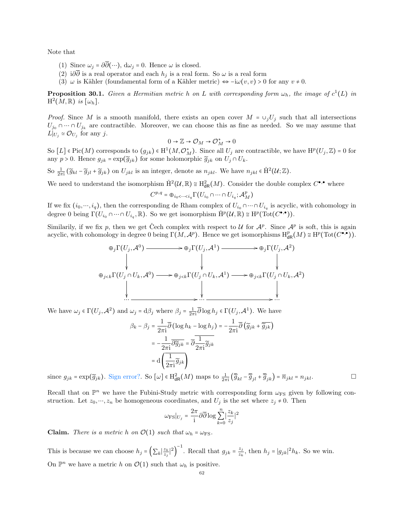Note that

- (1) Since  $\omega_j = \partial \overline{\partial}(\cdots)$ ,  $d\omega_j = 0$ . Hence  $\omega$  is closed.
- (2) i∂∂ is a real operator and each  $h_j$  is a real form. So  $\omega$  is a real form
- (3)  $\omega$  is Kähler (foundamental form of a Kähler metric)  $\Leftrightarrow -i\omega(v, v) > 0$  for any  $v \neq 0$ .

**Proposition 30.1.** Given a Hermitian metric h on L with corresponding form  $\omega_h$ , the image of  $c^1(L)$  in  $\mathrm{H}^2(M,\mathbb{R})$  is  $[\omega_h]$ .

*Proof.* Since M is a smooth manifold, there exists an open cover  $M = \bigcup_j U_j$  such that all intersections  $U_{j_0} \cap \cdots \cap U_{j_k}$  are contractible. Moreover, we can choose this as fine as needed. So we may assume that  $L|_{U_j} \simeq \mathcal{O}_{U_j}$  for any j.

$$
0\to \mathbb{Z}\to \mathcal{O}_M\to \mathcal{O}_M^*\to 0
$$

So  $[L] \in Pic(M)$  corresponds to  $(g_{jk}) \in H^1(M, \mathcal{O}_M^*)$ . Since all  $U_j$  are contractible, we have  $H^p(U_j, \mathbb{Z}) = 0$  for any  $p > 0$ . Hence  $g_{jk} = \exp(\widetilde{g}_{jk})$  for some holomorphic  $\widetilde{g}_{jk}$  on  $U_j \cap U_k$ .

So  $\frac{1}{2\pi i}(\widetilde{g}_{kl} - \widetilde{g}_{jl} + \widetilde{g}_{jk})$  on  $U_{jkl}$  is an integer, denote as  $n_{jkl}$ . We have  $n_{jkl} \in \check{H}^{2}(\mathcal{U};\mathbb{Z})$ .

We need to understand the isomorphism  $\check{H}^2(\mathcal{U}, \mathbb{R}) \cong H^2_{dR}(M)$ . Consider the double complex  $C^{\bullet,\bullet}$  where

$$
C^{p,q}=\oplus_{i_0<\cdots
$$

If we fix  $(i_0, ..., i_q)$ , then the corresponding de Rham complex of  $U_{i_0} \cap \cdots \cap U_{i_q}$  is acyclic, with cohomology in degree 0 being  $\Gamma(U_{i_0} \cap \dots \cap U_{i_q}, \mathbb{R})$ . So we get isomorphism  $\check{H}^p(\mathcal{U}, \mathbb{R}) \cong H^p(\mathrm{Tot}(C^{\bullet, \bullet}))$ .

Similarily, if we fix p, then we get Čech complex with respect to  $\mathcal U$  for  $\mathcal A^p$ . Since  $\mathcal A^p$  is soft, this is again acyclic, with cohomology in degree 0 being  $\Gamma(M, \mathcal{A}^p)$ . Hence we get isomorphisms  $H^p_{dR}(M) \cong H^p(\text{Tot}(C^{\bullet,\bullet}))$ .

$$
\oplus_j \Gamma(U_j, \mathcal{A}^0) \longrightarrow \oplus_j \Gamma(U_j, \mathcal{A}^1) \longrightarrow \oplus_j \Gamma(U_j, \mathcal{A}^2)
$$
\n
$$
\oplus_{j < k} \Gamma(U_j \cap U_k, \mathcal{A}^0) \longrightarrow \oplus_{j < k} \Gamma(U_j \cap U_k, \mathcal{A}^1) \longrightarrow \oplus_{j < k} \Gamma(U_j \cap U_k, \mathcal{A}^2)
$$
\n
$$
\downarrow \qquad \qquad \downarrow \qquad \qquad \downarrow
$$

We have  $\omega_j \in \Gamma(U_j, \mathcal{A}^2)$  and  $\omega_j = d\beta_j$  where  $\beta_j = \frac{1}{2\pi i} \overline{\partial} \log h_j \in \Gamma(U_j, \mathcal{A}^1)$ . We have

$$
\beta_k - \beta_j = \frac{1}{2\pi i} \overline{\partial} \left( \log h_k - \log h_j \right) = -\frac{1}{2\pi i} \overline{\partial} \left( \widetilde{g}_{jk} + \overline{\widetilde{g}_{jk}} \right)
$$

$$
= -\frac{1}{2\pi i} \overline{\partial} \widetilde{g}_{jk} = \overline{\partial} \frac{1}{2\pi i} \widetilde{g}_{jk}
$$

$$
= d \left( \frac{1}{2\pi i} \widetilde{g}_{jk} \right)
$$

since  $g_{jk} = \exp(\widetilde{g}_{jk})$ . Sign error?. So  $[\omega] \in H^2_{dR}(M)$  maps to  $\frac{1}{2\pi i} (\overline{\widetilde{g}}_{kl} - \overline{\widetilde{g}}_{jl} + \overline{\widetilde{g}}_{jk}) = \overline{n}_{jkl} = n_{jkl}$ .

Recall that on  $\mathbb{P}^n$  we have the Fubini-Study metric with corresponding form  $\omega_{FS}$  given by following construction. Let  $z_0, \dots, z_n$  be homogeneous coordinates, and  $U_j$  is the set where  $z_j \neq 0$ . Then

$$
\omega_{\rm FS}|_{U_j}=\frac{2\pi}{\rm i}\partial\overline\partial\log\sum_{k=0}^n\bigl|\frac{z_k}{z_j}\bigr|^2
$$

**Claim.** There is a metric h on  $\mathcal{O}(1)$  such that  $\omega_h = \omega_{\text{FS}}$ .

This is because we can choose  $h_j = \left(\sum_k \left|\frac{z_k}{z_j}\right|^2\right)^{-1}$ . Recall that  $g_{jk} = \frac{z_j}{z_k}$  $\frac{z_j}{z_k}$ , then  $h_j = |g_{jk}|^2 h_k$ . So we win. On  $\mathbb{P}^n$  we have a metric h on  $\mathcal{O}(1)$  such that  $\omega_h$  is positive.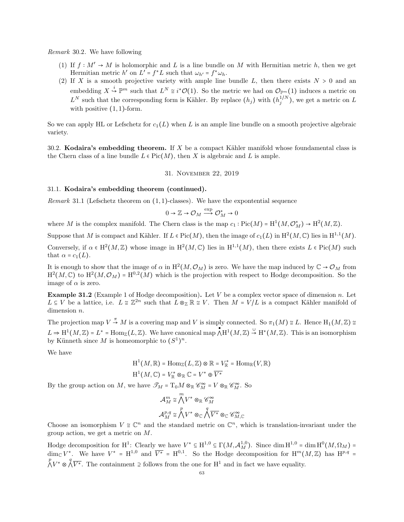Remark 30.2. We have following

- (1) If  $f : M' \to M$  is holomorphic and L is a line bundle on M with Hermitian metric h, then we get Hermitian metric  $h'$  on  $L' = f^*L$  such that  $\omega_{h'} = f^* \omega_h$ .
- (2) If X is a smooth projective variety with ample line bundle L, then there exists  $N > 0$  and an embedding  $X \stackrel{i}{\hookrightarrow} \mathbb{P}^m$  such that  $L^N \cong i^*\mathcal{O}(1)$ . So the metric we had on  $\mathcal{O}_{\mathbb{P}^m}(1)$  induces a metric on  $L^N$  such that the corresponding form is Kähler. By replace  $(h_j)$  with  $(h_j^{1/N})$ , we get a metric on L with positive  $(1, 1)$ -form.

So we can apply HL or Lefschetz for  $c_1(L)$  when L is an ample line bundle on a smooth projective algebraic variety.

30.2. Kodaira's embedding theorem. If  $X$  be a compact Kähler manifold whose foundamental class is the Chern class of a line bundle  $L \in Pic(M)$ , then X is algebraic and L is ample.

## 31. November 22, 2019

#### 31.1. Kodaira's embedding theorem (continued).

Remark 31.1 (Lefschetz theorem on  $(1,1)$ -classes). We have the expontential sequence

$$
0\to{\mathbb Z}\to{\mathcal O}_M\xrightarrow{\exp}{\mathcal O}_M^*\to 0
$$

where M is the complex manifold. The Chern class is the map  $c_1 : Pic(M) = H^1(M, \mathcal{O}_M^*) \to H^2(M, \mathbb{Z})$ .

Suppose that M is compact and Kähler. If  $L \in Pic(M)$ , then the image of  $c_1(L)$  in  $H^2(M, \mathbb{C})$  lies in  $H^{1,1}(M)$ .

Conversely, if  $\alpha \in H^2(M, \mathbb{Z})$  whose image in  $H^2(M, \mathbb{C})$  lies in  $H^{1,1}(M)$ , then there exists  $L \in Pic(M)$  such that  $\alpha = c_1(L)$ .

It is enough to show that the image of  $\alpha$  in  $H^2(M, \mathcal{O}_M)$  is zero. We have the map induced by  $\mathbb{C} \to \mathcal{O}_M$  from  $H^2(M,\mathbb{C})$  to  $H^2(M,\mathcal{O}_M) = H^{0,2}(M)$  which is the projection with respect to Hodge decomposition. So the image of  $\alpha$  is zero.

**Example 31.2** (Example 1 of Hodge decomposition). Let  $V$  be a complex vector space of dimension  $n$ . Let  $L \subseteq V$  be a lattice, i.e.  $L \cong \mathbb{Z}^{2n}$  such that  $L \otimes_{\mathbb{Z}} \mathbb{R} \cong V$ . Then  $M = V/L$  is a compact Kähler manifold of dimension *n*.

The projection map  $V \stackrel{\pi}{\rightarrow} M$  is a covering map and V is simply connected. So  $\pi_1(M) \cong L$ . Hence  $H_1(M, \mathbb{Z}) \cong L$  $L \Rightarrow H^1(M, \mathbb{Z}) = L^* = \text{Hom}_{\mathbb{Z}}(L, \mathbb{Z})$ . We have canonical map  $\bigwedge^{\bullet} H^1(M, \mathbb{Z}) \stackrel{\cup}{\rightarrow} H^*(M, \mathbb{Z})$ . This is an isomorphism by Künneth since M is homeomorphic to  $(S^1)^n$ .

We have

$$
H^1(M, \mathbb{R}) = Hom_{\mathbb{Z}}(L, \mathbb{Z}) \otimes \mathbb{R} = V_{\mathbb{R}}^* = Hom_{\mathbb{R}}(V, \mathbb{R})
$$

$$
H^1(M, \mathbb{C}) = V_{\mathbb{R}}^* \otimes_{\mathbb{R}} \mathbb{C} = V^* \oplus \overline{V^*}
$$

By the group action on M, we have  $\mathcal{I}_M = T_0 M \otimes_{\mathbb{R}} \mathcal{C}_M^{\infty} = V \otimes_{\mathbb{R}} \mathcal{C}_M^{\infty}$ . So

$$
\begin{aligned} \mathcal{A}_{M}^{m} &\cong \bigwedge^{m}V^{\ast}\otimes_{\mathbb{R}}\mathscr{C}_{M}^{\infty} \\ \mathcal{A}_{M}^{p,q} &\cong \bigwedge^{p}V^{\ast}\otimes_{\mathbb{C}}\bigwedge^{q}\overline{V^{\ast}}\otimes_{\mathbb{C}}\mathscr{C}_{M,\mathbb{C}}^{\infty} \end{aligned}
$$

Choose an isomorphism  $V \cong \mathbb{C}^n$  and the standard metric on  $\mathbb{C}^n$ , which is translation-invariant under the group action, we get a metric on M.

Hodge decomposition for H<sup>1</sup>: Clearly we have  $V^* \subseteq H^{1,0} \subseteq \Gamma(M, \mathcal{A}_M^{1,0})$ . Since  $\dim H^{1,0} = \dim H^0(M, \Omega_M) =$  $\dim_{\mathbb{C}} V^*$ . We have  $V^* = H^{1,0}$  and  $\overline{V^*} = H^{0,1}$ . So the Hodge decomposition for  $H^m(M,\mathbb{Z})$  has  $H^{p,q} =$  $\bigwedge^p V^* \otimes \bigwedge^q \overline{V^*}$ . The containment ⊇ follows from the one for H<sup>1</sup> and in fact we have equality.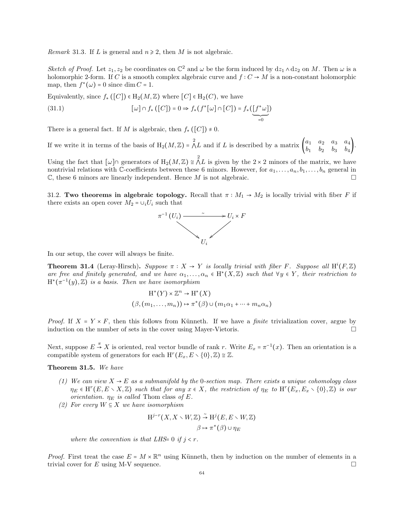*Remark* 31.3. If L is general and  $n \geq 2$ , then M is not algebraic.

Sketch of Proof. Let  $z_1, z_2$  be coordinates on  $\mathbb{C}^2$  and  $\omega$  be the form induced by  $dz_1 \wedge dz_2$  on M. Then  $\omega$  is a holomorphic 2-form. If C is a smooth complex algebraic curve and  $f: C \to M$  is a non-constant holomorphic map, then  $f^*(\omega) = 0$  since dim  $C = 1$ .

Equivalently, since  $f_*([C]) \in H_2(M, \mathbb{Z})$  where  $[C] \in H_2(C)$ , we have

(31.1) 
$$
[\omega] \cap f_*([C]) = 0 \Rightarrow f_*(f^*[\omega] \cap [C]) = f_*([\underline{f^* \omega}])
$$

There is a general fact. If M is algebraic, then  $f_*([C]) \neq 0$ .

If we write it in terms of the basis of  $H_2(M,\mathbb{Z}) = \Lambda L$  and if L is described by a matrix  $\begin{pmatrix} a_1 & a_2 & a_3 & a_4 \\ b_1 & b_2 & b_3 & b_4 \end{pmatrix}$  $\begin{pmatrix} a_1 & a_2 & a_3 & a_4 \ b_1 & b_2 & b_3 & b_4 \end{pmatrix}$ .

Using the fact that  $[\omega] \cap$  generators of  $H_2(M, \mathbb{Z}) \cong \bigwedge^2 L$  is given by the  $2 \times 2$  minors of the matrix, we have nontrivial relations with C-coefficients between these 6 minors. However, for  $a_1, \ldots, a_n, b_1, \ldots, b_n$  general in  $\mathbb C$ , these 6 minors are linearly independent. Hence M is not algebraic.  $\square$ 

31.2. Two theorems in algebraic topology. Recall that  $\pi : M_1 \to M_2$  is locally trivial with fiber F if there exists an open cover  $M_2 = \bigcup_i U_i$  such that



In our setup, the cover will always be finite.

<span id="page-63-0"></span>**Theorem 31.4** (Leray-Hirsch). Suppose  $\pi : X \to Y$  is locally trivial with fiber F. Suppose all  $H^{i}(F, \mathbb{Z})$ are free and finitely generated, and we have  $\alpha_1, \ldots, \alpha_n \in H^*(X, \mathbb{Z})$  such that  $\forall y \in Y$ , their restriction to  $H^*(\pi^{-1}(y),\mathbb{Z})$  is a basis. Then we have isomorphism

$$
H^*(Y) \times \mathbb{Z}^n \to H^*(X)
$$
  

$$
(\beta, (m_1, \dots, m_n)) \mapsto \pi^*(\beta) \cup (m_1\alpha_1 + \dots + m_n\alpha_n)
$$

*Proof.* If  $X = Y \times F$ , then this follows from Künneth. If we have a *finite* trivialization cover, argue by induction on the number of sets in the cover using Mayer-Vietoris.

Next, suppose  $E \stackrel{\pi}{\rightarrow} X$  is oriented, real vector bundle of rank r. Write  $E_x = \pi^{-1}(x)$ . Then an orientation is a compatible system of generators for each  $H^r(E_x, E \setminus \{0\}, \mathbb{Z}) \cong \mathbb{Z}$ .

Theorem 31.5. We have

- (1) We can view  $X \to E$  as a submanifold by the 0-section map. There exists a unique cohomology class  $\eta_E \in H^r(E, E \setminus X, \mathbb{Z})$  such that for any  $x \in X$ , the restriction of  $\eta_E$  to  $H^r(E_x, E_x \setminus \{0\}, \mathbb{Z})$  is our orientation.  $\eta_E$  is called Thom class of E.
- (2) For every  $W \subseteq X$  we have isomorphism

$$
H^{j-r}(X, X \setminus W, \mathbb{Z}) \stackrel{\sim}{\rightarrow} H^j(E, E \setminus W, \mathbb{Z})
$$

$$
\beta \mapsto \pi^*(\beta) \cup \eta_E
$$

where the convention is that LHS= 0 if  $j < r$ .

*Proof.* First treat the case  $E = M \times \mathbb{R}^n$  using Künneth, then by induction on the number of elements in a trivial cover for E using M-V sequence.  $\square$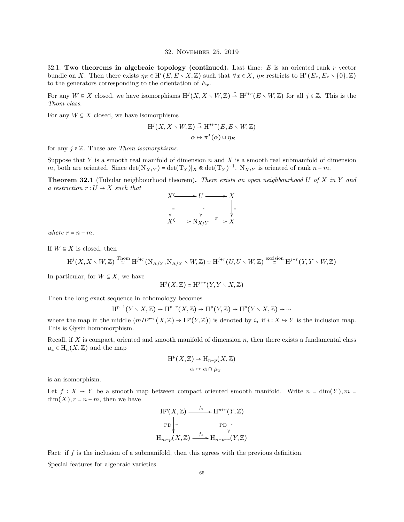#### 32. November 25, 2019

32.1. Two theorems in algebraic topology (continued). Last time:  $E$  is an oriented rank r vector bundle on X. Then there exists  $\eta_E \in H^r(E, E \setminus X, \mathbb{Z})$  such that  $\forall x \in X$ ,  $\eta_E$  restricts to  $H^r(E_x, E_x \setminus \{0\}, \mathbb{Z})$ to the generators corresponding to the orientation of  $E_x$ .

For any  $W \subseteq X$  closed, we have isomorphisms  $H^j(X, X \setminus W, \mathbb{Z}) \stackrel{\sim}{\to} H^{j+r}(E \setminus W, \mathbb{Z})$  for all  $j \in \mathbb{Z}$ . This is the Thom class.

For any  $W \subseteq X$  closed, we have isomorphisms

$$
H^{j}(X, X \setminus W, \mathbb{Z}) \stackrel{\sim}{\rightarrow} H^{j+r}(E, E \setminus W, \mathbb{Z})
$$

$$
\alpha \mapsto \pi^{*}(\alpha) \cup \eta_{E}
$$

for any  $j \in \mathbb{Z}$ . These are *Thom isomorphisms*.

Suppose that Y is a smooth real manifold of dimension  $n$  and X is a smooth real submanifold of dimension m, both are oriented. Since  $\det(N_{X/Y}) = \det(T_Y)|_X \otimes \det(T_Y)^{-1}$ .  $N_{X/Y}$  is oriented of rank  $n-m$ .

**Theorem 32.1** (Tubular neighbourhood theorem). There exists an open neighbourhood U of X in Y and a restriction  $r: U \to X$  such that



where  $r = n - m$ .

If  $W \subseteq X$  is closed, then

$$
\mathrm{H}^j(X,X\smallsetminus W,\mathbb{Z})\stackrel{\mathrm{Thom}}{\simeq}\mathrm{H}^{j+r}(\mathrm{N}_{X/Y},\mathrm{N}_{X/Y}\smallsetminus W,\mathbb{Z})\simeq\mathrm{H}^{j+r}(U,U\smallsetminus W,\mathbb{Z})\stackrel{\mathrm{excision}}{\simeq}\mathrm{H}^{j+r}(Y,Y\smallsetminus W,\mathbb{Z})
$$

In particular, for  $W \subseteq X$ , we have

$$
\mathrm{H}^j(X,\mathbb{Z})\simeq \mathrm{H}^{j+r}(Y,Y\smallsetminus X,\mathbb{Z})
$$

Then the long exact sequence in cohomology becomes

$$
H^{p-1}(Y \setminus X, \mathbb{Z}) \to H^{p-r}(X, \mathbb{Z}) \to H^p(Y, \mathbb{Z}) \to H^p(Y \setminus X, \mathbb{Z}) \to \cdots
$$

where the map in the middle  $(mH^{p-r}(X,\mathbb{Z}) \to \mathrm{H}^p(Y,\mathbb{Z}))$  is denoted by  $i_*$  if  $i : X \to Y$  is the inclusion map. This is Gysin homomorphism.

Recall, if X is compact, oriented and smooth manifold of dimension  $n$ , then there exists a fundamental class  $\mu_x \in H_n(X, \mathbb{Z})$  and the map

$$
H^{p}(X, \mathbb{Z}) \to H_{n-p}(X, \mathbb{Z})
$$

$$
\alpha \mapsto \alpha \cap \mu_{x}
$$

is an isomorphism.

Let  $f: X \to Y$  be a smooth map between compact oriented smooth manifold. Write  $n = \dim(Y)$ ,  $m =$  $dim(X)$ ,  $r = n - m$ , then we have

$$
H^{p}(X, \mathbb{Z}) \xrightarrow{f_{*}} H^{p+r}(Y, \mathbb{Z})
$$
  
\n
$$
\text{PD} \Big|_{\sim} \text{PD} \Big|_{\sim}
$$
  
\n
$$
H_{m-p}(X, \mathbb{Z}) \xrightarrow{f_{*}} H_{n-p-r}(Y, \mathbb{Z})
$$

Fact: if f is the inclusion of a submanifold, then this agrees with the previous definition. Special features for algebraic varieties.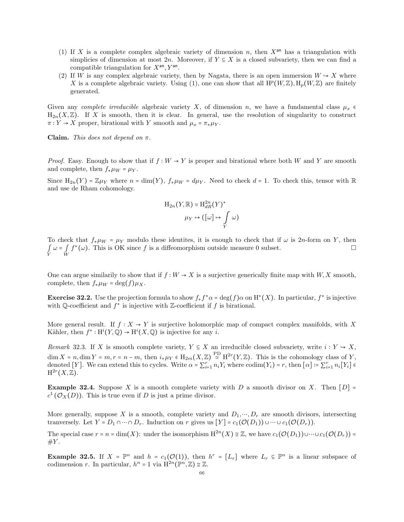- (1) If X is a complete complex algebraic variety of dimension n, then  $X^{an}$  has a triangulation with simplicies of dimension at most 2n. Moreover, if  $Y \subseteq X$  is a closed subvariety, then we can find a compatible triangulation for  $X<sup>an</sup>, Y<sup>an</sup>$ .
- (2) If W is any complex algebraic variety, then by Nagata, there is an open immersion  $W \rightarrow X$  where X is a complete algebraic variety. Using (1), one can show that all  $H^p(W,\mathbb{Z})$ ,  $H_p(W,\mathbb{Z})$  are finitely generated.

Given any *complete irreducible* algebraic variety X, of dimension n, we have a fundamental class  $\mu_x \in$  $H_{2n}(X,\mathbb{Z})$ . If X is smooth, then it is clear. In general, use the resolution of singularity to construct  $\pi: Y \to X$  proper, birational with Y smooth and  $\mu_x = \pi_* \mu_Y$ .

Claim. This does not depend on  $\pi$ .

*Proof.* Easy. Enough to show that if  $f : W \to Y$  is proper and birational where both W and Y are smooth and complete, then  $f_*\mu_W = \mu_Y$ .

Since  $H_{2n}(Y) = \mathbb{Z}\mu_Y$  where  $n = \dim(Y)$ ,  $f_*\mu_W = d\mu_Y$ . Need to check  $d = 1$ . To check this, tensor with R and use de Rham cohomology.

$$
H_{2n}(Y,\mathbb{R}) \simeq H_{dR}^{2n}(Y)^*
$$

$$
\mu_Y \mapsto ([\omega] \mapsto \int_Y \omega)
$$

To check that  $f_*\mu_W = \mu_Y$  modulo these identites, it is enough to check that if  $\omega$  is 2n-form on Y, then  $\int\limits_Y \omega = \int\limits_W$  $f^*(\omega)$ . This is OK since f is a diffeomorphism outside measure 0 subset.

One can argue similarily to show that if  $f : W \to X$  is a surjective generically finite map with  $W, X$  smooth, complete, then  $f_*\mu_W = \deg(f)\mu_X$ .

**Exercise 32.2.** Use the projection formula to show  $f_* f^* \alpha = \deg(f) \alpha$  on  $H^*(X)$ . In particular,  $f^*$  is injective with Q-coefficient and  $f^*$  is injective with Z-coefficient if f is birational.

More general result. If  $f : X \to Y$  is surjective holomorphic map of compact complex manifolds, with X Kähler, then  $f^*: H^i(Y, \mathbb{Q}) \to H^i(X, \mathbb{Q})$  is injective for any *i*.

Remark 32.3. If X is smooth complete variety,  $Y \subseteq X$  an irreducible closed subvariety, write  $i: Y \to X$ ,  $\dim X = n, \dim Y = m, r = n - m$ , then  $i_* \mu_Y \in H_{2m}(X, \mathbb{Z}) \stackrel{\text{PD}}{\simeq} H^{2r}(Y, \mathbb{Z})$ . This is the cohomology class of Y, denoted [Y]. We can extend this to cycles. Write  $\alpha = \sum_{i=1}^{r} n_i Y_i$  where  $\text{codim}(Y_i) = r$ , then  $[\alpha] := \sum_{i=1}^{r} n_i [Y_i] \in$  $\mathrm{H}^{2r}(X,\overline{\mathbb{Z}}).$ 

**Example 32.4.** Suppose X is a smooth complete variety with D a smooth divisor on X. Then  $[D]$  =  $c^1(\mathcal{O}_X(D))$ . This is true even if D is just a prime divisor.

More generally, suppose X is a smooth, complete variety and  $D_1, \dots, D_r$  are smooth divisors, intersecting tranversely. Let  $Y = D_1 \cap \cdots \cap D_r$ . Induction on r gives us  $[Y] = c_1(\mathcal{O}(D_1)) \cup \cdots \cup c_1(\mathcal{O}(D_r)).$ 

The special case  $r = n = \dim(X)$ : under the isomorphism  $H^{2n}(X) \cong \mathbb{Z}$ , we have  $c_1(\mathcal{O}(D_1)) \cup \cdots \cup c_1(\mathcal{O}(D_r)) =$  $\#Y$ .

**Example 32.5.** If  $X = \mathbb{P}^n$  and  $h = c_1(\mathcal{O}(1))$ , then  $h^r = [L_r]$  where  $L_r \subseteq \mathbb{P}^n$  is a linear subspace of codimension r. In particular,  $h^n = 1$  via  $\mathbb{H}^{2n}(\mathbb{P}^n, \mathbb{Z}) \cong \mathbb{Z}$ .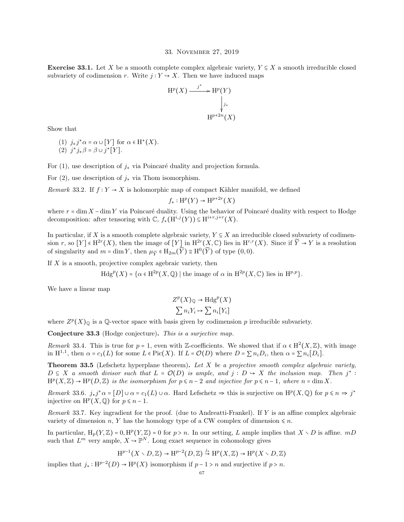#### 33. November 27, 2019

**Exercise 33.1.** Let X be a smooth complete complex algebraic variety,  $Y \subseteq X$  a smooth irreducible closed subvariety of codimension r. Write  $j: Y \rightarrow X$ . Then we have induced maps

$$
H^{p}(X) \xrightarrow{j^{*}} H^{p}(Y)
$$
\n
$$
\downarrow_{j_{*}}
$$
\n
$$
H^{p+2n}(X)
$$

Show that

(1)  $j_*j^*\alpha = \alpha \cup [Y]$  for  $\alpha \in H^*(X)$ . (2)  $j^*j_*\beta = \beta \cup j^*[Y].$ 

For (1), use description of  $j_*$  via Poincaré duality and projection formula.

For (2), use description of  $j_*$  via Thom isomorphism.

Remark 33.2. If  $f: Y \to X$  is holomorphic map of compact Kähler manifold, we defined

 $f_*: \mathrm{H}^p(Y) \to \mathrm{H}^{p+2r}(X)$ 

where  $r = \dim X - \dim Y$  via Poincaré duality. Using the behavior of Poincaré duality with respect to Hodge decomposition: after tensoring with  $\mathbb{C}$ ,  $f_*(\mathrm{H}^{i,j}(Y)) \subseteq \mathrm{H}^{i+r,j+r}(X)$ .

In particular, if X is a smooth complete algebraic variety,  $Y \subseteq X$  an irreducible closed subvariety of codimension r, so  $[Y] \in H^{2r}(X)$ , then the image of  $[Y]$  in  $H^{2r}(X, \mathbb{C})$  lies in  $H^{r,r}(X)$ . Since if  $\widetilde{Y} \to Y$  is a resolution of singularity and  $m = \dim Y$ , then  $\mu_{\widetilde{Y}} \in H_{2m}(\widetilde{Y}) \cong H^0(\widetilde{Y})$  of type  $(0,0)$ .

If  $X$  is a smooth, projective complex agebraic variety, then

 $Hdg^{p}(X) = {\alpha \in \mathrm{H}^{2p}(X, \mathbb{Q}) \mid \text{the image of } \alpha \text{ in } \mathrm{H}^{2p}(X, \mathbb{C}) \text{ lies in } \mathrm{H}^{p,p}}.$ 

We have a linear map

$$
Z^{p}(X)_{\mathbb{Q}} \to \text{Hdg}^{p}(X)
$$

$$
\sum n_{i} Y_{i} \mapsto \sum n_{i} [Y_{i}]
$$

where  $Z^p(X)_{\mathbb{Q}}$  is a  $\mathbb{Q}$ -vector space with basis given by codimension p irreducible subvariety.

Conjecture 33.3 (Hodge conjecture). This is a surjective map.

Remark 33.4. This is true for  $p = 1$ , even with Z-coefficients. We showed that if  $\alpha \in H^2(X, \mathbb{Z})$ , with image in  $H^{1,1}$ , then  $\alpha = c_1(L)$  for some  $L \in Pic(X)$ . If  $L = \mathcal{O}(D)$  where  $D = \sum n_i D_i$ , then  $\alpha = \sum n_i [D_i]$ .

**Theorem 33.5** (Lefschetz hyperplane theorem). Let X be a projective smooth complex algebraic variety,  $D \subseteq X$  a smooth divisor such that  $L = \mathcal{O}(D)$  is ample, and  $j : D \to X$  the inclusion map. Then  $j^*$ :  $H^p(X,\mathbb{Z}) \to H^p(D,\mathbb{Z})$  is the isomorphism for  $p \leq n-2$  and injective for  $p \leq n-1$ , where  $n = \dim X$ .

Remark 33.6.  $j_*j^*\alpha = [D] \cup \alpha = c_1(L) \cup \alpha$ . Hard Lefschetz  $\Rightarrow$  this is surjective on  $H^p(X, \mathbb{Q})$  for  $p \leq n \Rightarrow j^*$ injective on  $\mathrm{H}^p(X,\mathbb{Q})$  for  $p \leq n-1$ .

Remark 33.7. Key ingradient for the proof. (due to Andreatti-Frankel). If Y is an affine complex algebraic variety of dimension n, Y has the homology type of a CW complex of dimension  $\leq n$ .

In particular,  $H_p(Y, \mathbb{Z}) = 0$ ,  $H^p(Y, \mathbb{Z}) = 0$  for  $p > n$ . In our setting, L ample implies that  $X \setminus D$  is affine. mD such that  $L^m$  very ample,  $X \hookrightarrow \mathbb{P}^N$ . Long exact sequence in cohomology gives

$$
\mathrm{H}^{p-1}(X \setminus D, \mathbb{Z}) \to \mathrm{H}^{p-2}(D, \mathbb{Z}) \stackrel{j_*}{\to} \mathrm{H}^p(X, \mathbb{Z}) \to \mathrm{H}^p(X \setminus D, \mathbb{Z})
$$

implies that  $j_* : H^{p-2}(D) \to H^p(X)$  isomorphism if  $p-1 > n$  and surjective if  $p > n$ .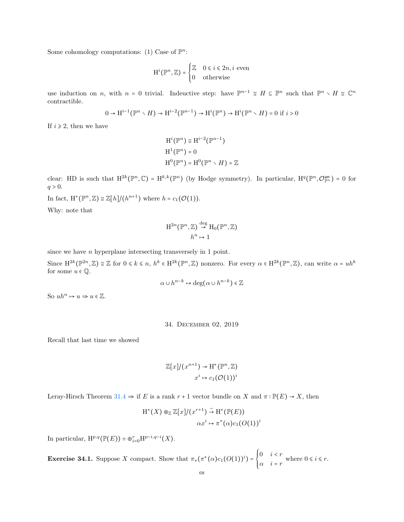Some cohomology computations: (1) Case of  $\mathbb{P}^n$ :

$$
\mathbf{H}^i(\mathbb{P}^n, \mathbb{Z}) = \begin{cases} \mathbb{Z} & 0 \le i \le 2n, i \text{ even} \\ 0 & \text{otherwise} \end{cases}
$$

use induction on n, with  $n = 0$  trivial. Indeuctive step: have  $\mathbb{P}^{n-1} \cong H \subseteq \mathbb{P}^n$  such that  $\mathbb{P}^n \setminus H \cong \mathbb{C}^n$ contractible.

$$
0 \to H^{i-1}(\mathbb{P}^n \times H) \to H^{i-2}(\mathbb{P}^{n-1}) \to H^i(\mathbb{P}^n) \to H^i(\mathbb{P}^n \times H) = 0 \text{ if } i > 0
$$

If  $i \geq 2$ , then we have

$$
H^{i}(\mathbb{P}^{n}) \cong H^{i-2}(\mathbb{P}^{n-1})
$$

$$
H^{1}(\mathbb{P}^{n}) = 0
$$

$$
H^{0}(\mathbb{P}^{n}) = H^{0}(\mathbb{P}^{n} \setminus H) = \mathbb{Z}
$$

clear: HD is such that  $H^{2k}(\mathbb{P}^n,\mathbb{C}) = H^{k,k}(\mathbb{P}^n)$  (by Hodge symmetry). In particular,  $H^q(\mathbb{P}^n,\mathcal{O}_{\mathbb{P}^n}^{\text{an}}) = 0$  for  $q > 0$ .

In fact,  $H^*(\mathbb{P}^n, \mathbb{Z}) \cong \mathbb{Z}[h]/(h^{n+1})$  where  $h = c_1(\mathcal{O}(1)).$ 

Why: note that

$$
H^{2n}(\mathbb{P}^n, \mathbb{Z}) \stackrel{\text{deg}}{\to} H_0(\mathbb{P}^n, \mathbb{Z})
$$

$$
h^n \mapsto 1
$$

since we have *n* hyperplane intersecting transversely in 1 point.

Since  $\mathrm{H}^{2k}(\mathbb{P}^{2n},\mathbb{Z})\cong\mathbb{Z}$  for  $0\leqslant k\leqslant n, h^k\in\mathrm{H}^{2k}(\mathbb{P}^n,\mathbb{Z})$  nonzero. For every  $\alpha\in\mathrm{H}^{2k}(\mathbb{P}^n,\mathbb{Z})$ , can write  $\alpha=uh^k$ for some  $u \in \mathbb{Q}$ .

$$
\alpha \cup h^{n-k} \mapsto \deg(\alpha \cup h^{n-k}) \in \mathbb{Z}
$$

So  $uh^n \mapsto u \Rightarrow u \in \mathbb{Z}$ .

## 34. December 02, 2019

Recall that last time we showed

$$
\mathbb{Z}[x]/(x^{n+1}) \to \operatorname{H}^*(\mathbb{P}^n, \mathbb{Z})
$$

$$
x^i \mapsto c_1(\mathcal{O}(1))^i
$$

Leray-Hirsch Theorem [31.4](#page-63-0)  $\Rightarrow$  if E is a rank r + 1 vector bundle on X and  $\pi : \mathbb{P}(E) \to X$ , then

$$
H^*(X) \otimes_{\mathbb{Z}} \mathbb{Z}[x]/(x^{r+1}) \stackrel{\sim}{\to} H^*(\mathbb{P}(E))
$$

$$
\alpha x^i \mapsto \pi^*(\alpha)c_1(O(1))^i
$$

In particular,  $\mathrm{H}^{p,q}(\mathbb{P}(E)) \simeq \oplus_{i=0}^r \mathrm{H}^{p-i,q-i}(X)$ .

**Exercise 34.1.** Suppose X compact. Show that  $\pi_*(\pi^*(\alpha)c_1(O(1))^i) = \begin{cases}$  $0 \quad i < r$  $\alpha$   $i = r$  where  $0 \le i \le r$ .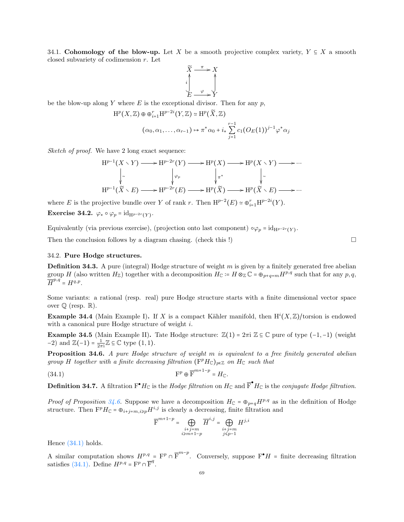34.1. Cohomology of the blow-up. Let X be a smooth projective complex variety,  $Y \subseteq X$  a smooth closed subvariety of codimension r. Let

$$
\widetilde{X} \xrightarrow{\pi} X
$$
\n
$$
i \qquad \qquad i
$$
\n
$$
E \xrightarrow{\varphi} Y
$$

be the blow-up along Y where  $E$  is the exceptional divisor. Then for any  $p$ ,

$$
H^{p}(X,\mathbb{Z}) \oplus \oplus_{i=1}^{r} H^{p-2i}(Y,\mathbb{Z}) \simeq H^{p}(\widetilde{X},\mathbb{Z})
$$

$$
(\alpha_{0},\alpha_{1},\ldots,\alpha_{r-1}) \mapsto \pi^{*}\alpha_{0} + i_{*} \sum_{j=1}^{r-1} c_{1}(O_{E}(1))^{j-1} \varphi^{*}\alpha_{j}
$$

Sketch of proof. We have 2 long exact sequence:

$$
H^{p-1}(X \times Y) \longrightarrow H^{p-2r}(Y) \longrightarrow H^p(X) \longrightarrow H^p(X \times Y) \longrightarrow \cdots
$$
  
\n
$$
\downarrow \sim \qquad \qquad \downarrow \sim \qquad \qquad \downarrow \pi^* \qquad \qquad \downarrow \sim
$$
  
\n
$$
H^{p-1}(\widetilde{X} \times E) \longrightarrow H^{p-2r}(E) \longrightarrow H^p(\widetilde{X}) \longrightarrow H^p(\widetilde{X} \times E) \longrightarrow \cdots
$$

where E is the projective bundle over Y of rank r. Then  $H^{p-2}(E) \simeq \bigoplus_{i=1}^{r} H^{p-2i}(Y)$ .

Exercise 34.2.  $\varphi_* \circ \varphi_p = \mathrm{id}_{\mathrm{H}^{p-2r}(Y)}.$ 

Equivalently (via previous exercise), (projection onto last component)  $\circ \varphi_p = \mathrm{id}_{H^{p-2r}(Y)}$ .

Then the conclusion follows by a diagram chasing. (check this !)  $\Box$ 

### 34.2. Pure Hodge structures.

**Definition 34.3.** A pure (integral) Hodge structure of weight m is given by a finitely generated free abelian group H (also written  $H_{\mathbb{Z}}$ ) together with a decomposition  $H_{\mathbb{C}} \coloneqq H \otimes_{\mathbb{Z}} \mathbb{C} = \oplus_{p+q=m} H^{p,q}$  such that for any  $p, q$ ,  $\overline{H}^{p,q} = H^{q,p}.$ 

Some variants: a rational (resp. real) pure Hodge structure starts with a finite dimensional vector space over  $\mathbb Q$  (resp.  $\mathbb R$ ).

**Example 34.4** (Main Example I). If X is a compact Kähler manifold, then  $H^{i}(X,\mathbb{Z})$ /torsion is endowed with a canonical pure Hodge structure of weight *i*.

Example 34.5 (Main Example II). Tate Hodge structure:  $\mathbb{Z}(1) = 2\pi i \mathbb{Z} \subseteq \mathbb{C}$  pure of type  $(-1, -1)$  (weight  $-2$ ) and  $\mathbb{Z}(-1) = \frac{1}{2\pi i} \mathbb{Z} \subseteq \mathbb{C}$  type  $(1, 1)$ .

<span id="page-68-0"></span>Proposition 34.6. A pure Hodge structure of weight m is equivalent to a free finitely generated abelian group H together with a finite decreasing filtration  $(\mathbf{F}^p H_{\mathbb{C}})_{p \in \mathbb{Z}}$  on  $H_{\mathbb{C}}$  such that

(34.1) 
$$
\mathbf{F}^p \oplus \overline{\mathbf{F}}^{m+1-p} = H_{\mathbb{C}}.
$$

**Definition 34.7.** A filtration  $F^{\bullet}H_{\mathbb{C}}$  is the *Hodge filtration* on  $H_{\mathbb{C}}$  and  $\overline{F}^{\bullet}H_{\mathbb{C}}$  is the *conjugate Hodge filtration*.

*Proof of Proposition [34.6.](#page-68-0)* Suppose we have a decomposition  $H_{\mathbb{C}} = \oplus_{p+q} H^{p,q}$  as in the definition of Hodge structure. Then  $\mathbf{F}^p H_{\mathbb{C}} = \oplus_{i+j=m, i \geq p} H^{i,j}$  is clearly a decreasing, finite filtration and

<span id="page-68-1"></span>
$$
\overline{\mathrm{F}}^{m+1-p} = \bigoplus\limits_{\substack{i+j = m \\ i \geqslant m+1-p}} \overline{H}^{i,j} = \bigoplus\limits_{\substack{i+j = m \\ j \leqslant p-1}} H^{j,i}
$$

Hence [\(34.1\)](#page-68-1) holds.

A similar computation shows  $H^{p,q} = \mathbb{F}^p \cap \overline{\mathbb{F}}^{m-p}$ . Conversely, suppose  $\mathbb{F}^{\bullet}H$  = finite decreasing filtration satisfies [\(34.1\).](#page-68-1) Define  $H^{p,q} = \mathbf{F}^p \cap \overline{\mathbf{F}}^q$ .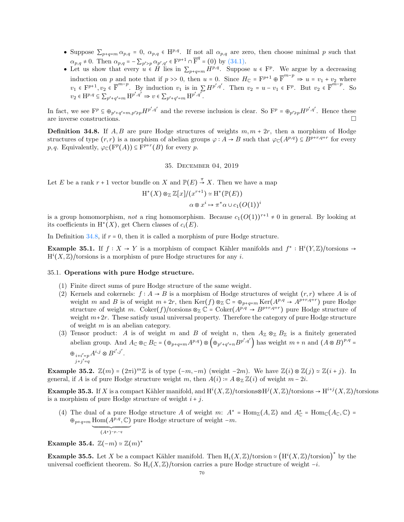- Suppose  $\sum_{p+q=m} \alpha_{p,q} = 0$ ,  $\alpha_{p,q} \in H^{p,q}$ . If not all  $\alpha_{p,q}$  are zero, then choose minimal p such that  $\alpha_{p,q} \neq 0$ . Then  $\alpha_{p,q} = -\sum_{p' > p} \alpha_{p',q'} \in \mathbb{F}^{p+1} \cap \overline{\mathbb{F}}^q = (0)$  by [\(34.1\).](#page-68-1)
- Let us show that every  $u \in H$  lies in  $\sum_{p+q=m} H^{p,q}$ . Suppose  $u \in F^p$ . We argue by a decreasing induction on p and note that if  $p \gg 0$ , then  $u = 0$ . Since  $H_{\mathbb{C}} = \mathbb{F}^{p+1} \oplus \overline{\mathbb{F}}^{m-p} \Rightarrow u = v_1 + v_2$  where  $v_1 \in \mathbb{F}^{p+1}$ ,  $v_2 \in \overline{\mathbb{F}}^{m-p}$ . By induction  $v_1$  is in  $\sum H^{p',q'}$ . Then  $v_2 = u - v_1 \in \mathbb{F}^p$ . But  $v_2 \in \overline{\mathbb{F}}^{m-p}$ . So  $v_2 \in \mathrm{H}^{p,q} \subseteq \sum_{p'+q'=m} \mathrm{H}^{p',q'} \Rightarrow v \in \sum_{p'+q'=m} \mathrm{H}^{p',q'}.$

In fact, we see  $F^p \subseteq \bigoplus_{p'+q'=m,p'\geq p} H^{p',q'}$  and the reverse inclusion is clear. So  $F^p = \bigoplus_{p'\geq p} H^{p',q'}$ . Hence these are inverse constructions.

<span id="page-69-0"></span>**Definition 34.8.** If A, B are pure Hodge structures of weights  $m, m + 2r$ , then a morphism of Hodge structures of type  $(r,r)$  is a morphism of abelian groups  $\varphi: A \to B$  such that  $\varphi_{\mathbb{C}}(A^{p,q}) \subseteq B^{p+r,q+r}$  for every *p*, *q*. Equivalently,  $\varphi_{\mathbb{C}}(\mathbf{F}^p(A)) \subseteq \mathbf{F}^{p+r}(B)$  for every *p*.

# 35. December 04, 2019

Let E be a rank  $r + 1$  vector bundle on X and  $\mathbb{P}(E) \stackrel{\pi}{\rightarrow} X$ . Then we have a map

$$
H^*(X) \otimes_{\mathbb{Z}} \mathbb{Z}[x]/(x^{r+1}) \simeq H^*(\mathbb{P}(E))
$$

$$
\alpha \otimes x^i \mapsto \pi^* \alpha \cup c_1(O(1))^i
$$

is a group homomorphism, not a ring homomorphism. Because  $c_1(O(1))^{r+1} \neq 0$  in general. By looking at its coefficients in  $H^*(X)$ , get Chern classes of  $c_i(E)$ .

In Definition  $34.8$ , if  $r = 0$ , then it is called a morphism of pure Hodge structure.

**Example 35.1.** If  $f: X \to Y$  is a morphism of compact Kähler manifolds and  $f^* : H^i(Y,\mathbb{Z})$ /torsions →  $H^{i}(X,\mathbb{Z})$ /torsions is a morphism of pure Hodge structures for any i.

#### 35.1. Operations with pure Hodge structure.

- (1) Finite direct sums of pure Hodge structure of the same weight.
- (2) Kernels and cokernels:  $f : A \rightarrow B$  is a morphism of Hodge structures of weight  $(r,r)$  where A is of weight m and B is of weight  $m + 2r$ , then  $\text{Ker}(f) \otimes_{\mathbb{Z}} \mathbb{C} = \bigoplus_{p+q=m} \text{Ker}(A^{p,q} \to A^{p+r,q+r})$  pure Hodge structure of weight m.  $Coker(f)/torsions \otimes_{\mathbb{Z}} \mathbb{C} = Coker(A^{p,q} \rightarrow B^{p+r,q+r})$  pure Hodge structure of weight  $m+2r$ . These satisfy usual universal property. Therefore the category of pure Hodge structure of weight  $m$  is an abelian category.
- (3) Tensor product: A is of weight m and B of weight n, then  $A_{\mathbb{Z}} \otimes_{\mathbb{Z}} B_{\mathbb{Z}}$  is a finitely generated abelian group. And  $A_{\mathbb{C}} \otimes_{\mathbb{C}} B_{\mathbb{C}} = (\oplus_{p+q=m} A^{p,q}) \otimes (\oplus_{p'+q'=n} B^{p',q'})$  has weight  $m+n$  and  $(A \otimes B)^{p,q} =$  $\oplus_{i+i'=p} A^{i,j} \otimes B^{i',j'}.$  $j+j'=q$

**Example 35.2.**  $\mathbb{Z}(m) = (2\pi i)^m \mathbb{Z}$  is of type  $(-m, -m)$  (weight  $-2m$ ). We have  $\mathbb{Z}(i) \otimes \mathbb{Z}(j) \simeq \mathbb{Z}(i + j)$ . In general, if A is of pure Hodge structure weight m, then  $A(i) = A \otimes_{\mathbb{Z}} \mathbb{Z}(i)$  of weight  $m - 2i$ .

Example 35.3. If X is a compact Kähler manifold, and  $H^{i}(X,\mathbb{Z})$ /torsions⊗H $^{j}(X,\mathbb{Z})$ /torsions →  $H^{i+j}(X,\mathbb{Z})$ /torsions is a morphism of pure Hodge structure of weight  $i + j$ .

(4) The dual of a pure Hodge structure A of weight m:  $A^* = \text{Hom}_{\mathbb{Z}}(A, \mathbb{Z})$  and  $A^*_{\mathbb{C}} = \text{Hom}_{\mathbb{C}}(A_{\mathbb{C}}, \mathbb{C}) =$  $\oplus_{p+q=m}$  Hom $(A^{p,q}, \mathbb{C})$  pure Hodge structure of weight  $-m$ .  $\overline{(A^*)^{-p,-q}}$ 

Example 35.4.  $\mathbb{Z}(-m) \simeq \mathbb{Z}(m)^*$ 

**Example 35.5.** Let X be a compact Kähler manifold. Then  $H_i(X, \mathbb{Z})$ /torsion  $\cong (\mathrm{H}^i(X, \mathbb{Z})$ /torsion)<sup>\*</sup> by the universal coefficient theorem. So  $H_i(X,\mathbb{Z})$ /torsion carries a pure Hodge structure of weight  $-i$ .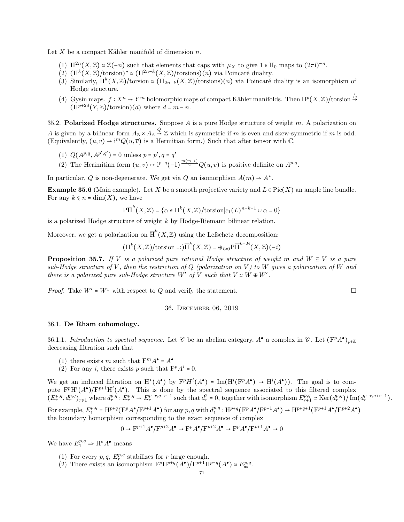Let X be a compact Kähler manifold of dimension  $n$ .

- (1)  $\mathrm{H}^{2n}(X,\mathbb{Z}) \simeq \mathbb{Z}(-n)$  such that elements that caps with  $\mu_X$  to give  $1 \in \mathrm{H}_0$  maps to  $(2\pi i)^{-n}$ .
- (2)  $(H^k(X,\mathbb{Z})$ /torsion)<sup>\*</sup> ≃  $(H^{2n-k}(X,\mathbb{Z})$ /torsions) $(n)$  via Poincaré duality.
- (3) Similarly,  $H^k(X,\mathbb{Z})$ /torsion ≃  $(H_{2n-k}(X,\mathbb{Z})$ /torsions)(n) via Poincaré duality is an isomorphism of Hodge structure.
- (4) Gysin maps.  $f: X^n \to Y^m$  holomorphic maps of compact Kähler manifolds. Then  $\mathrm{H}^p(X,\mathbb{Z})$ /torsion  $\stackrel{f_*}{\to}$  $(H^{p+2d}(Y,\mathbb{Z})/\text{torsion})(d)$  where  $d = m - n$ .

35.2. Polarized Hodge structures. Suppose  $A$  is a pure Hodge structure of weight  $m$ . A polarization on A is given by a bilinear form  $A_{\mathbb{Z}} \times A_{\mathbb{Z}} \stackrel{Q}{\to} \mathbb{Z}$  which is symmetric if m is even and skew-symmetric if m is odd. (Equivalently,  $(u, v) \mapsto i^{m} Q(u, \overline{v})$  is a Hermitian form.) Such that after tensor with  $\mathbb{C}$ ,

- (1)  $Q(A^{p,q}, A^{p',q'}) = 0$  unless  $p = p', q = q'$
- (2) The Herimitian form  $(u, v) \mapsto i^{p-q}(-1)^{\frac{m(m-1)}{2}} Q(u, \overline{v})$  is positive definite on  $A^{p,q}$ .

In particular, Q is non-degenerate. We get via Q an isomorphism  $A(m) \to A^*$ .

**Example 35.6** (Main example). Let X be a smooth projective variety and  $L \in Pic(X)$  an ample line bundle. For any  $k \leq n = \dim(X)$ , we have

$$
\mathrm{P}\overline{\mathrm{H}}^k(X,\mathbb{Z}) = \{ \alpha \in \mathrm{H}^k(X,\mathbb{Z})/\mathrm{torsion} | c_1(L)^{n-k+1} \cup \alpha = 0 \}
$$

is a polarized Hodge structure of weight k by Hodge-Riemann bilinear relation.

Moreover, we get a polarization on  $\overline{H}^k(X,\mathbb{Z})$  using the Lefschetz decomposition:

$$
(\mathrm{H}^k(X,\mathbb{Z})/\mathrm{torsion}=:\!)\overline{\mathrm{H}}^k(X,\mathbb{Z})=\oplus_{i\geq 0}\mathrm{P}\overline{\mathrm{H}}^{k-2i}(X,\mathbb{Z})(-i)
$$

**Proposition 35.7.** If V is a polarized pure rational Hodge structure of weight m and  $W \subseteq V$  is a pure sub-Hodge structure of V, then the restriction of Q (polarization on V) to W gives a polarization of W and there is a polarized pure sub-Hodge structure W' of V such that  $V \simeq W \oplus W'$ .

*Proof.* Take  $W' = W^{\perp}$  with respect to Q and verify the statement.

36. December 06, 2019

# 36.1. De Rham cohomology.

36.1.1. Introduction to spectral sequence. Let  $\mathscr C$  be an abelian category,  $A^{\bullet}$  a complex in  $\mathscr C$ . Let  $(\mathbf{F}^p A^{\bullet})_{p \in \mathbb{Z}}$ decreasing filtration such that

- (1) there exists m such that  $F^m A^{\bullet} = A^{\bullet}$
- (2) For any *i*, there exists *p* such that  $F^p A^i = 0$ .

We get an induced filtration on  $H^*(A^{\bullet})$  by  $F^pH^i(A^{\bullet}) = Im(H^i(F^pA^{\bullet}) \to H^i(A^{\bullet}))$ . The goal is to compute  $F^pH^i(A^{\bullet})/F^{p+1}H^i(A^{\bullet})$ . This is done by the spectral sequence associated to this filtered complex  $(E_r^{p,q}, d_r^{p,q})_{r \geq 1}$  where  $d_r^{p,q}: E_r^{p,q} \to E_r^{p+r,q-r+1}$  such that  $d_r^2 = 0$ , together with isomorphism  $E_{r+1}^{p,q} \simeq \text{Ker}(d_r^{p,q})/\text{Im}(d_r^{p-r,q+r-1})$ .

For example,  $E_1^{p,q} = H^{p+q} (F^p A^{\bullet}/F^{p+1} A^{\bullet})$  for any  $p, q$  with  $d_1^{p,q}: H^{p+q} (F^p A^{\bullet}/F^{p+1} A^{\bullet}) \to H^{p+q+1} (F^{p+1} A^{\bullet}/F^{p+2} A^{\bullet})$ the boundary homorphism corresponding to the exact sequence of complex

$$
0 \to \mathbf{F}^{p+1} A^{\bullet} / \mathbf{F}^{p+2} A^{\bullet} \to \mathbf{F}^p A^{\bullet} / \mathbf{F}^{p+2} A^{\bullet} \to \mathbf{F}^p A^{\bullet} / \mathbf{F}^{p+1} A^{\bullet} \to 0
$$

We have  $E_1^{p,q} \Rightarrow H^*A^{\bullet}$  means

- (1) For every  $p, q, E_r^{p,q}$  stabilizes for r large enough.
- (2) There exists an isomorphism  $F^p H^{p+q}(A^{\bullet})/F^{p+1} H^{p+q}(A^{\bullet}) \simeq E^{p,q}_{\infty}$ .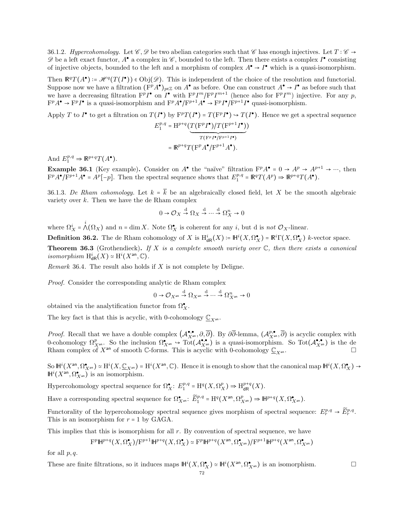36.1.2. Hypercohomology. Let  $\mathscr{C}, \mathscr{D}$  be two abelian categories such that  $\mathscr{C}$  has enough injectives. Let  $T : \mathscr{C} \to$  $\mathscr D$  be a left exact functor,  $A^{\bullet}$  a complex in  $\mathscr C$ , bounded to the left. Then there exists a complex  $I^{\bullet}$  consisting of injective objects, bounded to the left and a morphism of complex  $A^{\bullet} \to I^{\bullet}$  which is a quasi-isomorphism.

Then  $\mathbb{R}^q T(A^{\bullet}) = \mathcal{H}^q(T(I^{\bullet})) \in \text{Obj}(\mathcal{D})$ . This is independent of the choice of the resolution and functorial. Suppose now we have a filtration  $(F^pA^{\bullet})_{p\in\mathbb{Z}}$  on  $A^{\bullet}$  as before. One can construct  $A^{\bullet} \to I^{\bullet}$  as before such that we have a decreasing filtration  $F^pI^{\bullet}$  on  $I^{\bullet}$  with  $F^pI^m/F^pI^{m+1}$  (hence also for  $F^pI^m$ ) injective. For any p,  $F^pA^{\bullet} \to F^pI^{\bullet}$  is a quasi-isomorphism and  $F^pA^{\bullet}/F^{p+1}A^{\bullet} \to F^pI^{\bullet}/F^{p+1}I^{\bullet}$  quasi-isomorphism.

Apply T to  $I^{\bullet}$  to get a filtration on  $T(I^{\bullet})$  by  $F^pT(I^{\bullet}) = T(F^pI^{\bullet}) \hookrightarrow T(I^{\bullet})$ . Hence we get a spectral sequence  $E_1^{p,q} = \mathrm{H}^{p+q}(T(\mathrm{F}^pI^{\bullet})/T(\mathrm{F}^{p+1}I^{\bullet}))$ 

$$
= \mathbb{R}^{p+q} T(\mathbf{F}^p A^\bullet / \mathbf{F}^{p+1} A^\bullet).
$$

And  $E_1^{p,q} \Rightarrow \mathbb{R}^{p+q}T(A^{\bullet}).$ 

**Example 36.1** (Key example). Consider on  $A^{\bullet}$  the "naïve" filtration  $F^pA^{\bullet} = 0 \rightarrow A^p \rightarrow A^{p+1} \rightarrow \cdots$ , then  $F^pA^{\bullet}/F^{p+1}A^{\bullet} = A^p[-p]$ . Then the spectral sequence shows that  $E_1^{p,q} = \mathbb{R}^qT(A^p) \Rightarrow \mathbb{R}^{p+q}T(A^{\bullet})$ .

36.1.3. De Rham cohomology. Let  $k = \overline{k}$  be an algebraically closed field, let X be the smooth algebraic variety over  $k$ . Then we have the de Rham complex

$$
0 \to \mathcal{O}_X \stackrel{\mathrm{d}}{\to} \Omega_X \stackrel{\mathrm{d}}{\to} \cdots \stackrel{\mathrm{d}}{\to} \Omega_X^n \to 0
$$

where  $\Omega_X^i = \bigwedge^i (\Omega_X)$  and  $n = \dim X$ . Note  $\Omega_X^{\bullet}$  is coherent for any i, but d is not  $\mathcal{O}_X$ -linear.

**Definition 36.2.** The de Rham cohomology of X is  $H^i_{dR}(X) = H^i(X, \Omega^{\bullet}_X) = R^i\Gamma(X, \Omega^{\bullet}_X)$  k-vector space. **Theorem 36.3** (Grothendieck). If X is a complete smooth variety over  $\mathbb{C}$ , then there exists a canonical isomorphism  $\mathrm{H}^i_{\mathsf{dR}}(X) \simeq \mathrm{H}^i(X^{\mathsf{an}}, \mathbb{C})$ .

*Remark* 36.4. The result also holds if  $X$  is not complete by Deligne.

Proof. Consider the corresponding analytic de Rham complex

$$
0 \to \mathcal{O}_{X^{\mathrm{an}}} \stackrel{\mathrm{d}}{\to} \Omega_{X^{\mathrm{an}}} \stackrel{\mathrm{d}}{\to} \cdots \stackrel{\mathrm{d}}{\to} \Omega_{X^{\mathrm{an}}}^n \to 0
$$

obtained via the analytification functor from  $\Omega^{\bullet}_X$ .

The key fact is that this is acyclic, with 0-cohomology  $\underline{\mathbb{C}}_{X^{an}}$ .

*Proof.* Recall that we have a double complex  $(\mathcal{A}_{X^{\text{an}}}^{\bullet,\bullet}, \partial, \overline{\partial})$ . By  $\partial \overline{\partial}$ -lemma,  $(\mathcal{A}_{X^{\text{an}}}^{\bullet,\bullet}, \overline{\partial})$  is acyclic complex with 0-cohomology  $\Omega_{X^{\text{an}}}^p$ . So the inclusion  $\Omega_{X^{\text{an}}}^{\bullet} \to \text{Tot}(\mathcal{A}_{X^{\text{an}}}^{\bullet,\bullet})$  is a quasi-isomorphism. So  $\text{Tot}(\mathcal{A}_{X^{\text{an}}}^{\bullet,\bullet})$  is the de Rham complex of  $X^{an}$  of smooth C-forms. This is acyclic with 0-cohomology  $\underline{\mathbb{C}}_{X^{an}}$ .

So  $\mathbb{H}^{i}(X^{\text{an}}, \Omega^{\bullet}_{X^{\text{an}}}) \simeq \mathrm{H}^{i}(X, \underline{\mathbb{C}}_{X^{\text{an}}}) = \mathrm{H}^{i}(X^{\text{an}}, \mathbb{C})$ . Hence it is enough to show that the canonical map  $\mathbb{H}^{i}(X, \Omega^{\bullet}_{X}) \to$  $\mathbb{H}^i(X^{\text{an}}, \Omega^\bullet_{X^{\text{an}}})$  is an isomorphism.

Hypercohomology spectral sequence for  $\Omega_X^{\bullet}$ :  $E_1^{p,q} = H^q(X, \Omega_X^p) \Rightarrow H_{\text{dR}}^{p+q}(X)$ .

Have a corresponding spectral sequence for  $\Omega^{\bullet}_{X^{\text{an}}}$ :  $\widetilde{E}^{p,q}_1 = \mathrm{H}^q(X^{\text{an}}, \Omega^p_{X^{\text{an}}}) \Rightarrow \mathbb{H}^{p+q}(X, \Omega^{\bullet}_{X^{\text{an}}}).$ 

Functorality of the hypercohomology spectral sequence gives morphism of spectral sequence:  $E_r^{p,q} \to \widetilde{E}_r^{p,q}$ . This is an isomorphism for  $r = 1$  by GAGA.

This implies that this is isomorphism for all  $r$ . By convention of spectral sequence, we have

$$
\mathrm{F}^p \mathsf{H}^{p+q}(X, \Omega_X^\bullet)/\mathrm{F}^{p+1} \mathsf{H}^{p+q}(X, \Omega_X^\bullet) \simeq \mathrm{F}^p \mathsf{H}^{p+q}(X^\mathrm{an}, \Omega_{X^\mathrm{an}}^\bullet)/\mathrm{F}^{p+1} \mathsf{H}^{p+q}(X^\mathrm{an}, \Omega_{X^\mathrm{an}}^\bullet)
$$

for all  $p, q$ .

These are finite filtrations, so it induces maps  $\mathbb{H}^i(X, \Omega_X^{\bullet}) \simeq \mathbb{H}^i(X^{\mathsf{an}}, \Omega_{X^{\mathsf{an}}}^{\bullet})$  is an isomorphism.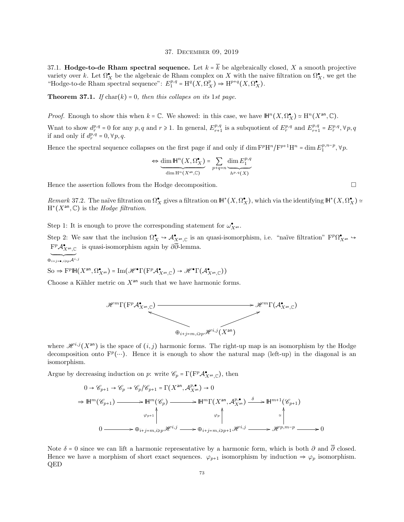#### 37. December 09, 2019

37.1. Hodge-to-de Rham spectral sequence. Let  $k = \overline{k}$  be algebraically closed, X a smooth projective variety over k. Let  $\Omega_X^{\bullet}$  be the algebraic de Rham complex on X with the naive filtration on  $\Omega_X^{\bullet}$ , we get the "Hodge-to-de Rham spectral sequence":  $E_1^{p,q} = H^q(X, \Omega_X^p) \Rightarrow H^{p+q}(X, \Omega_X^{\bullet}).$ 

**Theorem 37.1.** If  $char(k) = 0$ , then this collapes on its 1st page.

*Proof.* Enough to show this when  $k = \mathbb{C}$ . We showed: in this case, we have  $\mathbb{H}^n(X, \Omega_X^{\bullet}) \simeq \mathbb{H}^n(X^{\text{an}}, \mathbb{C})$ .

What to show  $d_r^{p,q} = 0$  for any  $p, q$  and  $r \ge 1$ . In general,  $E_{r+1}^{p,q}$  is a subquotient of  $E_r^{p,q}$  and  $E_{r+1}^{p,q} = E_r^{p,q}, \forall p, q$ if and only if  $d_r^{p,q} = 0, \forall p, q$ .

Hence the spectral sequence collapses on the first page if and only if  $\dim F^p H^n / F^{p+1} H^n = \dim E_1^{p,n-p}, \forall p$ .

$$
\Leftrightarrow \underbrace{\dim \mathbb{H}^n(X,\Omega^\bullet_X)}_{\dim \mathbb{H}^n(X^{\rm an},\mathbb{C})} = \sum_{p+q=n} \underbrace{\dim E_1^{p,q}}_{h^{p,q}(X)}
$$

Hence the assertion follows from the Hodge decomposition.

Remark 37.2. The naïve filtration on  $\Omega_X^{\bullet}$  gives a filtration on  $\mathbb{H}^*(X, \Omega_X^{\bullet})$ , which via the identifying  $\mathbb{H}^*(X, \Omega_X^{\bullet}) \simeq$  $H^*(X^{\text{an}}, \mathbb{C})$  is the Hodge filtration.

Step 1: It is enough to prove the corresponding statement for  $\omega^{\bullet}_{X^{an}}$ .

Step 2: We saw that the inclusion  $\Omega_X^{\bullet} \hookrightarrow \mathcal{A}_{X^{an},\mathbb{C}}^{\bullet}$  is an quasi-isomorphism, i.e. "naïve filtration"  $\mathrm{F}^p \Omega_{X^{an}}^{\bullet} \hookrightarrow$  $\mathrm{F}^p\mathcal{A}^\bullet_{X^{\mathrm{an}},\mathbb{C}}\;$  is quasi-isomorphism again by  $\partial\overline{\partial}$ -lemma.

 $\overbrace{\oplus_{i+j=\bullet, i\geqslant p}\mathcal{A}^{i,j}}$ 

 $\text{So } \Rightarrow \text{F}^p \mathbb{H}(X^{\text{an}}, \Omega^{\bullet}_{X^{\text{an}}}) = \text{Im}(\mathscr{H}^{\bullet} \Gamma(\text{F}^p \mathcal{A}^{\bullet}_{X^{\text{an}}, \mathbb{C}}) \to \mathscr{H}^{\bullet} \Gamma(\mathcal{A}^{\bullet}_{X^{\text{an}}, \mathbb{C}}))$ 

Choose a Kähler metric on  $X^{\text{an}}$  such that we have harmonic forms.



where  $\mathscr{H}^{i,j}(X^{an})$  is the space of  $(i, j)$  harmonic forms. The right-up map is an isomorphism by the Hodge decomposition onto  $F^p(\dots)$ . Hence it is enough to show the natural map (left-up) in the diagonal is an isomorphism.

Argue by decreasing induction on p: write  $\mathscr{C}_p = \Gamma(\mathrm{F}^p \mathcal{A}_{X^{\mathrm{an}},\mathbb{C}}^{\bullet})$ , then

$$
0 \to \mathscr{C}_{p+1} \to \mathscr{C}_p \to \mathscr{C}_p/\mathscr{C}_{p+1} = \Gamma(X^{\text{an}}, \mathcal{A}_{X^{\text{an}}}^{p, \bullet}) \to 0
$$
  
\n
$$
\Rightarrow \mathbb{H}^m(\mathscr{C}_{p+1}) \longrightarrow \mathbb{H}^m(\mathscr{C}_p) \longrightarrow \mathbb{H}^m\Gamma(X^{\text{an}}, \mathcal{A}_{X^{\text{an}}}^{p, \bullet}) \xrightarrow{\delta} \mathbb{H}^{m+1}(\mathscr{C}_{p+1})
$$
  
\n
$$
\varphi_{p+1} \downarrow \qquad \qquad \varphi_p \downarrow \qquad \qquad \varphi_p \downarrow \qquad \qquad \varphi_p \downarrow \qquad \qquad \varphi_p \downarrow \qquad \qquad \varphi_p \downarrow \qquad \qquad \varphi_p \downarrow \qquad \qquad \varphi_p \downarrow \qquad \qquad \varphi_p \downarrow \qquad \qquad \varphi_p \downarrow \qquad \qquad \varphi_p \downarrow \qquad \qquad \varphi_p \downarrow \qquad \qquad \varphi_p \downarrow \qquad \qquad \varphi_p \downarrow \qquad \qquad \varphi_p \downarrow \qquad \qquad \varphi_p \downarrow \qquad \qquad \varphi_p \downarrow \qquad \qquad \varphi_p \downarrow \qquad \qquad \varphi_p \downarrow \qquad \qquad \varphi_p \downarrow \qquad \qquad \varphi_p \downarrow \qquad \qquad \varphi_p \downarrow \qquad \qquad \varphi_p \downarrow \qquad \qquad \varphi_p \downarrow \qquad \qquad \varphi_p \downarrow \qquad \qquad \varphi_p \downarrow \qquad \qquad \varphi_p \downarrow \qquad \qquad \varphi_p \downarrow \qquad \qquad \varphi_p \downarrow \qquad \qquad \varphi_p \downarrow \qquad \qquad \varphi_p \downarrow \qquad \qquad \varphi_p \downarrow \qquad \qquad \varphi_p \downarrow \qquad \qquad \varphi_p \downarrow \qquad \qquad \varphi_p \downarrow \qquad \qquad \varphi_p \downarrow \qquad \qquad \varphi_p \downarrow \qquad \qquad \varphi_p \downarrow \qquad \qquad \varphi_p \downarrow \qquad \qquad \varphi_p \downarrow \qquad \qquad \varphi_p \downarrow \qquad \qquad \varphi_p \downarrow \qquad \qquad \varphi_p \downarrow \downarrow
$$

Note  $\delta = 0$  since we can lift a harmonic representative by a harmonic form, which is both  $\partial$  and  $\overline{\partial}$  closed. Hence we have a morphism of short exact sequences.  $\varphi_{p+1}$  isomorphism by induction  $\Rightarrow \varphi_p$  isomorphism. QED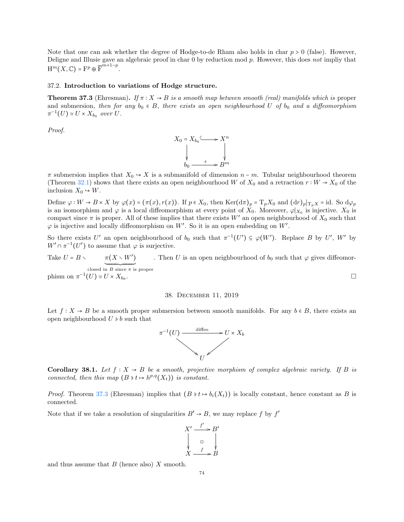Note that one can ask whether the degree of Hodge-to-de Rham also holds in char  $p > 0$  (false). However, Deligne and Illusie gave an algebraic proof in char 0 by reduction mod p. However, this does not impliy that  $\text{H}^m(X,\mathbb{C}) = \text{F}^p \oplus \overline{\text{F}}^{m+1-p}.$ 

# 37.2. Introduction to variations of Hodge structure.

<span id="page-73-0"></span>**Theorem 37.3** (Ehresman). If  $\pi : X \to B$  is a smooth map between smooth (real) manifolds which is proper and submersion, then for any  $b_0 \in B$ , there exists an open neighbourhood U of  $b_0$  and a diffeomorphism  $\pi^{-1}(U) \simeq U \times X_{b_0}$  over U.

Proof.



 $\pi$  submersion implies that  $X_0 \to X$  is a submanifold of dimension  $n - m$ . Tubular neighbourhood theorem (Theorem [32.1\)](#page-64-0) shows that there exists an open neighbourhood W of  $X_0$  and a retraction  $r : W \to X_0$  of the inclusion  $X_0 \rightarrow W$ .

Define  $\varphi : W \to B \times X$  by  $\varphi(x) = (\pi(x), r(x))$ . If  $p \in X_0$ , then Ker $(d\pi)_p = T_p X_0$  and  $(d\pi)_p|_{T_p X} = id$ . So  $d\varphi_p$ is an isomorphism and  $\varphi$  is a local diffeomorphism at every point of  $X_0$ . Moreover,  $\varphi|_{X_0}$  is injective.  $X_0$  is compact since  $\pi$  is proper. All of these implies that there exists W' an open neighbourhood of  $X_0$  such that  $\varphi$  is injective and locally diffeomorphism on W'. So it is an open embedding on W'.

So there exists U' an open neighbourhood of  $b_0$  such that  $\pi^{-1}(U') \subseteq \varphi(W')$ . Replace B by U', W' by  $W' \cap \pi^{-1}(U')$  to assume that  $\varphi$  is surjective.

Take  $U = B \setminus \pi(X \setminus W')$ closed in B since  $\pi$  is proper . Then U is an open neighbourhood of  $b_0$  such that  $\varphi$  gives diffeomorphism on  $\pi^{-1}(U) \simeq U \times X_{b_0}$ .

### 38. December 11, 2019

Let  $f: X \to B$  be a smooth proper submersion between smooth manifolds. For any  $b \in B$ , there exists an open neighbourhood  $U \ni b$  such that



Corollary 38.1. Let  $f: X \to B$  be a smooth, projective morphism of complex algebraic variety. If B is connected, then this map  $(B \ni t \mapsto h^{p,q}(X_t))$  is constant.

*Proof.* Theorem [37.3](#page-73-0) (Ehresman) implies that  $(B \ni t \mapsto b_i(X_t))$  is locally constant, hence constant as B is connected.

Note that if we take a resolution of singularities  $B' \to B$ , we may replace f by  $f'$ 



and thus assume that  $B$  (hence also)  $X$  smooth.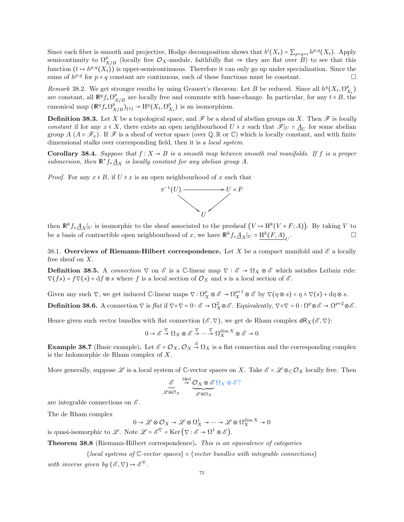Since each fiber is smooth and projective, Hodge decomposition shows that  $b^{i}(X_{t}) = \sum_{p+q=i} h^{p,q}(X_{t})$ . Apply semicontinuity to  $\Omega^p_{X/B}$  (locally free  $\mathcal{O}_X$ -module, faithfully flat  $\Rightarrow$  they are flat over  $B$ ) to see that this function  $(t \mapsto h^{p,q}(X_t))$  is upper-semicontinuous. Therefore it can only go up under specialization. Since the sums of  $h^{p,q}$  for  $p+q$  constant are continuous, each of these functions must be constant.

Remark 38.2. We get stronger results by using Grauert's theorem: Let B be reduced. Since all  $h^q(X_t, \Omega_{X_t}^p)$ are constant, all  $\mathbb{R}^q f_* \Omega_{\lambda}^p$  $X/B$  are locally free and commute with base-change. In particular, for any  $t \in B$ , the canonical map  $(\mathbb{R}^q f_* \Omega^p_{\chi})$  $(X/K/K)(t) \to \mathrm{H}^q(X_t, \Omega_{X_t}^p)$  is an isomorphism.

**Definition 38.3.** Let X be a topological space, and  $\mathscr F$  be a sheaf of abelian groups on X. Then  $\mathscr F$  is locally constant if for any  $x \in X$ , there exists an open neighbourhood  $U \ni x$  such that  $\mathscr{F}|_U \simeq \underline{A}_U$  for some abelian group  $A(A \simeq \mathscr{F}_x)$ . If  $\mathscr{F}$  is a sheaf of vector space (over  $\mathbb{Q}, \mathbb{R}$  or  $\mathbb{C}$ ) which is locally constant, and with finite dimensional stalks over corresponding field, then it is a *local system*.

Corollary 38.4. Suppose that  $f: X \to B$  is a smooth map between smooth real manifolds. If f is a proper submersion, then  $\mathbb{R}^* f_* \underline{A}_X$  is locally constant for any abelian group A.

*Proof.* For any  $x \in B$ , if  $U \ni x$  is an open neighbourhood of x such that



then  $\mathbb{R}^k f_* \underline{A}_X|_U$  is isomorphic to the sheaf associated to the presheaf  $(V \to H^k(V \times F; A))$ . By taking V to be a basis of contractible open neighbourhood of x, we have  $\mathbb{R}^k f_* \underline{A}_X|_U \simeq \underline{\mathrm{H}^k (F,A)}_U$ . — Первый процесс в процесс в процесс в процесс в процесс в процесс в процесс в процесс в процесс в процесс в<br>В процесс в процесс в процесс в процесс в процесс в процесс в процесс в процесс в процесс в процесс в процесс

38.1. Overviews of Riemann-Hilbert correspondence. Let X be a compact manifold and  $\mathscr E$  a locally free sheaf on X.

**Definition 38.5.** A connection  $\nabla$  on  $\mathscr{E}$  is a C-linear map  $\nabla : \mathscr{E} \to \Omega_X \otimes \mathscr{E}$  which satisfies Leibniz rule:  $\nabla(f s) = f \nabla(s) + df \otimes s$  where f is a local section of  $\mathcal{O}_X$  and s is a local section of  $\mathcal{E}$ .

Given any such  $\nabla$ , we get induced  $\mathbb{C}\text{-linear maps } \nabla : \Omega_X^p \otimes \mathscr{E} \to \Omega_X^{p+1} \otimes \mathscr{E}$  by  $\nabla(\eta \otimes s) = \eta \wedge \nabla(s) + d\eta \otimes s$ . **Definition 38.6.** A connection  $\nabla$  is flat if  $\nabla \circ \nabla = 0 : \mathscr{E} \to \Omega_X^2 \otimes \mathscr{E}$ . Equivalently,  $\nabla \circ \nabla = 0 : \Omega^p \otimes \mathscr{E} \to \Omega^{p+2} \otimes \mathscr{E}$ .

Hence given such vector bundles with flat connection  $(\mathscr{E}, \nabla)$ , we get de Rham complex  $dR_X(\mathscr{E}, \nabla)$ :

$$
0 \to \mathscr{E} \stackrel{\nabla}{\to} \Omega_X \otimes \mathscr{E} \stackrel{\nabla}{\to} \cdots \stackrel{\nabla}{\to} \Omega_X^{\dim X} \otimes \mathscr{E} \to 0
$$

**Example 38.7** (Basic example). Let  $\mathscr{E} = \mathcal{O}_X$ ,  $\mathcal{O}_X \stackrel{d}{\to} \Omega_X$  is a flat connection and the corresponding complex is the holomorphic de Rham complex of X.

More generally, suppose  $\mathscr L$  is a local system of C-vector spaces on X. Take  $\mathscr E = \mathscr L \otimes_{\mathbb C} \mathcal O_X$  locally free. Then

$$
\mathcal{E} \xrightarrow{1 \otimes d} \mathcal{O}_X \otimes \mathcal{E} \Omega_X \otimes \mathcal{E}?
$$
  

$$
\mathcal{L} \otimes \mathcal{O}_X
$$

are integrable connections on  $\mathscr E$ .

The de Rham complex

$$
0 \to \mathscr{L} \otimes \mathcal{O}_X \to \mathscr{L} \otimes \Omega^1_X \to \cdots \to \mathscr{L} \otimes \Omega^{ \dim X}_X \to 0
$$

is quasi-isomorphic to L. Note  $\mathscr{L} = \mathscr{E}^{\nabla} = \text{Ker}(\nabla : \mathscr{E} \to \Omega^1 \otimes \mathscr{E}).$ 

Theorem 38.8 (Riemann-Hilbert correspondence). This is an equivalence of categories

 ${local systems of \mathbb{C}\text{-vector spaces} \simeq {vector bundles with integrable connections} }$ 

with inverse given by  $(\mathscr{E}, \nabla) \mapsto \mathscr{E}^{\nabla}$ .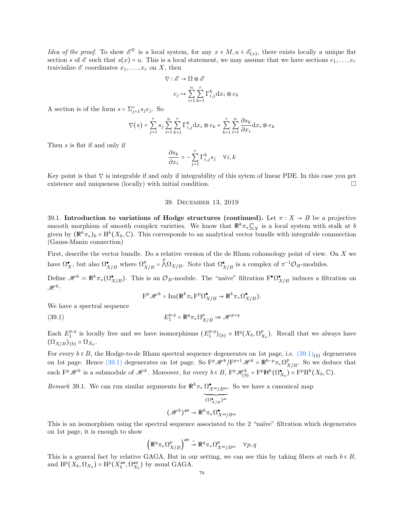*Idea of the proof.* To show  $\mathscr{E}^{\nabla}$  is a local system, for any  $x \in M, u \in \mathscr{E}_{(x)}$ , there exists locally a unique flat section s of  $\mathscr E$  such that  $s(x) = u$ . This is a local statement, we may assume that we have sections  $e_1, \ldots, e_r$ traivialize  $\mathscr E$  coordinates  $x_1, \ldots, x_r$  on X, then

$$
\begin{aligned} \nabla: \mathscr{E} &\rightarrow \Omega \otimes \mathscr{E} \\ e_j &\mapsto \sum_{i=1}^n \sum_{k=1}^r \Gamma_{i,j}^k \mathrm{d} x_i \otimes e_k \end{aligned}
$$

A section is of the form  $s = \sum_{j=1}^{r} s_j e_j$ . So

$$
\nabla(s) = \sum_{j=1}^r s_j \sum_{i=1}^n \sum_{k=1}^r \Gamma_{i,j}^k \mathrm{d} x_i \otimes e_k + \sum_{k=1}^r \sum_{i=1}^n \frac{\partial s_k}{\partial x_i} \mathrm{d} x_i \otimes e_k
$$

Then s is flat if and only if

$$
\frac{\partial s_k}{\partial x_i} = -\sum_{j=1}^r \Gamma_{i,j}^k s_j \quad \forall i, k
$$

Key point is that  $\nabla$  is integrable if and only if integrability of this sytem of linear PDE. In this case you get existence and uniqueness (locally) with initial condition.

## 39. December 13, 2019

39.1. Introduction to variations of Hodge structures (continued). Let  $\pi : X \to B$  be a projective smooth morphism of smooth complex varieties. We know that  $\mathbb{R}^k \pi_* \underline{\mathbb{C}}_X$  is a local system with stalk at b given by  $(\mathbb{R}^k \pi_*)_b \simeq \mathrm{H}^k(X_b, \mathbb{C})$ . This corresponds to an analytical vector bundle with integrable connnection (Gauss-Manin connection)

First, describe the vector bundle. Do a relative version of the de Rham cohomology point of view. On X we have  $\Omega_X^{\bullet}$ , but also  $\Omega_{X/B}^{\bullet}$  where  $\Omega_{X/B}^p = \bigwedge^p \Omega_{X/B}$ . Note that  $\Omega_{X/B}^{\bullet}$  is a complex of  $\pi^{-1} \mathcal{O}_B$ -modules.

Define  $\mathscr{H}^k = \mathbb{R}^k \pi_*(\Omega_{X/B}^{\bullet})$ . This is an  $\mathcal{O}_B$ -module. The "naïve" filtration  $F^{\bullet} \Omega_{X/B}^{\bullet}$  induces a filtration on  $\mathscr{H}^k$  :

<span id="page-75-0"></span>
$$
\mathbf{F}^p \mathscr{H}^k = \mathrm{Im} \big( \mathbb{R}^k \pi_* \mathbf{F}^p \Omega_{X/B}^\bullet \to \mathbb{R}^k \pi_* \Omega_{X/B}^\bullet \big).
$$

We have a spectral sequence

(39.1) 
$$
E_1^{p,q} = \mathbb{R}^q \pi_* \Omega_{X/B}^p \Rightarrow \mathcal{H}^{p+q}
$$

Each  $E_1^{p,q}$  is locally free and we have isomorphisms  $(E_1^{p,q})_{(b)} \simeq \mathrm{H}^q(X_b, \Omega_{X_b}^p)$ . Recall that we always have  $(\Omega_{X/B})_{(b)} \simeq \Omega_{X_b}.$ 

For every  $b \in B$ , the Hodge-to-de Rham spectral sequence degenerates on 1st page, i.e.  $(39.1)_{(b)}$  $(39.1)_{(b)}$  degenerates on 1st page. Hence [\(39.1\)](#page-75-0) degenerates on 1st page. So  $F^p\mathscr{H}^k/F^{p+1}\mathscr{H}^k \simeq \mathbb{R}^{k-p}\pi_*\Omega^p_X$  $X/B$ . So we deduce that each  $\mathbf{F}^p\mathcal{H}^k$  is a submodule of  $\mathcal{H}^k$ . Moreover, for every  $b \in B$ ,  $\mathbf{F}^p\mathcal{H}_{(b)}^k = \mathbf{F}^p\mathbb{H}^k(\Omega_{X_b}^{\bullet}) \simeq \mathbf{F}^p\mathbf{H}^k(X_b,\mathbb{C})$ .

Remark 39.1. We can run similar arguments for  $\mathbb{R}^k \pi_* \Omega^{\bullet}_{X^{an}/B^{an}}$ . So we have a canonical map

$$
\widetilde{(\mathcal{H}^k)^{\operatorname{an}}} \to \widetilde{\mathbb{R}^k \pi_* \Omega_{X^{\operatorname{an}}/B^{\operatorname{an}}}^{\bullet}}
$$

This is an isomorphism using the spectral sequence associated to the 2 "naïve" filtration which degenerates on 1st page, it is enough to show

$$
\Big(\mathbb{R}^q\pi_*\Omega^p_{X/B}\Big)^{\mathrm{an}}\stackrel{\sim}{\to}\mathbb{R}^q\pi_*\Omega^p_{X^{\mathrm{an}}/B^{\mathrm{an}}}\quad\forall p,q
$$

This is a general fact by relative GAGA. But in our setting, we can see this by taking fibers at each  $b \in B$ , and  $\mathrm{H}^p(X_b,\Omega_{X_b}) \simeq \mathrm{H}^p(X_b^{\text{an}},\Omega_{X_b}^{\text{an}})$  by usual GAGA.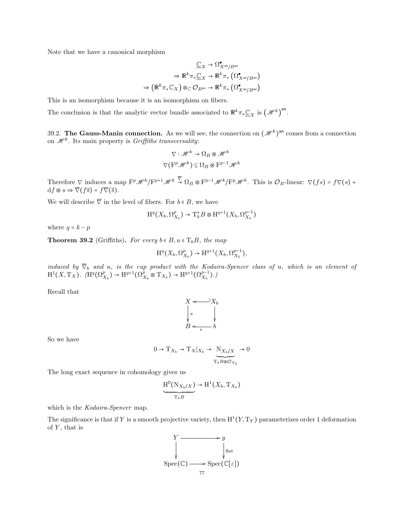Note that we have a canonical morphism

$$
\begin{aligned} \underline{\mathbb{C}}_X &\to \Omega^{\bullet}_{X^{\mathrm{an}}/B^{\mathrm{an}}} \\ &\to \mathbb{R}^k \pi_* \underline{\mathbb{C}}_X \to \mathbb{R}^k \pi_* \left( \Omega^{\bullet}_{X^{\mathrm{an}}/B^{\mathrm{an}}} \right) \\ &\to \left( \mathbb{R}^k \pi_* \mathbb{C}_X \right) \otimes_{\mathbb{C}} \mathcal{O}_{B^{\mathrm{an}}} \to \mathbb{R}^k \pi_* \left( \Omega^{\bullet}_{X^{\mathrm{an}}/B^{\mathrm{an}}} \right) \end{aligned}
$$

This is an isomorphism because it is an isomorphism on fibers.

The conclusion is that the analytic vector bundle associated to  $\mathbb{R}^k \pi_* \underline{\mathbb{C}}_X$  is  $(\mathscr{H}^k)$ <sup>an</sup>.

39.2. The Gauss-Manin connection. As we will see, the connection on  $(\mathscr{H}^k)$ <sup>an</sup> comes from a connection on  $\mathscr{H}^k$ . Its main property is *Griffiths transversality*:

$$
\nabla : \mathcal{H}^k \to \Omega_B \otimes \mathcal{H}^k
$$

$$
\nabla (\mathbf{F}^p \mathcal{H}^k) \subseteq \Omega_B \otimes \mathbf{F}^{p-1} \mathcal{H}^k
$$

Therefore  $\nabla$  induces a map  $\mathbf{F}^p\mathscr{H}^k/\mathbf{F}^{p+1}\mathscr{H}^k \stackrel{\nabla}{\to} \Omega_B \otimes \mathbf{F}^{p-1}\mathscr{H}^k/\mathbf{F}^p\mathscr{H}^k$ . This is  $\mathcal{O}_B$ -linear:  $\nabla(fs) = f\nabla(s)$  +  $df \otimes s \Rightarrow \overline{\nabla}(f\overline{s}) = f\overline{\nabla}(\overline{s}).$ 

We will describe  $\overline{\nabla}$  in the level of fibers. For  $b \in B$ , we have

$$
\mathrm{H}^q\big(X_b,\Omega^p_{X_b}\big) \to \mathrm{T}^*_bB \otimes \mathrm{H}^{q+1}\big(X_b,\Omega^{p-1}_{X_b}\big)
$$

where  $q = k - p$ 

**Theorem 39.2** (Griffiths). For every  $b \in B, u \in T_bB$ , the map

$$
\mathrm{H}^q(X_b, \Omega^p_{X_b}) \to \mathrm{H}^{q+1}(X_b, \Omega^{p-1}_{X_b}),
$$

induced by  $\overline{\nabla}_b$  and u, is the cup product with the Kodaira-Spencer class of u, which is an element of  $H^1(X, Tx)$ .  $(H^q(\Omega_{X_b}^p) \to H^{q+1}(\Omega_{X_b}^p \otimes T_{X_b}) \to H^{q+1}(\Omega_{X_b}^{p-1}).$ 

Recall that



So we have

$$
0\to {\rm T}_{X_b}\to {\rm T}_X|_{X_b}\to \underbrace{{\rm N}_{X_b/X}}{{\rm T}_bB\otimes {\mathcal O}_{X_b}}\to 0
$$

The long exact sequence in cohomology gives us

$$
\underbrace{H^0(N_{X_b/X})}_{T_bB} \to H^1(X_b, T_{X_b})
$$

which is the *Kodaira-Spencer* map.

The significance is that if Y is a smooth projective variety, then  $\mathrm{H}^1(Y, \mathrm{T}_Y)$  parameterizes order 1 deformation of  $Y$ , that is

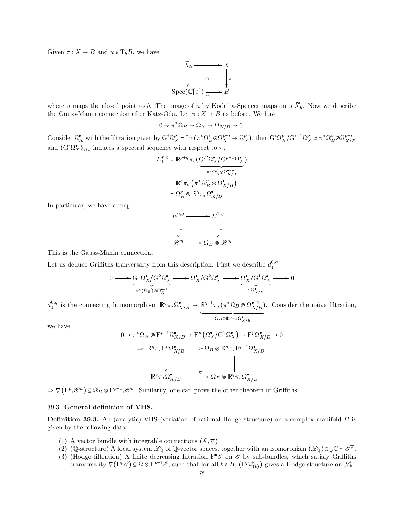Given  $\pi: X \to B$  and  $u \in T_bB$ , we have

$$
\widetilde{X}_b \longrightarrow X
$$
\n
$$
\downarrow \qquad \qquad \downarrow \qquad \qquad \downarrow
$$
\n
$$
\text{Spec}(\mathbb{C}[\varepsilon]) \longrightarrow B
$$

where u maps the closed point to b. The image of u by Kodaira-Spencer maps onto  $\widetilde{X}_b$ . Now we describe the Gauss-Manin connection after Katz-Oda. Let  $\pi : X \to B$  as before. We have

$$
0 \to \pi^* \Omega_B \to \Omega_X \to \Omega_{X/B} \to 0.
$$

Consider  $\Omega_X^{\bullet}$  with the filtration given by  $G^i \Omega_X^p = \text{Im}(\pi^* \Omega_B^i \otimes \Omega_X^{p-i} \to \Omega_X^p)$ , then  $G^i \Omega_X^p / G^{i+1} \Omega_X^p \simeq \pi^* \Omega_B^i \otimes \Omega_{X/\mathcal{E}_X}^{p-i}$ X/B and  $(G<sup>i</sup>\Omega_X^{\bullet})_{i\geq 0}$  induces a spectral sequence with respect to  $\pi_*$ .

$$
E_1^{p,q} = \mathbb{R}^{p+q} \pi_* \left( \underbrace{\mathbf{G}^P \Omega_X^{\bullet} / \mathbf{G}^{p+1} \Omega_X^{\bullet}}_{\pi^* \Omega_B^p \otimes \Omega_{X/B}^{\bullet - p}} \right)
$$

$$
= \mathbb{R}^q \pi_* \left( \pi^* \Omega_B^p \otimes \Omega_{X/B}^{\bullet} \right)
$$

$$
= \Omega_B^p \otimes \mathbb{R}^q \pi_* \Omega_{X/B}^{\bullet}
$$

In particular, we have a map



This is the Gauss-Manin connection.

Let us deduce Griffiths tranversalty from this description. First we describe  $d_1^{0,q}$ 

$$
0 \longrightarrow \underbrace{G^1 \Omega_X^{\bullet} / G^2 \Omega_X^{\bullet}}_{\pi^*(\Omega_B) \otimes \Omega_X^{\bullet - 1}} \longrightarrow \Omega_X^{\bullet} / G^2 \Omega_X^{\bullet} \longrightarrow \underbrace{\Omega_X^{\bullet} / G^1 \Omega_X^{\bullet}}_{\simeq \Omega_{X/B}^{\bullet}} \longrightarrow 0
$$

 $d_1^{0,q}$  is the connecting homomorphism  $\mathbb{R}^q \pi_* \Omega^{\bullet}_{X/B} \to \mathbb{R}^{q+1} \pi_* (\pi^* \Omega_B \otimes \Omega^{\bullet-1}_{X/B})$  $\overline{\Omega_B\otimes \mathsf{R}^q\pi_*\Omega_{X/B}^{\bullet}$ . Consider the na¨ıve filtration,

we have

$$
0 \to \pi^* \Omega_B \otimes \mathbf{F}^{p-1} \Omega_{X/B}^{\bullet} \to \mathbf{F}^p \left( \Omega_X^{\bullet} / \mathbf{G}^2 \Omega_X^{\bullet} \right) \to \mathbf{F}^p \Omega_{X/B}^{\bullet} \to 0
$$
  

$$
\Rightarrow \mathbb{R}^q \pi_* \mathbf{F}^p \Omega_{X/B}^{\bullet} \longrightarrow \Omega_B \otimes \mathbb{R}^q \pi_* \mathbf{F}^{p-1} \Omega_{X/B}^{\bullet}
$$
  

$$
\downarrow \qquad \qquad \downarrow
$$
  

$$
\mathbb{R}^q \pi_* \Omega_{X/B}^{\bullet} \longrightarrow \Omega_B \otimes \mathbb{R}^q \pi_* \Omega_{X/B}^{\bullet}
$$

 $\Rightarrow \nabla (\mathbf{F}^p \mathcal{H}^k) \subseteq \Omega_B \otimes \mathbf{F}^{p-1} \mathcal{H}^k$ . Similarly, one can prove the other theorem of Griffiths.

## 39.3. General definition of VHS.

Definition 39.3. An (analytic) VHS (variation of rational Hodge structure) on a complex manifold B is given by the following data:

- (1) A vector bundle with integrable connections  $(\mathscr{E}, \nabla)$ .
- (2) (Q-structure) A local system  $\mathscr{L}_{\mathbb{Q}}$  of Q-vector spaces, together with an isomorphism  $(\mathscr{L}_{\mathbb{Q}}) \otimes_{\mathbb{Q}} \mathbb{C} \simeq \mathscr{E}^{\nabla}$ .
- (3) (Hodge filtration) A finite decreasing filtration  $\mathbf{F}^{\bullet}$  on  $\mathscr E$  by sub-bundles, which satisfy Griffiths tranversality  $\nabla(\mathbf{F}^p \mathscr{E}) \subseteq \Omega \otimes \mathbf{F}^{p-1} \mathscr{E}$ , such that for all  $b \in B$ ,  $(\mathbf{F}^p \mathscr{E}_{(b)})$  gives a Hodge structure on  $\mathscr{L}_b$ .